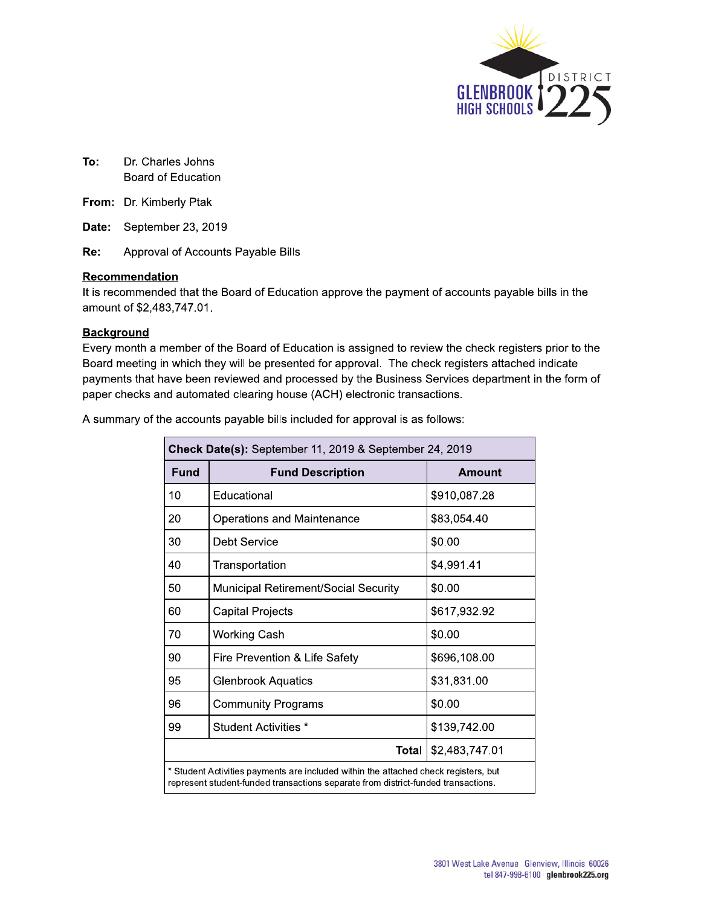

- To: Dr. Charles Johns Board of Education
- From: Dr. Kimberly Ptak

Date: September 23, 2019

Re: Approval of Accounts Payable Bills

#### Recommendation

It is recommended that the Board of Education approve the payment of accounts payable bills in the amount of \$2,483,747.01.

#### **Background**

Every month a member of the Board of Education is assigned to review the check registers prior to the Board meeting in which they will be presented for approval. The check registers attached indicate payments that have been reviewed and processed by the Business Services department in the form of paper checks and automated clearing house (ACH) electronic transactions.

| A summary of the accounts payable bills included for approval is as follows: |  |  |  |  |  |
|------------------------------------------------------------------------------|--|--|--|--|--|
|                                                                              |  |  |  |  |  |

|      | Check Date(s): September 11, 2019 & September 24, 2019                                                                                                                   |                |  |  |  |  |  |  |  |  |
|------|--------------------------------------------------------------------------------------------------------------------------------------------------------------------------|----------------|--|--|--|--|--|--|--|--|
| Fund | <b>Fund Description</b>                                                                                                                                                  | Amount         |  |  |  |  |  |  |  |  |
| 10   | Educational                                                                                                                                                              | \$910,087.28   |  |  |  |  |  |  |  |  |
| 20   | Operations and Maintenance                                                                                                                                               | \$83,054.40    |  |  |  |  |  |  |  |  |
| 30   | Debt Service                                                                                                                                                             | \$0.00         |  |  |  |  |  |  |  |  |
| 40   | Transportation                                                                                                                                                           | \$4,991.41     |  |  |  |  |  |  |  |  |
| 50   | Municipal Retirement/Social Security                                                                                                                                     | \$0.00         |  |  |  |  |  |  |  |  |
| 60   | Capital Projects                                                                                                                                                         | \$617,932.92   |  |  |  |  |  |  |  |  |
| 70   | <b>Working Cash</b>                                                                                                                                                      | \$0.00         |  |  |  |  |  |  |  |  |
| 90   | Fire Prevention & Life Safety                                                                                                                                            | \$696,108.00   |  |  |  |  |  |  |  |  |
| 95   | <b>Glenbrook Aquatics</b>                                                                                                                                                | \$31,831.00    |  |  |  |  |  |  |  |  |
| 96   | <b>Community Programs</b>                                                                                                                                                | \$0.00         |  |  |  |  |  |  |  |  |
| 99   | Student Activities *                                                                                                                                                     | \$139,742.00   |  |  |  |  |  |  |  |  |
|      | Total                                                                                                                                                                    | \$2,483,747.01 |  |  |  |  |  |  |  |  |
|      | * Student Activities payments are included within the attached check registers, but<br>represent student-funded transactions separate from district-funded transactions. |                |  |  |  |  |  |  |  |  |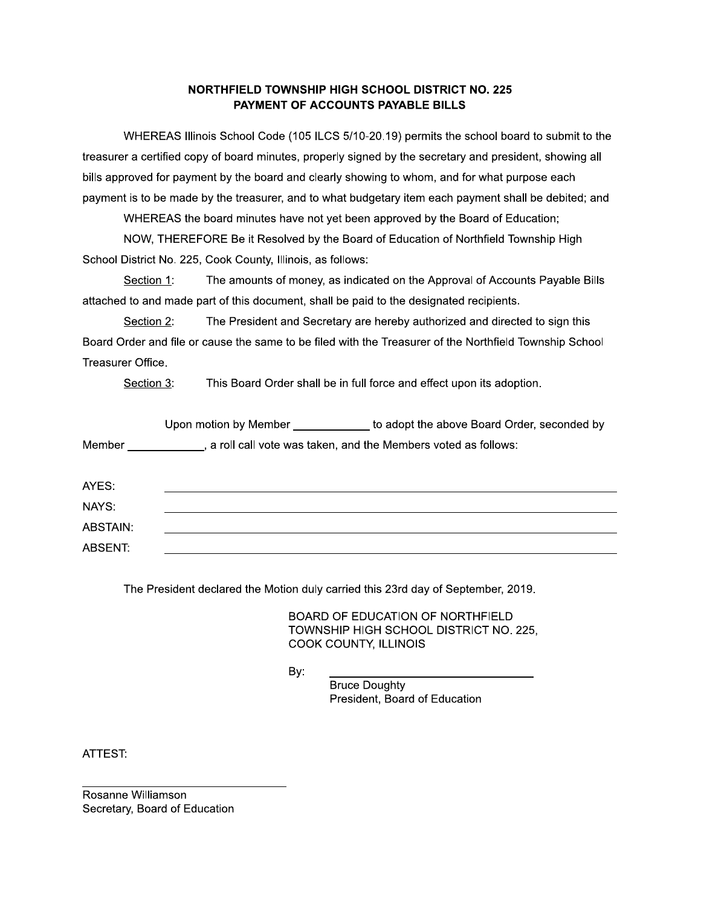#### NORTHFIELD TOWNSHIP HIGH SCHOOL DISTRICT NO. 225 PAYMENT OF ACCOUNTS PAYABLE BILLS

NORTHFIELD TOWNSHIP HIGH SCHOOL DISTRICT NO. 225<br>
PAYMENT OF ACCOUNTS PAYABLE BILLS<br>
WHEREAS Illinois School Code (105 ILCS 5/10-20.19) permits the school board to submit to the<br>
ra certified copy of board minutes, properl treasurer a certified copy of board minutes, properly signed by the secretary and president, showing all bills approved for payment by the board and clearly showing to whom, and for what purpose each payment is to be made by the treasurer, and to what budgetary item each payment shall be debited; and

WHEREAS the board minutes have not yet been approved by the Board of Education;

NOW, THEREFORE Be it Resolved by the Board of Education of Northfield Township High

Section 1: The amounts of money, as indicated on the Approval of Accounts Payable Bills attached to and made part of this document, shall be paid to the designated recipients.

treasurer a certified copy of board minutes, properly signed<br>bills approved for payment by the board and clearly showin<br>payment is to be made by the treasurer, and to what budge<br>WHEREAS the board minutes have not yet been Section 2: The President and Secretary are hereby authorized and directed to sign this Board Order and file or cause the same to be filed with the Treasurer of the Northfield Township School Treasurer Office.

Section 3: This Board Order shall be in full force and effect upon its adoption.

|          |     | Upon motion by Member _____________ to adopt the above Board Order, seconded by                                                                                                                                                                                                                                                |
|----------|-----|--------------------------------------------------------------------------------------------------------------------------------------------------------------------------------------------------------------------------------------------------------------------------------------------------------------------------------|
|          |     | Member _____________, a roll call vote was taken, and the Members voted as follows:                                                                                                                                                                                                                                            |
| AYES:    |     |                                                                                                                                                                                                                                                                                                                                |
| NAYS:    |     |                                                                                                                                                                                                                                                                                                                                |
| ABSTAIN: |     |                                                                                                                                                                                                                                                                                                                                |
| ABSENT:  |     |                                                                                                                                                                                                                                                                                                                                |
|          | By: | The President declared the Motion duly carried this 23rd day of September, 2019.<br>BOARD OF EDUCATION OF NORTHFIELD<br>TOWNSHIP HIGH SCHOOL DISTRICT NO. 225,<br>COOK COUNTY, ILLINOIS<br>the control of the control of the control of the control of the control of<br><b>Bruce Doughty</b><br>President, Board of Education |
|          |     |                                                                                                                                                                                                                                                                                                                                |

ortion duly carried this 23rd day of September, 2019.<br>
BOARD OF EDUCATION OF NORTHFIELD<br>
TOWNSHIP HIGH SCHOOL DISTRICT NO. 225,<br>
COOK COUNTY, ILLINOIS<br>
By:<br>
Fruce Doughty<br>
President, Board of Education dent declared the Motion duly carried this 23rd day o<br>
BOARD OF EDUCATION OF<br>
TOWNSHIP HIGH SCHOOL I<br>
COOK COUNTY, ILLINOIS<br>
By:<br>
Bruce Doughty<br>
President, Board of Equation

ATTEST:

PPPPPPPPPPPPPPPPPPPPPPPPPPPPPPPP #\$:"")! !:7\$#" Secretary, Board of Education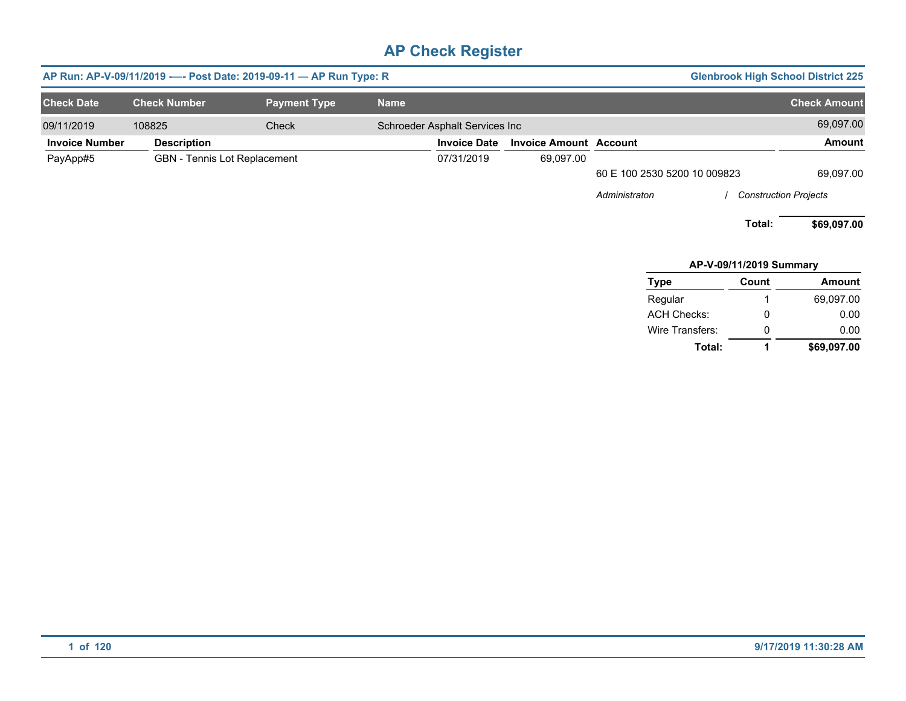|                       |                              | AP Run: AP-V-09/11/2019 ---- Post Date: 2019-09-11 - AP Run Type: R |                                |                               |                              |                              | <b>Glenbrook High School District 225</b> |
|-----------------------|------------------------------|---------------------------------------------------------------------|--------------------------------|-------------------------------|------------------------------|------------------------------|-------------------------------------------|
| <b>Check Date</b>     | <b>Check Number</b>          | <b>Payment Type</b>                                                 | <b>Name</b>                    |                               |                              |                              | <b>Check Amount</b>                       |
| 09/11/2019            | 108825                       | Check                                                               | Schroeder Asphalt Services Inc |                               |                              |                              | 69,097.00                                 |
| <b>Invoice Number</b> | <b>Description</b>           |                                                                     | <b>Invoice Date</b>            | <b>Invoice Amount Account</b> |                              |                              | Amount                                    |
| PayApp#5              | GBN - Tennis Lot Replacement |                                                                     | 07/31/2019                     | 69,097.00                     |                              |                              |                                           |
|                       |                              |                                                                     |                                |                               | 60 E 100 2530 5200 10 009823 |                              | 69,097.00                                 |
|                       |                              |                                                                     |                                |                               | Administraton                | <b>Construction Projects</b> |                                           |
|                       |                              |                                                                     |                                |                               |                              | Total:                       | \$69,097.00                               |
|                       |                              |                                                                     |                                |                               |                              | AP-V-09/11/2019 Summary      |                                           |
|                       |                              |                                                                     |                                |                               | <b>Type</b>                  | Count                        | Amount                                    |
|                       |                              |                                                                     |                                |                               | Regular                      |                              | 69,097.00                                 |
|                       |                              |                                                                     |                                |                               | <b>ACH Checks:</b>           | 0                            | 0.00                                      |
|                       |                              |                                                                     |                                |                               | Wire Transfers:              | 0                            | 0.00                                      |

**Total:**

**1**

**\$69,097.00**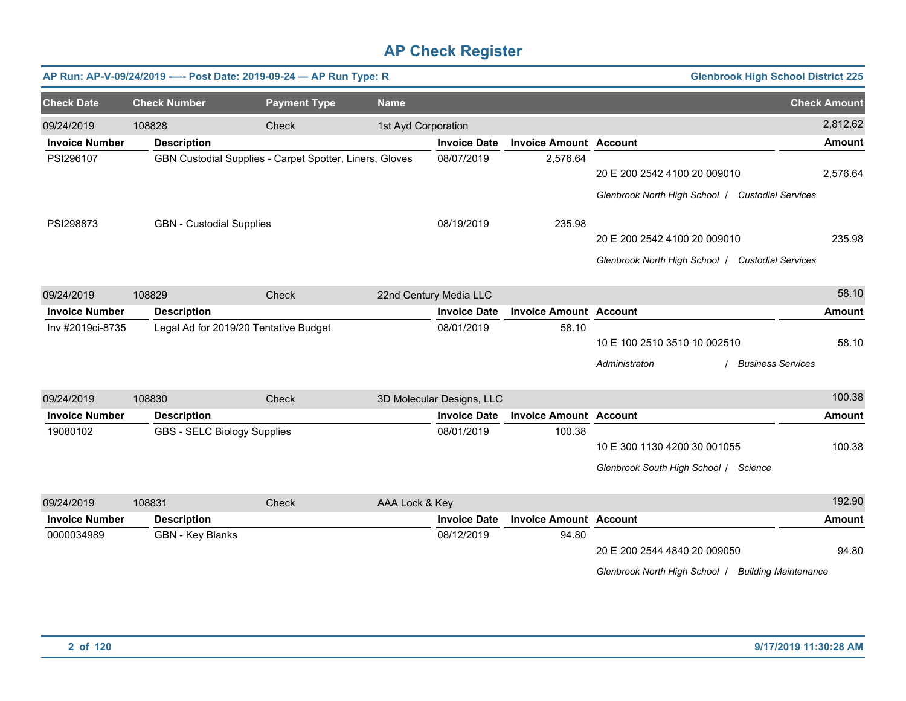|                       |                                 | AP Run: AP-V-09/24/2019 ---- Post Date: 2019-09-24 - AP Run Type: R |                     |                           |                               |                                                                                    | <b>Glenbrook High School District 225</b> |                     |
|-----------------------|---------------------------------|---------------------------------------------------------------------|---------------------|---------------------------|-------------------------------|------------------------------------------------------------------------------------|-------------------------------------------|---------------------|
| <b>Check Date</b>     | <b>Check Number</b>             | <b>Payment Type</b>                                                 | <b>Name</b>         |                           |                               |                                                                                    |                                           | <b>Check Amount</b> |
| 09/24/2019            | 108828                          | Check                                                               | 1st Ayd Corporation |                           |                               |                                                                                    |                                           | 2,812.62            |
| <b>Invoice Number</b> | <b>Description</b>              |                                                                     |                     | <b>Invoice Date</b>       | <b>Invoice Amount Account</b> |                                                                                    |                                           | <b>Amount</b>       |
| PSI296107             |                                 | GBN Custodial Supplies - Carpet Spotter, Liners, Gloves             |                     | 08/07/2019                | 2,576.64                      | 20 E 200 2542 4100 20 009010<br>Glenbrook North High School   Custodial Services   |                                           | 2,576.64            |
| PSI298873             | <b>GBN</b> - Custodial Supplies |                                                                     |                     | 08/19/2019                | 235.98                        | 20 E 200 2542 4100 20 009010<br>Glenbrook North High School   Custodial Services   |                                           | 235.98              |
| 09/24/2019            | 108829                          | Check                                                               |                     | 22nd Century Media LLC    |                               |                                                                                    |                                           | 58.10               |
| <b>Invoice Number</b> | <b>Description</b>              |                                                                     |                     | <b>Invoice Date</b>       | <b>Invoice Amount Account</b> |                                                                                    |                                           | <b>Amount</b>       |
| Inv #2019ci-8735      |                                 | Legal Ad for 2019/20 Tentative Budget                               |                     | 08/01/2019                | 58.10                         | 10 E 100 2510 3510 10 002510<br>Administraton                                      | <b>Business Services</b>                  | 58.10               |
| 09/24/2019            | 108830                          | Check                                                               |                     | 3D Molecular Designs, LLC |                               |                                                                                    |                                           | 100.38              |
| <b>Invoice Number</b> | <b>Description</b>              |                                                                     |                     | <b>Invoice Date</b>       | <b>Invoice Amount Account</b> |                                                                                    |                                           | <b>Amount</b>       |
| 19080102              |                                 | GBS - SELC Biology Supplies                                         |                     | 08/01/2019                | 100.38                        | 10 E 300 1130 4200 30 001055<br>Glenbrook South High School / Science              |                                           | 100.38              |
| 09/24/2019            | 108831                          | Check                                                               | AAA Lock & Key      |                           |                               |                                                                                    |                                           | 192.90              |
| <b>Invoice Number</b> | <b>Description</b>              |                                                                     |                     | <b>Invoice Date</b>       | <b>Invoice Amount Account</b> |                                                                                    |                                           | <b>Amount</b>       |
| 0000034989            | GBN - Key Blanks                |                                                                     |                     | 08/12/2019                | 94.80                         | 20 E 200 2544 4840 20 009050<br>Glenbrook North High School   Building Maintenance |                                           | 94.80               |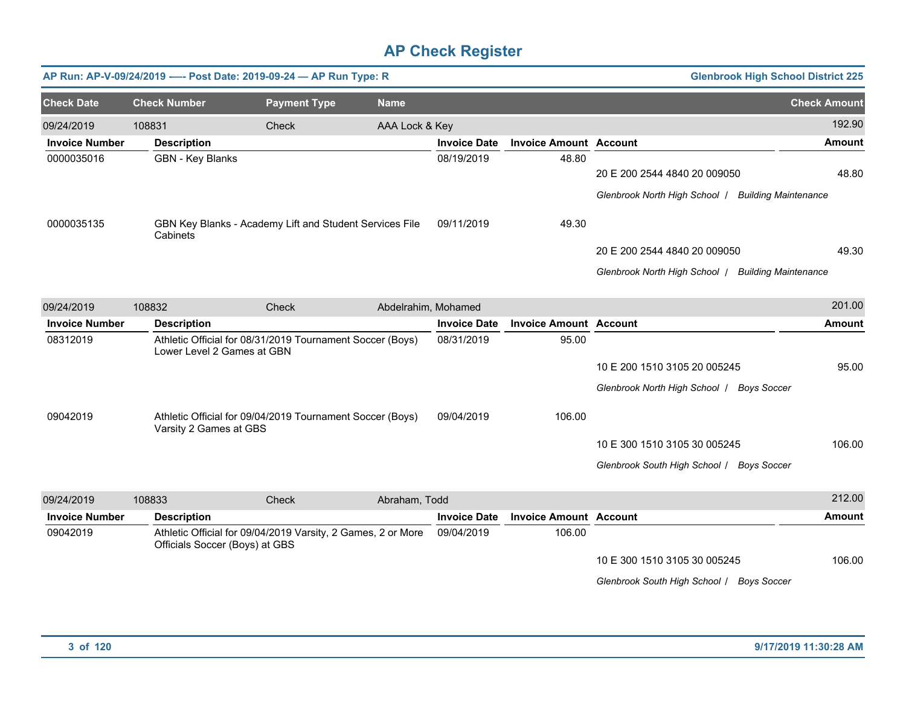|                       |                            | AP Run: AP-V-09/24/2019 ---- Post Date: 2019-09-24 - AP Run Type: R                            |                     |                     |                               |                                                    | <b>Glenbrook High School District 225</b> |
|-----------------------|----------------------------|------------------------------------------------------------------------------------------------|---------------------|---------------------|-------------------------------|----------------------------------------------------|-------------------------------------------|
| <b>Check Date</b>     | <b>Check Number</b>        | <b>Payment Type</b>                                                                            | <b>Name</b>         |                     |                               |                                                    | <b>Check Amount</b>                       |
| 09/24/2019            | 108831                     | Check                                                                                          | AAA Lock & Key      |                     |                               |                                                    | 192.90                                    |
| <b>Invoice Number</b> | <b>Description</b>         |                                                                                                |                     | <b>Invoice Date</b> | <b>Invoice Amount Account</b> |                                                    | <b>Amount</b>                             |
| 0000035016            | GBN - Key Blanks           |                                                                                                |                     | 08/19/2019          | 48.80                         | 20 E 200 2544 4840 20 009050                       | 48.80                                     |
|                       |                            |                                                                                                |                     |                     |                               | Glenbrook North High School   Building Maintenance |                                           |
| 0000035135            | Cabinets                   | GBN Key Blanks - Academy Lift and Student Services File                                        |                     | 09/11/2019          | 49.30                         |                                                    |                                           |
|                       |                            |                                                                                                |                     |                     |                               | 20 E 200 2544 4840 20 009050                       | 49.30                                     |
|                       |                            |                                                                                                |                     |                     |                               | Glenbrook North High School   Building Maintenance |                                           |
| 09/24/2019            | 108832                     | Check                                                                                          | Abdelrahim, Mohamed |                     |                               |                                                    | 201.00                                    |
| <b>Invoice Number</b> | <b>Description</b>         |                                                                                                |                     | <b>Invoice Date</b> | <b>Invoice Amount Account</b> |                                                    | Amount                                    |
| 08312019              | Lower Level 2 Games at GBN | Athletic Official for 08/31/2019 Tournament Soccer (Boys)                                      |                     | 08/31/2019          | 95.00                         |                                                    |                                           |
|                       |                            |                                                                                                |                     |                     |                               | 10 E 200 1510 3105 20 005245                       | 95.00                                     |
|                       |                            |                                                                                                |                     |                     |                               | Glenbrook North High School   Boys Soccer          |                                           |
| 09042019              | Varsity 2 Games at GBS     | Athletic Official for 09/04/2019 Tournament Soccer (Boys)                                      |                     | 09/04/2019          | 106.00                        |                                                    |                                           |
|                       |                            |                                                                                                |                     |                     |                               | 10 E 300 1510 3105 30 005245                       | 106.00                                    |
|                       |                            |                                                                                                |                     |                     |                               | Glenbrook South High School / Boys Soccer          |                                           |
| 09/24/2019            | 108833                     | Check                                                                                          | Abraham, Todd       |                     |                               |                                                    | 212.00                                    |
| <b>Invoice Number</b> | <b>Description</b>         |                                                                                                |                     | <b>Invoice Date</b> | <b>Invoice Amount</b>         | <b>Account</b>                                     | Amount                                    |
| 09042019              |                            | Athletic Official for 09/04/2019 Varsity, 2 Games, 2 or More<br>Officials Soccer (Boys) at GBS |                     | 09/04/2019          | 106.00                        |                                                    |                                           |
|                       |                            |                                                                                                |                     |                     |                               | 10 E 300 1510 3105 30 005245                       | 106.00                                    |
|                       |                            |                                                                                                |                     |                     |                               | Glenbrook South High School / Boys Soccer          |                                           |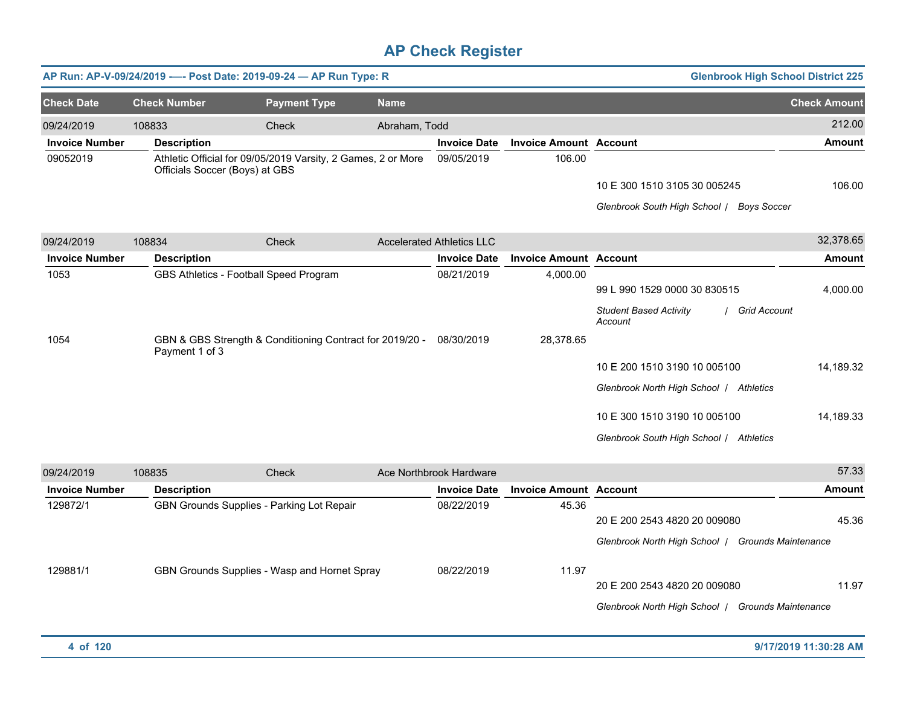|                       |                                | AP Run: AP-V-09/24/2019 ---- Post Date: 2019-09-24 - AP Run Type: R |               |                                  |                               |                                                                                                                                                    | <b>Glenbrook High School District 225</b> |
|-----------------------|--------------------------------|---------------------------------------------------------------------|---------------|----------------------------------|-------------------------------|----------------------------------------------------------------------------------------------------------------------------------------------------|-------------------------------------------|
| <b>Check Date</b>     | <b>Check Number</b>            | <b>Payment Type</b>                                                 | <b>Name</b>   |                                  |                               |                                                                                                                                                    | <b>Check Amount</b>                       |
| 09/24/2019            | 108833                         | <b>Check</b>                                                        | Abraham, Todd |                                  |                               |                                                                                                                                                    | 212.00                                    |
| <b>Invoice Number</b> | <b>Description</b>             |                                                                     |               | <b>Invoice Date</b>              | <b>Invoice Amount Account</b> |                                                                                                                                                    | <b>Amount</b>                             |
| 09052019              | Officials Soccer (Boys) at GBS | Athletic Official for 09/05/2019 Varsity, 2 Games, 2 or More        |               | 09/05/2019                       | 106.00                        | 10 E 300 1510 3105 30 005245<br>Glenbrook South High School / Boys Soccer                                                                          | 106.00                                    |
| 09/24/2019            | 108834                         | Check                                                               |               | <b>Accelerated Athletics LLC</b> |                               |                                                                                                                                                    | 32,378.65                                 |
| <b>Invoice Number</b> | <b>Description</b>             |                                                                     |               | <b>Invoice Date</b>              | <b>Invoice Amount Account</b> |                                                                                                                                                    | <b>Amount</b>                             |
| 1053                  |                                | GBS Athletics - Football Speed Program                              |               | 08/21/2019                       | 4,000.00                      | 99 L 990 1529 0000 30 830515<br><b>Student Based Activity</b><br>Account                                                                           | 4,000.00<br>/ Grid Account                |
| 1054                  | Payment 1 of 3                 | GBN & GBS Strength & Conditioning Contract for 2019/20 - 08/30/2019 |               |                                  | 28,378.65                     | 10 E 200 1510 3190 10 005100<br>Glenbrook North High School / Athletics<br>10 E 300 1510 3190 10 005100<br>Glenbrook South High School / Athletics | 14,189.32<br>14,189.33                    |
| 09/24/2019            | 108835                         | Check                                                               |               | Ace Northbrook Hardware          |                               |                                                                                                                                                    | 57.33                                     |
| <b>Invoice Number</b> | <b>Description</b>             |                                                                     |               | <b>Invoice Date</b>              | <b>Invoice Amount Account</b> |                                                                                                                                                    | <b>Amount</b>                             |
| 129872/1              |                                | GBN Grounds Supplies - Parking Lot Repair                           |               | 08/22/2019                       | 45.36                         | 20 E 200 2543 4820 20 009080<br>Glenbrook North High School   Grounds Maintenance                                                                  | 45.36                                     |
| 129881/1              |                                | GBN Grounds Supplies - Wasp and Hornet Spray                        |               | 08/22/2019                       | 11.97                         | 20 E 200 2543 4820 20 009080<br>Glenbrook North High School   Grounds Maintenance                                                                  | 11.97                                     |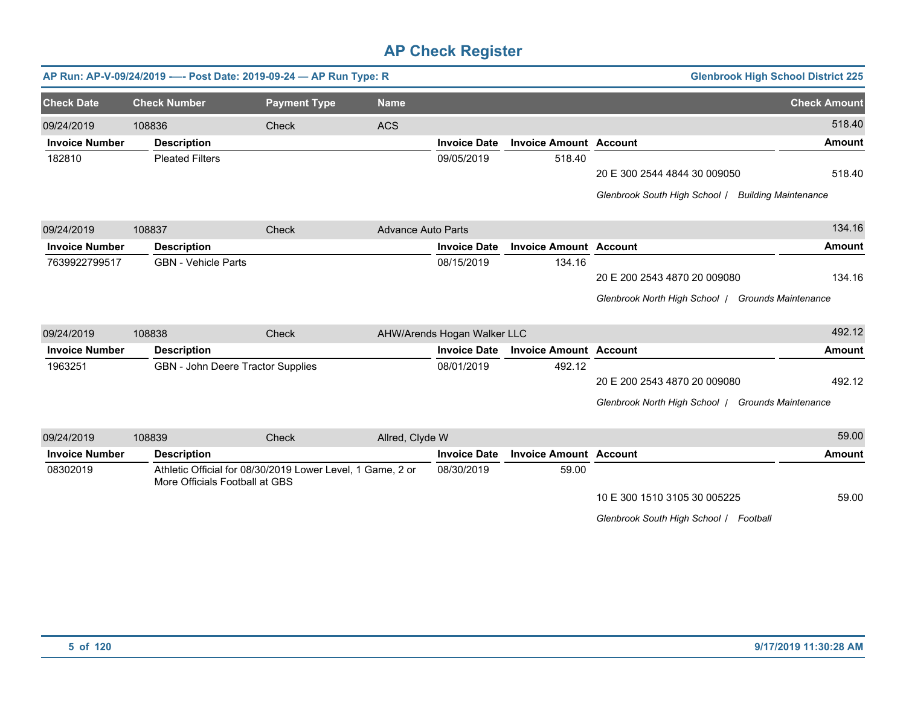|                       |                            | AP Run: AP-V-09/24/2019 ---- Post Date: 2019-09-24 - AP Run Type: R                          |                           |                             |                               |                                                   | <b>Glenbrook High School District 225</b> |
|-----------------------|----------------------------|----------------------------------------------------------------------------------------------|---------------------------|-----------------------------|-------------------------------|---------------------------------------------------|-------------------------------------------|
| <b>Check Date</b>     | <b>Check Number</b>        | <b>Payment Type</b>                                                                          | <b>Name</b>               |                             |                               |                                                   | <b>Check Amount</b>                       |
| 09/24/2019            | 108836                     | Check                                                                                        | <b>ACS</b>                |                             |                               |                                                   | 518.40                                    |
| <b>Invoice Number</b> | <b>Description</b>         |                                                                                              |                           | <b>Invoice Date</b>         | <b>Invoice Amount Account</b> |                                                   | <b>Amount</b>                             |
| 182810                | <b>Pleated Filters</b>     |                                                                                              |                           | 09/05/2019                  | 518.40                        |                                                   |                                           |
|                       |                            |                                                                                              |                           |                             |                               | 20 E 300 2544 4844 30 009050                      | 518.40                                    |
|                       |                            |                                                                                              |                           |                             |                               | Glenbrook South High School /                     | <b>Building Maintenance</b>               |
| 09/24/2019            | 108837                     | Check                                                                                        | <b>Advance Auto Parts</b> |                             |                               |                                                   | 134.16                                    |
| <b>Invoice Number</b> | <b>Description</b>         |                                                                                              |                           | <b>Invoice Date</b>         | <b>Invoice Amount Account</b> |                                                   | <b>Amount</b>                             |
| 7639922799517         | <b>GBN</b> - Vehicle Parts |                                                                                              |                           | 08/15/2019                  | 134.16                        |                                                   |                                           |
|                       |                            |                                                                                              |                           |                             |                               | 20 E 200 2543 4870 20 009080                      | 134.16                                    |
|                       |                            |                                                                                              |                           |                             |                               | Glenbrook North High School   Grounds Maintenance |                                           |
| 09/24/2019            | 108838                     | Check                                                                                        |                           | AHW/Arends Hogan Walker LLC |                               |                                                   | 492.12                                    |
| <b>Invoice Number</b> | <b>Description</b>         |                                                                                              |                           | <b>Invoice Date</b>         | <b>Invoice Amount Account</b> |                                                   | <b>Amount</b>                             |
| 1963251               |                            | GBN - John Deere Tractor Supplies                                                            |                           | 08/01/2019                  | 492.12                        |                                                   |                                           |
|                       |                            |                                                                                              |                           |                             |                               | 20 E 200 2543 4870 20 009080                      | 492.12                                    |
|                       |                            |                                                                                              |                           |                             |                               | Glenbrook North High School   Grounds Maintenance |                                           |
| 09/24/2019            | 108839                     | Check                                                                                        | Allred, Clyde W           |                             |                               |                                                   | 59.00                                     |
| <b>Invoice Number</b> | <b>Description</b>         |                                                                                              |                           | <b>Invoice Date</b>         | <b>Invoice Amount Account</b> |                                                   | <b>Amount</b>                             |
| 08302019              |                            | Athletic Official for 08/30/2019 Lower Level, 1 Game, 2 or<br>More Officials Football at GBS |                           |                             | 59.00                         |                                                   |                                           |
|                       |                            |                                                                                              |                           |                             |                               | 10 E 300 1510 3105 30 005225                      | 59.00                                     |

*Glenbrook South High School* / *Football*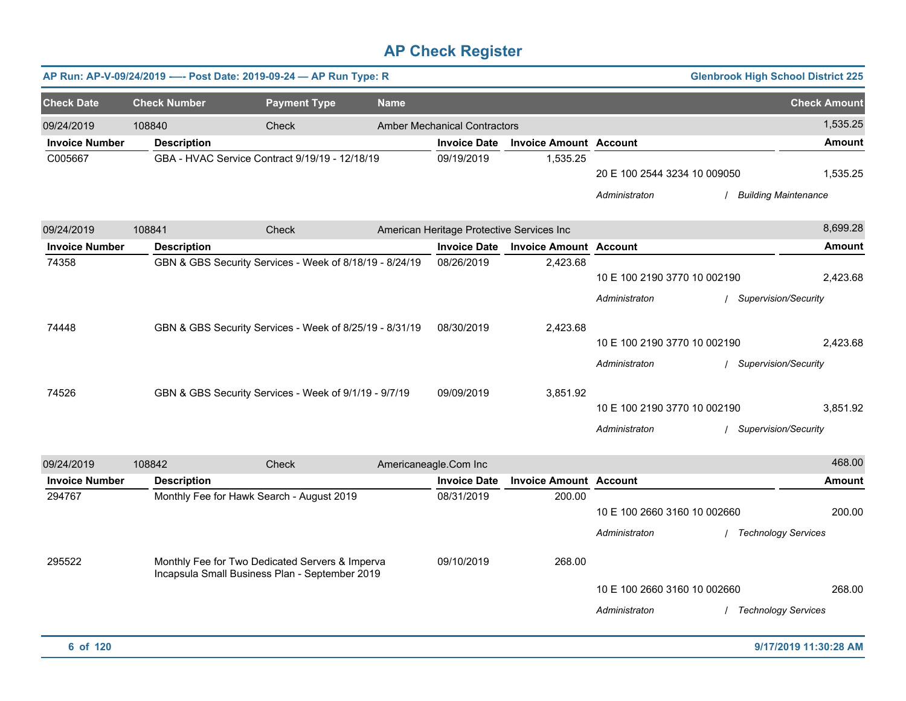|                       |                     | AP Run: AP-V-09/24/2019 ---- Post Date: 2019-09-24 - AP Run Type: R                               |             |                                           |                               |                                               | <b>Glenbrook High School District 225</b> |                     |
|-----------------------|---------------------|---------------------------------------------------------------------------------------------------|-------------|-------------------------------------------|-------------------------------|-----------------------------------------------|-------------------------------------------|---------------------|
| <b>Check Date</b>     | <b>Check Number</b> | <b>Payment Type</b>                                                                               | <b>Name</b> |                                           |                               |                                               |                                           | <b>Check Amount</b> |
| 09/24/2019            | 108840              | Check                                                                                             |             | <b>Amber Mechanical Contractors</b>       |                               |                                               |                                           | 1,535.25            |
| <b>Invoice Number</b> | <b>Description</b>  |                                                                                                   |             | <b>Invoice Date</b>                       | <b>Invoice Amount Account</b> |                                               |                                           | <b>Amount</b>       |
| C005667               |                     | GBA - HVAC Service Contract 9/19/19 - 12/18/19                                                    |             | 09/19/2019                                | 1,535.25                      | 20 E 100 2544 3234 10 009050<br>Administraton | / Building Maintenance                    | 1,535.25            |
| 09/24/2019            | 108841              | Check                                                                                             |             | American Heritage Protective Services Inc |                               |                                               |                                           | 8,699.28            |
| <b>Invoice Number</b> | <b>Description</b>  |                                                                                                   |             | <b>Invoice Date</b>                       | <b>Invoice Amount Account</b> |                                               |                                           | <b>Amount</b>       |
| 74358                 |                     | GBN & GBS Security Services - Week of 8/18/19 - 8/24/19                                           |             | 08/26/2019                                | 2,423.68                      | 10 E 100 2190 3770 10 002190<br>Administraton | / Supervision/Security                    | 2,423.68            |
| 74448                 |                     | GBN & GBS Security Services - Week of 8/25/19 - 8/31/19                                           |             | 08/30/2019                                | 2,423.68                      | 10 E 100 2190 3770 10 002190<br>Administraton | / Supervision/Security                    | 2,423.68            |
| 74526                 |                     | GBN & GBS Security Services - Week of 9/1/19 - 9/7/19                                             |             | 09/09/2019                                | 3,851.92                      | 10 E 100 2190 3770 10 002190<br>Administraton | / Supervision/Security                    | 3,851.92            |
| 09/24/2019            | 108842              | Check                                                                                             |             | Americaneagle.Com Inc                     |                               |                                               |                                           | 468.00              |
| <b>Invoice Number</b> | <b>Description</b>  |                                                                                                   |             | <b>Invoice Date</b>                       | <b>Invoice Amount Account</b> |                                               |                                           | <b>Amount</b>       |
| 294767                |                     | Monthly Fee for Hawk Search - August 2019                                                         |             | 08/31/2019                                | 200.00                        | 10 E 100 2660 3160 10 002660<br>Administraton | / Technology Services                     | 200.00              |
| 295522                |                     | Monthly Fee for Two Dedicated Servers & Imperva<br>Incapsula Small Business Plan - September 2019 |             | 09/10/2019                                | 268.00                        | 10 E 100 2660 3160 10 002660<br>Administraton | / Technology Services                     | 268.00              |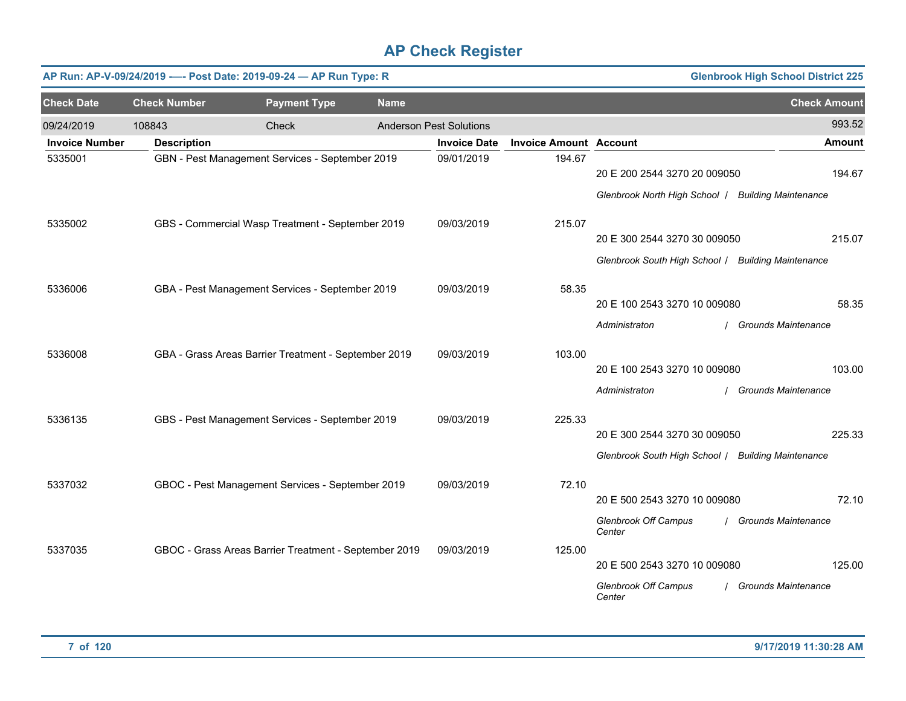|                       |                     | AP Run: AP-V-09/24/2019 ---- Post Date: 2019-09-24 - AP Run Type: R |             |                                |                               |                                                    | <b>Glenbrook High School District 225</b> |
|-----------------------|---------------------|---------------------------------------------------------------------|-------------|--------------------------------|-------------------------------|----------------------------------------------------|-------------------------------------------|
| <b>Check Date</b>     | <b>Check Number</b> | <b>Payment Type</b>                                                 | <b>Name</b> |                                |                               |                                                    | <b>Check Amount</b>                       |
| 09/24/2019            | 108843              | Check                                                               |             | <b>Anderson Pest Solutions</b> |                               |                                                    | 993.52                                    |
| <b>Invoice Number</b> | <b>Description</b>  |                                                                     |             | <b>Invoice Date</b>            | <b>Invoice Amount Account</b> |                                                    | <b>Amount</b>                             |
| 5335001               |                     | GBN - Pest Management Services - September 2019                     |             | 09/01/2019                     | 194.67                        | 20 E 200 2544 3270 20 009050                       | 194.67                                    |
|                       |                     |                                                                     |             |                                |                               | Glenbrook North High School   Building Maintenance |                                           |
| 5335002               |                     | GBS - Commercial Wasp Treatment - September 2019                    |             | 09/03/2019                     | 215.07                        |                                                    |                                           |
|                       |                     |                                                                     |             |                                |                               | 20 E 300 2544 3270 30 009050                       | 215.07                                    |
|                       |                     |                                                                     |             |                                |                               | Glenbrook South High School / Building Maintenance |                                           |
| 5336006               |                     | GBA - Pest Management Services - September 2019                     |             | 09/03/2019                     | 58.35                         |                                                    |                                           |
|                       |                     |                                                                     |             |                                |                               | 20 E 100 2543 3270 10 009080                       | 58.35                                     |
|                       |                     |                                                                     |             |                                |                               | Administraton                                      | <b>Grounds Maintenance</b>                |
| 5336008               |                     | GBA - Grass Areas Barrier Treatment - September 2019                |             | 09/03/2019                     | 103.00                        |                                                    |                                           |
|                       |                     |                                                                     |             |                                |                               | 20 E 100 2543 3270 10 009080                       | 103.00                                    |
|                       |                     |                                                                     |             |                                |                               | Administraton                                      | <b>Grounds Maintenance</b>                |
| 5336135               |                     | GBS - Pest Management Services - September 2019                     |             | 09/03/2019                     | 225.33                        |                                                    |                                           |
|                       |                     |                                                                     |             |                                |                               | 20 E 300 2544 3270 30 009050                       | 225.33                                    |
|                       |                     |                                                                     |             |                                |                               | Glenbrook South High School / Building Maintenance |                                           |
| 5337032               |                     | GBOC - Pest Management Services - September 2019                    |             | 09/03/2019                     | 72.10                         |                                                    |                                           |
|                       |                     |                                                                     |             |                                |                               | 20 E 500 2543 3270 10 009080                       | 72.10                                     |
|                       |                     |                                                                     |             |                                |                               | <b>Glenbrook Off Campus</b><br>Center              | <b>Grounds Maintenance</b>                |
| 5337035               |                     | GBOC - Grass Areas Barrier Treatment - September 2019               |             | 09/03/2019                     | 125.00                        |                                                    | 125.00                                    |
|                       |                     |                                                                     |             |                                |                               | 20 E 500 2543 3270 10 009080                       |                                           |
|                       |                     |                                                                     |             |                                |                               | Glenbrook Off Campus<br>Center                     | <b>Grounds Maintenance</b>                |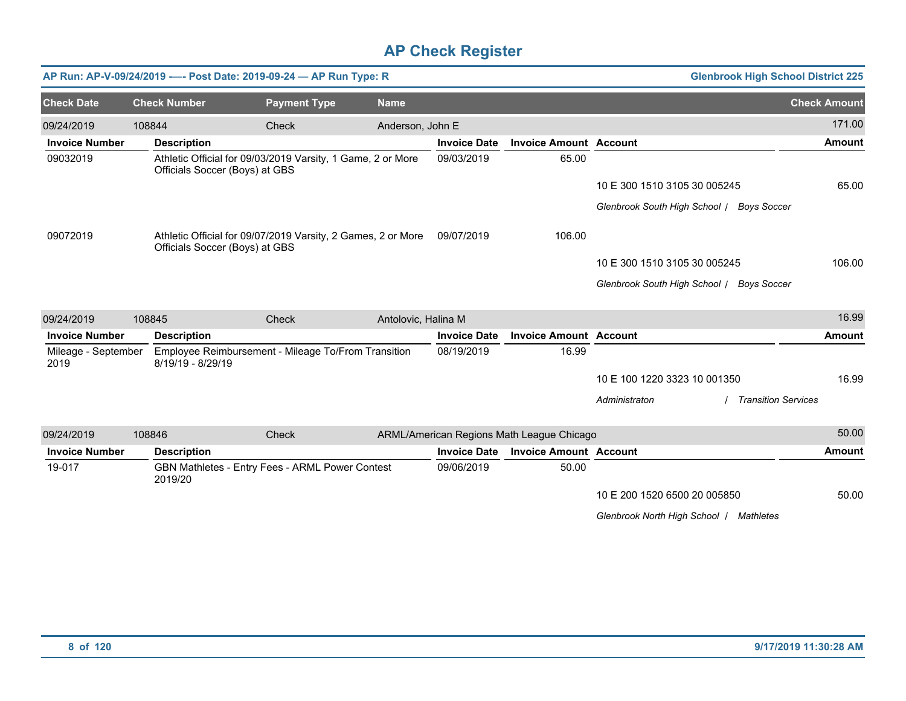|                             |                     | AP Run: AP-V-09/24/2019 ---- Post Date: 2019-09-24 - AP Run Type: R                            |                     |                     |                                           | <b>Glenbrook High School District 225</b>   |                     |
|-----------------------------|---------------------|------------------------------------------------------------------------------------------------|---------------------|---------------------|-------------------------------------------|---------------------------------------------|---------------------|
| <b>Check Date</b>           | <b>Check Number</b> | <b>Payment Type</b>                                                                            | <b>Name</b>         |                     |                                           |                                             | <b>Check Amount</b> |
| 09/24/2019                  | 108844              | <b>Check</b>                                                                                   | Anderson, John E    |                     |                                           |                                             | 171.00              |
| <b>Invoice Number</b>       | <b>Description</b>  |                                                                                                |                     | <b>Invoice Date</b> | <b>Invoice Amount Account</b>             |                                             | <b>Amount</b>       |
| 09032019                    |                     | Athletic Official for 09/03/2019 Varsity, 1 Game, 2 or More<br>Officials Soccer (Boys) at GBS  |                     | 09/03/2019          | 65.00                                     |                                             |                     |
|                             |                     |                                                                                                |                     |                     |                                           | 10 E 300 1510 3105 30 005245                | 65.00               |
|                             |                     |                                                                                                |                     |                     |                                           | Glenbrook South High School / Boys Soccer   |                     |
| 09072019                    |                     | Athletic Official for 09/07/2019 Varsity, 2 Games, 2 or More<br>Officials Soccer (Boys) at GBS |                     | 09/07/2019          | 106.00                                    |                                             |                     |
|                             |                     |                                                                                                |                     |                     |                                           | 10 E 300 1510 3105 30 005245                | 106.00              |
|                             |                     |                                                                                                |                     |                     |                                           | Glenbrook South High School / Boys Soccer   |                     |
|                             |                     |                                                                                                |                     |                     |                                           |                                             |                     |
| 09/24/2019                  | 108845              | Check                                                                                          | Antolovic, Halina M |                     |                                           |                                             | 16.99               |
| <b>Invoice Number</b>       | <b>Description</b>  |                                                                                                |                     | <b>Invoice Date</b> | <b>Invoice Amount Account</b>             |                                             | <b>Amount</b>       |
| Mileage - September<br>2019 | 8/19/19 - 8/29/19   | Employee Reimbursement - Mileage To/From Transition                                            |                     | 08/19/2019          | 16.99                                     |                                             |                     |
|                             |                     |                                                                                                |                     |                     |                                           | 10 E 100 1220 3323 10 001350                | 16.99               |
|                             |                     |                                                                                                |                     |                     |                                           | <b>Transition Services</b><br>Administraton |                     |
| 09/24/2019                  | 108846              | Check                                                                                          |                     |                     | ARML/American Regions Math League Chicago |                                             | 50.00               |
| <b>Invoice Number</b>       | <b>Description</b>  |                                                                                                |                     | <b>Invoice Date</b> | <b>Invoice Amount Account</b>             |                                             | <b>Amount</b>       |
| 19-017                      | 2019/20             | GBN Mathletes - Entry Fees - ARML Power Contest                                                |                     | 09/06/2019          | 50.00                                     |                                             |                     |
|                             |                     |                                                                                                |                     |                     |                                           | 10 E 200 1520 6500 20 005850                | 50.00               |
|                             |                     |                                                                                                |                     |                     |                                           | Glenbrook North High School   Mathletes     |                     |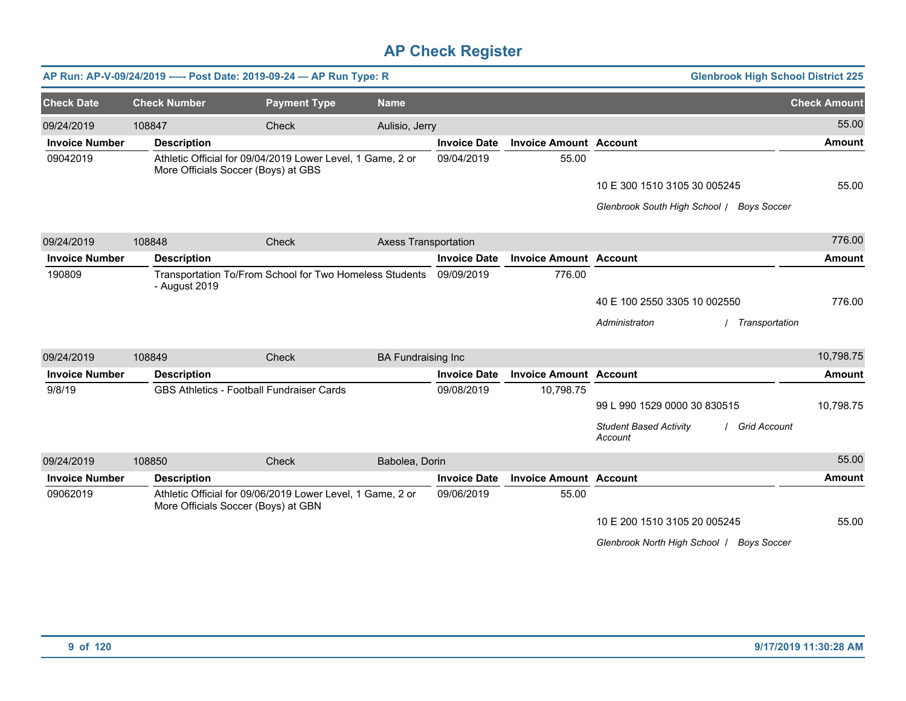|                       |                     | AP Run: AP-V-09/24/2019 ---- Post Date: 2019-09-24 - AP Run Type: R                               |                             |                     |                               | <b>Glenbrook High School District 225</b>                  |                     |
|-----------------------|---------------------|---------------------------------------------------------------------------------------------------|-----------------------------|---------------------|-------------------------------|------------------------------------------------------------|---------------------|
| <b>Check Date</b>     | <b>Check Number</b> | <b>Payment Type</b>                                                                               | <b>Name</b>                 |                     |                               |                                                            | <b>Check Amount</b> |
| 09/24/2019            | 108847              | Check                                                                                             | Aulisio, Jerry              |                     |                               |                                                            | 55.00               |
| <b>Invoice Number</b> | <b>Description</b>  |                                                                                                   |                             | <b>Invoice Date</b> | <b>Invoice Amount Account</b> |                                                            | <b>Amount</b>       |
| 09042019              |                     | Athletic Official for 09/04/2019 Lower Level, 1 Game, 2 or<br>More Officials Soccer (Boys) at GBS |                             | 09/04/2019          | 55.00                         |                                                            |                     |
|                       |                     |                                                                                                   |                             |                     |                               | 10 E 300 1510 3105 30 005245                               | 55.00               |
|                       |                     |                                                                                                   |                             |                     |                               | Glenbrook South High School / Boys Soccer                  |                     |
| 09/24/2019            | 108848              | Check                                                                                             | <b>Axess Transportation</b> |                     |                               |                                                            | 776.00              |
| <b>Invoice Number</b> | <b>Description</b>  |                                                                                                   |                             | <b>Invoice Date</b> | <b>Invoice Amount Account</b> |                                                            | <b>Amount</b>       |
| 190809                | - August 2019       | Transportation To/From School for Two Homeless Students                                           |                             | 09/09/2019          | 776.00                        |                                                            |                     |
|                       |                     |                                                                                                   |                             |                     |                               | 40 E 100 2550 3305 10 002550                               | 776.00              |
|                       |                     |                                                                                                   |                             |                     |                               | Administraton<br>Transportation                            |                     |
| 09/24/2019            | 108849              | <b>Check</b>                                                                                      | <b>BA Fundraising Inc</b>   |                     |                               |                                                            | 10,798.75           |
| <b>Invoice Number</b> | <b>Description</b>  |                                                                                                   |                             | <b>Invoice Date</b> | <b>Invoice Amount Account</b> |                                                            | <b>Amount</b>       |
| 9/8/19                |                     | <b>GBS Athletics - Football Fundraiser Cards</b>                                                  |                             | 09/08/2019          | 10,798.75                     | 99 L 990 1529 0000 30 830515                               | 10,798.75           |
|                       |                     |                                                                                                   |                             |                     |                               | <b>Student Based Activity</b><br>/ Grid Account<br>Account |                     |
| 09/24/2019            | 108850              | Check                                                                                             | Babolea, Dorin              |                     |                               |                                                            | 55.00               |
| <b>Invoice Number</b> | <b>Description</b>  |                                                                                                   |                             | <b>Invoice Date</b> | <b>Invoice Amount Account</b> |                                                            | <b>Amount</b>       |
| 09062019              |                     | Athletic Official for 09/06/2019 Lower Level, 1 Game, 2 or<br>More Officials Soccer (Boys) at GBN |                             | 09/06/2019          | 55.00                         |                                                            |                     |
|                       |                     |                                                                                                   |                             |                     |                               | 10 E 200 1510 3105 20 005245                               | 55.00               |
|                       |                     |                                                                                                   |                             |                     |                               | Glenbrook North High School   Boys Soccer                  |                     |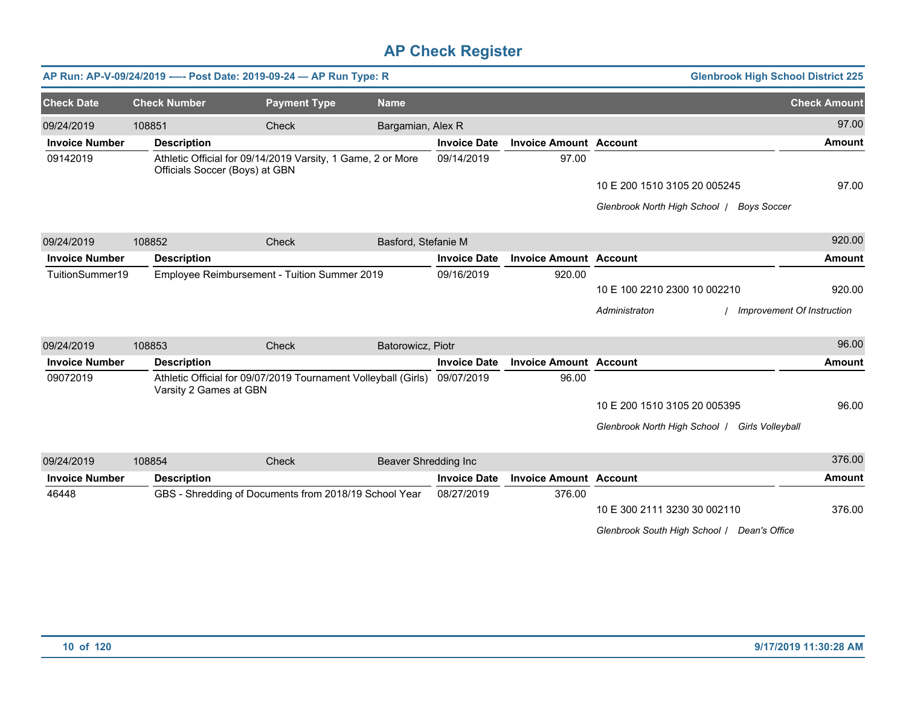|                       |                        | AP Run: AP-V-09/24/2019 ---- Post Date: 2019-09-24 - AP Run Type: R                           |                      |                     |                               | <b>Glenbrook High School District 225</b>      |                            |
|-----------------------|------------------------|-----------------------------------------------------------------------------------------------|----------------------|---------------------|-------------------------------|------------------------------------------------|----------------------------|
| <b>Check Date</b>     | <b>Check Number</b>    | <b>Payment Type</b>                                                                           | <b>Name</b>          |                     |                               |                                                | <b>Check Amount</b>        |
| 09/24/2019            | 108851                 | Check                                                                                         | Bargamian, Alex R    |                     |                               |                                                | 97.00                      |
| <b>Invoice Number</b> | <b>Description</b>     |                                                                                               |                      | <b>Invoice Date</b> | <b>Invoice Amount Account</b> |                                                | <b>Amount</b>              |
| 09142019              |                        | Athletic Official for 09/14/2019 Varsity, 1 Game, 2 or More<br>Officials Soccer (Boys) at GBN |                      | 09/14/2019          | 97.00                         |                                                |                            |
|                       |                        |                                                                                               |                      |                     |                               | 10 E 200 1510 3105 20 005245                   | 97.00                      |
|                       |                        |                                                                                               |                      |                     |                               | Glenbrook North High School   Boys Soccer      |                            |
| 09/24/2019            | 108852                 | Check                                                                                         | Basford, Stefanie M  |                     |                               |                                                | 920.00                     |
| <b>Invoice Number</b> | <b>Description</b>     |                                                                                               |                      | <b>Invoice Date</b> | <b>Invoice Amount Account</b> |                                                | Amount                     |
| TuitionSummer19       |                        | Employee Reimbursement - Tuition Summer 2019                                                  |                      | 09/16/2019          | 920.00                        |                                                |                            |
|                       |                        |                                                                                               |                      |                     |                               | 10 E 100 2210 2300 10 002210                   | 920.00                     |
|                       |                        |                                                                                               |                      |                     |                               | Administraton                                  | Improvement Of Instruction |
| 09/24/2019            | 108853                 | Check                                                                                         | Batorowicz, Piotr    |                     |                               |                                                | 96.00                      |
| <b>Invoice Number</b> | <b>Description</b>     |                                                                                               |                      | <b>Invoice Date</b> | <b>Invoice Amount Account</b> |                                                | Amount                     |
| 09072019              | Varsity 2 Games at GBN | Athletic Official for 09/07/2019 Tournament Volleyball (Girls)                                |                      | 09/07/2019          | 96.00                         |                                                |                            |
|                       |                        |                                                                                               |                      |                     |                               | 10 E 200 1510 3105 20 005395                   | 96.00                      |
|                       |                        |                                                                                               |                      |                     |                               | Glenbrook North High School   Girls Volleyball |                            |
| 09/24/2019            | 108854                 | Check                                                                                         | Beaver Shredding Inc |                     |                               |                                                | 376.00                     |
| <b>Invoice Number</b> | <b>Description</b>     |                                                                                               |                      | <b>Invoice Date</b> | <b>Invoice Amount Account</b> |                                                | <b>Amount</b>              |
| 46448                 |                        | GBS - Shredding of Documents from 2018/19 School Year                                         |                      | 08/27/2019          | 376.00                        |                                                |                            |
|                       |                        |                                                                                               |                      |                     |                               | 10 E 300 2111 3230 30 002110                   | 376.00                     |
|                       |                        |                                                                                               |                      |                     |                               | Glenbrook South High School   Dean's Office    |                            |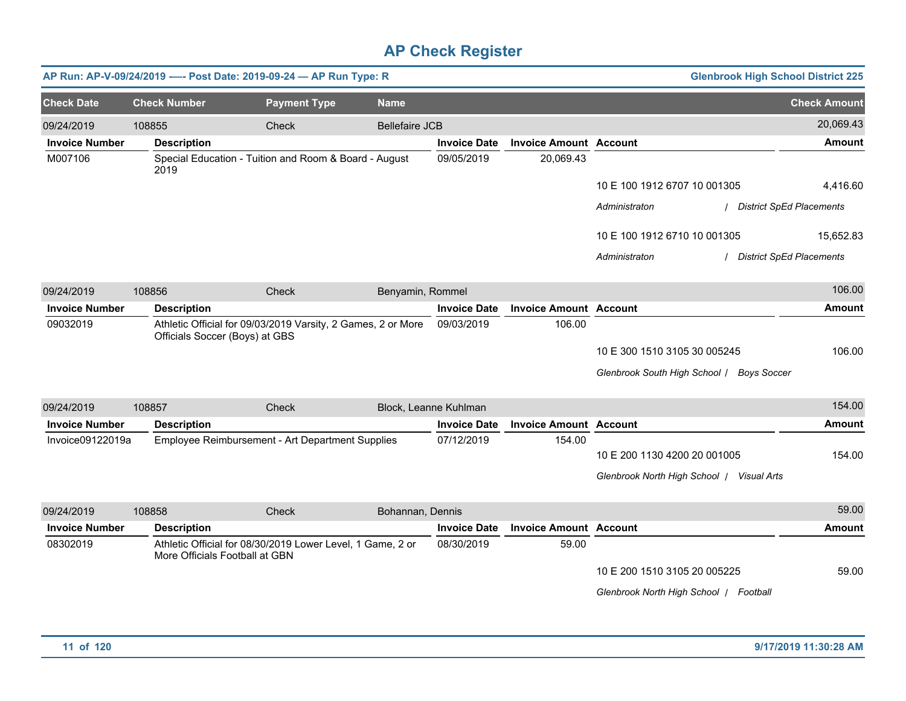|                       |                                | AP Run: AP-V-09/24/2019 ---- Post Date: 2019-09-24 - AP Run Type: R |                       |                       |                               |                                                                           | <b>Glenbrook High School District 225</b> |
|-----------------------|--------------------------------|---------------------------------------------------------------------|-----------------------|-----------------------|-------------------------------|---------------------------------------------------------------------------|-------------------------------------------|
| <b>Check Date</b>     | <b>Check Number</b>            | <b>Payment Type</b>                                                 | <b>Name</b>           |                       |                               |                                                                           | <b>Check Amount</b>                       |
| 09/24/2019            | 108855                         | Check                                                               | <b>Bellefaire JCB</b> |                       |                               |                                                                           | 20,069.43                                 |
| <b>Invoice Number</b> | <b>Description</b>             |                                                                     |                       | <b>Invoice Date</b>   | <b>Invoice Amount Account</b> |                                                                           | <b>Amount</b>                             |
| M007106               | 2019                           | Special Education - Tuition and Room & Board - August               |                       | 09/05/2019            | 20,069.43                     |                                                                           |                                           |
|                       |                                |                                                                     |                       |                       |                               | 10 E 100 1912 6707 10 001305                                              | 4,416.60                                  |
|                       |                                |                                                                     |                       |                       |                               | Administraton                                                             | <b>District SpEd Placements</b>           |
|                       |                                |                                                                     |                       |                       |                               | 10 E 100 1912 6710 10 001305                                              | 15,652.83                                 |
|                       |                                |                                                                     |                       |                       |                               | Administraton                                                             | <b>District SpEd Placements</b>           |
| 09/24/2019            | 108856                         | Check                                                               | Benyamin, Rommel      |                       |                               |                                                                           | 106.00                                    |
| <b>Invoice Number</b> | <b>Description</b>             |                                                                     |                       | <b>Invoice Date</b>   | <b>Invoice Amount Account</b> |                                                                           | Amount                                    |
| 09032019              | Officials Soccer (Boys) at GBS | Athletic Official for 09/03/2019 Varsity, 2 Games, 2 or More        |                       | 09/03/2019            | 106.00                        |                                                                           |                                           |
|                       |                                |                                                                     |                       |                       |                               | 10 E 300 1510 3105 30 005245                                              | 106.00                                    |
|                       |                                |                                                                     |                       |                       |                               | Glenbrook South High School / Boys Soccer                                 |                                           |
| 09/24/2019            | 108857                         | Check                                                               |                       | Block, Leanne Kuhlman |                               |                                                                           | 154.00                                    |
| <b>Invoice Number</b> | <b>Description</b>             |                                                                     |                       | <b>Invoice Date</b>   | <b>Invoice Amount Account</b> |                                                                           | <b>Amount</b>                             |
| Invoice09122019a      |                                | Employee Reimbursement - Art Department Supplies                    |                       | 07/12/2019            | 154.00                        | 10 E 200 1130 4200 20 001005<br>Glenbrook North High School   Visual Arts | 154.00                                    |
| 09/24/2019            | 108858                         | Check                                                               | Bohannan, Dennis      |                       |                               |                                                                           | 59.00                                     |
| <b>Invoice Number</b> | <b>Description</b>             |                                                                     |                       | <b>Invoice Date</b>   | <b>Invoice Amount Account</b> |                                                                           | <b>Amount</b>                             |
| 08302019              | More Officials Football at GBN | Athletic Official for 08/30/2019 Lower Level, 1 Game, 2 or          |                       | 08/30/2019            | 59.00                         |                                                                           |                                           |
|                       |                                |                                                                     |                       |                       |                               | 10 E 200 1510 3105 20 005225                                              | 59.00                                     |
|                       |                                |                                                                     |                       |                       |                               | Glenbrook North High School   Football                                    |                                           |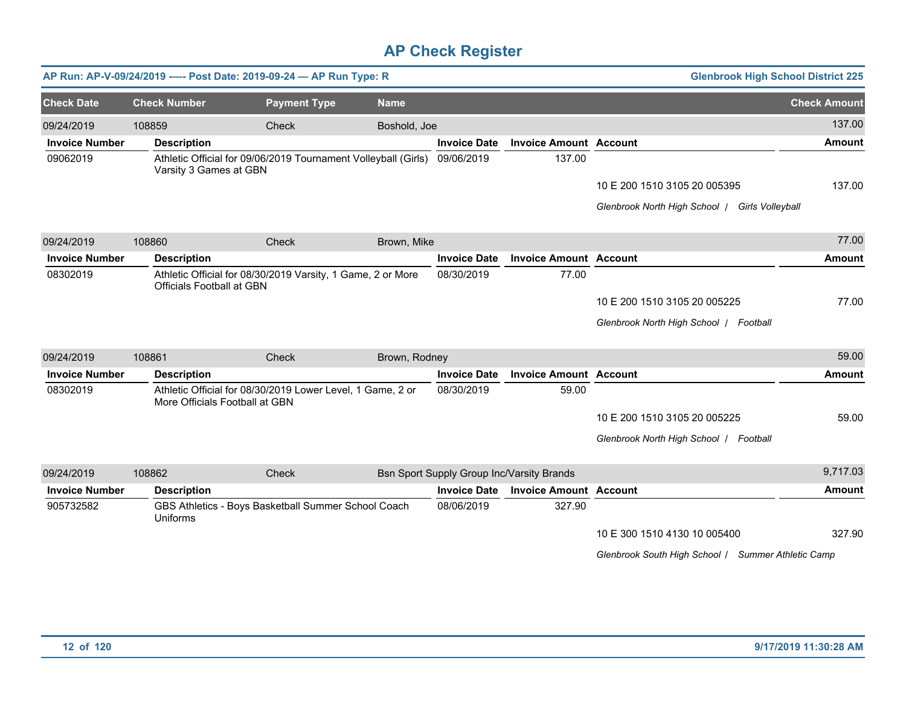|                       |                     |                                  | AP Run: AP-V-09/24/2019 ---- Post Date: 2019-09-24 - AP Run Type: R |               |                     |                                           | <b>Glenbrook High School District 225</b>          |                     |
|-----------------------|---------------------|----------------------------------|---------------------------------------------------------------------|---------------|---------------------|-------------------------------------------|----------------------------------------------------|---------------------|
| <b>Check Date</b>     | <b>Check Number</b> |                                  | <b>Payment Type</b>                                                 | <b>Name</b>   |                     |                                           |                                                    | <b>Check Amount</b> |
| 09/24/2019            | 108859              |                                  | Check                                                               | Boshold, Joe  |                     |                                           |                                                    | 137.00              |
| <b>Invoice Number</b> |                     | <b>Description</b>               |                                                                     |               | <b>Invoice Date</b> | <b>Invoice Amount Account</b>             |                                                    | <b>Amount</b>       |
| 09062019              |                     | Varsity 3 Games at GBN           | Athletic Official for 09/06/2019 Tournament Volleyball (Girls)      |               | 09/06/2019          | 137.00                                    |                                                    |                     |
|                       |                     |                                  |                                                                     |               |                     |                                           | 10 E 200 1510 3105 20 005395                       | 137.00              |
|                       |                     |                                  |                                                                     |               |                     |                                           | Glenbrook North High School   Girls Volleyball     |                     |
| 09/24/2019            | 108860              |                                  | Check                                                               | Brown, Mike   |                     |                                           |                                                    | 77.00               |
| <b>Invoice Number</b> |                     | <b>Description</b>               |                                                                     |               | <b>Invoice Date</b> | <b>Invoice Amount Account</b>             |                                                    | <b>Amount</b>       |
| 08302019              |                     | <b>Officials Football at GBN</b> | Athletic Official for 08/30/2019 Varsity, 1 Game, 2 or More         |               | 08/30/2019          | 77.00                                     |                                                    |                     |
|                       |                     |                                  |                                                                     |               |                     |                                           | 10 E 200 1510 3105 20 005225                       | 77.00               |
|                       |                     |                                  |                                                                     |               |                     |                                           | Glenbrook North High School   Football             |                     |
| 09/24/2019            | 108861              |                                  | Check                                                               | Brown, Rodney |                     |                                           |                                                    | 59.00               |
| <b>Invoice Number</b> |                     | <b>Description</b>               |                                                                     |               | <b>Invoice Date</b> | <b>Invoice Amount Account</b>             |                                                    | <b>Amount</b>       |
| 08302019              |                     | More Officials Football at GBN   | Athletic Official for 08/30/2019 Lower Level, 1 Game, 2 or          |               | 08/30/2019          | 59.00                                     |                                                    |                     |
|                       |                     |                                  |                                                                     |               |                     |                                           | 10 E 200 1510 3105 20 005225                       | 59.00               |
|                       |                     |                                  |                                                                     |               |                     |                                           | Glenbrook North High School   Football             |                     |
| 09/24/2019            | 108862              |                                  | Check                                                               |               |                     | Bsn Sport Supply Group Inc/Varsity Brands |                                                    | 9,717.03            |
| <b>Invoice Number</b> |                     | <b>Description</b>               |                                                                     |               | <b>Invoice Date</b> | <b>Invoice Amount Account</b>             |                                                    | Amount              |
| 905732582             | Uniforms            |                                  | GBS Athletics - Boys Basketball Summer School Coach                 |               | 08/06/2019          | 327.90                                    |                                                    |                     |
|                       |                     |                                  |                                                                     |               |                     |                                           | 10 E 300 1510 4130 10 005400                       | 327.90              |
|                       |                     |                                  |                                                                     |               |                     |                                           | Glenbrook South High School / Summer Athletic Camp |                     |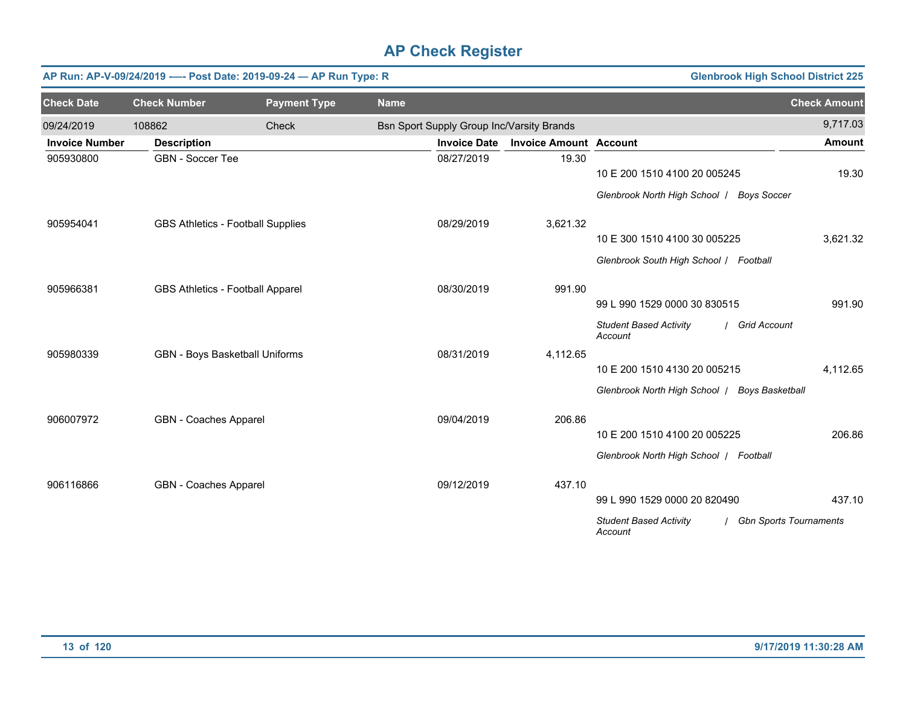|                       | <b>Glenbrook High School District 225</b><br>AP Run: AP-V-09/24/2019 ---- Post Date: 2019-09-24 - AP Run Type: R |                     |                                           |                               |                                                                           |                     |  |  |  |  |
|-----------------------|------------------------------------------------------------------------------------------------------------------|---------------------|-------------------------------------------|-------------------------------|---------------------------------------------------------------------------|---------------------|--|--|--|--|
| <b>Check Date</b>     | <b>Check Number</b>                                                                                              | <b>Payment Type</b> | <b>Name</b>                               |                               |                                                                           | <b>Check Amount</b> |  |  |  |  |
| 09/24/2019            | 108862                                                                                                           | Check               | Bsn Sport Supply Group Inc/Varsity Brands |                               |                                                                           | 9,717.03            |  |  |  |  |
| <b>Invoice Number</b> | <b>Description</b>                                                                                               |                     | <b>Invoice Date</b>                       | <b>Invoice Amount Account</b> |                                                                           | <b>Amount</b>       |  |  |  |  |
| 905930800             | <b>GBN - Soccer Tee</b>                                                                                          |                     | 08/27/2019                                | 19.30                         | 10 E 200 1510 4100 20 005245                                              | 19.30               |  |  |  |  |
|                       |                                                                                                                  |                     |                                           |                               | Glenbrook North High School   Boys Soccer                                 |                     |  |  |  |  |
| 905954041             | <b>GBS Athletics - Football Supplies</b>                                                                         |                     | 08/29/2019                                | 3,621.32                      |                                                                           |                     |  |  |  |  |
|                       |                                                                                                                  |                     |                                           |                               | 10 E 300 1510 4100 30 005225                                              | 3,621.32            |  |  |  |  |
|                       |                                                                                                                  |                     |                                           |                               | Glenbrook South High School / Football                                    |                     |  |  |  |  |
| 905966381             | GBS Athletics - Football Apparel                                                                                 |                     | 08/30/2019                                | 991.90                        |                                                                           |                     |  |  |  |  |
|                       |                                                                                                                  |                     |                                           |                               | 99 L 990 1529 0000 30 830515                                              | 991.90              |  |  |  |  |
|                       |                                                                                                                  |                     |                                           |                               | <b>Student Based Activity</b><br>/ Grid Account<br>Account                |                     |  |  |  |  |
| 905980339             | GBN - Boys Basketball Uniforms                                                                                   |                     | 08/31/2019                                | 4,112.65                      |                                                                           |                     |  |  |  |  |
|                       |                                                                                                                  |                     |                                           |                               | 10 E 200 1510 4130 20 005215                                              | 4,112.65            |  |  |  |  |
|                       |                                                                                                                  |                     |                                           |                               | Glenbrook North High School   Boys Basketball                             |                     |  |  |  |  |
| 906007972             | GBN - Coaches Apparel                                                                                            |                     | 09/04/2019                                | 206.86                        |                                                                           |                     |  |  |  |  |
|                       |                                                                                                                  |                     |                                           |                               | 10 E 200 1510 4100 20 005225                                              | 206.86              |  |  |  |  |
|                       |                                                                                                                  |                     |                                           |                               | Glenbrook North High School   Football                                    |                     |  |  |  |  |
| 906116866             | GBN - Coaches Apparel                                                                                            |                     | 09/12/2019                                | 437.10                        |                                                                           |                     |  |  |  |  |
|                       |                                                                                                                  |                     |                                           |                               | 99 L 990 1529 0000 20 820490                                              | 437.10              |  |  |  |  |
|                       |                                                                                                                  |                     |                                           |                               | <b>Student Based Activity</b><br><b>Gbn Sports Tournaments</b><br>Account |                     |  |  |  |  |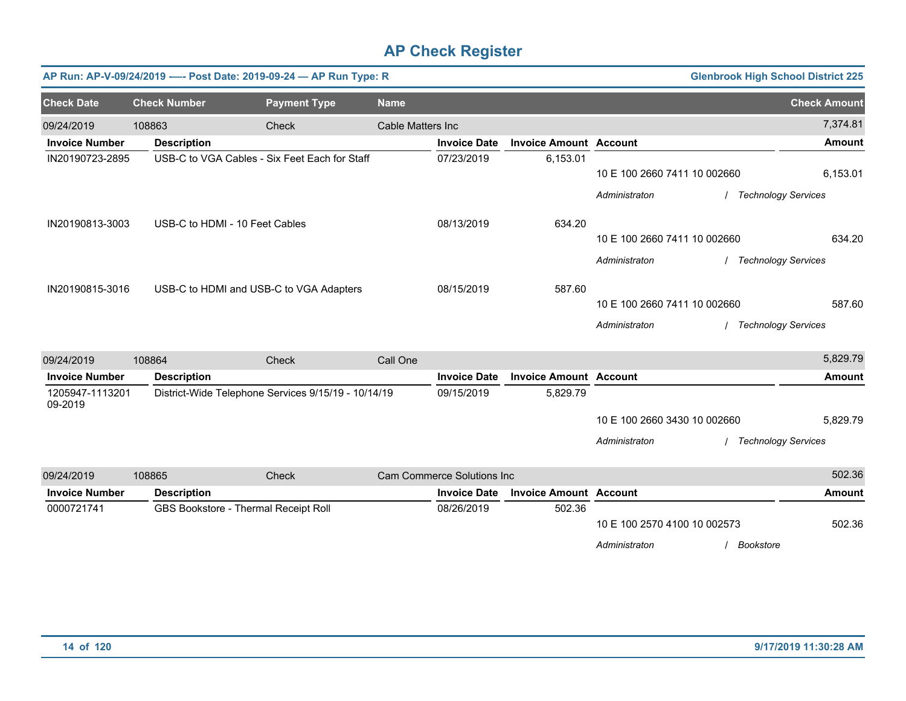|                            |                                | AP Run: AP-V-09/24/2019 ---- Post Date: 2019-09-24 - AP Run Type: R |                   |                            |                               |                                                                |           | <b>Glenbrook High School District 225</b>                          |
|----------------------------|--------------------------------|---------------------------------------------------------------------|-------------------|----------------------------|-------------------------------|----------------------------------------------------------------|-----------|--------------------------------------------------------------------|
| <b>Check Date</b>          | <b>Check Number</b>            | <b>Payment Type</b>                                                 | <b>Name</b>       |                            |                               |                                                                |           | <b>Check Amount</b>                                                |
| 09/24/2019                 | 108863                         | Check                                                               | Cable Matters Inc |                            |                               |                                                                |           | 7,374.81                                                           |
| <b>Invoice Number</b>      | <b>Description</b>             |                                                                     |                   | <b>Invoice Date</b>        | <b>Invoice Amount Account</b> |                                                                |           | <b>Amount</b>                                                      |
| IN20190723-2895            |                                | USB-C to VGA Cables - Six Feet Each for Staff                       |                   | 07/23/2019                 | 6,153.01                      | 10 E 100 2660 7411 10 002660<br>Administraton                  |           | 6,153.01<br><b>Technology Services</b>                             |
| IN20190813-3003            | USB-C to HDMI - 10 Feet Cables |                                                                     |                   | 08/13/2019                 | 634.20                        | 10 E 100 2660 7411 10 002660                                   |           | 634.20                                                             |
| IN20190815-3016            |                                | USB-C to HDMI and USB-C to VGA Adapters                             |                   | 08/15/2019                 | 587.60                        | Administraton<br>10 E 100 2660 7411 10 002660<br>Administraton |           | <b>Technology Services</b><br>587.60<br><b>Technology Services</b> |
| 09/24/2019                 | 108864                         | Check                                                               | Call One          |                            |                               |                                                                |           | 5,829.79                                                           |
| <b>Invoice Number</b>      | <b>Description</b>             |                                                                     |                   | <b>Invoice Date</b>        | <b>Invoice Amount Account</b> |                                                                |           | <b>Amount</b>                                                      |
| 1205947-1113201<br>09-2019 |                                | District-Wide Telephone Services 9/15/19 - 10/14/19                 |                   | 09/15/2019                 | 5,829.79                      | 10 E 100 2660 3430 10 002660<br>Administraton                  |           | 5,829.79<br><b>Technology Services</b>                             |
| 09/24/2019                 | 108865                         | Check                                                               |                   | Cam Commerce Solutions Inc |                               |                                                                |           | 502.36                                                             |
| <b>Invoice Number</b>      | <b>Description</b>             |                                                                     |                   | <b>Invoice Date</b>        | <b>Invoice Amount Account</b> |                                                                |           | <b>Amount</b>                                                      |
| 0000721741                 |                                | GBS Bookstore - Thermal Receipt Roll                                |                   | 08/26/2019                 | 502.36                        | 10 E 100 2570 4100 10 002573<br>Administraton                  | Bookstore | 502.36                                                             |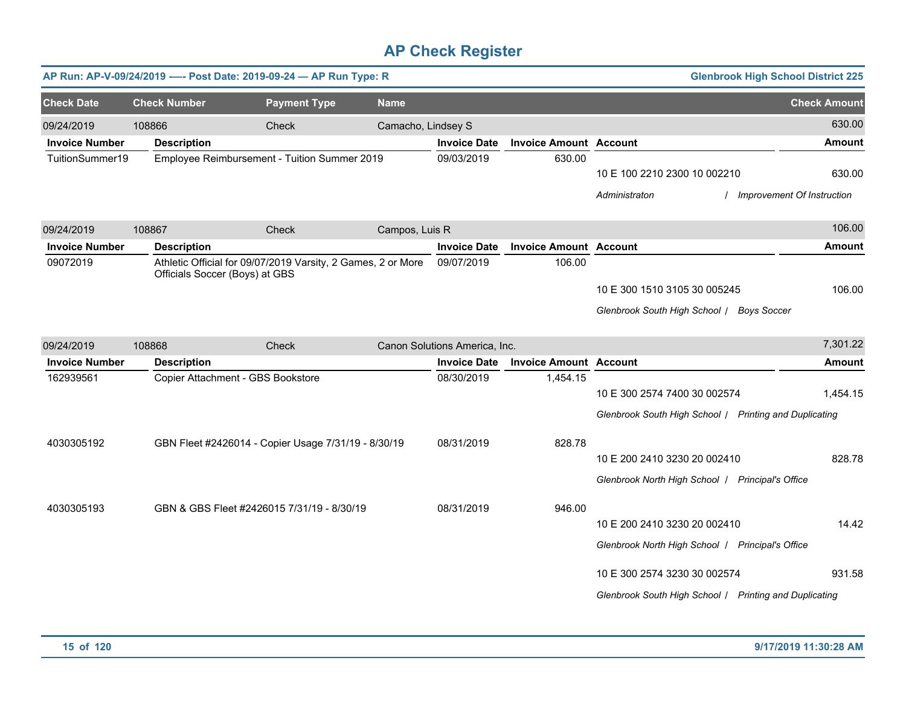|                       |                                | AP Run: AP-V-09/24/2019 ---- Post Date: 2019-09-24 - AP Run Type: R |                    |                               |                               |                                                        | <b>Glenbrook High School District 225</b> |
|-----------------------|--------------------------------|---------------------------------------------------------------------|--------------------|-------------------------------|-------------------------------|--------------------------------------------------------|-------------------------------------------|
| <b>Check Date</b>     | <b>Check Number</b>            | <b>Payment Type</b>                                                 | <b>Name</b>        |                               |                               |                                                        | <b>Check Amount</b>                       |
| 09/24/2019            | 108866                         | Check                                                               | Camacho, Lindsey S |                               |                               |                                                        | 630.00                                    |
| <b>Invoice Number</b> | <b>Description</b>             |                                                                     |                    | <b>Invoice Date</b>           | <b>Invoice Amount Account</b> |                                                        | <b>Amount</b>                             |
| TuitionSummer19       |                                | Employee Reimbursement - Tuition Summer 2019                        |                    | 09/03/2019                    | 630.00                        | 10 E 100 2210 2300 10 002210                           | 630.00                                    |
|                       |                                |                                                                     |                    |                               |                               | Administraton                                          | <b>Improvement Of Instruction</b>         |
| 09/24/2019            | 108867                         | Check                                                               | Campos, Luis R     |                               |                               |                                                        | 106.00                                    |
| <b>Invoice Number</b> | <b>Description</b>             |                                                                     |                    | <b>Invoice Date</b>           | <b>Invoice Amount Account</b> |                                                        | <b>Amount</b>                             |
| 09072019              | Officials Soccer (Boys) at GBS | Athletic Official for 09/07/2019 Varsity, 2 Games, 2 or More        |                    | 09/07/2019                    | 106.00                        |                                                        |                                           |
|                       |                                |                                                                     |                    |                               |                               | 10 E 300 1510 3105 30 005245                           | 106.00                                    |
|                       |                                |                                                                     |                    |                               |                               | Glenbrook South High School / Boys Soccer              |                                           |
| 09/24/2019            | 108868                         | Check                                                               |                    | Canon Solutions America, Inc. |                               |                                                        | 7,301.22                                  |
| <b>Invoice Number</b> | <b>Description</b>             |                                                                     |                    | <b>Invoice Date</b>           | <b>Invoice Amount Account</b> |                                                        | <b>Amount</b>                             |
| 162939561             |                                | Copier Attachment - GBS Bookstore                                   |                    | 08/30/2019                    | 1,454.15                      |                                                        |                                           |
|                       |                                |                                                                     |                    |                               |                               | 10 E 300 2574 7400 30 002574                           | 1,454.15                                  |
|                       |                                |                                                                     |                    |                               |                               | Glenbrook South High School / Printing and Duplicating |                                           |
| 4030305192            |                                | GBN Fleet #2426014 - Copier Usage 7/31/19 - 8/30/19                 |                    | 08/31/2019                    | 828.78                        |                                                        |                                           |
|                       |                                |                                                                     |                    |                               |                               | 10 E 200 2410 3230 20 002410                           | 828.78                                    |
|                       |                                |                                                                     |                    |                               |                               | Glenbrook North High School   Principal's Office       |                                           |
| 4030305193            |                                | GBN & GBS Fleet #2426015 7/31/19 - 8/30/19                          |                    | 08/31/2019                    | 946.00                        |                                                        |                                           |
|                       |                                |                                                                     |                    |                               |                               | 10 E 200 2410 3230 20 002410                           | 14.42                                     |
|                       |                                |                                                                     |                    |                               |                               | Glenbrook North High School   Principal's Office       |                                           |
|                       |                                |                                                                     |                    |                               |                               | 10 E 300 2574 3230 30 002574                           | 931.58                                    |
|                       |                                |                                                                     |                    |                               |                               | Glenbrook South High School / Printing and Duplicating |                                           |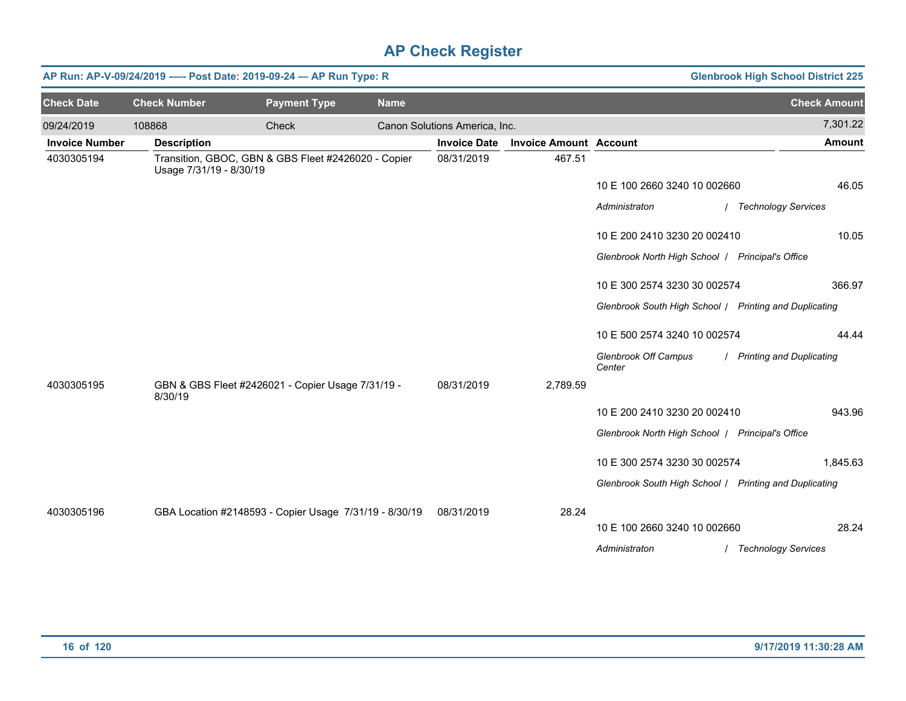|                       |                         | AP Run: AP-V-09/24/2019 ---- Post Date: 2019-09-24 - AP Run Type: R |             |                               |                               |                                                        | <b>Glenbrook High School District 225</b> |
|-----------------------|-------------------------|---------------------------------------------------------------------|-------------|-------------------------------|-------------------------------|--------------------------------------------------------|-------------------------------------------|
| <b>Check Date</b>     | <b>Check Number</b>     | <b>Payment Type</b>                                                 | <b>Name</b> |                               |                               |                                                        | <b>Check Amount</b>                       |
| 09/24/2019            | 108868                  | Check                                                               |             | Canon Solutions America, Inc. |                               |                                                        | 7,301.22                                  |
| <b>Invoice Number</b> | <b>Description</b>      |                                                                     |             | <b>Invoice Date</b>           | <b>Invoice Amount Account</b> |                                                        | <b>Amount</b>                             |
| 4030305194            | Usage 7/31/19 - 8/30/19 | Transition, GBOC, GBN & GBS Fleet #2426020 - Copier                 |             | 08/31/2019                    | 467.51                        |                                                        |                                           |
|                       |                         |                                                                     |             |                               |                               | 10 E 100 2660 3240 10 002660                           | 46.05                                     |
|                       |                         |                                                                     |             |                               |                               | Administraton                                          | / Technology Services                     |
|                       |                         |                                                                     |             |                               |                               | 10 E 200 2410 3230 20 002410                           | 10.05                                     |
|                       |                         |                                                                     |             |                               |                               | Glenbrook North High School   Principal's Office       |                                           |
|                       |                         |                                                                     |             |                               |                               | 10 E 300 2574 3230 30 002574                           | 366.97                                    |
|                       |                         |                                                                     |             |                               |                               | Glenbrook South High School / Printing and Duplicating |                                           |
|                       |                         |                                                                     |             |                               |                               | 10 E 500 2574 3240 10 002574                           | 44.44                                     |
|                       |                         |                                                                     |             |                               |                               | <b>Glenbrook Off Campus</b><br>Center                  | / Printing and Duplicating                |
| 4030305195            | 8/30/19                 | GBN & GBS Fleet #2426021 - Copier Usage 7/31/19 -                   |             | 08/31/2019                    | 2,789.59                      |                                                        |                                           |
|                       |                         |                                                                     |             |                               |                               | 10 E 200 2410 3230 20 002410                           | 943.96                                    |
|                       |                         |                                                                     |             |                               |                               | Glenbrook North High School   Principal's Office       |                                           |
|                       |                         |                                                                     |             |                               |                               | 10 E 300 2574 3230 30 002574                           | 1,845.63                                  |
|                       |                         |                                                                     |             |                               |                               | Glenbrook South High School / Printing and Duplicating |                                           |
| 4030305196            |                         | GBA Location #2148593 - Copier Usage 7/31/19 - 8/30/19              |             | 08/31/2019                    | 28.24                         |                                                        |                                           |
|                       |                         |                                                                     |             |                               |                               | 10 E 100 2660 3240 10 002660                           | 28.24                                     |
|                       |                         |                                                                     |             |                               |                               | Administraton                                          | / Technology Services                     |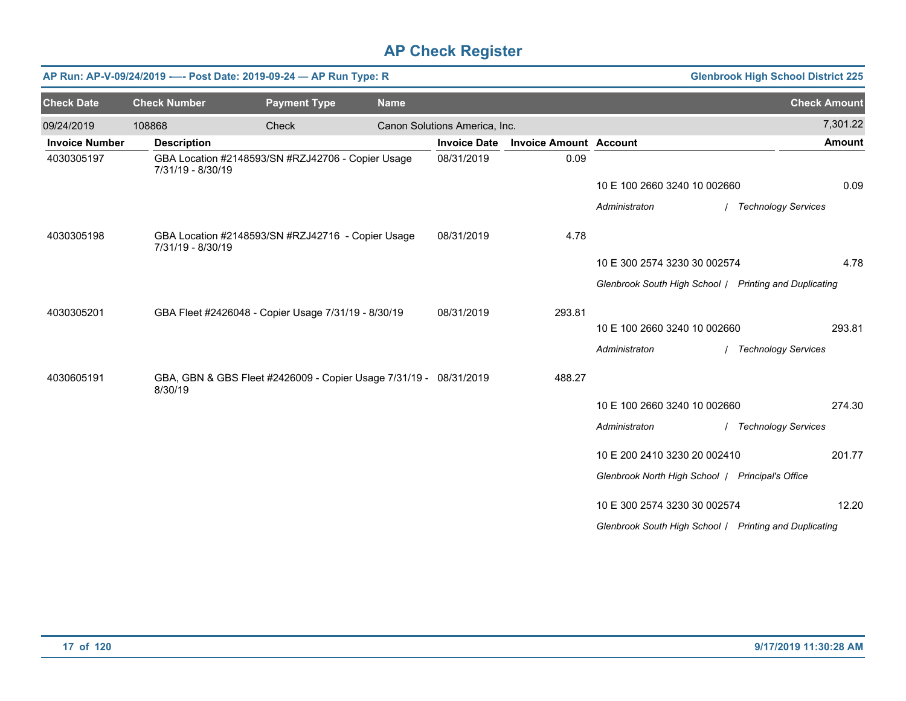|                       | AP Run: AP-V-09/24/2019 ---- Post Date: 2019-09-24 - AP Run Type: R |                                                                   | <b>Glenbrook High School District 225</b> |                               |                               |                                                        |                       |
|-----------------------|---------------------------------------------------------------------|-------------------------------------------------------------------|-------------------------------------------|-------------------------------|-------------------------------|--------------------------------------------------------|-----------------------|
| <b>Check Date</b>     | <b>Check Number</b>                                                 | <b>Payment Type</b>                                               | <b>Name</b>                               |                               |                               |                                                        | <b>Check Amount</b>   |
| 09/24/2019            | 108868                                                              | Check                                                             |                                           | Canon Solutions America, Inc. |                               |                                                        | 7,301.22              |
| <b>Invoice Number</b> | <b>Description</b>                                                  |                                                                   |                                           | <b>Invoice Date</b>           | <b>Invoice Amount Account</b> |                                                        | <b>Amount</b>         |
| 4030305197            | 7/31/19 - 8/30/19                                                   | GBA Location #2148593/SN #RZJ42706 - Copier Usage                 |                                           | 08/31/2019                    | 0.09                          |                                                        |                       |
|                       |                                                                     |                                                                   |                                           |                               |                               | 10 E 100 2660 3240 10 002660                           | 0.09                  |
|                       |                                                                     |                                                                   |                                           |                               |                               | Administraton                                          | / Technology Services |
| 4030305198            | 7/31/19 - 8/30/19                                                   | GBA Location #2148593/SN #RZJ42716 - Copier Usage                 |                                           | 08/31/2019                    | 4.78                          |                                                        |                       |
|                       |                                                                     |                                                                   |                                           |                               |                               | 10 E 300 2574 3230 30 002574                           | 4.78                  |
|                       |                                                                     |                                                                   |                                           |                               |                               | Glenbrook South High School / Printing and Duplicating |                       |
| 4030305201            |                                                                     | GBA Fleet #2426048 - Copier Usage 7/31/19 - 8/30/19               |                                           | 08/31/2019                    | 293.81                        |                                                        |                       |
|                       |                                                                     |                                                                   |                                           |                               |                               | 10 E 100 2660 3240 10 002660                           | 293.81                |
|                       |                                                                     |                                                                   |                                           |                               |                               | Administraton                                          | / Technology Services |
| 4030605191            | 8/30/19                                                             | GBA, GBN & GBS Fleet #2426009 - Copier Usage 7/31/19 - 08/31/2019 |                                           |                               | 488.27                        |                                                        |                       |
|                       |                                                                     |                                                                   |                                           |                               |                               | 10 E 100 2660 3240 10 002660                           | 274.30                |
|                       |                                                                     |                                                                   |                                           |                               |                               | Administraton                                          | / Technology Services |
|                       |                                                                     |                                                                   |                                           |                               |                               | 10 E 200 2410 3230 20 002410                           | 201.77                |
|                       |                                                                     |                                                                   |                                           |                               |                               | Glenbrook North High School   Principal's Office       |                       |
|                       |                                                                     |                                                                   |                                           |                               |                               | 10 E 300 2574 3230 30 002574                           | 12.20                 |
|                       |                                                                     |                                                                   |                                           |                               |                               | Glenbrook South High School   Printing and Duplicating |                       |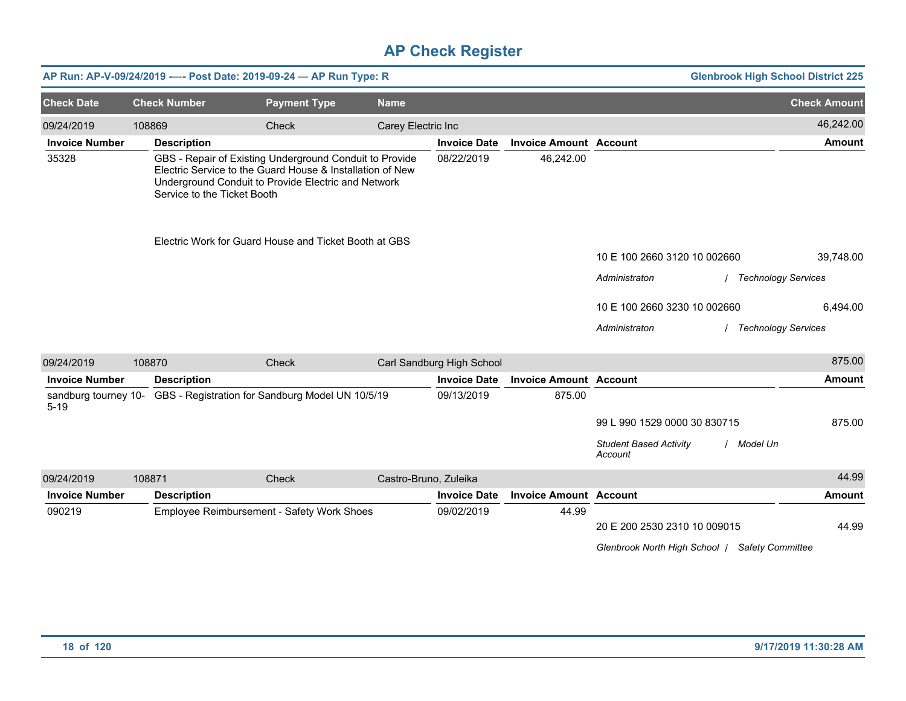|                       |                             | AP Run: AP-V-09/24/2019 ---- Post Date: 2019-09-24 - AP Run Type: R                                                                                                         |                    |                           |                               |                                                | <b>Glenbrook High School District 225</b> |
|-----------------------|-----------------------------|-----------------------------------------------------------------------------------------------------------------------------------------------------------------------------|--------------------|---------------------------|-------------------------------|------------------------------------------------|-------------------------------------------|
| <b>Check Date</b>     | <b>Check Number</b>         | <b>Payment Type</b>                                                                                                                                                         | <b>Name</b>        |                           |                               |                                                | <b>Check Amount</b>                       |
| 09/24/2019            | 108869                      | <b>Check</b>                                                                                                                                                                | Carey Electric Inc |                           |                               |                                                | 46,242.00                                 |
| <b>Invoice Number</b> | <b>Description</b>          |                                                                                                                                                                             |                    | <b>Invoice Date</b>       | <b>Invoice Amount Account</b> |                                                | <b>Amount</b>                             |
| 35328                 | Service to the Ticket Booth | GBS - Repair of Existing Underground Conduit to Provide<br>Electric Service to the Guard House & Installation of New<br>Underground Conduit to Provide Electric and Network |                    | 08/22/2019                | 46,242.00                     |                                                |                                           |
|                       |                             | Electric Work for Guard House and Ticket Booth at GBS                                                                                                                       |                    |                           |                               |                                                |                                           |
|                       |                             |                                                                                                                                                                             |                    |                           |                               | 10 E 100 2660 3120 10 002660                   | 39,748.00                                 |
|                       |                             |                                                                                                                                                                             |                    |                           |                               | Administraton                                  | <b>Technology Services</b>                |
|                       |                             |                                                                                                                                                                             |                    |                           |                               | 10 E 100 2660 3230 10 002660                   | 6,494.00                                  |
|                       |                             |                                                                                                                                                                             |                    |                           |                               | Administraton                                  | <b>Technology Services</b>                |
| 09/24/2019            | 108870                      | <b>Check</b>                                                                                                                                                                |                    | Carl Sandburg High School |                               |                                                | 875.00                                    |
| <b>Invoice Number</b> | <b>Description</b>          |                                                                                                                                                                             |                    | <b>Invoice Date</b>       | <b>Invoice Amount Account</b> |                                                | <b>Amount</b>                             |
| $5 - 19$              |                             | sandburg tourney 10- GBS - Registration for Sandburg Model UN 10/5/19                                                                                                       |                    | 09/13/2019                | 875.00                        |                                                |                                           |
|                       |                             |                                                                                                                                                                             |                    |                           |                               | 99 L 990 1529 0000 30 830715                   | 875.00                                    |
|                       |                             |                                                                                                                                                                             |                    |                           |                               | <b>Student Based Activity</b><br>Account       | / Model Un                                |
| 09/24/2019            | 108871                      | Check                                                                                                                                                                       |                    | Castro-Bruno, Zuleika     |                               |                                                | 44.99                                     |
| <b>Invoice Number</b> | <b>Description</b>          |                                                                                                                                                                             |                    | <b>Invoice Date</b>       | <b>Invoice Amount Account</b> |                                                | <b>Amount</b>                             |
| 090219                |                             | Employee Reimbursement - Safety Work Shoes                                                                                                                                  |                    | 09/02/2019                | 44.99                         | 20 E 200 2530 2310 10 009015                   | 44.99                                     |
|                       |                             |                                                                                                                                                                             |                    |                           |                               | Glenbrook North High School   Safety Committee |                                           |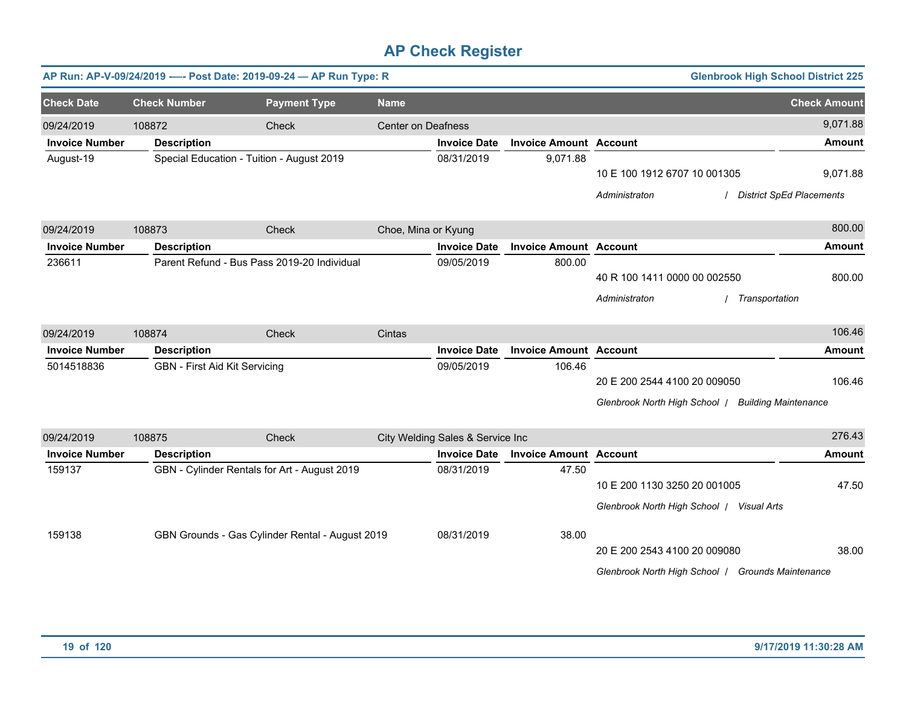|                                 |                     | AP Run: AP-V-09/24/2019 ---- Post Date: 2019-09-24 - AP Run Type: R |                           |                                   |                                        |                                                    | <b>Glenbrook High School District 225</b> |                     |
|---------------------------------|---------------------|---------------------------------------------------------------------|---------------------------|-----------------------------------|----------------------------------------|----------------------------------------------------|-------------------------------------------|---------------------|
| <b>Check Date</b>               | <b>Check Number</b> | <b>Payment Type</b>                                                 | <b>Name</b>               |                                   |                                        |                                                    |                                           | <b>Check Amount</b> |
| 09/24/2019                      | 108872              | Check                                                               | <b>Center on Deafness</b> |                                   |                                        |                                                    |                                           | 9,071.88            |
| <b>Invoice Number</b>           | <b>Description</b>  |                                                                     |                           | <b>Invoice Date</b>               | <b>Invoice Amount Account</b>          |                                                    |                                           | <b>Amount</b>       |
| August-19                       |                     | Special Education - Tuition - August 2019                           |                           | 08/31/2019                        | 9,071.88                               |                                                    |                                           |                     |
|                                 |                     |                                                                     |                           |                                   |                                        | 10 E 100 1912 6707 10 001305                       |                                           | 9,071.88            |
|                                 |                     |                                                                     |                           |                                   |                                        | Administraton                                      | <b>District SpEd Placements</b>           |                     |
| 09/24/2019                      | 108873              | Check                                                               | Choe, Mina or Kyung       |                                   |                                        |                                                    |                                           | 800.00              |
| <b>Invoice Number</b>           | <b>Description</b>  |                                                                     |                           | <b>Invoice Date</b>               | <b>Invoice Amount Account</b>          |                                                    |                                           | <b>Amount</b>       |
| 236611                          |                     | Parent Refund - Bus Pass 2019-20 Individual                         |                           | 09/05/2019                        | 800.00                                 |                                                    |                                           |                     |
|                                 |                     |                                                                     |                           |                                   |                                        | 40 R 100 1411 0000 00 002550                       |                                           | 800.00              |
|                                 |                     |                                                                     |                           |                                   |                                        | Administraton                                      | Transportation                            |                     |
| 09/24/2019                      | 108874              | Check                                                               | Cintas                    |                                   |                                        |                                                    |                                           | 106.46              |
| <b>Invoice Number</b>           | <b>Description</b>  |                                                                     |                           | <b>Invoice Date</b>               | <b>Invoice Amount Account</b>          |                                                    |                                           | <b>Amount</b>       |
| 5014518836                      |                     | <b>GBN - First Aid Kit Servicing</b>                                |                           | 09/05/2019                        | 106.46                                 |                                                    |                                           |                     |
|                                 |                     |                                                                     |                           |                                   |                                        | 20 E 200 2544 4100 20 009050                       |                                           | 106.46              |
|                                 |                     |                                                                     |                           |                                   |                                        | Glenbrook North High School   Building Maintenance |                                           |                     |
|                                 |                     |                                                                     |                           |                                   |                                        |                                                    |                                           | 276.43              |
| 09/24/2019                      | 108875              | Check                                                               |                           | City Welding Sales & Service Inc  |                                        |                                                    |                                           |                     |
| <b>Invoice Number</b><br>159137 | <b>Description</b>  | GBN - Cylinder Rentals for Art - August 2019                        |                           | <b>Invoice Date</b><br>08/31/2019 | <b>Invoice Amount Account</b><br>47.50 |                                                    |                                           | <b>Amount</b>       |
|                                 |                     |                                                                     |                           |                                   |                                        | 10 E 200 1130 3250 20 001005                       |                                           | 47.50               |
|                                 |                     |                                                                     |                           |                                   |                                        | Glenbrook North High School / Visual Arts          |                                           |                     |
| 159138                          |                     | GBN Grounds - Gas Cylinder Rental - August 2019                     |                           | 08/31/2019                        | 38.00                                  |                                                    |                                           |                     |
|                                 |                     |                                                                     |                           |                                   |                                        | 20 E 200 2543 4100 20 009080                       |                                           | 38.00               |
|                                 |                     |                                                                     |                           |                                   |                                        | Glenbrook North High School / Grounds Maintenance  |                                           |                     |
|                                 |                     |                                                                     |                           |                                   |                                        |                                                    |                                           |                     |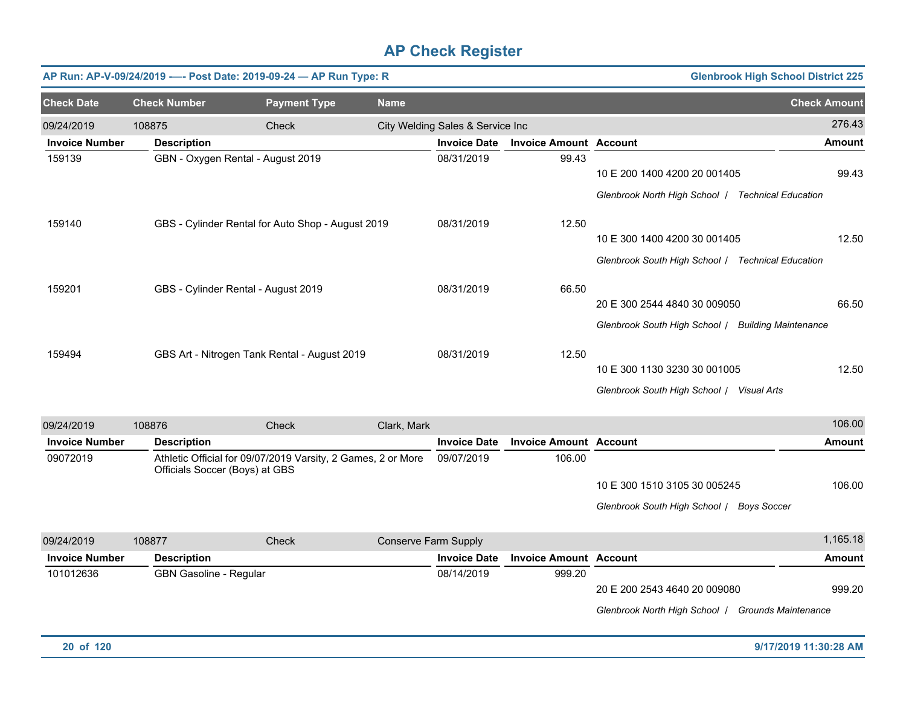|                       | AP Run: AP-V-09/24/2019 ---- Post Date: 2019-09-24 - AP Run Type: R |                                                   | <b>Glenbrook High School District 225</b> |                                  |                               |                                                   |                             |
|-----------------------|---------------------------------------------------------------------|---------------------------------------------------|-------------------------------------------|----------------------------------|-------------------------------|---------------------------------------------------|-----------------------------|
| <b>Check Date</b>     | <b>Check Number</b>                                                 | <b>Payment Type</b>                               | <b>Name</b>                               |                                  |                               |                                                   | <b>Check Amount</b>         |
| 09/24/2019            | 108875                                                              | Check                                             |                                           | City Welding Sales & Service Inc |                               |                                                   | 276.43                      |
| <b>Invoice Number</b> | <b>Description</b>                                                  |                                                   |                                           | <b>Invoice Date</b>              | <b>Invoice Amount Account</b> |                                                   | <b>Amount</b>               |
| 159139                | GBN - Oxygen Rental - August 2019                                   |                                                   |                                           | 08/31/2019                       | 99.43                         |                                                   |                             |
|                       |                                                                     |                                                   |                                           |                                  |                               | 10 E 200 1400 4200 20 001405                      | 99.43                       |
|                       |                                                                     |                                                   |                                           |                                  |                               | Glenbrook North High School /                     | <b>Technical Education</b>  |
| 159140                |                                                                     | GBS - Cylinder Rental for Auto Shop - August 2019 |                                           | 08/31/2019                       | 12.50                         |                                                   |                             |
|                       |                                                                     |                                                   |                                           |                                  |                               | 10 E 300 1400 4200 30 001405                      | 12.50                       |
|                       |                                                                     |                                                   |                                           |                                  |                               | Glenbrook South High School / Technical Education |                             |
| 159201                | GBS - Cylinder Rental - August 2019                                 |                                                   |                                           | 08/31/2019                       | 66.50                         |                                                   |                             |
|                       |                                                                     |                                                   |                                           |                                  |                               | 20 E 300 2544 4840 30 009050                      | 66.50                       |
|                       |                                                                     |                                                   |                                           |                                  |                               | Glenbrook South High School /                     | <b>Building Maintenance</b> |
| 159494                |                                                                     | GBS Art - Nitrogen Tank Rental - August 2019      |                                           | 08/31/2019                       | 12.50                         |                                                   |                             |
|                       |                                                                     |                                                   |                                           |                                  |                               | 10 E 300 1130 3230 30 001005                      | 12.50                       |
|                       |                                                                     |                                                   |                                           |                                  |                               | Glenbrook South High School /                     | Visual Arts                 |

| 09/24/2019            | 108876             | Check                                                                                          | Clark. Mark          |                     |                               |                               | 106.00        |
|-----------------------|--------------------|------------------------------------------------------------------------------------------------|----------------------|---------------------|-------------------------------|-------------------------------|---------------|
| <b>Invoice Number</b> | <b>Description</b> |                                                                                                |                      | <b>Invoice Date</b> | <b>Invoice Amount Account</b> |                               | <b>Amount</b> |
| 09072019              |                    | Athletic Official for 09/07/2019 Varsity, 2 Games, 2 or More<br>Officials Soccer (Boys) at GBS |                      | 09/07/2019          | 106.00                        |                               |               |
|                       |                    |                                                                                                |                      |                     |                               | 10 E 300 1510 3105 30 005245  | 106.00        |
|                       |                    |                                                                                                |                      |                     |                               | Glenbrook South High School / | Boys Soccer   |
| 09/24/2019            | 108877             | Check                                                                                          | Conserve Farm Supply |                     |                               |                               | 1,165.18      |
| <b>Invoice Number</b> | <b>Description</b> |                                                                                                |                      | <b>Invoice Date</b> | <b>Invoice Amount Account</b> |                               | <b>Amount</b> |

101012636 GBN Gasoline - Regular 68 GBN Gasoline - Regular 68/14/2019 68/14/2019 999.20 20 E 200 2543 4640 20 009080 *Glenbrook North High School* / *Grounds Maintenance*

999.20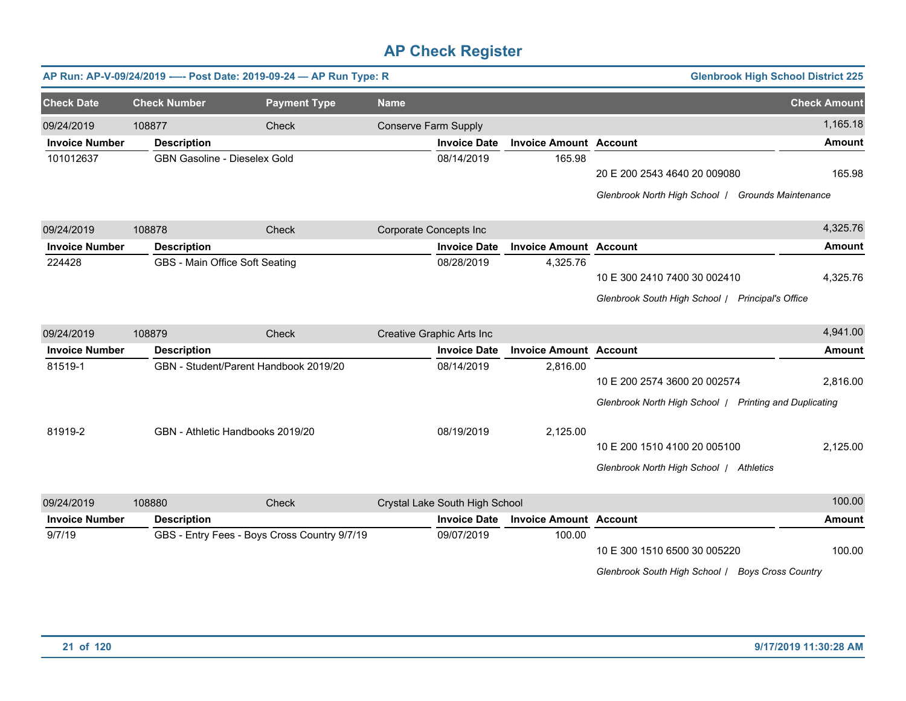|                       |                              | AP Run: AP-V-09/24/2019 ---- Post Date: 2019-09-24 - AP Run Type: R |                             |                                |                               |                                                                                        | <b>Glenbrook High School District 225</b> |
|-----------------------|------------------------------|---------------------------------------------------------------------|-----------------------------|--------------------------------|-------------------------------|----------------------------------------------------------------------------------------|-------------------------------------------|
| <b>Check Date</b>     | <b>Check Number</b>          | <b>Payment Type</b>                                                 | <b>Name</b>                 |                                |                               |                                                                                        | <b>Check Amount</b>                       |
| 09/24/2019            | 108877                       | Check                                                               | <b>Conserve Farm Supply</b> |                                |                               |                                                                                        | 1,165.18                                  |
| <b>Invoice Number</b> | <b>Description</b>           |                                                                     |                             | <b>Invoice Date</b>            | <b>Invoice Amount Account</b> |                                                                                        | <b>Amount</b>                             |
| 101012637             | GBN Gasoline - Dieselex Gold |                                                                     |                             | 08/14/2019                     | 165.98                        | 20 E 200 2543 4640 20 009080<br>Glenbrook North High School   Grounds Maintenance      | 165.98                                    |
| 09/24/2019            | 108878                       | Check                                                               |                             | Corporate Concepts Inc         |                               |                                                                                        | 4,325.76                                  |
| <b>Invoice Number</b> | <b>Description</b>           |                                                                     |                             | <b>Invoice Date</b>            | <b>Invoice Amount Account</b> |                                                                                        | <b>Amount</b>                             |
| 224428                |                              | GBS - Main Office Soft Seating                                      |                             | 08/28/2019                     | 4,325.76                      | 10 E 300 2410 7400 30 002410<br>Glenbrook South High School / Principal's Office       | 4,325.76                                  |
| 09/24/2019            | 108879                       | Check                                                               |                             | Creative Graphic Arts Inc      |                               |                                                                                        | 4,941.00                                  |
| <b>Invoice Number</b> | <b>Description</b>           |                                                                     |                             | <b>Invoice Date</b>            | <b>Invoice Amount Account</b> |                                                                                        | <b>Amount</b>                             |
| 81519-1               |                              | GBN - Student/Parent Handbook 2019/20                               |                             | 08/14/2019                     | 2,816.00                      | 10 E 200 2574 3600 20 002574<br>Glenbrook North High School   Printing and Duplicating | 2,816.00                                  |
| 81919-2               |                              | GBN - Athletic Handbooks 2019/20                                    |                             | 08/19/2019                     | 2,125.00                      | 10 E 200 1510 4100 20 005100<br>Glenbrook North High School / Athletics                | 2,125.00                                  |
| 09/24/2019            | 108880                       | Check                                                               |                             | Crystal Lake South High School |                               |                                                                                        | 100.00                                    |
| <b>Invoice Number</b> | <b>Description</b>           |                                                                     |                             | <b>Invoice Date</b>            | <b>Invoice Amount</b>         | <b>Account</b>                                                                         | <b>Amount</b>                             |
| 9/7/19                |                              | GBS - Entry Fees - Boys Cross Country 9/7/19                        |                             | 09/07/2019                     | 100.00                        | 10 E 300 1510 6500 30 005220<br>Glenbrook South High School / Boys Cross Country       | 100.00                                    |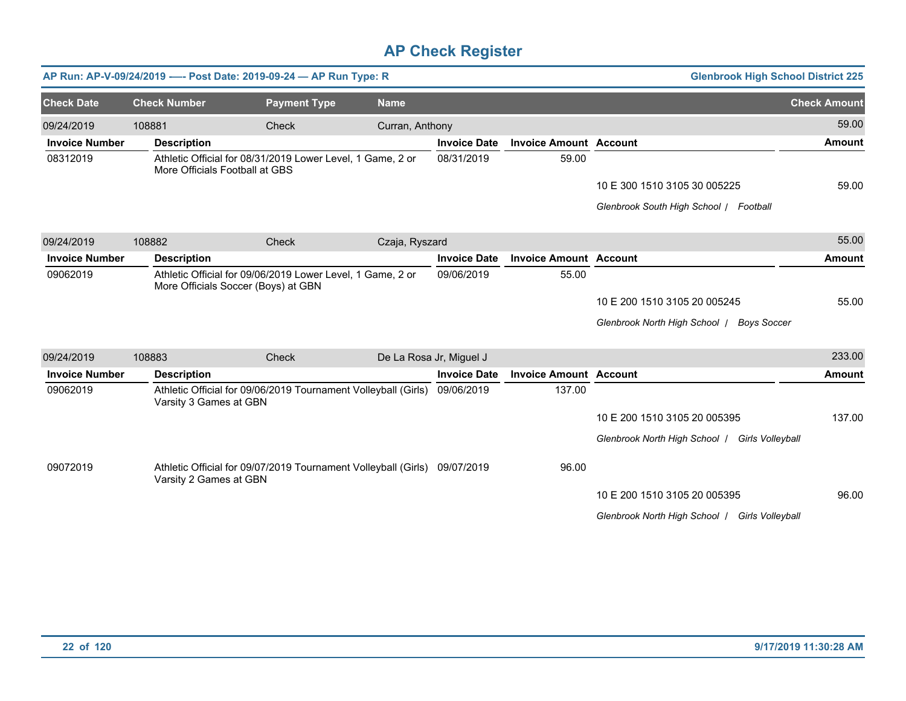|                       |                        | AP Run: AP-V-09/24/2019 ---- Post Date: 2019-09-24 - AP Run Type: R                               |                 |                         |                               | <b>Glenbrook High School District 225</b>      |                     |
|-----------------------|------------------------|---------------------------------------------------------------------------------------------------|-----------------|-------------------------|-------------------------------|------------------------------------------------|---------------------|
| <b>Check Date</b>     | <b>Check Number</b>    | <b>Payment Type</b>                                                                               | <b>Name</b>     |                         |                               |                                                | <b>Check Amount</b> |
| 09/24/2019            | 108881                 | Check                                                                                             | Curran, Anthony |                         |                               |                                                | 59.00               |
| <b>Invoice Number</b> | <b>Description</b>     |                                                                                                   |                 | <b>Invoice Date</b>     | <b>Invoice Amount Account</b> |                                                | Amount              |
| 08312019              |                        | Athletic Official for 08/31/2019 Lower Level, 1 Game, 2 or<br>More Officials Football at GBS      |                 | 08/31/2019              | 59.00                         |                                                |                     |
|                       |                        |                                                                                                   |                 |                         |                               | 10 E 300 1510 3105 30 005225                   | 59.00               |
|                       |                        |                                                                                                   |                 |                         |                               | Glenbrook South High School / Football         |                     |
| 09/24/2019            | 108882                 | Check                                                                                             | Czaja, Ryszard  |                         |                               |                                                | 55.00               |
| <b>Invoice Number</b> | <b>Description</b>     |                                                                                                   |                 | <b>Invoice Date</b>     | <b>Invoice Amount Account</b> |                                                | Amount              |
| 09062019              |                        | Athletic Official for 09/06/2019 Lower Level, 1 Game, 2 or<br>More Officials Soccer (Boys) at GBN |                 | 09/06/2019              | 55.00                         |                                                |                     |
|                       |                        |                                                                                                   |                 |                         |                               | 10 E 200 1510 3105 20 005245                   | 55.00               |
|                       |                        |                                                                                                   |                 |                         |                               | Glenbrook North High School   Boys Soccer      |                     |
| 09/24/2019            | 108883                 | <b>Check</b>                                                                                      |                 | De La Rosa Jr, Miguel J |                               |                                                | 233.00              |
| <b>Invoice Number</b> | <b>Description</b>     |                                                                                                   |                 | <b>Invoice Date</b>     | <b>Invoice Amount Account</b> |                                                | <b>Amount</b>       |
| 09062019              | Varsity 3 Games at GBN | Athletic Official for 09/06/2019 Tournament Volleyball (Girls)                                    |                 | 09/06/2019              | 137.00                        |                                                |                     |
|                       |                        |                                                                                                   |                 |                         |                               | 10 E 200 1510 3105 20 005395                   | 137.00              |
|                       |                        |                                                                                                   |                 |                         |                               | Glenbrook North High School   Girls Volleyball |                     |
| 09072019              | Varsity 2 Games at GBN | Athletic Official for 09/07/2019 Tournament Volleyball (Girls) 09/07/2019                         |                 |                         | 96.00                         |                                                |                     |
|                       |                        |                                                                                                   |                 |                         |                               | 10 E 200 1510 3105 20 005395                   | 96.00               |
|                       |                        |                                                                                                   |                 |                         |                               | Glenbrook North High School   Girls Volleyball |                     |
|                       |                        |                                                                                                   |                 |                         |                               |                                                |                     |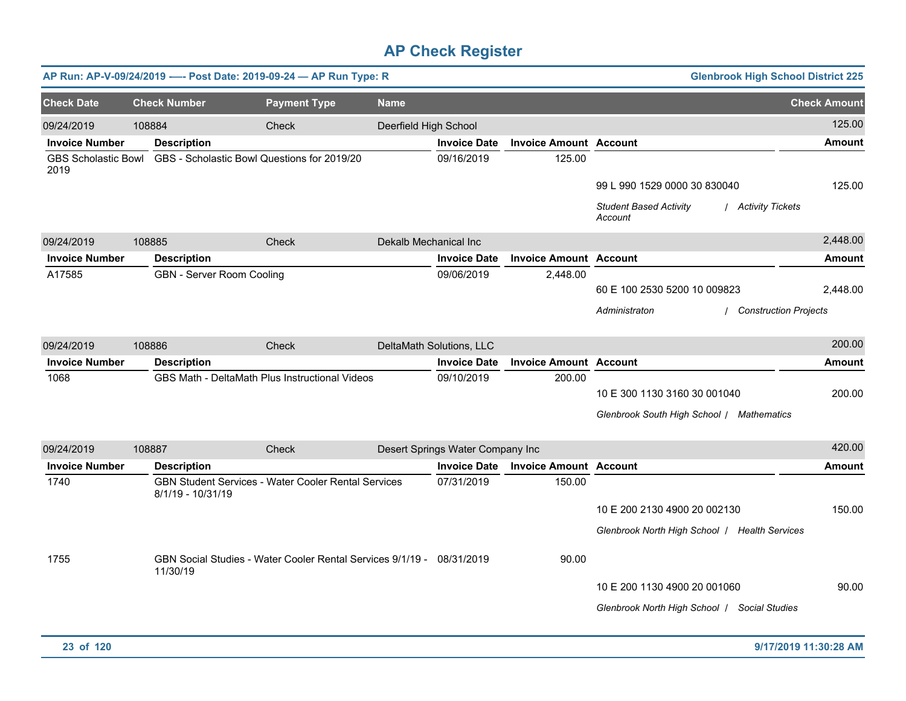|                                    |                                  | AP Run: AP-V-09/24/2019 ---- Post Date: 2019-09-24 - AP Run Type: R   |                       |                                  |                               | <b>Glenbrook High School District 225</b>                      |                     |
|------------------------------------|----------------------------------|-----------------------------------------------------------------------|-----------------------|----------------------------------|-------------------------------|----------------------------------------------------------------|---------------------|
| <b>Check Date</b>                  | <b>Check Number</b>              | <b>Payment Type</b>                                                   | <b>Name</b>           |                                  |                               |                                                                | <b>Check Amount</b> |
| 09/24/2019                         | 108884                           | Check                                                                 | Deerfield High School |                                  |                               |                                                                | 125.00              |
| <b>Invoice Number</b>              | <b>Description</b>               |                                                                       |                       | <b>Invoice Date</b>              | <b>Invoice Amount Account</b> |                                                                | <b>Amount</b>       |
| <b>GBS Scholastic Bowl</b><br>2019 |                                  | GBS - Scholastic Bowl Questions for 2019/20                           |                       | 09/16/2019                       | 125.00                        |                                                                |                     |
|                                    |                                  |                                                                       |                       |                                  |                               | 99 L 990 1529 0000 30 830040                                   | 125.00              |
|                                    |                                  |                                                                       |                       |                                  |                               | <b>Student Based Activity</b><br>/ Activity Tickets<br>Account |                     |
| 09/24/2019                         | 108885                           | Check                                                                 | Dekalb Mechanical Inc |                                  |                               |                                                                | 2,448.00            |
| <b>Invoice Number</b>              | <b>Description</b>               |                                                                       |                       | <b>Invoice Date</b>              | <b>Invoice Amount Account</b> |                                                                | <b>Amount</b>       |
| A17585                             | <b>GBN - Server Room Cooling</b> |                                                                       |                       | 09/06/2019                       | 2,448.00                      |                                                                |                     |
|                                    |                                  |                                                                       |                       |                                  |                               | 60 E 100 2530 5200 10 009823                                   | 2,448.00            |
|                                    |                                  |                                                                       |                       |                                  |                               | Administraton<br><b>Construction Projects</b>                  |                     |
|                                    |                                  |                                                                       |                       |                                  |                               |                                                                |                     |
| 09/24/2019                         | 108886                           | Check                                                                 |                       | DeltaMath Solutions, LLC         |                               |                                                                | 200.00              |
| <b>Invoice Number</b>              | <b>Description</b>               |                                                                       |                       | <b>Invoice Date</b>              | <b>Invoice Amount Account</b> |                                                                | <b>Amount</b>       |
| 1068                               |                                  | GBS Math - DeltaMath Plus Instructional Videos                        |                       | 09/10/2019                       | 200.00                        |                                                                |                     |
|                                    |                                  |                                                                       |                       |                                  |                               | 10 E 300 1130 3160 30 001040                                   | 200.00              |
|                                    |                                  |                                                                       |                       |                                  |                               | Glenbrook South High School / Mathematics                      |                     |
| 09/24/2019                         | 108887                           | Check                                                                 |                       | Desert Springs Water Company Inc |                               |                                                                | 420.00              |
| <b>Invoice Number</b>              | <b>Description</b>               |                                                                       |                       | <b>Invoice Date</b>              | <b>Invoice Amount Account</b> |                                                                | <b>Amount</b>       |
| 1740                               | 8/1/19 - 10/31/19                | GBN Student Services - Water Cooler Rental Services                   |                       | 07/31/2019                       | 150.00                        |                                                                |                     |
|                                    |                                  |                                                                       |                       |                                  |                               | 10 E 200 2130 4900 20 002130                                   | 150.00              |
|                                    |                                  |                                                                       |                       |                                  |                               | Glenbrook North High School   Health Services                  |                     |
|                                    |                                  |                                                                       |                       |                                  |                               |                                                                |                     |
| 1755                               | 11/30/19                         | GBN Social Studies - Water Cooler Rental Services 9/1/19 - 08/31/2019 |                       |                                  | 90.00                         |                                                                |                     |
|                                    |                                  |                                                                       |                       |                                  |                               | 10 E 200 1130 4900 20 001060                                   | 90.00               |
|                                    |                                  |                                                                       |                       |                                  |                               | Glenbrook North High School   Social Studies                   |                     |
|                                    |                                  |                                                                       |                       |                                  |                               |                                                                |                     |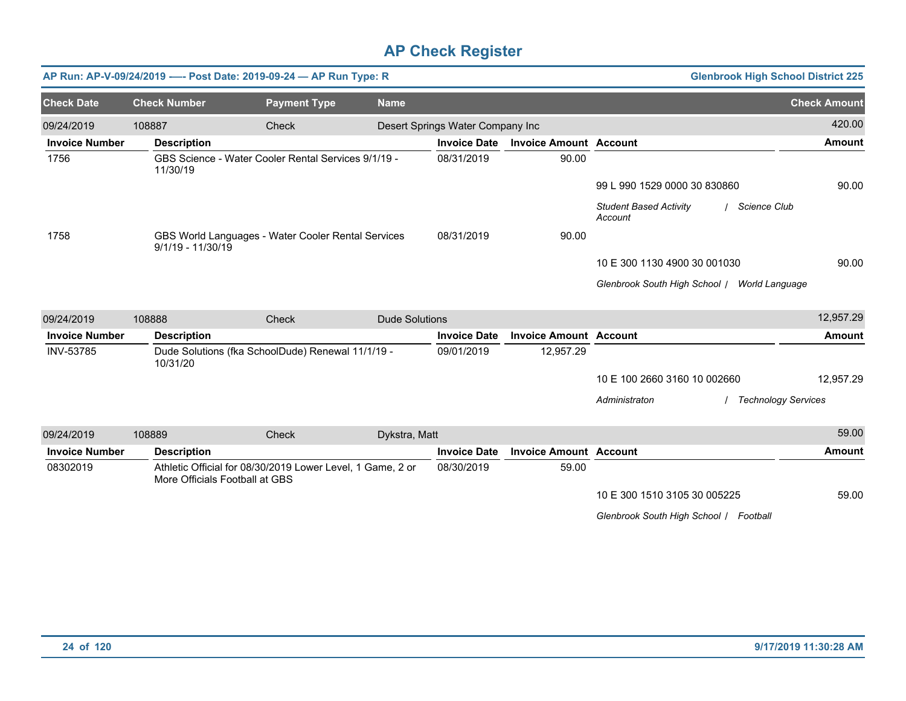|                       |                                | AP Run: AP-V-09/24/2019 ---- Post Date: 2019-09-24 - AP Run Type: R |                       |                                  |                               | <b>Glenbrook High School District 225</b>                  |                     |
|-----------------------|--------------------------------|---------------------------------------------------------------------|-----------------------|----------------------------------|-------------------------------|------------------------------------------------------------|---------------------|
| <b>Check Date</b>     | <b>Check Number</b>            | <b>Payment Type</b>                                                 | <b>Name</b>           |                                  |                               |                                                            | <b>Check Amount</b> |
| 09/24/2019            | 108887                         | <b>Check</b>                                                        |                       | Desert Springs Water Company Inc |                               |                                                            | 420.00              |
| <b>Invoice Number</b> | <b>Description</b>             |                                                                     |                       | <b>Invoice Date</b>              | <b>Invoice Amount Account</b> |                                                            | <b>Amount</b>       |
| 1756                  | 11/30/19                       | GBS Science - Water Cooler Rental Services 9/1/19 -                 |                       | 08/31/2019                       | 90.00                         |                                                            |                     |
|                       |                                |                                                                     |                       |                                  |                               | 99 L 990 1529 0000 30 830860                               | 90.00               |
|                       |                                |                                                                     |                       |                                  |                               | <b>Student Based Activity</b><br>/ Science Club<br>Account |                     |
| 1758                  | $9/1/19 - 11/30/19$            | GBS World Languages - Water Cooler Rental Services                  |                       | 08/31/2019                       | 90.00                         |                                                            |                     |
|                       |                                |                                                                     |                       |                                  |                               | 10 E 300 1130 4900 30 001030                               | 90.00               |
|                       |                                |                                                                     |                       |                                  |                               | Glenbrook South High School / World Language               |                     |
| 09/24/2019            | 108888                         | <b>Check</b>                                                        | <b>Dude Solutions</b> |                                  |                               |                                                            | 12,957.29           |
| <b>Invoice Number</b> | <b>Description</b>             |                                                                     |                       | <b>Invoice Date</b>              | <b>Invoice Amount Account</b> |                                                            | <b>Amount</b>       |
| INV-53785             | 10/31/20                       | Dude Solutions (fka SchoolDude) Renewal 11/1/19 -                   |                       | 09/01/2019                       | 12,957.29                     |                                                            |                     |
|                       |                                |                                                                     |                       |                                  |                               | 10 E 100 2660 3160 10 002660                               | 12,957.29           |
|                       |                                |                                                                     |                       |                                  |                               | Administraton<br><b>Technology Services</b>                |                     |
| 09/24/2019            | 108889                         | Check                                                               | Dykstra, Matt         |                                  |                               |                                                            | 59.00               |
| <b>Invoice Number</b> | <b>Description</b>             |                                                                     |                       | <b>Invoice Date</b>              | <b>Invoice Amount Account</b> |                                                            | <b>Amount</b>       |
| 08302019              | More Officials Football at GBS | Athletic Official for 08/30/2019 Lower Level, 1 Game, 2 or          |                       | 08/30/2019                       | 59.00                         |                                                            |                     |
|                       |                                |                                                                     |                       |                                  |                               | 10 E 300 1510 3105 30 005225                               | 59.00               |
|                       |                                |                                                                     |                       |                                  |                               | Glenbrook South High School   Football                     |                     |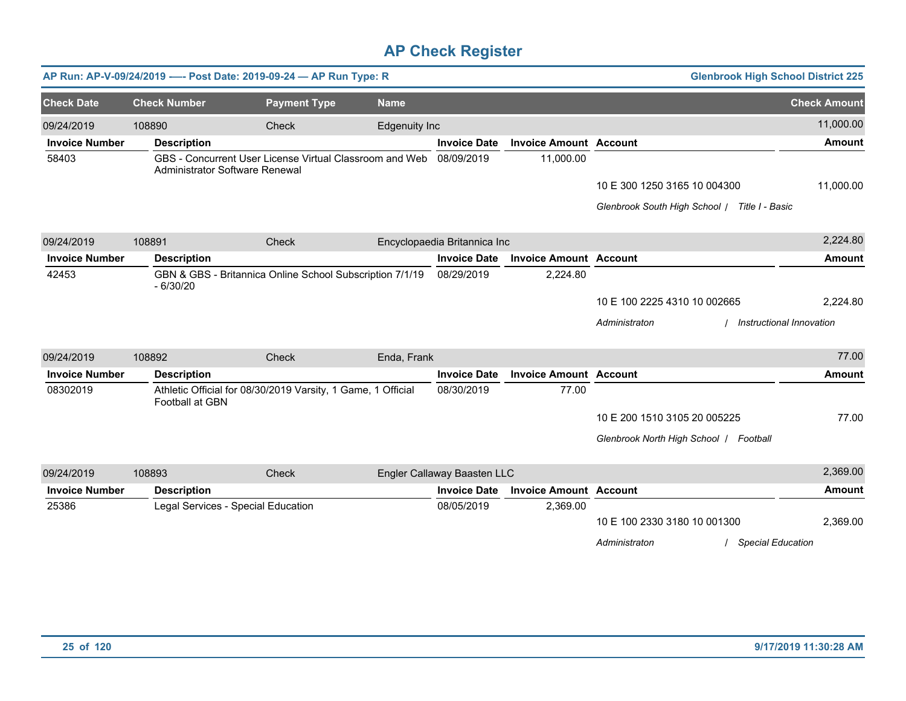|                       |                                    | AP Run: AP-V-09/24/2019 ---- Post Date: 2019-09-24 - AP Run Type: R |                      |                              |                               | <b>Glenbrook High School District 225</b>                                 |                     |
|-----------------------|------------------------------------|---------------------------------------------------------------------|----------------------|------------------------------|-------------------------------|---------------------------------------------------------------------------|---------------------|
| <b>Check Date</b>     | <b>Check Number</b>                | <b>Payment Type</b>                                                 | <b>Name</b>          |                              |                               |                                                                           | <b>Check Amount</b> |
| 09/24/2019            | 108890                             | <b>Check</b>                                                        | <b>Edgenuity Inc</b> |                              |                               |                                                                           | 11,000.00           |
| <b>Invoice Number</b> | <b>Description</b>                 |                                                                     |                      | <b>Invoice Date</b>          | <b>Invoice Amount Account</b> |                                                                           | <b>Amount</b>       |
| 58403                 | Administrator Software Renewal     | GBS - Concurrent User License Virtual Classroom and Web             |                      | 08/09/2019                   | 11,000.00                     |                                                                           |                     |
|                       |                                    |                                                                     |                      |                              |                               | 10 E 300 1250 3165 10 004300                                              | 11,000.00           |
|                       |                                    |                                                                     |                      |                              |                               | Glenbrook South High School   Title I - Basic                             |                     |
| 09/24/2019            | 108891                             | Check                                                               |                      | Encyclopaedia Britannica Inc |                               |                                                                           | 2,224.80            |
| <b>Invoice Number</b> | <b>Description</b>                 |                                                                     |                      | <b>Invoice Date</b>          | <b>Invoice Amount Account</b> |                                                                           | <b>Amount</b>       |
| 42453                 | $-6/30/20$                         | GBN & GBS - Britannica Online School Subscription 7/1/19            |                      | 08/29/2019                   | 2,224.80                      |                                                                           |                     |
|                       |                                    |                                                                     |                      |                              |                               | 10 E 100 2225 4310 10 002665                                              | 2,224.80            |
|                       |                                    |                                                                     |                      |                              |                               | Instructional Innovation<br>Administraton                                 |                     |
| 09/24/2019            | 108892                             | Check                                                               | Enda, Frank          |                              |                               |                                                                           | 77.00               |
| <b>Invoice Number</b> | <b>Description</b>                 |                                                                     |                      | <b>Invoice Date</b>          | <b>Invoice Amount Account</b> |                                                                           | <b>Amount</b>       |
| 08302019              | Football at GBN                    | Athletic Official for 08/30/2019 Varsity, 1 Game, 1 Official        |                      | 08/30/2019                   | 77.00                         |                                                                           |                     |
|                       |                                    |                                                                     |                      |                              |                               | 10 E 200 1510 3105 20 005225                                              | 77.00               |
|                       |                                    |                                                                     |                      |                              |                               | Glenbrook North High School   Football                                    |                     |
| 09/24/2019            | 108893                             | Check                                                               |                      | Engler Callaway Baasten LLC  |                               |                                                                           | 2,369.00            |
| <b>Invoice Number</b> | <b>Description</b>                 |                                                                     |                      | <b>Invoice Date</b>          | <b>Invoice Amount Account</b> |                                                                           | <b>Amount</b>       |
| 25386                 | Legal Services - Special Education |                                                                     |                      | 08/05/2019                   | 2,369.00                      | 10 E 100 2330 3180 10 001300<br>Administraton<br><b>Special Education</b> | 2,369.00            |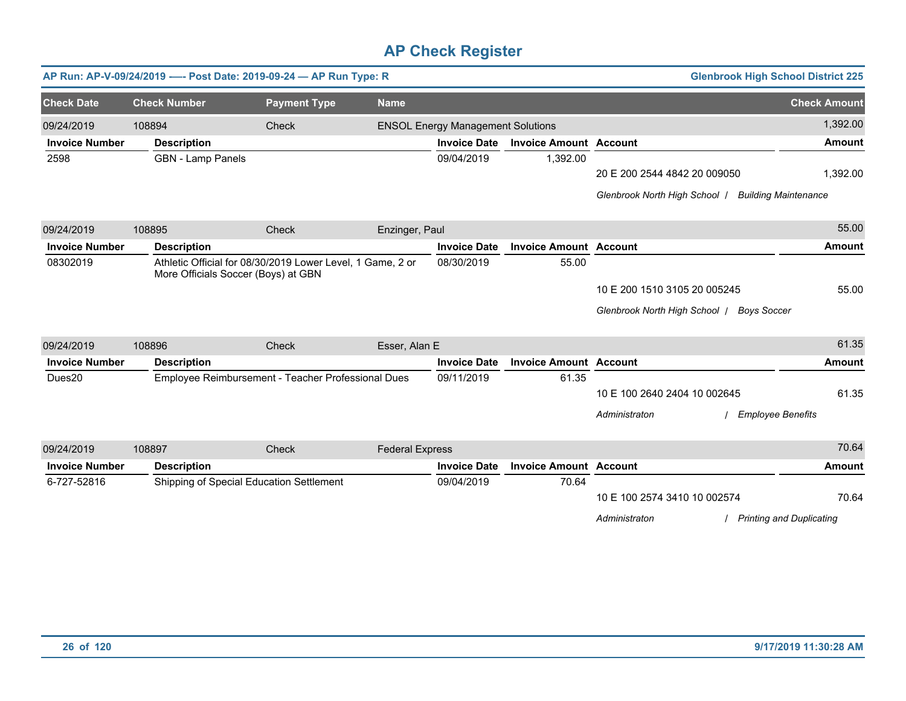|                       |                          | AP Run: AP-V-09/24/2019 ---- Post Date: 2019-09-24 - AP Run Type: R                               |                        |                                          |                               |                                                    | <b>Glenbrook High School District 225</b> |                     |
|-----------------------|--------------------------|---------------------------------------------------------------------------------------------------|------------------------|------------------------------------------|-------------------------------|----------------------------------------------------|-------------------------------------------|---------------------|
| <b>Check Date</b>     | <b>Check Number</b>      | <b>Payment Type</b>                                                                               | <b>Name</b>            |                                          |                               |                                                    |                                           | <b>Check Amount</b> |
| 09/24/2019            | 108894                   | Check                                                                                             |                        | <b>ENSOL Energy Management Solutions</b> |                               |                                                    |                                           | 1,392.00            |
| <b>Invoice Number</b> | <b>Description</b>       |                                                                                                   |                        | <b>Invoice Date</b>                      | <b>Invoice Amount Account</b> |                                                    |                                           | <b>Amount</b>       |
| 2598                  | <b>GBN</b> - Lamp Panels |                                                                                                   |                        | 09/04/2019                               | 1,392.00                      |                                                    |                                           |                     |
|                       |                          |                                                                                                   |                        |                                          |                               | 20 E 200 2544 4842 20 009050                       |                                           | 1,392.00            |
|                       |                          |                                                                                                   |                        |                                          |                               | Glenbrook North High School   Building Maintenance |                                           |                     |
| 09/24/2019            | 108895                   | <b>Check</b>                                                                                      | Enzinger, Paul         |                                          |                               |                                                    |                                           | 55.00               |
| <b>Invoice Number</b> | <b>Description</b>       |                                                                                                   |                        | <b>Invoice Date</b>                      | <b>Invoice Amount Account</b> |                                                    |                                           | <b>Amount</b>       |
| 08302019              |                          | Athletic Official for 08/30/2019 Lower Level, 1 Game, 2 or<br>More Officials Soccer (Boys) at GBN |                        | 08/30/2019                               | 55.00                         |                                                    |                                           |                     |
|                       |                          |                                                                                                   |                        |                                          |                               | 10 E 200 1510 3105 20 005245                       |                                           | 55.00               |
|                       |                          |                                                                                                   |                        |                                          |                               | Glenbrook North High School / Boys Soccer          |                                           |                     |
| 09/24/2019            | 108896                   | Check                                                                                             | Esser, Alan E          |                                          |                               |                                                    |                                           | 61.35               |
| <b>Invoice Number</b> | <b>Description</b>       |                                                                                                   |                        | <b>Invoice Date</b>                      | <b>Invoice Amount Account</b> |                                                    |                                           | <b>Amount</b>       |
| Dues20                |                          | Employee Reimbursement - Teacher Professional Dues                                                |                        | 09/11/2019                               | 61.35                         |                                                    |                                           |                     |
|                       |                          |                                                                                                   |                        |                                          |                               | 10 E 100 2640 2404 10 002645                       |                                           | 61.35               |
|                       |                          |                                                                                                   |                        |                                          |                               | Administraton                                      | <b>Employee Benefits</b>                  |                     |
| 09/24/2019            | 108897                   | Check                                                                                             | <b>Federal Express</b> |                                          |                               |                                                    |                                           | 70.64               |
| <b>Invoice Number</b> | <b>Description</b>       |                                                                                                   |                        | <b>Invoice Date</b>                      | <b>Invoice Amount Account</b> |                                                    |                                           | <b>Amount</b>       |
| 6-727-52816           |                          | Shipping of Special Education Settlement                                                          |                        | 09/04/2019                               | 70.64                         |                                                    |                                           |                     |
|                       |                          |                                                                                                   |                        |                                          |                               | 10 E 100 2574 3410 10 002574                       |                                           | 70.64               |
|                       |                          |                                                                                                   |                        |                                          |                               | Administraton                                      | <b>Printing and Duplicating</b>           |                     |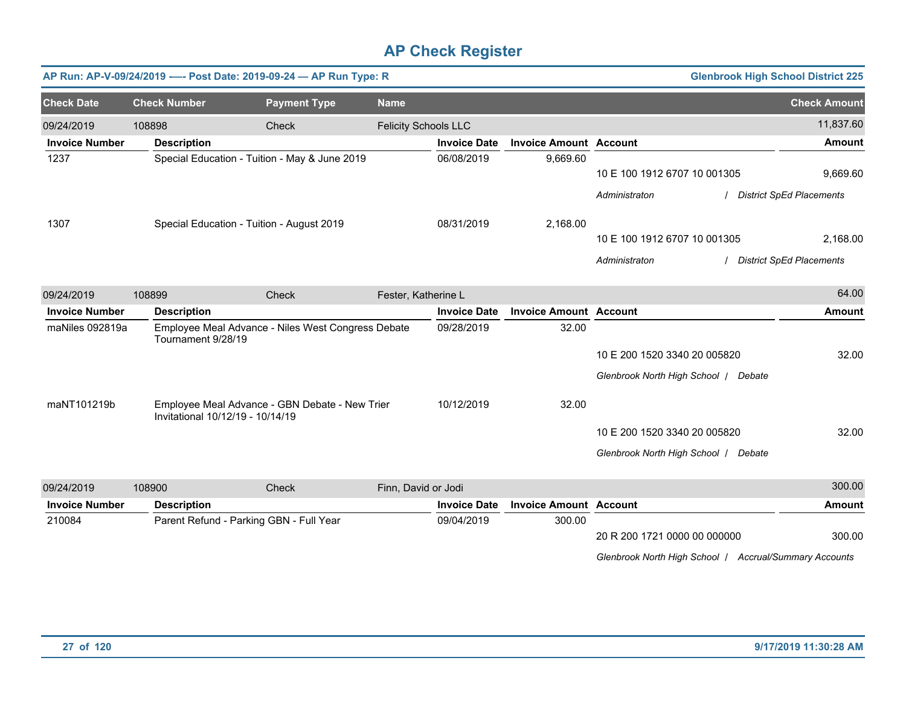|                       |                                  | AP Run: AP-V-09/24/2019 ---- Post Date: 2019-09-24 - AP Run Type: R |                             |                     |                               |                                      | <b>Glenbrook High School District 225</b>                                                                                                                                                                                                                                                                                                                                                            |                                 |
|-----------------------|----------------------------------|---------------------------------------------------------------------|-----------------------------|---------------------|-------------------------------|--------------------------------------|------------------------------------------------------------------------------------------------------------------------------------------------------------------------------------------------------------------------------------------------------------------------------------------------------------------------------------------------------------------------------------------------------|---------------------------------|
| <b>Check Date</b>     | <b>Check Number</b>              | <b>Payment Type</b>                                                 | <b>Name</b>                 |                     |                               |                                      |                                                                                                                                                                                                                                                                                                                                                                                                      | <b>Check Amount</b>             |
| 09/24/2019            | 108898                           | Check                                                               | <b>Felicity Schools LLC</b> |                     |                               |                                      |                                                                                                                                                                                                                                                                                                                                                                                                      | 11,837.60                       |
| <b>Invoice Number</b> | <b>Description</b>               |                                                                     |                             | <b>Invoice Date</b> | <b>Invoice Amount Account</b> |                                      |                                                                                                                                                                                                                                                                                                                                                                                                      | <b>Amount</b>                   |
| 1237                  |                                  | Special Education - Tuition - May & June 2019                       |                             | 06/08/2019          | 9,669.60                      |                                      |                                                                                                                                                                                                                                                                                                                                                                                                      |                                 |
|                       |                                  |                                                                     |                             |                     |                               | 10 E 100 1912 6707 10 001305         |                                                                                                                                                                                                                                                                                                                                                                                                      | 9,669.60                        |
|                       |                                  |                                                                     |                             |                     |                               | Administraton                        |                                                                                                                                                                                                                                                                                                                                                                                                      | <b>District SpEd Placements</b> |
| 1307                  |                                  | Special Education - Tuition - August 2019                           |                             | 08/31/2019          | 2,168.00                      |                                      |                                                                                                                                                                                                                                                                                                                                                                                                      |                                 |
|                       |                                  |                                                                     |                             |                     |                               | 10 E 100 1912 6707 10 001305         |                                                                                                                                                                                                                                                                                                                                                                                                      | 2,168.00                        |
|                       |                                  |                                                                     |                             |                     |                               | Administraton                        |                                                                                                                                                                                                                                                                                                                                                                                                      | <b>District SpEd Placements</b> |
| 09/24/2019            | 108899                           | Check                                                               | Fester, Katherine L         |                     |                               |                                      |                                                                                                                                                                                                                                                                                                                                                                                                      | 64.00                           |
| <b>Invoice Number</b> | <b>Description</b>               |                                                                     |                             | <b>Invoice Date</b> | <b>Invoice Amount Account</b> |                                      |                                                                                                                                                                                                                                                                                                                                                                                                      | <b>Amount</b>                   |
| maNiles 092819a       | Tournament 9/28/19               | Employee Meal Advance - Niles West Congress Debate                  |                             | 09/28/2019          | 32.00                         |                                      |                                                                                                                                                                                                                                                                                                                                                                                                      |                                 |
|                       |                                  |                                                                     |                             |                     |                               | 10 E 200 1520 3340 20 005820         |                                                                                                                                                                                                                                                                                                                                                                                                      | 32.00                           |
|                       |                                  |                                                                     |                             |                     |                               | Glenbrook North High School   Debate |                                                                                                                                                                                                                                                                                                                                                                                                      |                                 |
| maNT101219b           | Invitational 10/12/19 - 10/14/19 | Employee Meal Advance - GBN Debate - New Trier                      |                             | 10/12/2019          | 32.00                         |                                      |                                                                                                                                                                                                                                                                                                                                                                                                      |                                 |
|                       |                                  |                                                                     |                             |                     |                               | 10 E 200 1520 3340 20 005820         |                                                                                                                                                                                                                                                                                                                                                                                                      | 32.00                           |
|                       |                                  |                                                                     |                             |                     |                               | Glenbrook North High School   Debate |                                                                                                                                                                                                                                                                                                                                                                                                      |                                 |
| 09/24/2019            | 108900                           | Check                                                               | Finn, David or Jodi         |                     |                               |                                      |                                                                                                                                                                                                                                                                                                                                                                                                      | 300.00                          |
| <b>Invoice Number</b> | <b>Description</b>               |                                                                     |                             | <b>Invoice Date</b> | <b>Invoice Amount Account</b> |                                      |                                                                                                                                                                                                                                                                                                                                                                                                      | <b>Amount</b>                   |
| 210084                |                                  | Parent Refund - Parking GBN - Full Year                             |                             | 09/04/2019          | 300.00                        |                                      |                                                                                                                                                                                                                                                                                                                                                                                                      |                                 |
|                       |                                  |                                                                     |                             |                     |                               | 20 R 200 1721 0000 00 000000         |                                                                                                                                                                                                                                                                                                                                                                                                      | 300.00                          |
|                       |                                  |                                                                     |                             |                     |                               |                                      | $O(\frac{1}{2} + \frac{1}{2} + \frac{1}{2} + \frac{1}{2} + \frac{1}{2} + \frac{1}{2} + \frac{1}{2} + \frac{1}{2} + \frac{1}{2} + \frac{1}{2} + \frac{1}{2} + \frac{1}{2} + \frac{1}{2} + \frac{1}{2} + \frac{1}{2} + \frac{1}{2} + \frac{1}{2} + \frac{1}{2} + \frac{1}{2} + \frac{1}{2} + \frac{1}{2} + \frac{1}{2} + \frac{1}{2} + \frac{1}{2} + \frac{1}{2} + \frac{1}{2} + \frac{1}{2} + \frac{$ |                                 |

*Glenbrook North High School* / *Accrual/Summary Accounts*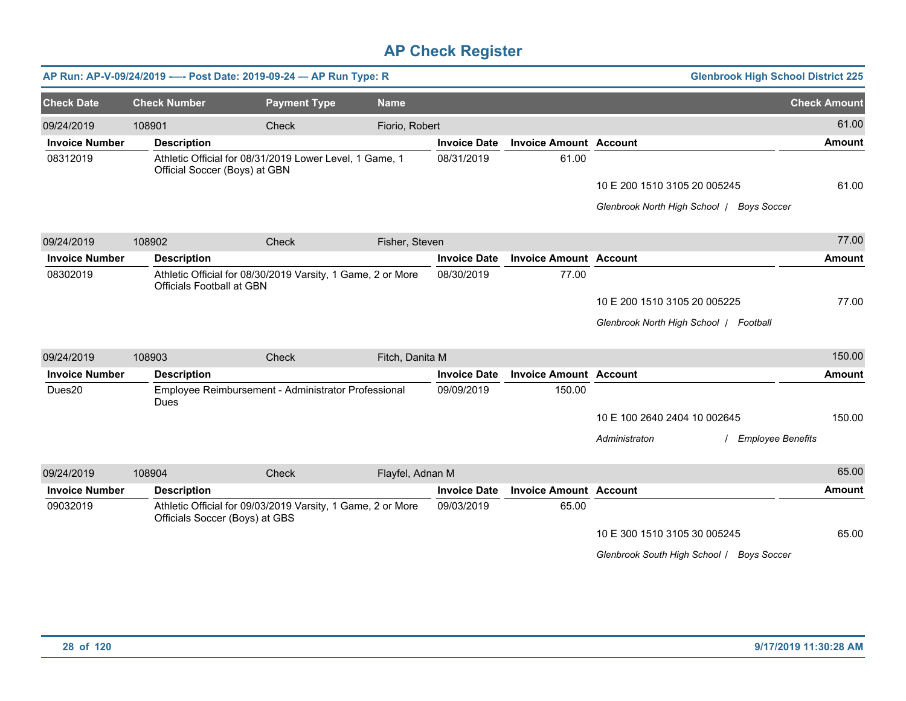|                       |                     |                                | AP Run: AP-V-09/24/2019 ---- Post Date: 2019-09-24 - AP Run Type: R |                  |                     |                               |                                        | <b>Glenbrook High School District 225</b> |                     |
|-----------------------|---------------------|--------------------------------|---------------------------------------------------------------------|------------------|---------------------|-------------------------------|----------------------------------------|-------------------------------------------|---------------------|
| <b>Check Date</b>     | <b>Check Number</b> |                                | <b>Payment Type</b>                                                 | <b>Name</b>      |                     |                               |                                        |                                           | <b>Check Amount</b> |
| 09/24/2019            | 108901              |                                | Check                                                               | Fiorio, Robert   |                     |                               |                                        |                                           | 61.00               |
| <b>Invoice Number</b> | <b>Description</b>  |                                |                                                                     |                  | <b>Invoice Date</b> | <b>Invoice Amount Account</b> |                                        |                                           | <b>Amount</b>       |
| 08312019              |                     | Official Soccer (Boys) at GBN  | Athletic Official for 08/31/2019 Lower Level, 1 Game, 1             |                  | 08/31/2019          | 61.00                         |                                        |                                           |                     |
|                       |                     |                                |                                                                     |                  |                     |                               | 10 E 200 1510 3105 20 005245           |                                           | 61.00               |
|                       |                     |                                |                                                                     |                  |                     |                               |                                        | Glenbrook North High School   Boys Soccer |                     |
| 09/24/2019            | 108902              |                                | Check                                                               | Fisher, Steven   |                     |                               |                                        |                                           | 77.00               |
| <b>Invoice Number</b> | <b>Description</b>  |                                |                                                                     |                  | <b>Invoice Date</b> | <b>Invoice Amount Account</b> |                                        |                                           | <b>Amount</b>       |
| 08302019              |                     | Officials Football at GBN      | Athletic Official for 08/30/2019 Varsity, 1 Game, 2 or More         |                  | 08/30/2019          | 77.00                         |                                        |                                           |                     |
|                       |                     |                                |                                                                     |                  |                     |                               | 10 E 200 1510 3105 20 005225           |                                           | 77.00               |
|                       |                     |                                |                                                                     |                  |                     |                               | Glenbrook North High School   Football |                                           |                     |
| 09/24/2019            | 108903              |                                | Check                                                               | Fitch, Danita M  |                     |                               |                                        |                                           | 150.00              |
| <b>Invoice Number</b> | <b>Description</b>  |                                |                                                                     |                  | <b>Invoice Date</b> | <b>Invoice Amount Account</b> |                                        |                                           | <b>Amount</b>       |
| Dues20                | Dues                |                                | Employee Reimbursement - Administrator Professional                 |                  | 09/09/2019          | 150.00                        |                                        |                                           |                     |
|                       |                     |                                |                                                                     |                  |                     |                               | 10 E 100 2640 2404 10 002645           |                                           | 150.00              |
|                       |                     |                                |                                                                     |                  |                     |                               | Administraton                          | / Employee Benefits                       |                     |
| 09/24/2019            | 108904              |                                | Check                                                               | Flayfel, Adnan M |                     |                               |                                        |                                           | 65.00               |
| <b>Invoice Number</b> | <b>Description</b>  |                                |                                                                     |                  | <b>Invoice Date</b> | <b>Invoice Amount Account</b> |                                        |                                           | <b>Amount</b>       |
| 09032019              |                     | Officials Soccer (Boys) at GBS | Athletic Official for 09/03/2019 Varsity, 1 Game, 2 or More         |                  | 09/03/2019          | 65.00                         |                                        |                                           |                     |
|                       |                     |                                |                                                                     |                  |                     |                               | 10 E 300 1510 3105 30 005245           |                                           | 65.00               |
|                       |                     |                                |                                                                     |                  |                     |                               |                                        | Glenbrook South High School / Boys Soccer |                     |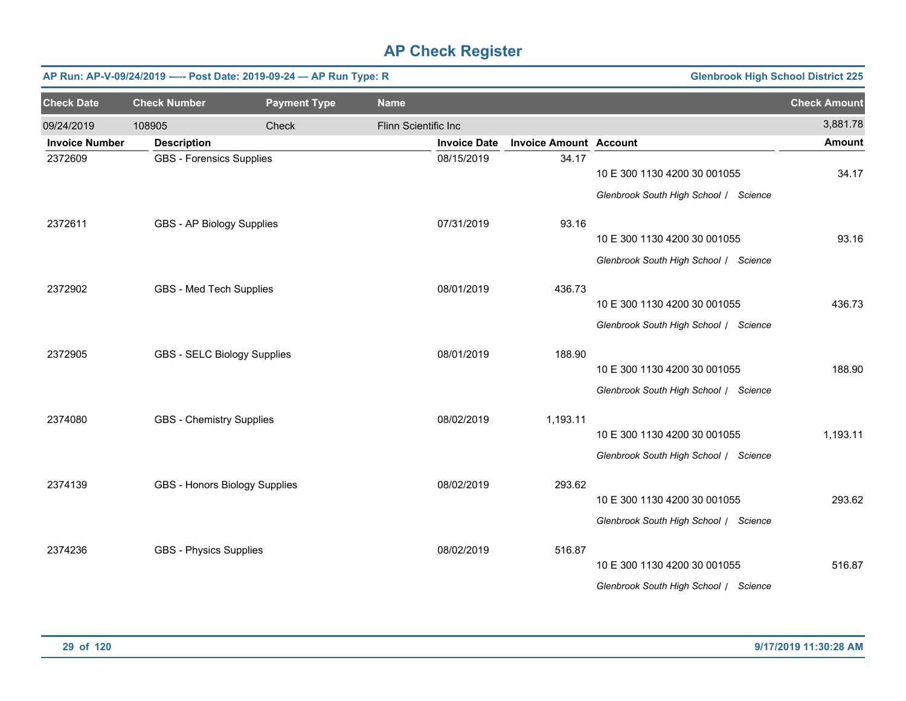|                       |                                 | AP Run: AP-V-09/24/2019 ---- Post Date: 2019-09-24 - AP Run Type: R |                      |                     |                               | <b>Glenbrook High School District 225</b>                                                                      |                     |
|-----------------------|---------------------------------|---------------------------------------------------------------------|----------------------|---------------------|-------------------------------|----------------------------------------------------------------------------------------------------------------|---------------------|
| <b>Check Date</b>     | <b>Check Number</b>             | <b>Payment Type</b>                                                 | <b>Name</b>          |                     |                               |                                                                                                                | <b>Check Amount</b> |
| 09/24/2019            | 108905                          | Check                                                               | Flinn Scientific Inc |                     |                               |                                                                                                                | 3,881.78            |
| <b>Invoice Number</b> | <b>Description</b>              |                                                                     |                      | <b>Invoice Date</b> | <b>Invoice Amount Account</b> |                                                                                                                | <b>Amount</b>       |
| 2372609               | <b>GBS - Forensics Supplies</b> |                                                                     |                      | 08/15/2019          | 34.17                         | 10 E 300 1130 4200 30 001055<br>Glenbrook South High School / Science                                          | 34.17               |
| 2372611               | GBS - AP Biology Supplies       |                                                                     |                      | 07/31/2019          | 93.16                         | 10 E 300 1130 4200 30 001055                                                                                   | 93.16               |
|                       |                                 |                                                                     |                      |                     |                               | Glenbrook South High School / Science                                                                          |                     |
| 2372902               | GBS - Med Tech Supplies         |                                                                     |                      | 08/01/2019          | 436.73                        | 10 E 300 1130 4200 30 001055<br>Glenbrook South High School / Science                                          | 436.73              |
| 2372905               | GBS - SELC Biology Supplies     |                                                                     |                      | 08/01/2019          | 188.90                        | 10 E 300 1130 4200 30 001055                                                                                   | 188.90              |
| 2374080               | <b>GBS - Chemistry Supplies</b> |                                                                     |                      | 08/02/2019          | 1,193.11                      | Glenbrook South High School / Science<br>10 E 300 1130 4200 30 001055                                          | 1,193.11            |
| 2374139               | GBS - Honors Biology Supplies   |                                                                     |                      | 08/02/2019          | 293.62                        | Glenbrook South High School / Science<br>10 E 300 1130 4200 30 001055<br>Glenbrook South High School / Science | 293.62              |
| 2374236               | <b>GBS - Physics Supplies</b>   |                                                                     |                      | 08/02/2019          | 516.87                        | 10 E 300 1130 4200 30 001055<br>Glenbrook South High School / Science                                          | 516.87              |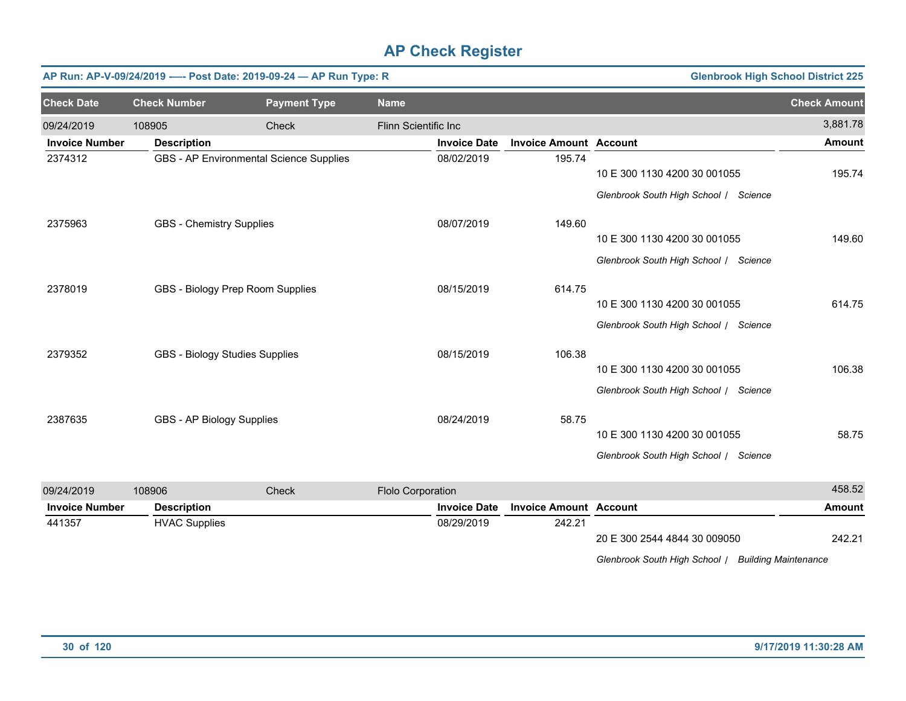| <b>Check Date</b><br><b>Check Number</b><br><b>Payment Type</b><br><b>Name</b>                             | <b>Check Amount</b> |
|------------------------------------------------------------------------------------------------------------|---------------------|
| 09/24/2019<br>Check<br>Flinn Scientific Inc<br>108905                                                      | 3,881.78            |
| <b>Invoice Number</b><br><b>Description</b><br><b>Invoice Date</b><br><b>Invoice Amount Account</b>        | <b>Amount</b>       |
| GBS - AP Environmental Science Supplies<br>195.74<br>2374312<br>08/02/2019<br>10 E 300 1130 4200 30 001055 | 195.74              |
| Glenbrook South High School / Science                                                                      |                     |
| GBS - Chemistry Supplies<br>08/07/2019<br>149.60<br>2375963                                                |                     |
| 10 E 300 1130 4200 30 001055                                                                               | 149.60              |
| Glenbrook South High School / Science                                                                      |                     |
| GBS - Biology Prep Room Supplies<br>2378019<br>08/15/2019<br>614.75                                        |                     |
| 10 E 300 1130 4200 30 001055                                                                               | 614.75              |
| Glenbrook South High School / Science                                                                      |                     |
| 106.38<br><b>GBS - Biology Studies Supplies</b><br>08/15/2019<br>2379352                                   |                     |
| 10 E 300 1130 4200 30 001055                                                                               | 106.38              |
| Glenbrook South High School / Science                                                                      |                     |
| 58.75<br>GBS - AP Biology Supplies<br>08/24/2019<br>2387635                                                |                     |
| 10 E 300 1130 4200 30 001055                                                                               | 58.75               |
| Glenbrook South High School / Science                                                                      |                     |
| Flolo Corporation<br>09/24/2019<br>108906<br>Check                                                         | 458.52              |
| <b>Invoice Number</b><br><b>Invoice Date</b><br><b>Invoice Amount Account</b><br><b>Description</b>        | <b>Amount</b>       |
| 242.21<br>441357<br><b>HVAC Supplies</b><br>08/29/2019<br>20 E 300 2544 4844 30 009050                     | 242.21              |
| Glenbrook South High School / Building Maintenance                                                         |                     |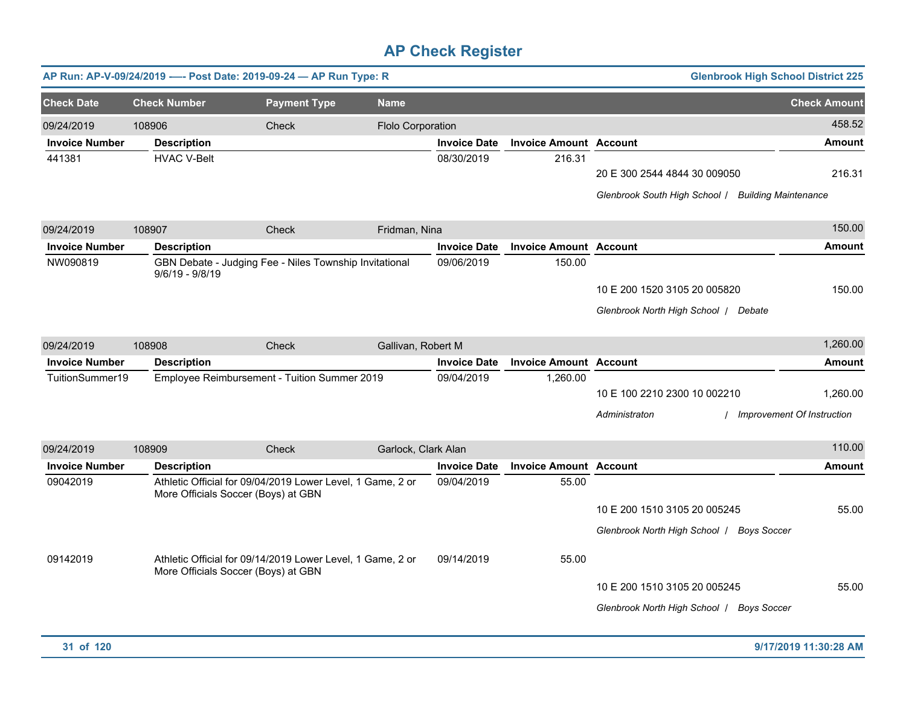|                                     | AP Run: AP-V-09/24/2019 ---- Post Date: 2019-09-24 - AP Run Type: R |                                                            |                     |                     |                               |                                                                                    | <b>Glenbrook High School District 225</b>     |
|-------------------------------------|---------------------------------------------------------------------|------------------------------------------------------------|---------------------|---------------------|-------------------------------|------------------------------------------------------------------------------------|-----------------------------------------------|
| <b>Check Date</b>                   | <b>Check Number</b>                                                 | <b>Payment Type</b>                                        | <b>Name</b>         |                     |                               |                                                                                    | <b>Check Amount</b>                           |
| 09/24/2019<br><b>Invoice Number</b> | 108906<br><b>Description</b>                                        | Check                                                      | Flolo Corporation   | <b>Invoice Date</b> | <b>Invoice Amount Account</b> |                                                                                    | 458.52<br>Amount                              |
| 441381                              | <b>HVAC V-Belt</b>                                                  |                                                            |                     | 08/30/2019          | 216.31                        | 20 E 300 2544 4844 30 009050<br>Glenbrook South High School / Building Maintenance | 216.31                                        |
| 09/24/2019                          | 108907                                                              | <b>Check</b>                                               | Fridman, Nina       |                     |                               |                                                                                    | 150.00                                        |
| <b>Invoice Number</b>               | <b>Description</b>                                                  |                                                            |                     | <b>Invoice Date</b> | <b>Invoice Amount Account</b> |                                                                                    | <b>Amount</b>                                 |
| NW090819                            | $9/6/19 - 9/8/19$                                                   | GBN Debate - Judging Fee - Niles Township Invitational     |                     | 09/06/2019          | 150.00                        | 10 E 200 1520 3105 20 005820<br>Glenbrook North High School   Debate               | 150.00                                        |
| 09/24/2019                          | 108908                                                              | <b>Check</b>                                               | Gallivan, Robert M  |                     |                               |                                                                                    | 1,260.00                                      |
| <b>Invoice Number</b>               | <b>Description</b>                                                  |                                                            |                     | <b>Invoice Date</b> | <b>Invoice Amount Account</b> |                                                                                    | Amount                                        |
| TuitionSummer19                     |                                                                     | Employee Reimbursement - Tuition Summer 2019               |                     | 09/04/2019          | 1,260.00                      | 10 E 100 2210 2300 10 002210<br>Administraton                                      | 1,260.00<br><b>Improvement Of Instruction</b> |
| 09/24/2019                          | 108909                                                              | Check                                                      | Garlock, Clark Alan |                     |                               |                                                                                    | 110.00                                        |
| <b>Invoice Number</b>               | <b>Description</b>                                                  |                                                            |                     | <b>Invoice Date</b> | <b>Invoice Amount Account</b> |                                                                                    | <b>Amount</b>                                 |
| 09042019                            | More Officials Soccer (Boys) at GBN                                 | Athletic Official for 09/04/2019 Lower Level, 1 Game, 2 or |                     | 09/04/2019          | 55.00                         | 10 E 200 1510 3105 20 005245<br>Glenbrook North High School   Boys Soccer          | 55.00                                         |
| 09142019                            | More Officials Soccer (Boys) at GBN                                 | Athletic Official for 09/14/2019 Lower Level, 1 Game, 2 or |                     | 09/14/2019          | 55.00                         | 10 E 200 1510 3105 20 005245<br>Glenbrook North High School   Boys Soccer          | 55.00                                         |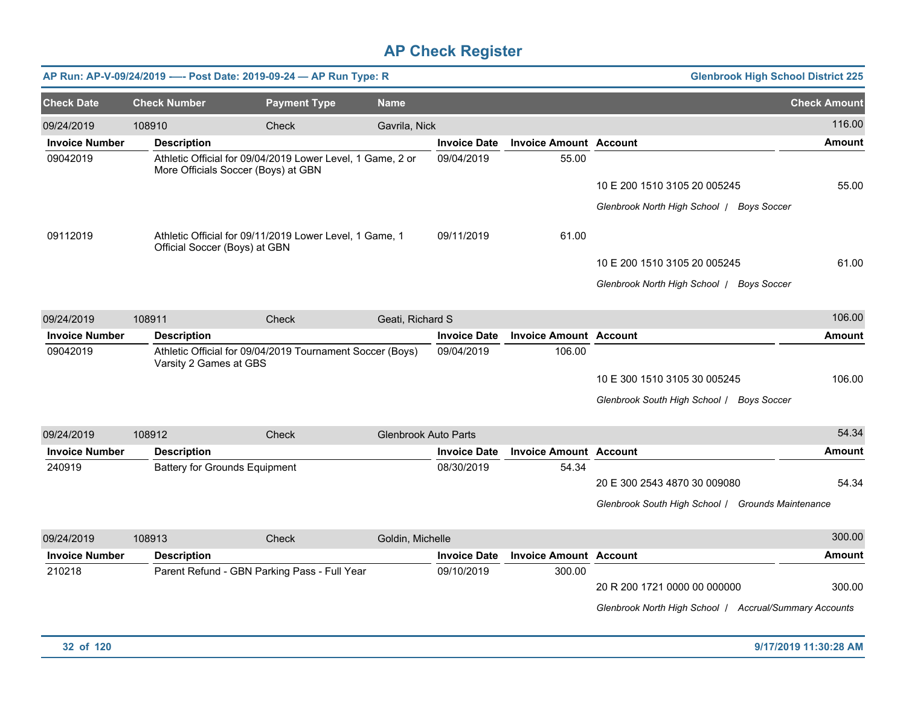|                       |                                      | AP Run: AP-V-09/24/2019 ---- Post Date: 2019-09-24 - AP Run Type: R                               |                             |                     |                               | <b>Glenbrook High School District 225</b>              |                     |
|-----------------------|--------------------------------------|---------------------------------------------------------------------------------------------------|-----------------------------|---------------------|-------------------------------|--------------------------------------------------------|---------------------|
| <b>Check Date</b>     | <b>Check Number</b>                  | <b>Payment Type</b>                                                                               | <b>Name</b>                 |                     |                               |                                                        | <b>Check Amount</b> |
| 09/24/2019            | 108910                               | Check                                                                                             | Gavrila, Nick               |                     |                               |                                                        | 116.00              |
| <b>Invoice Number</b> | <b>Description</b>                   |                                                                                                   |                             | <b>Invoice Date</b> | <b>Invoice Amount Account</b> |                                                        | <b>Amount</b>       |
| 09042019              |                                      | Athletic Official for 09/04/2019 Lower Level, 1 Game, 2 or<br>More Officials Soccer (Boys) at GBN |                             | 09/04/2019          | 55.00                         |                                                        |                     |
|                       |                                      |                                                                                                   |                             |                     |                               | 10 E 200 1510 3105 20 005245                           | 55.00               |
|                       |                                      |                                                                                                   |                             |                     |                               | Glenbrook North High School   Boys Soccer              |                     |
| 09112019              | Official Soccer (Boys) at GBN        | Athletic Official for 09/11/2019 Lower Level, 1 Game, 1                                           |                             | 09/11/2019          | 61.00                         |                                                        |                     |
|                       |                                      |                                                                                                   |                             |                     |                               | 10 E 200 1510 3105 20 005245                           | 61.00               |
|                       |                                      |                                                                                                   |                             |                     |                               | Glenbrook North High School   Boys Soccer              |                     |
| 09/24/2019            | 108911                               | Check                                                                                             | Geati, Richard S            |                     |                               |                                                        | 106.00              |
| <b>Invoice Number</b> | <b>Description</b>                   |                                                                                                   |                             | <b>Invoice Date</b> | <b>Invoice Amount Account</b> |                                                        | <b>Amount</b>       |
| 09042019              | Varsity 2 Games at GBS               | Athletic Official for 09/04/2019 Tournament Soccer (Boys)                                         |                             | 09/04/2019          | 106.00                        |                                                        |                     |
|                       |                                      |                                                                                                   |                             |                     |                               | 10 E 300 1510 3105 30 005245                           | 106.00              |
|                       |                                      |                                                                                                   |                             |                     |                               | Glenbrook South High School / Boys Soccer              |                     |
| 09/24/2019            | 108912                               | Check                                                                                             | <b>Glenbrook Auto Parts</b> |                     |                               |                                                        | 54.34               |
| <b>Invoice Number</b> | <b>Description</b>                   |                                                                                                   |                             | <b>Invoice Date</b> | <b>Invoice Amount Account</b> |                                                        | <b>Amount</b>       |
| 240919                | <b>Battery for Grounds Equipment</b> |                                                                                                   |                             | 08/30/2019          | 54.34                         |                                                        |                     |
|                       |                                      |                                                                                                   |                             |                     |                               | 20 E 300 2543 4870 30 009080                           | 54.34               |
|                       |                                      |                                                                                                   |                             |                     |                               | Glenbrook South High School / Grounds Maintenance      |                     |
| 09/24/2019            | 108913                               | <b>Check</b>                                                                                      | Goldin, Michelle            |                     |                               |                                                        | 300.00              |
| <b>Invoice Number</b> | <b>Description</b>                   |                                                                                                   |                             | <b>Invoice Date</b> | <b>Invoice Amount Account</b> |                                                        | Amount              |
| 210218                |                                      | Parent Refund - GBN Parking Pass - Full Year                                                      |                             | 09/10/2019          | 300.00                        | 20 R 200 1721 0000 00 000000                           | 300.00              |
|                       |                                      |                                                                                                   |                             |                     |                               | Glenbrook North High School   Accrual/Summary Accounts |                     |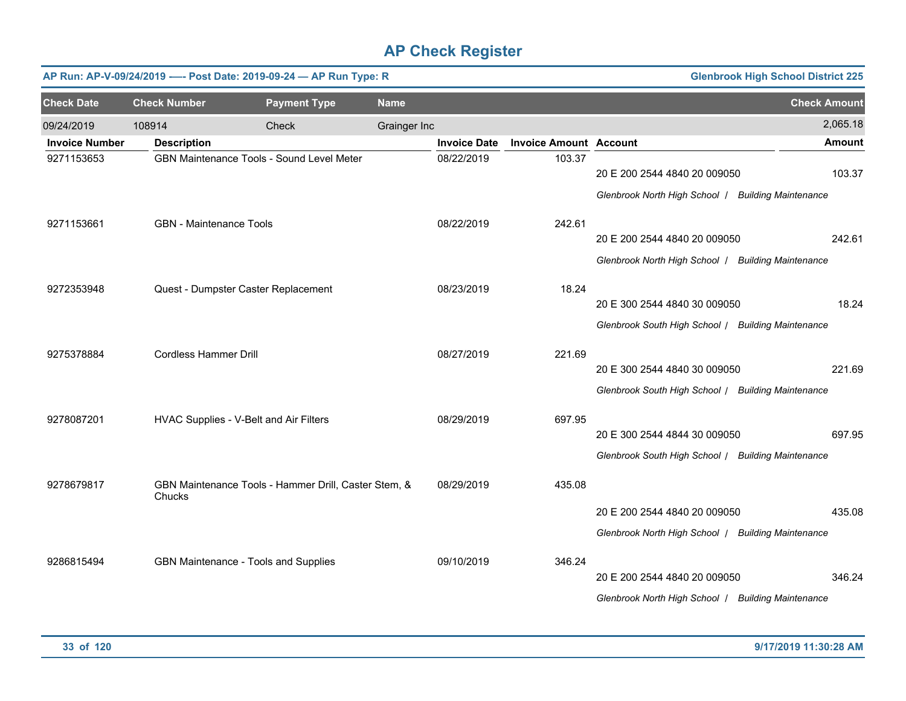| <b>Glenbrook High School District 225</b><br>AP Run: AP-V-09/24/2019 ---- Post Date: 2019-09-24 - AP Run Type: R |                                                                |                                           |              |                     |                               |                                                    |                     |  |  |
|------------------------------------------------------------------------------------------------------------------|----------------------------------------------------------------|-------------------------------------------|--------------|---------------------|-------------------------------|----------------------------------------------------|---------------------|--|--|
| <b>Check Date</b>                                                                                                | <b>Check Number</b>                                            | <b>Payment Type</b>                       | <b>Name</b>  |                     |                               |                                                    | <b>Check Amount</b> |  |  |
| 09/24/2019                                                                                                       | 108914                                                         | Check                                     | Grainger Inc |                     |                               |                                                    | 2,065.18            |  |  |
| <b>Invoice Number</b>                                                                                            | <b>Description</b>                                             |                                           |              | <b>Invoice Date</b> | <b>Invoice Amount Account</b> |                                                    | <b>Amount</b>       |  |  |
| 9271153653                                                                                                       |                                                                | GBN Maintenance Tools - Sound Level Meter |              |                     | 103.37                        | 20 E 200 2544 4840 20 009050                       | 103.37              |  |  |
|                                                                                                                  |                                                                |                                           |              |                     |                               | Glenbrook North High School / Building Maintenance |                     |  |  |
| 9271153661                                                                                                       | <b>GBN</b> - Maintenance Tools                                 |                                           |              | 08/22/2019          | 242.61                        |                                                    |                     |  |  |
|                                                                                                                  |                                                                |                                           |              |                     |                               | 20 E 200 2544 4840 20 009050                       | 242.61              |  |  |
|                                                                                                                  |                                                                |                                           |              |                     |                               | Glenbrook North High School / Building Maintenance |                     |  |  |
| 9272353948                                                                                                       | Quest - Dumpster Caster Replacement                            |                                           |              | 08/23/2019          | 18.24                         |                                                    |                     |  |  |
|                                                                                                                  |                                                                |                                           |              |                     |                               | 20 E 300 2544 4840 30 009050                       | 18.24               |  |  |
|                                                                                                                  |                                                                |                                           |              |                     |                               | Glenbrook South High School / Building Maintenance |                     |  |  |
| 9275378884                                                                                                       | <b>Cordless Hammer Drill</b>                                   |                                           |              | 08/27/2019          | 221.69                        |                                                    |                     |  |  |
|                                                                                                                  |                                                                |                                           |              |                     |                               | 20 E 300 2544 4840 30 009050                       | 221.69              |  |  |
|                                                                                                                  |                                                                |                                           |              |                     |                               | Glenbrook South High School / Building Maintenance |                     |  |  |
| 9278087201                                                                                                       | HVAC Supplies - V-Belt and Air Filters                         |                                           |              | 08/29/2019          | 697.95                        |                                                    |                     |  |  |
|                                                                                                                  |                                                                |                                           |              |                     |                               | 20 E 300 2544 4844 30 009050                       | 697.95              |  |  |
|                                                                                                                  |                                                                |                                           |              |                     |                               | Glenbrook South High School / Building Maintenance |                     |  |  |
| 9278679817                                                                                                       | GBN Maintenance Tools - Hammer Drill, Caster Stem, &<br>Chucks |                                           |              | 08/29/2019          | 435.08                        |                                                    |                     |  |  |
|                                                                                                                  |                                                                |                                           |              |                     |                               | 20 E 200 2544 4840 20 009050                       | 435.08              |  |  |
|                                                                                                                  |                                                                |                                           |              |                     |                               | Glenbrook North High School   Building Maintenance |                     |  |  |
|                                                                                                                  |                                                                | GBN Maintenance - Tools and Supplies      |              | 09/10/2019          | 346.24                        |                                                    |                     |  |  |
| 9286815494                                                                                                       |                                                                |                                           |              |                     |                               | 20 E 200 2544 4840 20 009050                       | 346.24              |  |  |
|                                                                                                                  |                                                                |                                           |              |                     |                               | Glenbrook North High School   Building Maintenance |                     |  |  |
|                                                                                                                  |                                                                |                                           |              |                     |                               |                                                    |                     |  |  |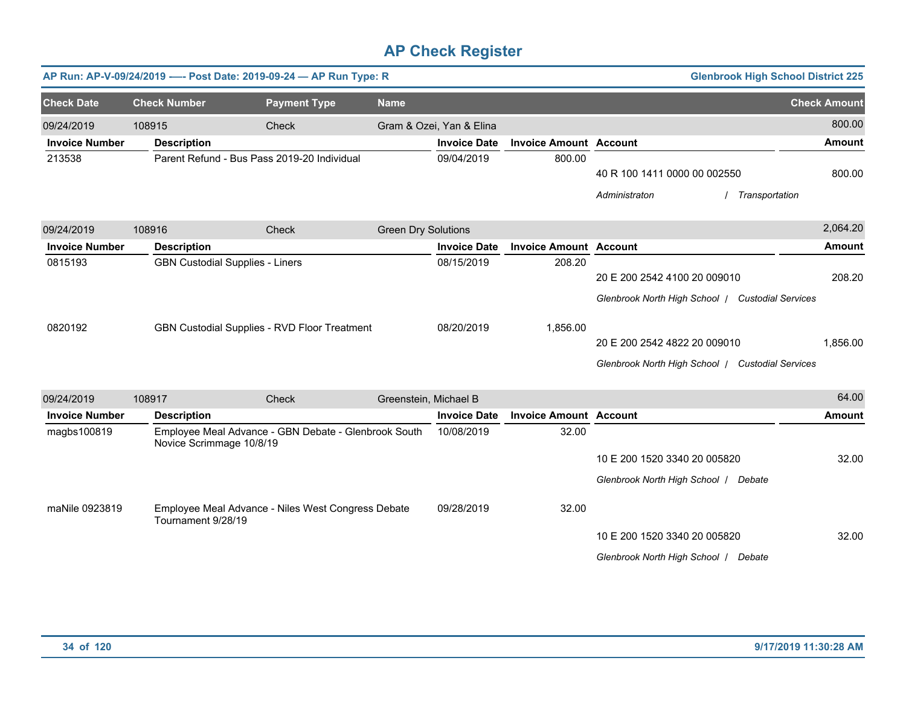|                       |                                        | AP Run: AP-V-09/24/2019 ---- Post Date: 2019-09-24 - AP Run Type: R |                            |                          |                               |                                                                                  |                | <b>Glenbrook High School District 225</b> |
|-----------------------|----------------------------------------|---------------------------------------------------------------------|----------------------------|--------------------------|-------------------------------|----------------------------------------------------------------------------------|----------------|-------------------------------------------|
| <b>Check Date</b>     | <b>Check Number</b>                    | <b>Payment Type</b>                                                 | <b>Name</b>                |                          |                               |                                                                                  |                | <b>Check Amount</b>                       |
| 09/24/2019            | 108915                                 | Check                                                               |                            | Gram & Ozei, Yan & Elina |                               |                                                                                  |                | 800.00                                    |
| <b>Invoice Number</b> | <b>Description</b>                     |                                                                     |                            | <b>Invoice Date</b>      | <b>Invoice Amount Account</b> |                                                                                  |                | <b>Amount</b>                             |
| 213538                |                                        | Parent Refund - Bus Pass 2019-20 Individual                         |                            | 09/04/2019               | 800.00                        | 40 R 100 1411 0000 00 002550<br>Administraton                                    | Transportation | 800.00                                    |
| 09/24/2019            | 108916                                 | Check                                                               | <b>Green Dry Solutions</b> |                          |                               |                                                                                  |                | 2,064.20                                  |
| <b>Invoice Number</b> | <b>Description</b>                     |                                                                     |                            | <b>Invoice Date</b>      | <b>Invoice Amount Account</b> |                                                                                  |                | <b>Amount</b>                             |
| 0815193               | <b>GBN Custodial Supplies - Liners</b> |                                                                     |                            | 08/15/2019               | 208.20                        | 20 E 200 2542 4100 20 009010<br>Glenbrook North High School   Custodial Services |                | 208.20                                    |
| 0820192               |                                        | GBN Custodial Supplies - RVD Floor Treatment                        |                            | 08/20/2019               | 1,856.00                      | 20 E 200 2542 4822 20 009010<br>Glenbrook North High School / Custodial Services |                | 1,856.00                                  |
| 09/24/2019            | 108917                                 | Check                                                               | Greenstein, Michael B      |                          |                               |                                                                                  |                | 64.00                                     |
| <b>Invoice Number</b> | <b>Description</b>                     |                                                                     |                            | <b>Invoice Date</b>      | <b>Invoice Amount Account</b> |                                                                                  |                | <b>Amount</b>                             |
| magbs100819           | Novice Scrimmage 10/8/19               | Employee Meal Advance - GBN Debate - Glenbrook South                |                            | 10/08/2019               | 32.00                         | 10 E 200 1520 3340 20 005820<br>Glenbrook North High School   Debate             |                | 32.00                                     |
| maNile 0923819        | Tournament 9/28/19                     | Employee Meal Advance - Niles West Congress Debate                  |                            | 09/28/2019               | 32.00                         | 10 E 200 1520 3340 20 005820<br>Glenbrook North High School / Debate             |                | 32.00                                     |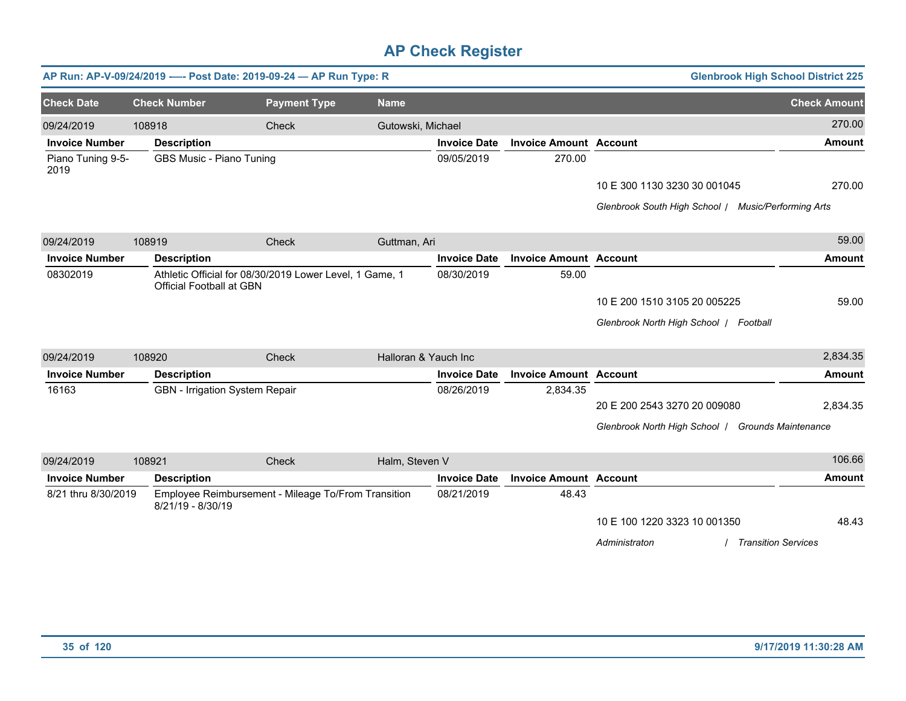|                           |        |                                 | AP Run: AP-V-09/24/2019 ---- Post Date: 2019-09-24 - AP Run Type: R |                      |                     |                               |                                                     | <b>Glenbrook High School District 225</b> |
|---------------------------|--------|---------------------------------|---------------------------------------------------------------------|----------------------|---------------------|-------------------------------|-----------------------------------------------------|-------------------------------------------|
| <b>Check Date</b>         |        | <b>Check Number</b>             | <b>Payment Type</b>                                                 | <b>Name</b>          |                     |                               |                                                     | <b>Check Amount</b>                       |
| 09/24/2019                | 108918 |                                 | Check                                                               | Gutowski, Michael    |                     |                               |                                                     | 270.00                                    |
| <b>Invoice Number</b>     |        | <b>Description</b>              |                                                                     |                      | <b>Invoice Date</b> | <b>Invoice Amount Account</b> |                                                     | <b>Amount</b>                             |
| Piano Tuning 9-5-<br>2019 |        | GBS Music - Piano Tuning        |                                                                     |                      | 09/05/2019          | 270.00                        |                                                     |                                           |
|                           |        |                                 |                                                                     |                      |                     |                               | 10 E 300 1130 3230 30 001045                        | 270.00                                    |
|                           |        |                                 |                                                                     |                      |                     |                               | Glenbrook South High School / Music/Performing Arts |                                           |
| 09/24/2019                | 108919 |                                 | Check                                                               | Guttman, Ari         |                     |                               |                                                     | 59.00                                     |
| <b>Invoice Number</b>     |        | <b>Description</b>              |                                                                     |                      | <b>Invoice Date</b> | <b>Invoice Amount Account</b> |                                                     | <b>Amount</b>                             |
| 08302019                  |        | <b>Official Football at GBN</b> | Athletic Official for 08/30/2019 Lower Level, 1 Game, 1             |                      | 08/30/2019          | 59.00                         |                                                     |                                           |
|                           |        |                                 |                                                                     |                      |                     |                               | 10 E 200 1510 3105 20 005225                        | 59.00                                     |
|                           |        |                                 |                                                                     |                      |                     |                               | Glenbrook North High School   Football              |                                           |
| 09/24/2019                | 108920 |                                 | Check                                                               | Halloran & Yauch Inc |                     |                               |                                                     | 2,834.35                                  |
| <b>Invoice Number</b>     |        | <b>Description</b>              |                                                                     |                      | <b>Invoice Date</b> | <b>Invoice Amount Account</b> |                                                     | <b>Amount</b>                             |
| 16163                     |        | GBN - Irrigation System Repair  |                                                                     |                      | 08/26/2019          | 2,834.35                      |                                                     |                                           |
|                           |        |                                 |                                                                     |                      |                     |                               | 20 E 200 2543 3270 20 009080                        | 2,834.35                                  |
|                           |        |                                 |                                                                     |                      |                     |                               | Glenbrook North High School / Grounds Maintenance   |                                           |
| 09/24/2019                | 108921 |                                 | Check                                                               | Halm, Steven V       |                     |                               |                                                     | 106.66                                    |
| <b>Invoice Number</b>     |        | <b>Description</b>              |                                                                     |                      | <b>Invoice Date</b> | <b>Invoice Amount Account</b> |                                                     | Amount                                    |
| 8/21 thru 8/30/2019       |        | 8/21/19 - 8/30/19               | Employee Reimbursement - Mileage To/From Transition                 |                      | 08/21/2019          | 48.43                         |                                                     |                                           |
|                           |        |                                 |                                                                     |                      |                     |                               | 10 E 100 1220 3323 10 001350                        | 48.43                                     |
|                           |        |                                 |                                                                     |                      |                     |                               | Administraton                                       | <b>Transition Services</b>                |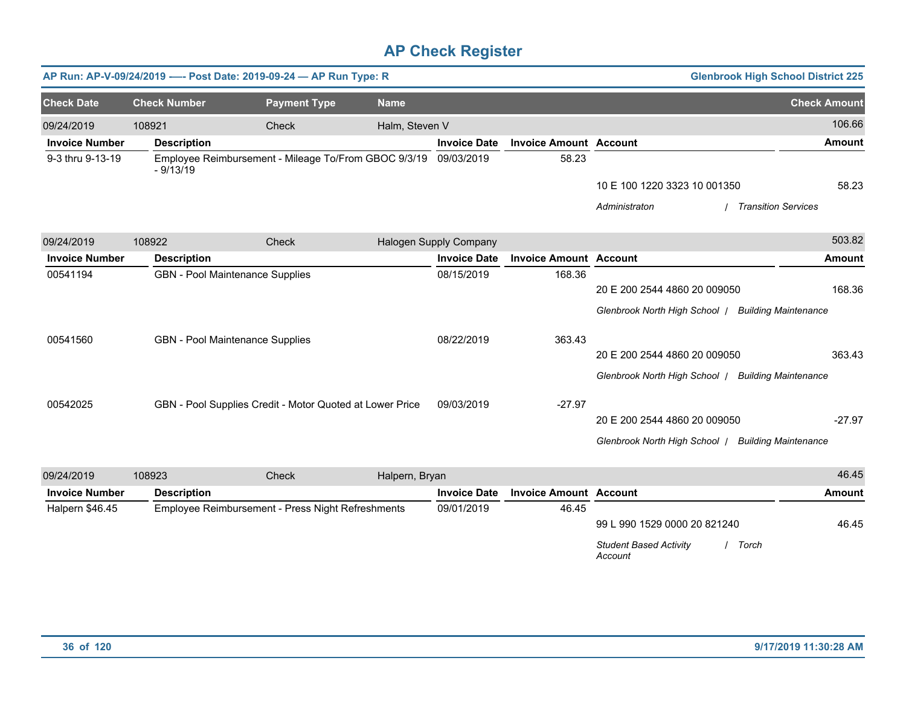|                       |                     | AP Run: AP-V-09/24/2019 ---- Post Date: 2019-09-24 - AP Run Type: R |                |                        |                               |                                                     | <b>Glenbrook High School District 225</b> |
|-----------------------|---------------------|---------------------------------------------------------------------|----------------|------------------------|-------------------------------|-----------------------------------------------------|-------------------------------------------|
| <b>Check Date</b>     | <b>Check Number</b> | <b>Payment Type</b>                                                 | <b>Name</b>    |                        |                               |                                                     | <b>Check Amount</b>                       |
| 09/24/2019            | 108921              | Check                                                               | Halm, Steven V |                        |                               |                                                     | 106.66                                    |
| <b>Invoice Number</b> | <b>Description</b>  |                                                                     |                | <b>Invoice Date</b>    | <b>Invoice Amount Account</b> |                                                     | <b>Amount</b>                             |
| 9-3 thru 9-13-19      | $-9/13/19$          | Employee Reimbursement - Mileage To/From GBOC 9/3/19                |                | 09/03/2019             | 58.23                         |                                                     |                                           |
|                       |                     |                                                                     |                |                        |                               | 10 E 100 1220 3323 10 001350                        | 58.23                                     |
|                       |                     |                                                                     |                |                        |                               | Administraton                                       | / Transition Services                     |
| 09/24/2019            | 108922              | Check                                                               |                | Halogen Supply Company |                               |                                                     | 503.82                                    |
| <b>Invoice Number</b> | <b>Description</b>  |                                                                     |                | <b>Invoice Date</b>    | <b>Invoice Amount Account</b> |                                                     | <b>Amount</b>                             |
| 00541194              |                     | <b>GBN</b> - Pool Maintenance Supplies                              |                | 08/15/2019             | 168.36                        |                                                     |                                           |
|                       |                     |                                                                     |                |                        |                               | 20 E 200 2544 4860 20 009050                        | 168.36                                    |
|                       |                     |                                                                     |                |                        |                               | Glenbrook North High School   Building Maintenance  |                                           |
| 00541560              |                     | <b>GBN</b> - Pool Maintenance Supplies                              |                | 08/22/2019             | 363.43                        |                                                     |                                           |
|                       |                     |                                                                     |                |                        |                               | 20 E 200 2544 4860 20 009050                        | 363.43                                    |
|                       |                     |                                                                     |                |                        |                               | Glenbrook North High School   Building Maintenance  |                                           |
|                       |                     |                                                                     |                |                        |                               |                                                     |                                           |
| 00542025              |                     | GBN - Pool Supplies Credit - Motor Quoted at Lower Price            |                | 09/03/2019             | $-27.97$                      |                                                     |                                           |
|                       |                     |                                                                     |                |                        |                               | 20 E 200 2544 4860 20 009050                        | $-27.97$                                  |
|                       |                     |                                                                     |                |                        |                               | Glenbrook North High School / Building Maintenance  |                                           |
| 09/24/2019            | 108923              | <b>Check</b>                                                        | Halpern, Bryan |                        |                               |                                                     | 46.45                                     |
| <b>Invoice Number</b> | <b>Description</b>  |                                                                     |                | <b>Invoice Date</b>    | <b>Invoice Amount Account</b> |                                                     | Amount                                    |
| Halpern \$46.45       |                     | Employee Reimbursement - Press Night Refreshments                   |                | 09/01/2019             | 46.45                         |                                                     |                                           |
|                       |                     |                                                                     |                |                        |                               | 99 L 990 1529 0000 20 821240                        | 46.45                                     |
|                       |                     |                                                                     |                |                        |                               | <b>Student Based Activity</b><br>/ Torch<br>Account |                                           |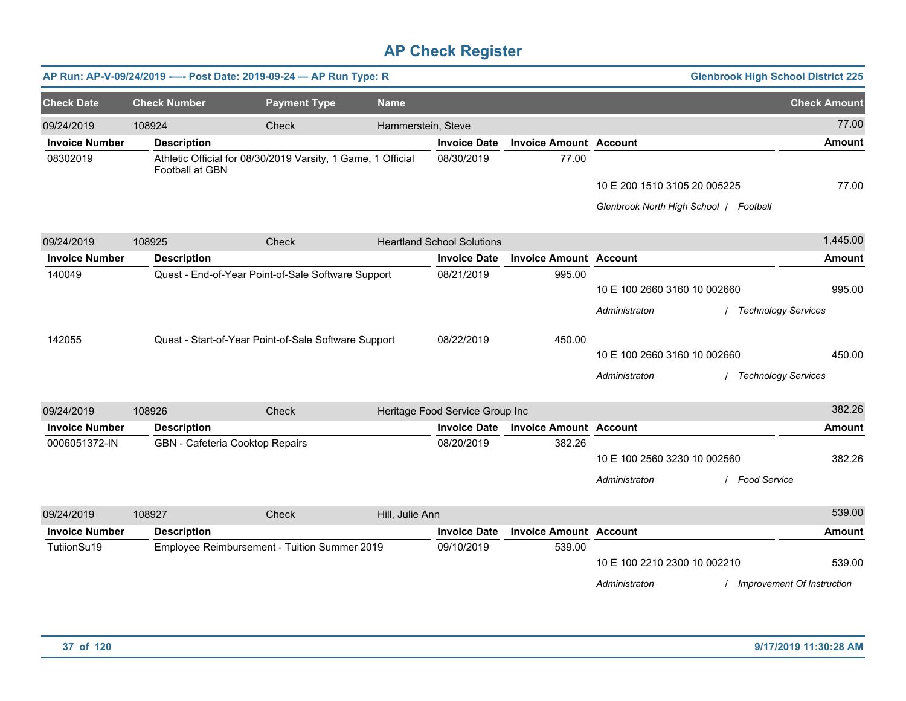|                       |                                 | AP Run: AP-V-09/24/2019 ---- Post Date: 2019-09-24 - AP Run Type: R |                    |                                   |                               |                              | <b>Glenbrook High School District 225</b> |                            |
|-----------------------|---------------------------------|---------------------------------------------------------------------|--------------------|-----------------------------------|-------------------------------|------------------------------|-------------------------------------------|----------------------------|
| <b>Check Date</b>     | <b>Check Number</b>             | <b>Payment Type</b>                                                 | <b>Name</b>        |                                   |                               |                              |                                           | <b>Check Amount</b>        |
| 09/24/2019            | 108924                          | Check                                                               | Hammerstein, Steve |                                   |                               |                              |                                           | 77.00                      |
| <b>Invoice Number</b> | <b>Description</b>              |                                                                     |                    | <b>Invoice Date</b>               | <b>Invoice Amount Account</b> |                              |                                           | <b>Amount</b>              |
| 08302019              | Football at GBN                 | Athletic Official for 08/30/2019 Varsity, 1 Game, 1 Official        |                    | 08/30/2019                        | 77.00                         |                              |                                           |                            |
|                       |                                 |                                                                     |                    |                                   |                               | 10 E 200 1510 3105 20 005225 |                                           | 77.00                      |
|                       |                                 |                                                                     |                    |                                   |                               |                              | Glenbrook North High School   Football    |                            |
| 09/24/2019            | 108925                          | Check                                                               |                    | <b>Heartland School Solutions</b> |                               |                              |                                           | 1,445.00                   |
| <b>Invoice Number</b> | <b>Description</b>              |                                                                     |                    | <b>Invoice Date</b>               | <b>Invoice Amount Account</b> |                              |                                           | <b>Amount</b>              |
| 140049                |                                 | Quest - End-of-Year Point-of-Sale Software Support                  |                    | 08/21/2019                        | 995.00                        |                              |                                           |                            |
|                       |                                 |                                                                     |                    |                                   |                               | 10 E 100 2660 3160 10 002660 |                                           | 995.00                     |
|                       |                                 |                                                                     |                    |                                   |                               | Administraton                | <b>Technology Services</b>                |                            |
| 142055                |                                 | Quest - Start-of-Year Point-of-Sale Software Support                |                    | 08/22/2019                        | 450.00                        |                              |                                           |                            |
|                       |                                 |                                                                     |                    |                                   |                               | 10 E 100 2660 3160 10 002660 |                                           | 450.00                     |
|                       |                                 |                                                                     |                    |                                   |                               | Administraton                | / Technology Services                     |                            |
| 09/24/2019            | 108926                          | Check                                                               |                    | Heritage Food Service Group Inc   |                               |                              |                                           | 382.26                     |
| <b>Invoice Number</b> | <b>Description</b>              |                                                                     |                    | <b>Invoice Date</b>               | <b>Invoice Amount Account</b> |                              |                                           | <b>Amount</b>              |
| 0006051372-IN         | GBN - Cafeteria Cooktop Repairs |                                                                     |                    | 08/20/2019                        | 382.26                        |                              |                                           |                            |
|                       |                                 |                                                                     |                    |                                   |                               | 10 E 100 2560 3230 10 002560 |                                           | 382.26                     |
|                       |                                 |                                                                     |                    |                                   |                               | Administraton                | / Food Service                            |                            |
| 09/24/2019            | 108927                          | Check                                                               | Hill, Julie Ann    |                                   |                               |                              |                                           | 539.00                     |
| <b>Invoice Number</b> | <b>Description</b>              |                                                                     |                    | <b>Invoice Date</b>               | <b>Invoice Amount Account</b> |                              |                                           | <b>Amount</b>              |
| TutiionSu19           |                                 | Employee Reimbursement - Tuition Summer 2019                        |                    | 09/10/2019                        | 539.00                        |                              |                                           |                            |
|                       |                                 |                                                                     |                    |                                   |                               | 10 E 100 2210 2300 10 002210 |                                           | 539.00                     |
|                       |                                 |                                                                     |                    |                                   |                               | Administraton                |                                           | Improvement Of Instruction |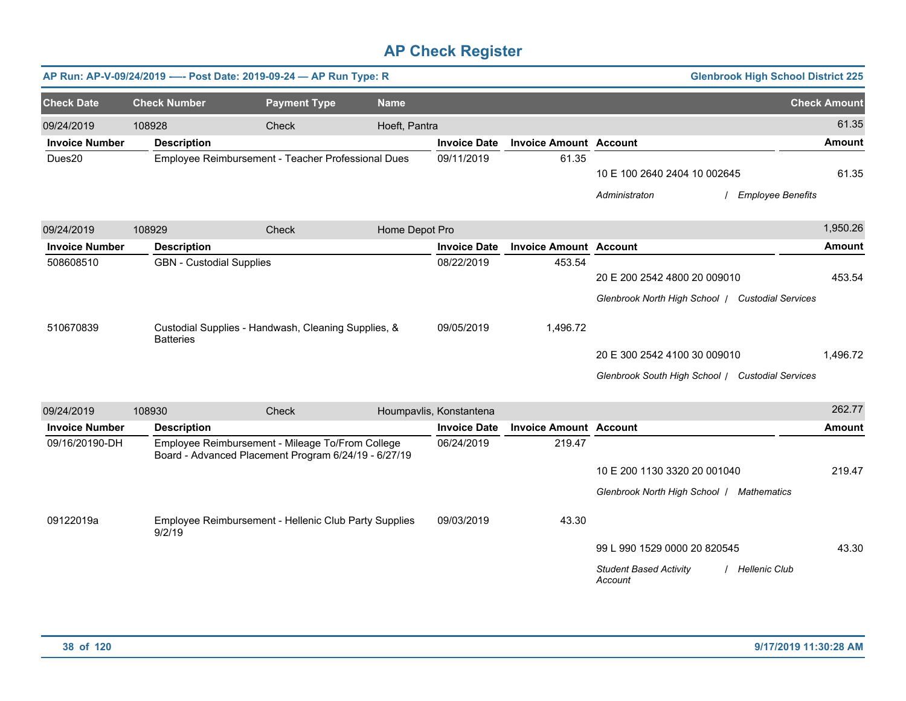|                             |                                 | AP Run: AP-V-09/24/2019 ---- Post Date: 2019-09-24 - AP Run Type: R                                                                                               |                |                          |                               |                                                                                  | <b>Glenbrook High School District 225</b> |                     |
|-----------------------------|---------------------------------|-------------------------------------------------------------------------------------------------------------------------------------------------------------------|----------------|--------------------------|-------------------------------|----------------------------------------------------------------------------------|-------------------------------------------|---------------------|
| <b>Check Date</b>           | <b>Check Number</b>             | <b>Payment Type</b>                                                                                                                                               | <b>Name</b>    |                          |                               |                                                                                  |                                           | <b>Check Amount</b> |
| 09/24/2019                  | 108928                          | Check                                                                                                                                                             | Hoeft, Pantra  |                          |                               |                                                                                  |                                           | 61.35               |
| <b>Invoice Number</b>       | <b>Description</b>              |                                                                                                                                                                   |                | <b>Invoice Date</b>      | <b>Invoice Amount Account</b> |                                                                                  |                                           | <b>Amount</b>       |
| Dues20                      |                                 | Employee Reimbursement - Teacher Professional Dues                                                                                                                |                | 09/11/2019               | 61.35                         | 10 E 100 2640 2404 10 002645<br>Administraton                                    | / Employee Benefits                       | 61.35               |
| 09/24/2019                  | 108929                          | <b>Check</b>                                                                                                                                                      | Home Depot Pro |                          |                               |                                                                                  |                                           | 1,950.26            |
| <b>Invoice Number</b>       | <b>Description</b>              |                                                                                                                                                                   |                | <b>Invoice Date</b>      | <b>Invoice Amount Account</b> |                                                                                  |                                           | <b>Amount</b>       |
| 508608510                   | <b>GBN</b> - Custodial Supplies |                                                                                                                                                                   |                | 08/22/2019               | 453.54                        | 20 E 200 2542 4800 20 009010<br>Glenbrook North High School   Custodial Services |                                           | 453.54              |
| 510670839                   | <b>Batteries</b>                | Custodial Supplies - Handwash, Cleaning Supplies, &                                                                                                               |                | 09/05/2019               | 1,496.72                      | 20 E 300 2542 4100 30 009010<br>Glenbrook South High School / Custodial Services |                                           | 1,496.72            |
| 09/24/2019                  | 108930                          | Check                                                                                                                                                             |                | Houmpavlis, Konstantena  |                               |                                                                                  |                                           | 262.77              |
| <b>Invoice Number</b>       | <b>Description</b>              |                                                                                                                                                                   |                | <b>Invoice Date</b>      | <b>Invoice Amount Account</b> |                                                                                  |                                           | <b>Amount</b>       |
| 09/16/20190-DH<br>09122019a | 9/2/19                          | Employee Reimbursement - Mileage To/From College<br>Board - Advanced Placement Program 6/24/19 - 6/27/19<br>Employee Reimbursement - Hellenic Club Party Supplies |                | 06/24/2019<br>09/03/2019 | 219.47<br>43.30               | 10 E 200 1130 3320 20 001040<br>Glenbrook North High School   Mathematics        |                                           | 219.47              |
|                             |                                 |                                                                                                                                                                   |                |                          |                               | 99 L 990 1529 0000 20 820545<br><b>Student Based Activity</b><br>Account         | / Hellenic Club                           | 43.30               |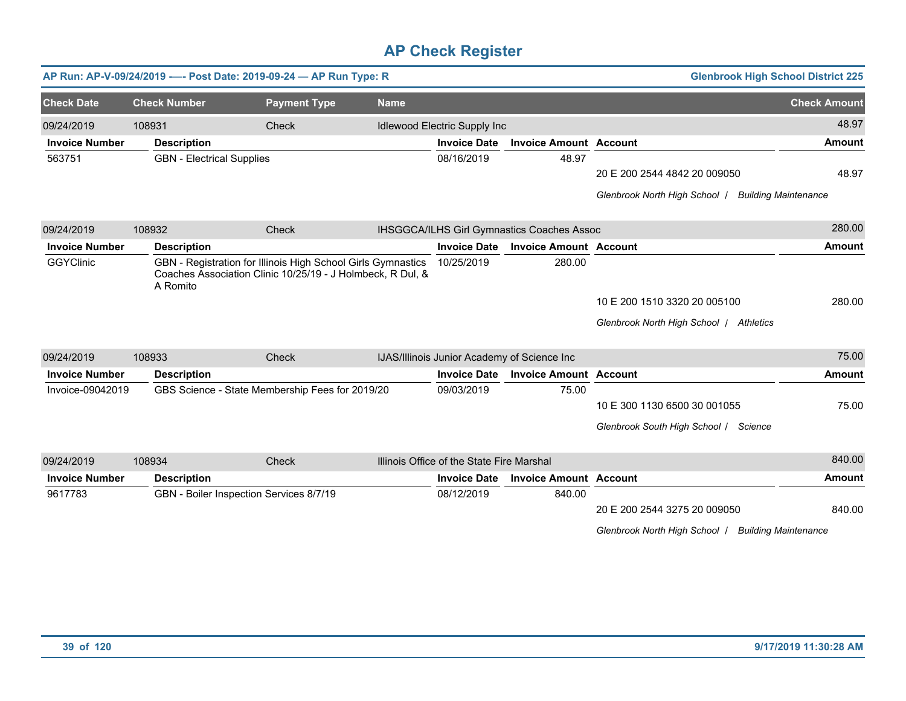|                                       | <b>Glenbrook High School District 225</b>                   |                                            |                                             |             |                                                                                                                            | AP Run: AP-V-09/24/2019 ---- Post Date: 2019-09-24 - AP Run Type: R |                       |
|---------------------------------------|-------------------------------------------------------------|--------------------------------------------|---------------------------------------------|-------------|----------------------------------------------------------------------------------------------------------------------------|---------------------------------------------------------------------|-----------------------|
| <b>Check Amount</b>                   |                                                             |                                            |                                             | <b>Name</b> | <b>Payment Type</b>                                                                                                        | <b>Check Number</b>                                                 | <b>Check Date</b>     |
| 48.97                                 |                                                             |                                            | Idlewood Electric Supply Inc                |             | Check                                                                                                                      | 108931                                                              | 09/24/2019            |
| <b>Amount</b>                         |                                                             | <b>Invoice Amount Account</b>              | <b>Invoice Date</b>                         |             |                                                                                                                            | <b>Description</b>                                                  | <b>Invoice Number</b> |
|                                       |                                                             | 48.97                                      | 08/16/2019                                  |             |                                                                                                                            | <b>GBN</b> - Electrical Supplies                                    | 563751                |
| 48.97                                 | 20 E 200 2544 4842 20 009050                                |                                            |                                             |             |                                                                                                                            |                                                                     |                       |
|                                       | Glenbrook North High School   Building Maintenance          |                                            |                                             |             |                                                                                                                            |                                                                     |                       |
| 280.00                                |                                                             | IHSGGCA/ILHS Girl Gymnastics Coaches Assoc |                                             |             | Check                                                                                                                      | 108932                                                              | 09/24/2019            |
| <b>Amount</b>                         |                                                             | <b>Invoice Amount Account</b>              | <b>Invoice Date</b>                         |             |                                                                                                                            | <b>Description</b>                                                  | <b>Invoice Number</b> |
|                                       |                                                             | 280.00                                     | 10/25/2019                                  |             | GBN - Registration for Illinois High School Girls Gymnastics<br>Coaches Association Clinic 10/25/19 - J Holmbeck, R Dul, & | A Romito                                                            | <b>GGYClinic</b>      |
| 280.00                                | 10 E 200 1510 3320 20 005100                                |                                            |                                             |             |                                                                                                                            |                                                                     |                       |
|                                       | Glenbrook North High School / Athletics                     |                                            |                                             |             |                                                                                                                            |                                                                     |                       |
| 75.00                                 |                                                             |                                            | IJAS/Illinois Junior Academy of Science Inc |             | Check                                                                                                                      | 108933                                                              | 09/24/2019            |
| <b>Amount</b>                         |                                                             | <b>Invoice Amount Account</b>              | <b>Invoice Date</b>                         |             |                                                                                                                            | <b>Description</b>                                                  | <b>Invoice Number</b> |
|                                       |                                                             | 75.00                                      | 09/03/2019                                  |             | GBS Science - State Membership Fees for 2019/20                                                                            |                                                                     | Invoice-09042019      |
| 75.00                                 | 10 E 300 1130 6500 30 001055                                |                                            |                                             |             |                                                                                                                            |                                                                     |                       |
|                                       | Glenbrook South High School / Science                       |                                            |                                             |             |                                                                                                                            |                                                                     |                       |
| 840.00                                |                                                             |                                            | Illinois Office of the State Fire Marshal   |             | Check                                                                                                                      | 108934                                                              | 09/24/2019            |
| <b>Amount</b>                         |                                                             | <b>Invoice Amount Account</b>              | <b>Invoice Date</b>                         |             |                                                                                                                            | <b>Description</b>                                                  | <b>Invoice Number</b> |
| 840.00<br><b>Building Maintenance</b> | 20 E 200 2544 3275 20 009050<br>Glenbrook North High School | 840.00                                     | 08/12/2019                                  |             |                                                                                                                            | GBN - Boiler Inspection Services 8/7/19                             | 9617783               |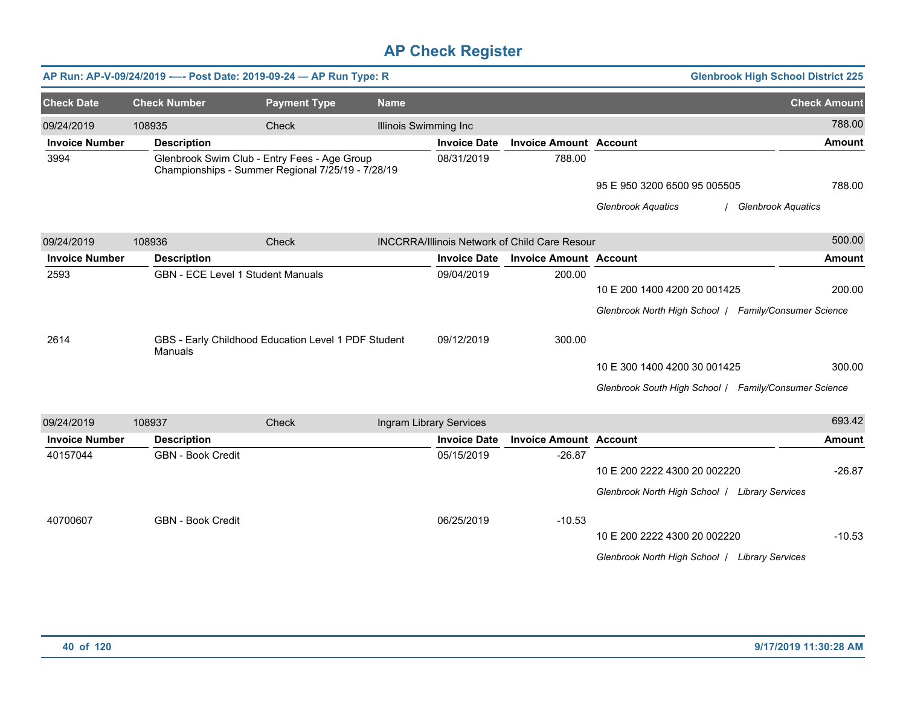|                       |                          | AP Run: AP-V-09/24/2019 ---- Post Date: 2019-09-24 - AP Run Type: R                               |             |                         |                                                      |                                                       | <b>Glenbrook High School District 225</b> |
|-----------------------|--------------------------|---------------------------------------------------------------------------------------------------|-------------|-------------------------|------------------------------------------------------|-------------------------------------------------------|-------------------------------------------|
| <b>Check Date</b>     | <b>Check Number</b>      | <b>Payment Type</b>                                                                               | <b>Name</b> |                         |                                                      |                                                       | <b>Check Amount</b>                       |
| 09/24/2019            | 108935                   | Check                                                                                             |             | Illinois Swimming Inc   |                                                      |                                                       | 788.00                                    |
| <b>Invoice Number</b> | <b>Description</b>       |                                                                                                   |             | <b>Invoice Date</b>     | <b>Invoice Amount Account</b>                        |                                                       | <b>Amount</b>                             |
| 3994                  |                          | Glenbrook Swim Club - Entry Fees - Age Group<br>Championships - Summer Regional 7/25/19 - 7/28/19 |             | 08/31/2019              | 788.00                                               |                                                       |                                           |
|                       |                          |                                                                                                   |             |                         |                                                      | 95 E 950 3200 6500 95 005505                          | 788.00                                    |
|                       |                          |                                                                                                   |             |                         |                                                      | <b>Glenbrook Aquatics</b>                             | <b>Glenbrook Aquatics</b>                 |
| 09/24/2019            | 108936                   | Check                                                                                             |             |                         | <b>INCCRRA/Illinois Network of Child Care Resour</b> |                                                       | 500.00                                    |
| <b>Invoice Number</b> | <b>Description</b>       |                                                                                                   |             | <b>Invoice Date</b>     | <b>Invoice Amount Account</b>                        |                                                       | <b>Amount</b>                             |
| 2593                  |                          | <b>GBN - ECE Level 1 Student Manuals</b>                                                          |             | 09/04/2019              | 200.00                                               |                                                       |                                           |
|                       |                          |                                                                                                   |             |                         |                                                      | 10 E 200 1400 4200 20 001425                          | 200.00                                    |
|                       |                          |                                                                                                   |             |                         |                                                      | Glenbrook North High School   Family/Consumer Science |                                           |
| 2614                  | Manuals                  | GBS - Early Childhood Education Level 1 PDF Student                                               |             | 09/12/2019              | 300.00                                               |                                                       |                                           |
|                       |                          |                                                                                                   |             |                         |                                                      | 10 E 300 1400 4200 30 001425                          | 300.00                                    |
|                       |                          |                                                                                                   |             |                         |                                                      | Glenbrook South High School / Family/Consumer Science |                                           |
| 09/24/2019            | 108937                   | Check                                                                                             |             | Ingram Library Services |                                                      |                                                       | 693.42                                    |
| <b>Invoice Number</b> | <b>Description</b>       |                                                                                                   |             | <b>Invoice Date</b>     | <b>Invoice Amount Account</b>                        |                                                       | <b>Amount</b>                             |
| 40157044              | <b>GBN - Book Credit</b> |                                                                                                   |             | 05/15/2019              | $-26.87$                                             |                                                       |                                           |
|                       |                          |                                                                                                   |             |                         |                                                      | 10 E 200 2222 4300 20 002220                          | $-26.87$                                  |
|                       |                          |                                                                                                   |             |                         |                                                      | Glenbrook North High School   Library Services        |                                           |
| 40700607              | <b>GBN - Book Credit</b> |                                                                                                   |             | 06/25/2019              | $-10.53$                                             |                                                       |                                           |
|                       |                          |                                                                                                   |             |                         |                                                      | 10 E 200 2222 4300 20 002220                          | $-10.53$                                  |
|                       |                          |                                                                                                   |             |                         |                                                      | Glenbrook North High School   Library Services        |                                           |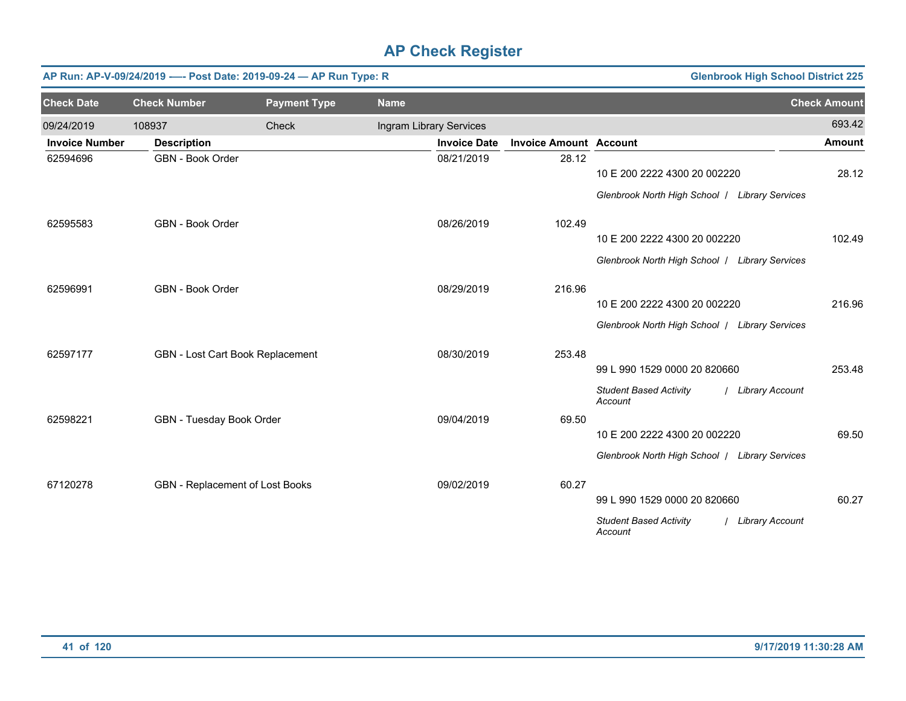|                       |                                 | AP Run: AP-V-09/24/2019 ---- Post Date: 2019-09-24 - AP Run Type: R |                         | <b>Glenbrook High School District 225</b> |                               |                                                               |                     |
|-----------------------|---------------------------------|---------------------------------------------------------------------|-------------------------|-------------------------------------------|-------------------------------|---------------------------------------------------------------|---------------------|
| <b>Check Date</b>     | <b>Check Number</b>             | <b>Payment Type</b>                                                 | <b>Name</b>             |                                           |                               |                                                               | <b>Check Amount</b> |
| 09/24/2019            | 108937                          | Check                                                               | Ingram Library Services |                                           |                               |                                                               | 693.42              |
| <b>Invoice Number</b> | <b>Description</b>              |                                                                     |                         | <b>Invoice Date</b>                       | <b>Invoice Amount Account</b> |                                                               | <b>Amount</b>       |
| 62594696              | GBN - Book Order                |                                                                     |                         | 08/21/2019                                | 28.12                         | 10 E 200 2222 4300 20 002220                                  | 28.12               |
|                       |                                 |                                                                     |                         |                                           |                               | Glenbrook North High School   Library Services                |                     |
| 62595583              | GBN - Book Order                |                                                                     |                         | 08/26/2019                                | 102.49                        |                                                               |                     |
|                       |                                 |                                                                     |                         |                                           |                               | 10 E 200 2222 4300 20 002220                                  | 102.49              |
|                       |                                 |                                                                     |                         |                                           |                               | Glenbrook North High School   Library Services                |                     |
| 62596991              | GBN - Book Order                |                                                                     |                         | 08/29/2019                                | 216.96                        |                                                               |                     |
|                       |                                 |                                                                     |                         |                                           |                               | 10 E 200 2222 4300 20 002220                                  | 216.96              |
|                       |                                 |                                                                     |                         |                                           |                               | Glenbrook North High School   Library Services                |                     |
| 62597177              |                                 | GBN - Lost Cart Book Replacement                                    |                         | 08/30/2019                                | 253.48                        |                                                               |                     |
|                       |                                 |                                                                     |                         |                                           |                               | 99 L 990 1529 0000 20 820660                                  | 253.48              |
|                       |                                 |                                                                     |                         |                                           |                               | <b>Student Based Activity</b><br>/ Library Account<br>Account |                     |
| 62598221              | GBN - Tuesday Book Order        |                                                                     |                         | 09/04/2019                                | 69.50                         |                                                               |                     |
|                       |                                 |                                                                     |                         |                                           |                               | 10 E 200 2222 4300 20 002220                                  | 69.50               |
|                       |                                 |                                                                     |                         |                                           |                               | Glenbrook North High School   Library Services                |                     |
| 67120278              | GBN - Replacement of Lost Books |                                                                     |                         | 09/02/2019                                | 60.27                         |                                                               |                     |
|                       |                                 |                                                                     |                         |                                           |                               | 99 L 990 1529 0000 20 820660                                  | 60.27               |
|                       |                                 |                                                                     |                         |                                           |                               | <b>Student Based Activity</b><br>/ Library Account<br>Account |                     |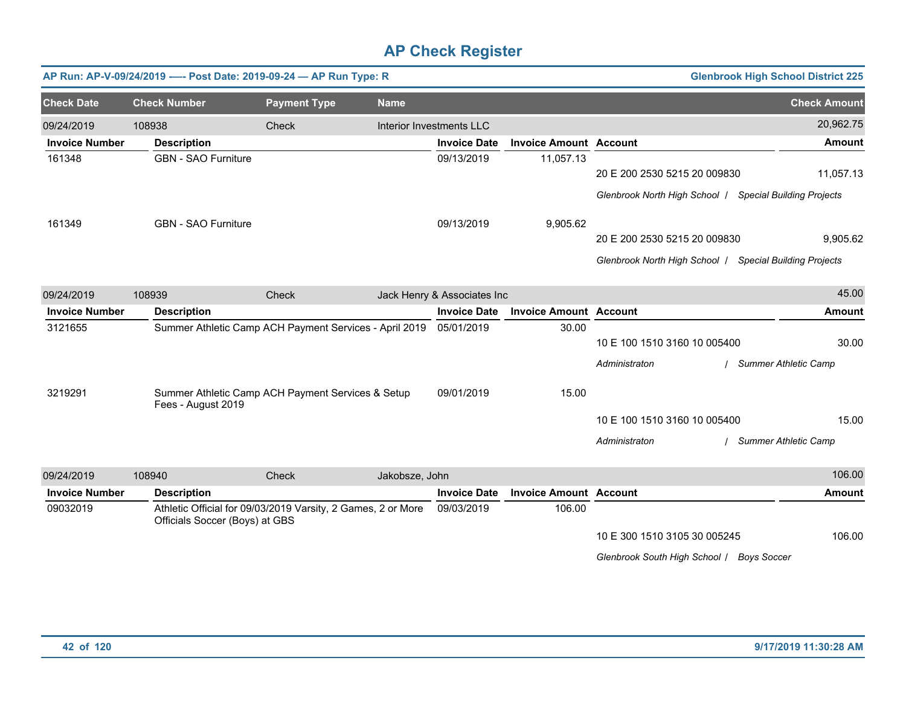|                       | AP Run: AP-V-09/24/2019 ---- Post Date: 2019-09-24 - AP Run Type: R |                                                              |                |                             |                               |                                                                                         | <b>Glenbrook High School District 225</b> |
|-----------------------|---------------------------------------------------------------------|--------------------------------------------------------------|----------------|-----------------------------|-------------------------------|-----------------------------------------------------------------------------------------|-------------------------------------------|
| <b>Check Date</b>     | <b>Check Number</b>                                                 | <b>Payment Type</b>                                          | <b>Name</b>    |                             |                               |                                                                                         | <b>Check Amount</b>                       |
| 09/24/2019            | 108938                                                              | Check                                                        |                | Interior Investments LLC    |                               |                                                                                         | 20,962.75                                 |
| <b>Invoice Number</b> | <b>Description</b>                                                  |                                                              |                | <b>Invoice Date</b>         | <b>Invoice Amount Account</b> |                                                                                         | <b>Amount</b>                             |
| 161348                | <b>GBN - SAO Furniture</b>                                          |                                                              |                | 09/13/2019                  | 11,057.13                     | 20 E 200 2530 5215 20 009830                                                            | 11,057.13                                 |
|                       |                                                                     |                                                              |                |                             |                               | Glenbrook North High School   Special Building Projects                                 |                                           |
| 161349                | <b>GBN - SAO Furniture</b>                                          |                                                              |                | 09/13/2019                  | 9,905.62                      |                                                                                         |                                           |
|                       |                                                                     |                                                              |                |                             |                               | 20 E 200 2530 5215 20 009830<br>Glenbrook North High School   Special Building Projects | 9,905.62                                  |
|                       |                                                                     |                                                              |                |                             |                               |                                                                                         |                                           |
| 09/24/2019            | 108939                                                              | Check                                                        |                | Jack Henry & Associates Inc |                               |                                                                                         | 45.00                                     |
| <b>Invoice Number</b> | <b>Description</b>                                                  |                                                              |                | <b>Invoice Date</b>         | <b>Invoice Amount Account</b> |                                                                                         | <b>Amount</b>                             |
| 3121655               |                                                                     | Summer Athletic Camp ACH Payment Services - April 2019       |                | 05/01/2019                  | 30.00                         |                                                                                         |                                           |
|                       |                                                                     |                                                              |                |                             |                               | 10 E 100 1510 3160 10 005400                                                            | 30.00                                     |
|                       |                                                                     |                                                              |                |                             |                               | Administraton                                                                           | <b>Summer Athletic Camp</b>               |
| 3219291               | Fees - August 2019                                                  | Summer Athletic Camp ACH Payment Services & Setup            |                | 09/01/2019                  | 15.00                         |                                                                                         |                                           |
|                       |                                                                     |                                                              |                |                             |                               | 10 E 100 1510 3160 10 005400                                                            | 15.00                                     |
|                       |                                                                     |                                                              |                |                             |                               | Administraton                                                                           | <b>Summer Athletic Camp</b>               |
| 09/24/2019            | 108940                                                              | Check                                                        | Jakobsze, John |                             |                               |                                                                                         | 106.00                                    |
| <b>Invoice Number</b> | <b>Description</b>                                                  |                                                              |                | <b>Invoice Date</b>         | <b>Invoice Amount Account</b> |                                                                                         | <b>Amount</b>                             |
| 09032019              | Officials Soccer (Boys) at GBS                                      | Athletic Official for 09/03/2019 Varsity, 2 Games, 2 or More |                | 09/03/2019                  | 106.00                        |                                                                                         |                                           |
|                       |                                                                     |                                                              |                |                             |                               | 10 E 300 1510 3105 30 005245                                                            | 106.00                                    |
|                       |                                                                     |                                                              |                |                             |                               | Glenbrook South High School / Boys Soccer                                               |                                           |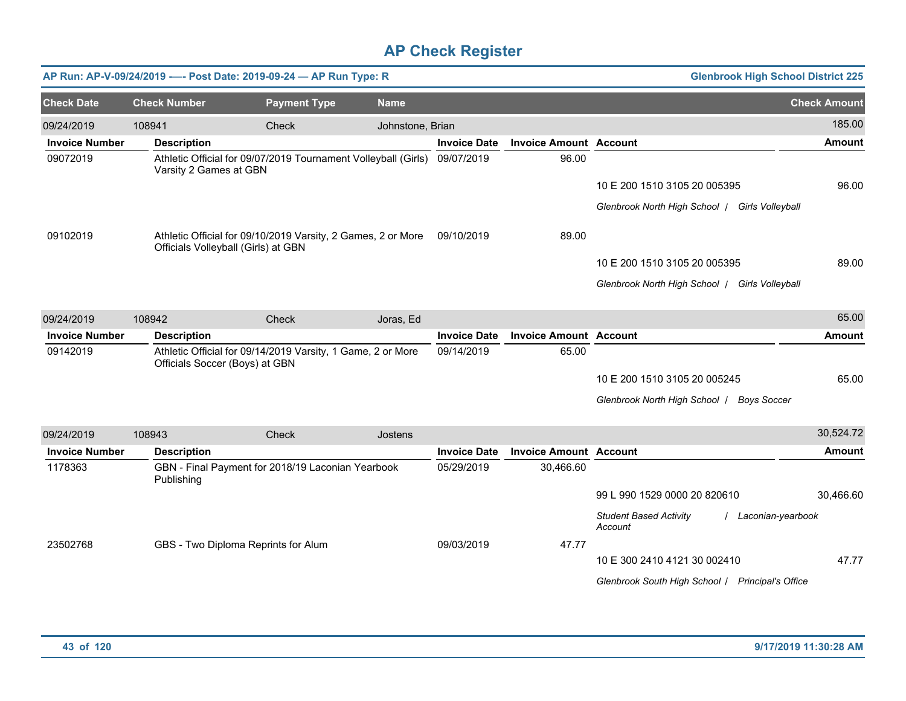|                       |                        | AP Run: AP-V-09/24/2019 ---- Post Date: 2019-09-24 - AP Run Type: R                                 |                  |                     |                               | <b>Glenbrook High School District 225</b>                       |                     |
|-----------------------|------------------------|-----------------------------------------------------------------------------------------------------|------------------|---------------------|-------------------------------|-----------------------------------------------------------------|---------------------|
| <b>Check Date</b>     | <b>Check Number</b>    | <b>Payment Type</b>                                                                                 | <b>Name</b>      |                     |                               |                                                                 | <b>Check Amount</b> |
| 09/24/2019            | 108941                 | Check                                                                                               | Johnstone, Brian |                     |                               |                                                                 | 185.00              |
| <b>Invoice Number</b> | <b>Description</b>     |                                                                                                     |                  | <b>Invoice Date</b> | <b>Invoice Amount Account</b> |                                                                 | <b>Amount</b>       |
| 09072019              | Varsity 2 Games at GBN | Athletic Official for 09/07/2019 Tournament Volleyball (Girls) 09/07/2019                           |                  |                     | 96.00                         |                                                                 |                     |
|                       |                        |                                                                                                     |                  |                     |                               | 10 E 200 1510 3105 20 005395                                    | 96.00               |
|                       |                        |                                                                                                     |                  |                     |                               | Glenbrook North High School   Girls Volleyball                  |                     |
| 09102019              |                        | Athletic Official for 09/10/2019 Varsity, 2 Games, 2 or More<br>Officials Volleyball (Girls) at GBN |                  | 09/10/2019          | 89.00                         |                                                                 |                     |
|                       |                        |                                                                                                     |                  |                     |                               | 10 E 200 1510 3105 20 005395                                    | 89.00               |
|                       |                        |                                                                                                     |                  |                     |                               | Glenbrook North High School   Girls Volleyball                  |                     |
| 09/24/2019            | 108942                 | Check                                                                                               | Joras, Ed        |                     |                               |                                                                 | 65.00               |
| <b>Invoice Number</b> | <b>Description</b>     |                                                                                                     |                  | <b>Invoice Date</b> | <b>Invoice Amount Account</b> |                                                                 | <b>Amount</b>       |
| 09142019              |                        | Athletic Official for 09/14/2019 Varsity, 1 Game, 2 or More<br>Officials Soccer (Boys) at GBN       |                  | 09/14/2019          | 65.00                         |                                                                 |                     |
|                       |                        |                                                                                                     |                  |                     |                               | 10 E 200 1510 3105 20 005245                                    | 65.00               |
|                       |                        |                                                                                                     |                  |                     |                               | Glenbrook North High School   Boys Soccer                       |                     |
| 09/24/2019            | 108943                 | Check                                                                                               | Jostens          |                     |                               |                                                                 | 30,524.72           |
| <b>Invoice Number</b> | <b>Description</b>     |                                                                                                     |                  | <b>Invoice Date</b> | <b>Invoice Amount Account</b> |                                                                 | Amount              |
| 1178363               | Publishing             | GBN - Final Payment for 2018/19 Laconian Yearbook                                                   |                  | 05/29/2019          | 30,466.60                     |                                                                 |                     |
|                       |                        |                                                                                                     |                  |                     |                               | 99 L 990 1529 0000 20 820610                                    | 30,466.60           |
|                       |                        |                                                                                                     |                  |                     |                               | <b>Student Based Activity</b><br>/ Laconian-yearbook<br>Account |                     |
| 23502768              |                        | GBS - Two Diploma Reprints for Alum                                                                 |                  | 09/03/2019          | 47.77                         |                                                                 |                     |
|                       |                        |                                                                                                     |                  |                     |                               | 10 E 300 2410 4121 30 002410                                    | 47.77               |
|                       |                        |                                                                                                     |                  |                     |                               | Glenbrook South High School / Principal's Office                |                     |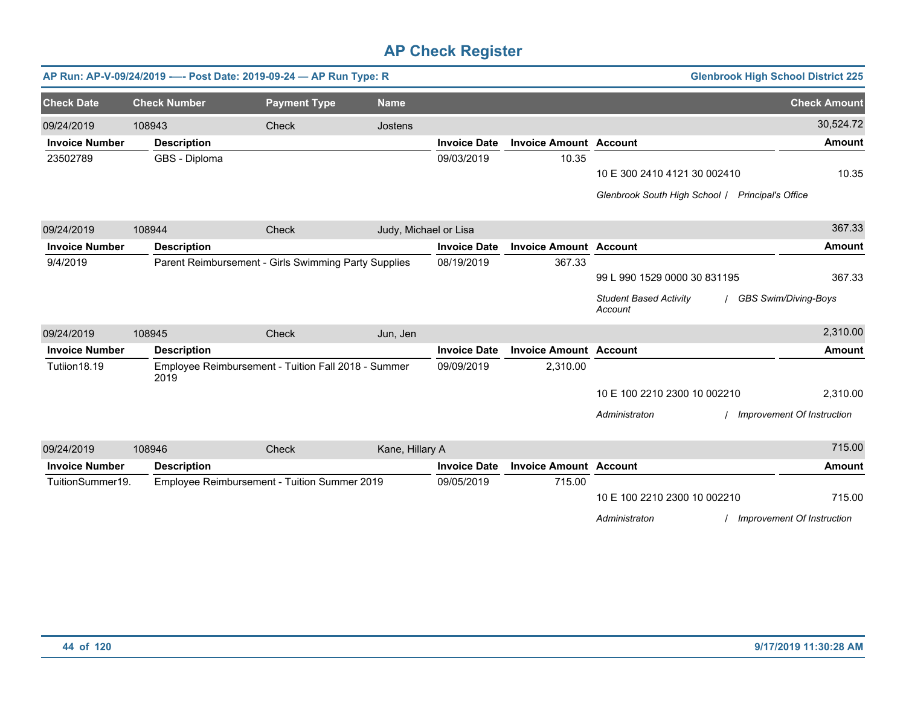|                       |                     | AP Run: AP-V-09/24/2019 ---- Post Date: 2019-09-24 - AP Run Type: R |                       |                     |                               |                                                  | <b>Glenbrook High School District 225</b> |
|-----------------------|---------------------|---------------------------------------------------------------------|-----------------------|---------------------|-------------------------------|--------------------------------------------------|-------------------------------------------|
| <b>Check Date</b>     | <b>Check Number</b> | <b>Payment Type</b>                                                 | <b>Name</b>           |                     |                               |                                                  | <b>Check Amount</b>                       |
| 09/24/2019            | 108943              | Check                                                               | Jostens               |                     |                               |                                                  | 30,524.72                                 |
| <b>Invoice Number</b> | <b>Description</b>  |                                                                     |                       | <b>Invoice Date</b> | <b>Invoice Amount Account</b> |                                                  | <b>Amount</b>                             |
| 23502789              | GBS - Diploma       |                                                                     |                       | 09/03/2019          | 10.35                         |                                                  |                                           |
|                       |                     |                                                                     |                       |                     |                               | 10 E 300 2410 4121 30 002410                     | 10.35                                     |
|                       |                     |                                                                     |                       |                     |                               | Glenbrook South High School / Principal's Office |                                           |
| 09/24/2019            | 108944              | Check                                                               | Judy, Michael or Lisa |                     |                               |                                                  | 367.33                                    |
| <b>Invoice Number</b> | <b>Description</b>  |                                                                     |                       | <b>Invoice Date</b> | <b>Invoice Amount Account</b> |                                                  | <b>Amount</b>                             |
| 9/4/2019              |                     | Parent Reimbursement - Girls Swimming Party Supplies                |                       | 08/19/2019          | 367.33                        |                                                  |                                           |
|                       |                     |                                                                     |                       |                     |                               | 99 L 990 1529 0000 30 831195                     | 367.33                                    |
|                       |                     |                                                                     |                       |                     |                               | <b>Student Based Activity</b><br>Account         | / GBS Swim/Diving-Boys                    |
| 09/24/2019            | 108945              | Check                                                               | Jun, Jen              |                     |                               |                                                  | 2,310.00                                  |
| <b>Invoice Number</b> | <b>Description</b>  |                                                                     |                       | <b>Invoice Date</b> | <b>Invoice Amount Account</b> |                                                  | <b>Amount</b>                             |
| Tutiion18.19          | 2019                | Employee Reimbursement - Tuition Fall 2018 - Summer                 |                       | 09/09/2019          | 2,310.00                      |                                                  |                                           |
|                       |                     |                                                                     |                       |                     |                               | 10 E 100 2210 2300 10 002210                     | 2,310.00                                  |
|                       |                     |                                                                     |                       |                     |                               | Administraton                                    | Improvement Of Instruction                |
| 09/24/2019            | 108946              | Check                                                               | Kane, Hillary A       |                     |                               |                                                  | 715.00                                    |
| <b>Invoice Number</b> | <b>Description</b>  |                                                                     |                       | <b>Invoice Date</b> | <b>Invoice Amount Account</b> |                                                  | <b>Amount</b>                             |
| TuitionSummer19.      |                     | Employee Reimbursement - Tuition Summer 2019                        |                       | 09/05/2019          | 715.00                        |                                                  |                                           |
|                       |                     |                                                                     |                       |                     |                               | 10 E 100 2210 2300 10 002210                     | 715.00                                    |
|                       |                     |                                                                     |                       |                     |                               | Administraton                                    | Improvement Of Instruction                |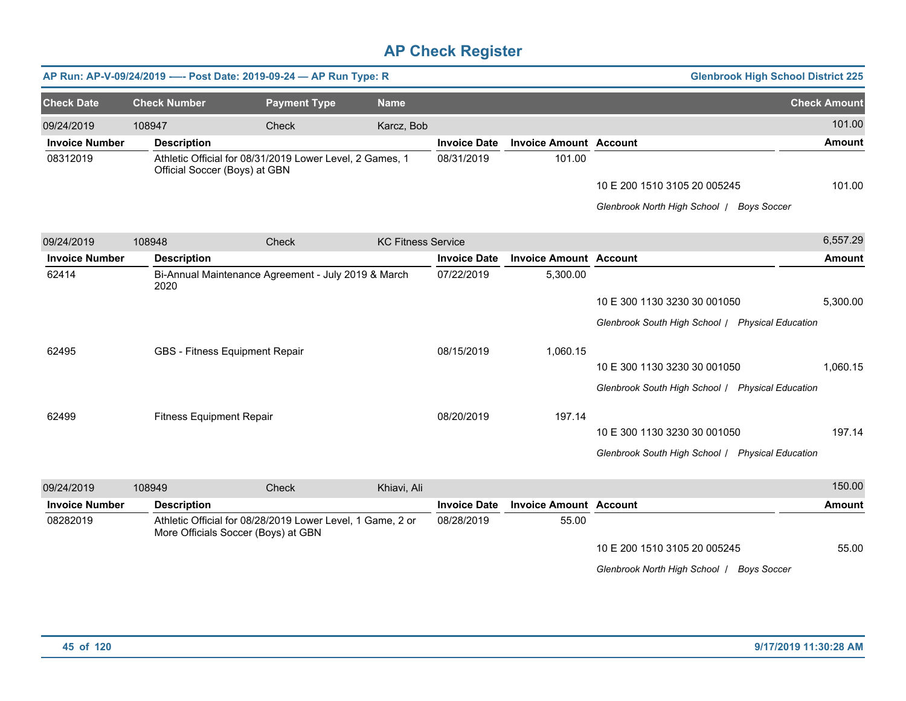|                       |                                 | AP Run: AP-V-09/24/2019 ---- Post Date: 2019-09-24 - AP Run Type: R                               |                           |                     |                               | <b>Glenbrook High School District 225</b>        |                     |
|-----------------------|---------------------------------|---------------------------------------------------------------------------------------------------|---------------------------|---------------------|-------------------------------|--------------------------------------------------|---------------------|
| <b>Check Date</b>     | <b>Check Number</b>             | <b>Payment Type</b>                                                                               | <b>Name</b>               |                     |                               |                                                  | <b>Check Amount</b> |
| 09/24/2019            | 108947                          | Check                                                                                             | Karcz, Bob                |                     |                               |                                                  | 101.00              |
| <b>Invoice Number</b> | <b>Description</b>              |                                                                                                   |                           | <b>Invoice Date</b> | <b>Invoice Amount Account</b> |                                                  | <b>Amount</b>       |
| 08312019              | Official Soccer (Boys) at GBN   | Athletic Official for 08/31/2019 Lower Level, 2 Games, 1                                          |                           | 08/31/2019          | 101.00                        |                                                  |                     |
|                       |                                 |                                                                                                   |                           |                     |                               | 10 E 200 1510 3105 20 005245                     | 101.00              |
|                       |                                 |                                                                                                   |                           |                     |                               | Glenbrook North High School   Boys Soccer        |                     |
| 09/24/2019            | 108948                          | Check                                                                                             | <b>KC Fitness Service</b> |                     |                               |                                                  | 6,557.29            |
| <b>Invoice Number</b> | <b>Description</b>              |                                                                                                   |                           | <b>Invoice Date</b> | <b>Invoice Amount Account</b> |                                                  | <b>Amount</b>       |
| 62414                 | 2020                            | Bi-Annual Maintenance Agreement - July 2019 & March                                               |                           | 07/22/2019          | 5,300.00                      |                                                  |                     |
|                       |                                 |                                                                                                   |                           |                     |                               | 10 E 300 1130 3230 30 001050                     | 5,300.00            |
|                       |                                 |                                                                                                   |                           |                     |                               | Glenbrook South High School / Physical Education |                     |
| 62495                 |                                 | GBS - Fitness Equipment Repair                                                                    |                           | 08/15/2019          | 1,060.15                      |                                                  |                     |
|                       |                                 |                                                                                                   |                           |                     |                               | 10 E 300 1130 3230 30 001050                     | 1,060.15            |
|                       |                                 |                                                                                                   |                           |                     |                               | Glenbrook South High School / Physical Education |                     |
| 62499                 | <b>Fitness Equipment Repair</b> |                                                                                                   |                           | 08/20/2019          | 197.14                        |                                                  |                     |
|                       |                                 |                                                                                                   |                           |                     |                               | 10 E 300 1130 3230 30 001050                     | 197.14              |
|                       |                                 |                                                                                                   |                           |                     |                               | Glenbrook South High School / Physical Education |                     |
| 09/24/2019            | 108949                          | Check                                                                                             | Khiavi, Ali               |                     |                               |                                                  | 150.00              |
| <b>Invoice Number</b> | <b>Description</b>              |                                                                                                   |                           | <b>Invoice Date</b> | <b>Invoice Amount Account</b> |                                                  | <b>Amount</b>       |
| 08282019              |                                 | Athletic Official for 08/28/2019 Lower Level, 1 Game, 2 or<br>More Officials Soccer (Boys) at GBN |                           | 08/28/2019          | 55.00                         |                                                  |                     |
|                       |                                 |                                                                                                   |                           |                     |                               | 10 E 200 1510 3105 20 005245                     | 55.00               |
|                       |                                 |                                                                                                   |                           |                     |                               | Glenbrook North High School   Boys Soccer        |                     |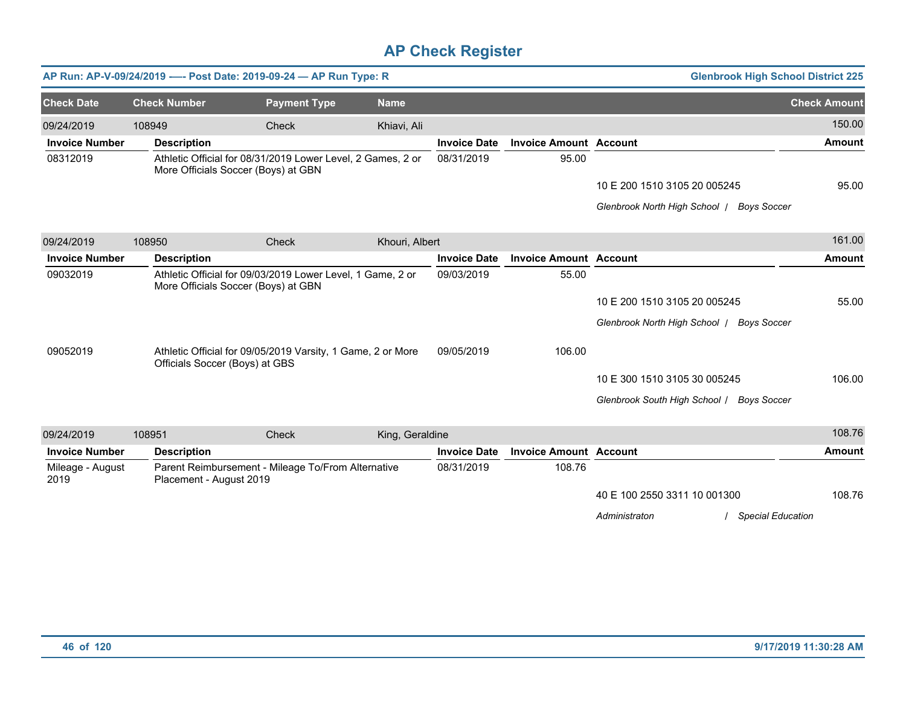|                          |                         | AP Run: AP-V-09/24/2019 ---- Post Date: 2019-09-24 - AP Run Type: R                                |                 |                     |                               | <b>Glenbrook High School District 225</b>           |                     |
|--------------------------|-------------------------|----------------------------------------------------------------------------------------------------|-----------------|---------------------|-------------------------------|-----------------------------------------------------|---------------------|
| <b>Check Date</b>        | <b>Check Number</b>     | <b>Payment Type</b>                                                                                | <b>Name</b>     |                     |                               |                                                     | <b>Check Amount</b> |
| 09/24/2019               | 108949                  | Check                                                                                              | Khiavi, Ali     |                     |                               |                                                     | 150.00              |
| <b>Invoice Number</b>    | <b>Description</b>      |                                                                                                    |                 | <b>Invoice Date</b> | <b>Invoice Amount Account</b> |                                                     | <b>Amount</b>       |
| 08312019                 |                         | Athletic Official for 08/31/2019 Lower Level, 2 Games, 2 or<br>More Officials Soccer (Boys) at GBN |                 | 08/31/2019          | 95.00                         |                                                     |                     |
|                          |                         |                                                                                                    |                 |                     |                               | 10 E 200 1510 3105 20 005245                        | 95.00               |
|                          |                         |                                                                                                    |                 |                     |                               | Glenbrook North High School /<br><b>Boys Soccer</b> |                     |
| 09/24/2019               | 108950                  | Check                                                                                              | Khouri, Albert  |                     |                               |                                                     | 161.00              |
| <b>Invoice Number</b>    | <b>Description</b>      |                                                                                                    |                 | <b>Invoice Date</b> | <b>Invoice Amount Account</b> |                                                     | <b>Amount</b>       |
| 09032019                 |                         | Athletic Official for 09/03/2019 Lower Level, 1 Game, 2 or<br>More Officials Soccer (Boys) at GBN  |                 | 09/03/2019          | 55.00                         |                                                     |                     |
|                          |                         |                                                                                                    |                 |                     |                               | 10 E 200 1510 3105 20 005245                        | 55.00               |
|                          |                         |                                                                                                    |                 |                     |                               | Glenbrook North High School /<br><b>Boys Soccer</b> |                     |
| 09052019                 |                         | Athletic Official for 09/05/2019 Varsity, 1 Game, 2 or More<br>Officials Soccer (Boys) at GBS      |                 | 09/05/2019          | 106.00                        |                                                     |                     |
|                          |                         |                                                                                                    |                 |                     |                               | 10 E 300 1510 3105 30 005245                        | 106.00              |
|                          |                         |                                                                                                    |                 |                     |                               | Glenbrook South High School / Boys Soccer           |                     |
| 09/24/2019               | 108951                  | Check                                                                                              | King, Geraldine |                     |                               |                                                     | 108.76              |
| <b>Invoice Number</b>    | <b>Description</b>      |                                                                                                    |                 | <b>Invoice Date</b> | <b>Invoice Amount Account</b> |                                                     | <b>Amount</b>       |
| Mileage - August<br>2019 | Placement - August 2019 | Parent Reimbursement - Mileage To/From Alternative                                                 |                 | 08/31/2019          | 108.76                        |                                                     |                     |
|                          |                         |                                                                                                    |                 |                     |                               | 40 E 100 2550 3311 10 001300                        | 108.76              |

*Administraton* / *Special Education*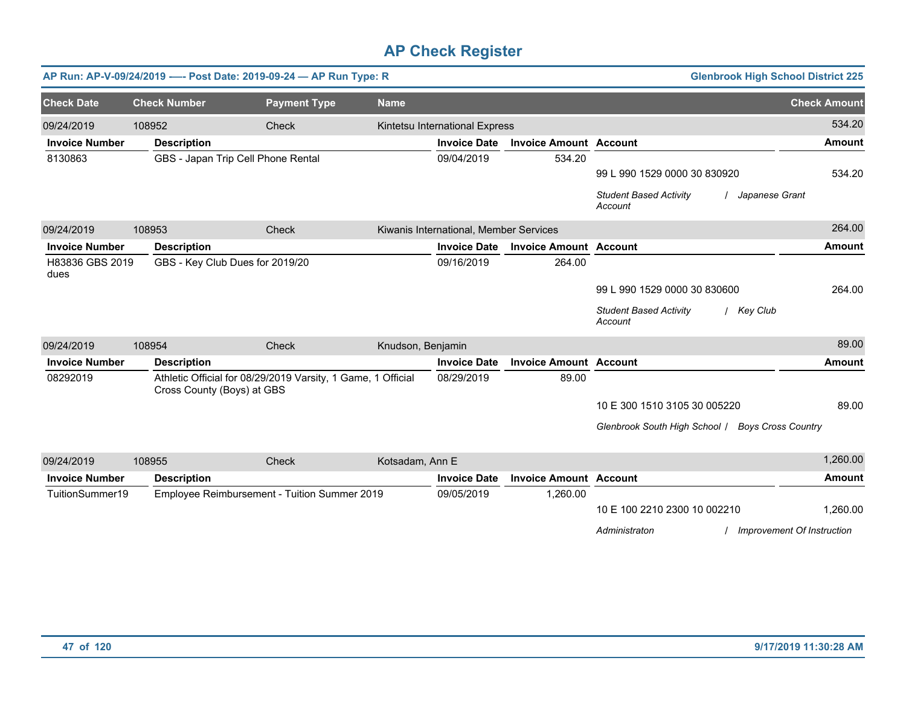|                         |                            | AP Run: AP-V-09/24/2019 ---- Post Date: 2019-09-24 - AP Run Type: R |                   |                                        |                               | <b>Glenbrook High School District 225</b>                                                    |                     |
|-------------------------|----------------------------|---------------------------------------------------------------------|-------------------|----------------------------------------|-------------------------------|----------------------------------------------------------------------------------------------|---------------------|
| <b>Check Date</b>       | <b>Check Number</b>        | <b>Payment Type</b>                                                 | <b>Name</b>       |                                        |                               |                                                                                              | <b>Check Amount</b> |
| 09/24/2019              | 108952                     | Check                                                               |                   | Kintetsu International Express         |                               |                                                                                              | 534.20              |
| <b>Invoice Number</b>   | <b>Description</b>         |                                                                     |                   | <b>Invoice Date</b>                    | <b>Invoice Amount Account</b> |                                                                                              | <b>Amount</b>       |
| 8130863                 |                            | GBS - Japan Trip Cell Phone Rental                                  |                   | 09/04/2019                             | 534.20                        | 99 L 990 1529 0000 30 830920<br><b>Student Based Activity</b><br>/ Japanese Grant<br>Account | 534.20              |
| 09/24/2019              | 108953                     | Check                                                               |                   | Kiwanis International, Member Services |                               |                                                                                              | 264.00              |
| <b>Invoice Number</b>   | <b>Description</b>         |                                                                     |                   | <b>Invoice Date</b>                    | <b>Invoice Amount Account</b> |                                                                                              | <b>Amount</b>       |
| H83836 GBS 2019<br>dues |                            | GBS - Key Club Dues for 2019/20                                     |                   | 09/16/2019                             | 264.00                        | 99 L 990 1529 0000 30 830600<br><b>Student Based Activity</b><br>/ Key Club<br>Account       | 264.00              |
| 09/24/2019              | 108954                     | Check                                                               | Knudson, Benjamin |                                        |                               |                                                                                              | 89.00               |
| <b>Invoice Number</b>   | <b>Description</b>         |                                                                     |                   | <b>Invoice Date</b>                    | <b>Invoice Amount Account</b> |                                                                                              | <b>Amount</b>       |
| 08292019                | Cross County (Boys) at GBS | Athletic Official for 08/29/2019 Varsity, 1 Game, 1 Official        |                   | 08/29/2019                             | 89.00                         | 10 E 300 1510 3105 30 005220<br>Glenbrook South High School / Boys Cross Country             | 89.00               |
| 09/24/2019              | 108955                     | Check                                                               | Kotsadam, Ann E   |                                        |                               |                                                                                              | 1,260.00            |
| <b>Invoice Number</b>   | <b>Description</b>         |                                                                     |                   | <b>Invoice Date</b>                    | <b>Invoice Amount Account</b> |                                                                                              | <b>Amount</b>       |
| TuitionSummer19         |                            | Employee Reimbursement - Tuition Summer 2019                        |                   | 09/05/2019                             | 1,260.00                      | 10 E 100 2210 2300 10 002210<br>/ Improvement Of Instruction<br>Administraton                | 1,260.00            |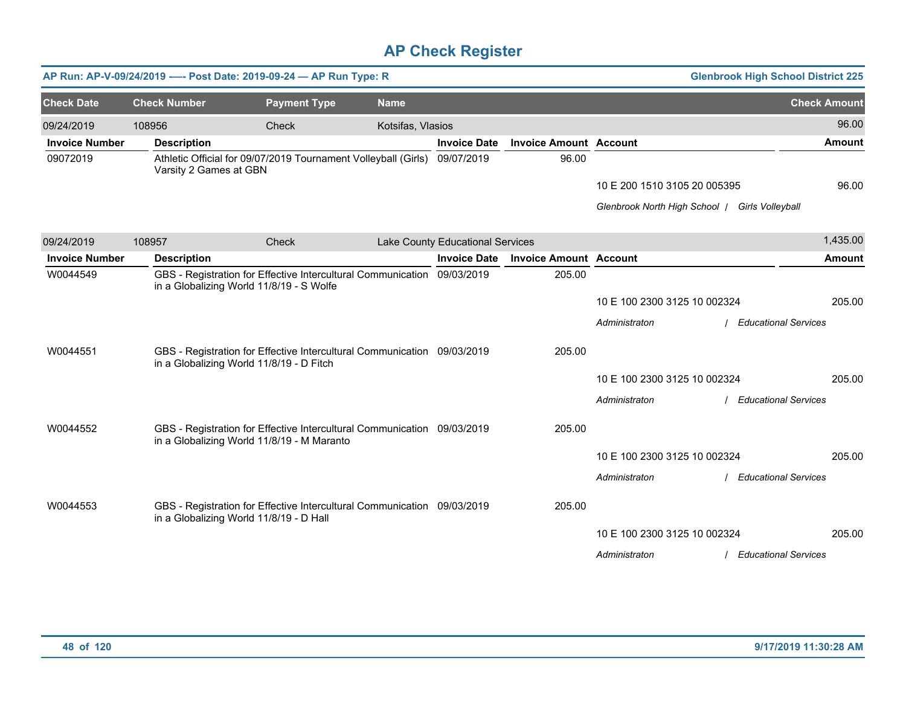|                       |                        | AP Run: AP-V-09/24/2019 ---- Post Date: 2019-09-24 - AP Run Type: R                                                 |                   |                                  |                               |                                                | <b>Glenbrook High School District 225</b> |
|-----------------------|------------------------|---------------------------------------------------------------------------------------------------------------------|-------------------|----------------------------------|-------------------------------|------------------------------------------------|-------------------------------------------|
| <b>Check Date</b>     | <b>Check Number</b>    | <b>Payment Type</b>                                                                                                 | <b>Name</b>       |                                  |                               |                                                | <b>Check Amount</b>                       |
| 09/24/2019            | 108956                 | Check                                                                                                               | Kotsifas, Vlasios |                                  |                               |                                                | 96.00                                     |
| <b>Invoice Number</b> | <b>Description</b>     |                                                                                                                     |                   | <b>Invoice Date</b>              | <b>Invoice Amount Account</b> |                                                | <b>Amount</b>                             |
| 09072019              | Varsity 2 Games at GBN | Athletic Official for 09/07/2019 Tournament Volleyball (Girls) 09/07/2019                                           |                   |                                  | 96.00                         |                                                |                                           |
|                       |                        |                                                                                                                     |                   |                                  |                               | 10 E 200 1510 3105 20 005395                   | 96.00                                     |
|                       |                        |                                                                                                                     |                   |                                  |                               | Glenbrook North High School   Girls Volleyball |                                           |
| 09/24/2019            | 108957                 | Check                                                                                                               |                   | Lake County Educational Services |                               |                                                | 1,435.00                                  |
| <b>Invoice Number</b> | <b>Description</b>     |                                                                                                                     |                   | <b>Invoice Date</b>              | <b>Invoice Amount Account</b> |                                                | <b>Amount</b>                             |
| W0044549              |                        | GBS - Registration for Effective Intercultural Communication 09/03/2019<br>in a Globalizing World 11/8/19 - S Wolfe |                   |                                  | 205.00                        |                                                |                                           |
|                       |                        |                                                                                                                     |                   |                                  |                               | 10 E 100 2300 3125 10 002324                   | 205.00                                    |
|                       |                        |                                                                                                                     |                   |                                  |                               | Administraton                                  | <b>Educational Services</b>               |
| W0044551              |                        | GBS - Registration for Effective Intercultural Communication 09/03/2019<br>in a Globalizing World 11/8/19 - D Fitch |                   |                                  | 205.00                        |                                                |                                           |
|                       |                        |                                                                                                                     |                   |                                  |                               | 10 E 100 2300 3125 10 002324                   | 205.00                                    |
|                       |                        |                                                                                                                     |                   |                                  |                               | Administraton                                  | / Educational Services                    |
| W0044552              |                        | GBS - Registration for Effective Intercultural Communication 09/03/2019                                             |                   |                                  | 205.00                        |                                                |                                           |
|                       |                        | in a Globalizing World 11/8/19 - M Maranto                                                                          |                   |                                  |                               |                                                |                                           |
|                       |                        |                                                                                                                     |                   |                                  |                               | 10 E 100 2300 3125 10 002324                   | 205.00                                    |
|                       |                        |                                                                                                                     |                   |                                  |                               | Administraton                                  | <b>Educational Services</b>               |
| W0044553              |                        | GBS - Registration for Effective Intercultural Communication 09/03/2019<br>in a Globalizing World 11/8/19 - D Hall  |                   |                                  | 205.00                        |                                                |                                           |
|                       |                        |                                                                                                                     |                   |                                  |                               | 10 E 100 2300 3125 10 002324                   | 205.00                                    |
|                       |                        |                                                                                                                     |                   |                                  |                               | Administraton                                  | / Educational Services                    |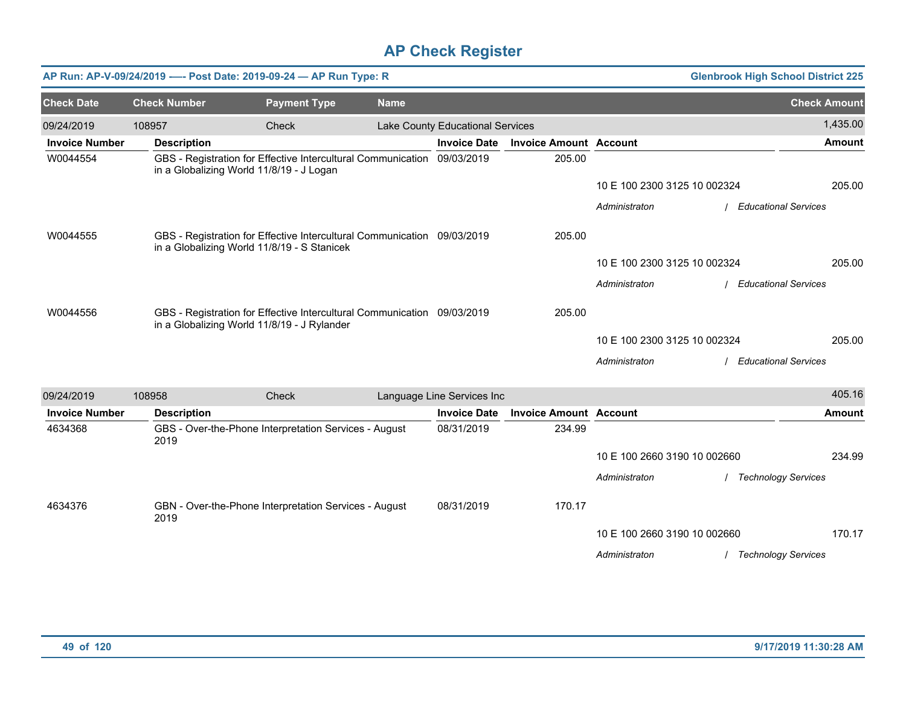|                       |                     |                                          | AP Run: AP-V-09/24/2019 ---- Post Date: 2019-09-24 - AP Run Type: R                                                    |             |                                  |                               |                              | <b>Glenbrook High School District 225</b> |
|-----------------------|---------------------|------------------------------------------|------------------------------------------------------------------------------------------------------------------------|-------------|----------------------------------|-------------------------------|------------------------------|-------------------------------------------|
| <b>Check Date</b>     | <b>Check Number</b> |                                          | <b>Payment Type</b>                                                                                                    | <b>Name</b> |                                  |                               |                              | <b>Check Amount</b>                       |
| 09/24/2019            | 108957              |                                          | Check                                                                                                                  |             | Lake County Educational Services |                               |                              | 1,435.00                                  |
| <b>Invoice Number</b> |                     | <b>Description</b>                       |                                                                                                                        |             | <b>Invoice Date</b>              | <b>Invoice Amount Account</b> |                              | <b>Amount</b>                             |
| W0044554              |                     | in a Globalizing World 11/8/19 - J Logan | GBS - Registration for Effective Intercultural Communication 09/03/2019                                                |             |                                  | 205.00                        |                              |                                           |
|                       |                     |                                          |                                                                                                                        |             |                                  |                               | 10 E 100 2300 3125 10 002324 | 205.00                                    |
|                       |                     |                                          |                                                                                                                        |             |                                  |                               | Administraton                | <b>Educational Services</b>               |
| W0044555              |                     |                                          | GBS - Registration for Effective Intercultural Communication 09/03/2019<br>in a Globalizing World 11/8/19 - S Stanicek |             |                                  | 205.00                        |                              |                                           |
|                       |                     |                                          |                                                                                                                        |             |                                  |                               | 10 E 100 2300 3125 10 002324 | 205.00                                    |
|                       |                     |                                          |                                                                                                                        |             |                                  |                               | Administraton                | <b>Educational Services</b>               |
| W0044556              |                     |                                          | GBS - Registration for Effective Intercultural Communication 09/03/2019<br>in a Globalizing World 11/8/19 - J Rylander |             |                                  | 205.00                        |                              |                                           |
|                       |                     |                                          |                                                                                                                        |             |                                  |                               | 10 E 100 2300 3125 10 002324 | 205.00                                    |
|                       |                     |                                          |                                                                                                                        |             |                                  |                               | Administraton                | <b>Educational Services</b>               |
| 09/24/2019            | 108958              |                                          | Check                                                                                                                  |             | Language Line Services Inc       |                               |                              | 405.16                                    |
| <b>Invoice Number</b> |                     | <b>Description</b>                       |                                                                                                                        |             | <b>Invoice Date</b>              | <b>Invoice Amount Account</b> |                              | <b>Amount</b>                             |
| 4634368               | 2019                |                                          | GBS - Over-the-Phone Interpretation Services - August                                                                  |             | 08/31/2019                       | 234.99                        |                              |                                           |
|                       |                     |                                          |                                                                                                                        |             |                                  |                               | 10 E 100 2660 3190 10 002660 | 234.99                                    |
|                       |                     |                                          |                                                                                                                        |             |                                  |                               | Administraton                | <b>Technology Services</b>                |

08/31/2019 170.17

10 E 100 2660 3190 10 002660

*Administraton* / *Technology Services*

4634376 GBN - Over-the-Phone Interpretation Services - August

2019

170.17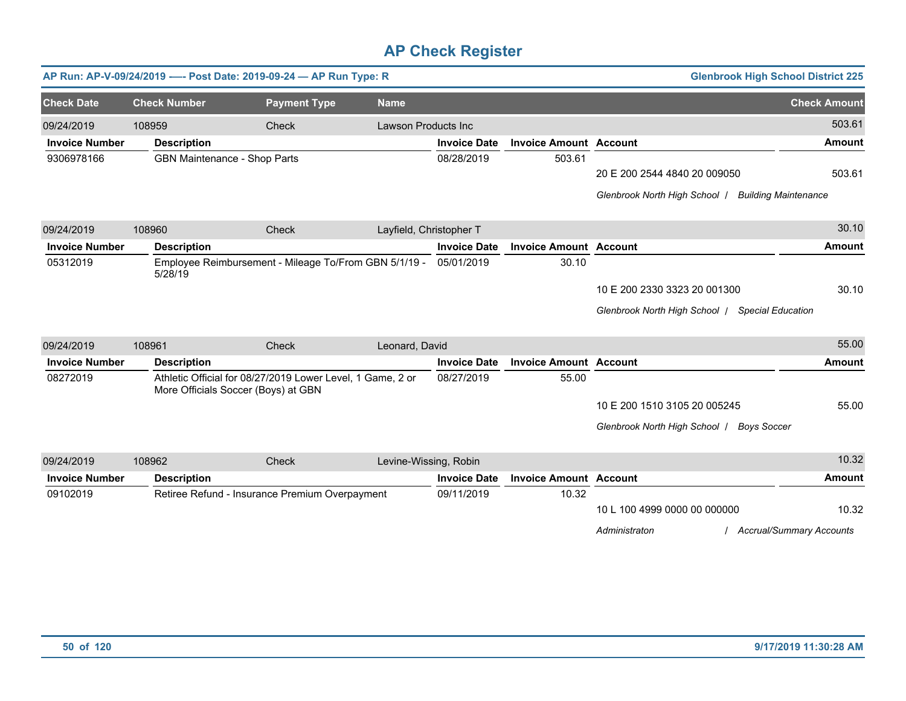|                       |                                     | AP Run: AP-V-09/24/2019 ---- Post Date: 2019-09-24 - AP Run Type: R                               |                            |                     |                               | <b>Glenbrook High School District 225</b>                 |                                 |
|-----------------------|-------------------------------------|---------------------------------------------------------------------------------------------------|----------------------------|---------------------|-------------------------------|-----------------------------------------------------------|---------------------------------|
| <b>Check Date</b>     | <b>Check Number</b>                 | <b>Payment Type</b>                                                                               | <b>Name</b>                |                     |                               |                                                           | <b>Check Amount</b>             |
| 09/24/2019            | 108959                              | Check                                                                                             | <b>Lawson Products Inc</b> |                     |                               |                                                           | 503.61                          |
| <b>Invoice Number</b> | <b>Description</b>                  |                                                                                                   |                            | <b>Invoice Date</b> | <b>Invoice Amount Account</b> |                                                           | <b>Amount</b>                   |
| 9306978166            | <b>GBN Maintenance - Shop Parts</b> |                                                                                                   |                            | 08/28/2019          | 503.61                        |                                                           |                                 |
|                       |                                     |                                                                                                   |                            |                     |                               | 20 E 200 2544 4840 20 009050                              | 503.61                          |
|                       |                                     |                                                                                                   |                            |                     |                               | Glenbrook North High School /                             | <b>Building Maintenance</b>     |
| 09/24/2019            | 108960                              | Check                                                                                             | Layfield, Christopher T    |                     |                               |                                                           | 30.10                           |
| <b>Invoice Number</b> | <b>Description</b>                  |                                                                                                   |                            | <b>Invoice Date</b> | <b>Invoice Amount Account</b> |                                                           | <b>Amount</b>                   |
| 05312019              | 5/28/19                             | Employee Reimbursement - Mileage To/From GBN 5/1/19 -                                             |                            | 05/01/2019          | 30.10                         |                                                           |                                 |
|                       |                                     |                                                                                                   |                            |                     |                               | 10 E 200 2330 3323 20 001300                              | 30.10                           |
|                       |                                     |                                                                                                   |                            |                     |                               | Glenbrook North High School  <br><b>Special Education</b> |                                 |
| 09/24/2019            | 108961                              | Check                                                                                             | Leonard, David             |                     |                               |                                                           | 55.00                           |
| <b>Invoice Number</b> | <b>Description</b>                  |                                                                                                   |                            | <b>Invoice Date</b> | <b>Invoice Amount Account</b> |                                                           | <b>Amount</b>                   |
| 08272019              |                                     | Athletic Official for 08/27/2019 Lower Level, 1 Game, 2 or<br>More Officials Soccer (Boys) at GBN |                            | 08/27/2019          | 55.00                         |                                                           |                                 |
|                       |                                     |                                                                                                   |                            |                     |                               | 10 E 200 1510 3105 20 005245                              | 55.00                           |
|                       |                                     |                                                                                                   |                            |                     |                               | Glenbrook North High School /<br><b>Boys Soccer</b>       |                                 |
| 09/24/2019            | 108962                              | Check                                                                                             | Levine-Wissing, Robin      |                     |                               |                                                           | 10.32                           |
| <b>Invoice Number</b> | <b>Description</b>                  |                                                                                                   |                            | <b>Invoice Date</b> | <b>Invoice Amount Account</b> |                                                           | Amount                          |
| 09102019              |                                     | Retiree Refund - Insurance Premium Overpayment                                                    |                            | 09/11/2019          | 10.32                         |                                                           |                                 |
|                       |                                     |                                                                                                   |                            |                     |                               | 10 L 100 4999 0000 00 000000                              | 10.32                           |
|                       |                                     |                                                                                                   |                            |                     |                               | Administraton                                             | <b>Accrual/Summary Accounts</b> |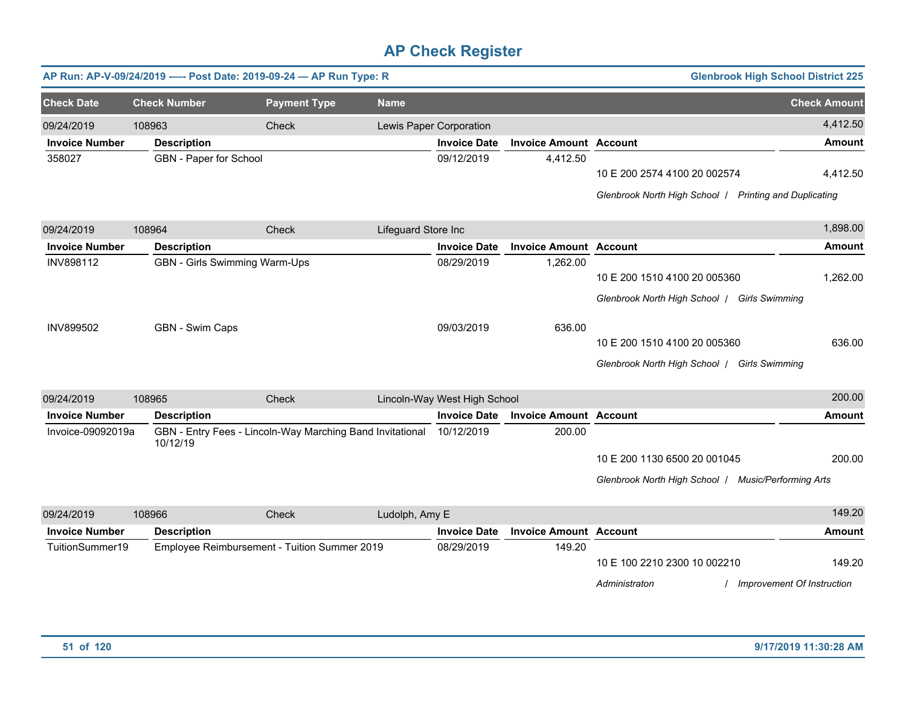|                       |                        | AP Run: AP-V-09/24/2019 ---- Post Date: 2019-09-24 - AP Run Type: R  |                     |                              |                               |                                                        | <b>Glenbrook High School District 225</b> |
|-----------------------|------------------------|----------------------------------------------------------------------|---------------------|------------------------------|-------------------------------|--------------------------------------------------------|-------------------------------------------|
| <b>Check Date</b>     | <b>Check Number</b>    |                                                                      |                     |                              |                               |                                                        | <b>Check Amount</b>                       |
|                       |                        | <b>Payment Type</b>                                                  | <b>Name</b>         |                              |                               |                                                        |                                           |
| 09/24/2019            | 108963                 | Check                                                                |                     | Lewis Paper Corporation      |                               |                                                        | 4,412.50                                  |
| <b>Invoice Number</b> | <b>Description</b>     |                                                                      |                     | <b>Invoice Date</b>          | <b>Invoice Amount Account</b> |                                                        | <b>Amount</b>                             |
| 358027                | GBN - Paper for School |                                                                      |                     | 09/12/2019                   | 4,412.50                      |                                                        |                                           |
|                       |                        |                                                                      |                     |                              |                               | 10 E 200 2574 4100 20 002574                           | 4,412.50                                  |
|                       |                        |                                                                      |                     |                              |                               | Glenbrook North High School / Printing and Duplicating |                                           |
| 09/24/2019            | 108964                 | Check                                                                | Lifeguard Store Inc |                              |                               |                                                        | 1,898.00                                  |
| <b>Invoice Number</b> | <b>Description</b>     |                                                                      |                     | <b>Invoice Date</b>          | <b>Invoice Amount Account</b> |                                                        | <b>Amount</b>                             |
| <b>INV898112</b>      |                        | GBN - Girls Swimming Warm-Ups                                        |                     | 08/29/2019                   | 1,262.00                      |                                                        |                                           |
|                       |                        |                                                                      |                     |                              |                               | 10 E 200 1510 4100 20 005360                           | 1,262.00                                  |
|                       |                        |                                                                      |                     |                              |                               | Glenbrook North High School   Girls Swimming           |                                           |
| <b>INV899502</b>      | GBN - Swim Caps        |                                                                      |                     | 09/03/2019                   | 636.00                        |                                                        |                                           |
|                       |                        |                                                                      |                     |                              |                               | 10 E 200 1510 4100 20 005360                           | 636.00                                    |
|                       |                        |                                                                      |                     |                              |                               | Glenbrook North High School   Girls Swimming           |                                           |
|                       |                        |                                                                      |                     |                              |                               |                                                        |                                           |
| 09/24/2019            | 108965                 | Check                                                                |                     | Lincoln-Way West High School |                               |                                                        | 200.00                                    |
| <b>Invoice Number</b> | <b>Description</b>     |                                                                      |                     | <b>Invoice Date</b>          | <b>Invoice Amount Account</b> |                                                        | <b>Amount</b>                             |
| Invoice-09092019a     | 10/12/19               | GBN - Entry Fees - Lincoln-Way Marching Band Invitational 10/12/2019 |                     |                              | 200.00                        |                                                        |                                           |
|                       |                        |                                                                      |                     |                              |                               | 10 E 200 1130 6500 20 001045                           | 200.00                                    |
|                       |                        |                                                                      |                     |                              |                               | Glenbrook North High School   Music/Performing Arts    |                                           |
| 09/24/2019            | 108966                 | Check                                                                | Ludolph, Amy E      |                              |                               |                                                        | 149.20                                    |
| <b>Invoice Number</b> | <b>Description</b>     |                                                                      |                     | <b>Invoice Date</b>          | <b>Invoice Amount Account</b> |                                                        | Amount                                    |
| TuitionSummer19       |                        | Employee Reimbursement - Tuition Summer 2019                         |                     | 08/29/2019                   | 149.20                        |                                                        |                                           |
|                       |                        |                                                                      |                     |                              |                               | 10 E 100 2210 2300 10 002210                           | 149.20                                    |
|                       |                        |                                                                      |                     |                              |                               | Administraton                                          | Improvement Of Instruction                |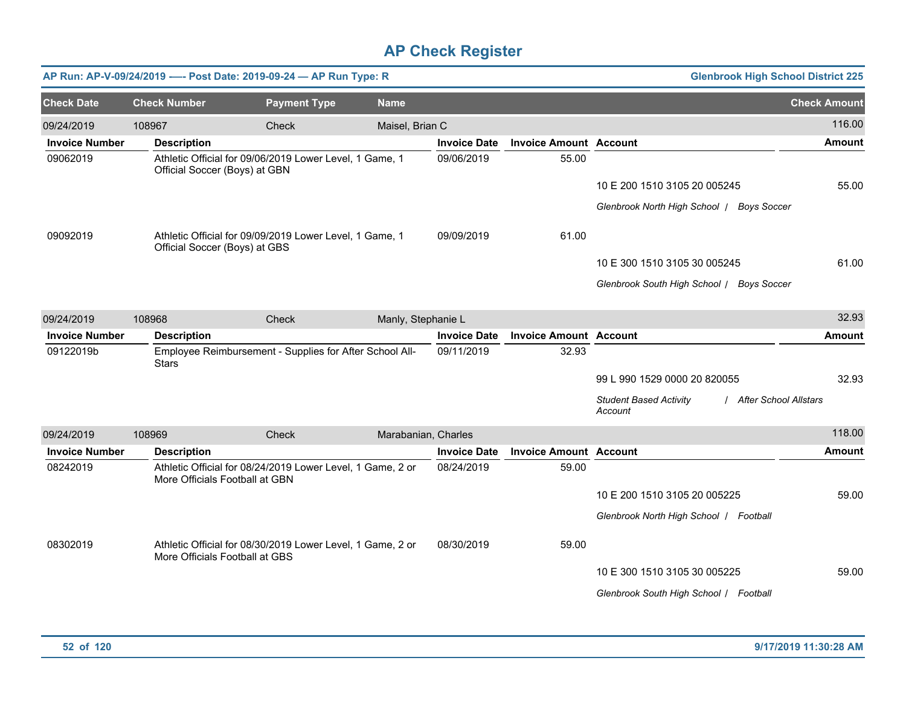|                       |                               | AP Run: AP-V-09/24/2019 ---- Post Date: 2019-09-24 - AP Run Type: R                          |                     |                     |                               | <b>Glenbrook High School District 225</b>                           |                     |
|-----------------------|-------------------------------|----------------------------------------------------------------------------------------------|---------------------|---------------------|-------------------------------|---------------------------------------------------------------------|---------------------|
| <b>Check Date</b>     | <b>Check Number</b>           | <b>Payment Type</b>                                                                          | <b>Name</b>         |                     |                               |                                                                     | <b>Check Amount</b> |
| 09/24/2019            | 108967                        | Check                                                                                        | Maisel, Brian C     |                     |                               |                                                                     | 116.00              |
| <b>Invoice Number</b> | <b>Description</b>            |                                                                                              |                     | <b>Invoice Date</b> | <b>Invoice Amount Account</b> |                                                                     | <b>Amount</b>       |
| 09062019              | Official Soccer (Boys) at GBN | Athletic Official for 09/06/2019 Lower Level, 1 Game, 1                                      |                     | 09/06/2019          | 55.00                         |                                                                     |                     |
|                       |                               |                                                                                              |                     |                     |                               | 10 E 200 1510 3105 20 005245                                        | 55.00               |
|                       |                               |                                                                                              |                     |                     |                               | Glenbrook North High School   Boys Soccer                           |                     |
| 09092019              | Official Soccer (Boys) at GBS | Athletic Official for 09/09/2019 Lower Level, 1 Game, 1                                      |                     | 09/09/2019          | 61.00                         |                                                                     |                     |
|                       |                               |                                                                                              |                     |                     |                               | 10 E 300 1510 3105 30 005245                                        | 61.00               |
|                       |                               |                                                                                              |                     |                     |                               | Glenbrook South High School / Boys Soccer                           |                     |
| 09/24/2019            | 108968                        | Check                                                                                        | Manly, Stephanie L  |                     |                               |                                                                     | 32.93               |
| <b>Invoice Number</b> | <b>Description</b>            |                                                                                              |                     | <b>Invoice Date</b> | <b>Invoice Amount Account</b> |                                                                     | <b>Amount</b>       |
| 09122019b             | <b>Stars</b>                  | Employee Reimbursement - Supplies for After School All-                                      |                     | 09/11/2019          | 32.93                         |                                                                     |                     |
|                       |                               |                                                                                              |                     |                     |                               | 99 L 990 1529 0000 20 820055                                        | 32.93               |
|                       |                               |                                                                                              |                     |                     |                               | <b>Student Based Activity</b><br>/ After School Allstars<br>Account |                     |
| 09/24/2019            | 108969                        | <b>Check</b>                                                                                 | Marabanian, Charles |                     |                               |                                                                     | 118.00              |
| <b>Invoice Number</b> | <b>Description</b>            |                                                                                              |                     | <b>Invoice Date</b> | <b>Invoice Amount Account</b> |                                                                     | <b>Amount</b>       |
| 08242019              |                               | Athletic Official for 08/24/2019 Lower Level, 1 Game, 2 or<br>More Officials Football at GBN |                     | 08/24/2019          | 59.00                         |                                                                     |                     |
|                       |                               |                                                                                              |                     |                     |                               | 10 E 200 1510 3105 20 005225                                        | 59.00               |
|                       |                               |                                                                                              |                     |                     |                               | Glenbrook North High School   Football                              |                     |
| 08302019              |                               | Athletic Official for 08/30/2019 Lower Level, 1 Game, 2 or<br>More Officials Football at GBS |                     | 08/30/2019          | 59.00                         |                                                                     |                     |
|                       |                               |                                                                                              |                     |                     |                               | 10 E 300 1510 3105 30 005225                                        | 59.00               |
|                       |                               |                                                                                              |                     |                     |                               | Glenbrook South High School / Football                              |                     |
|                       |                               |                                                                                              |                     |                     |                               |                                                                     |                     |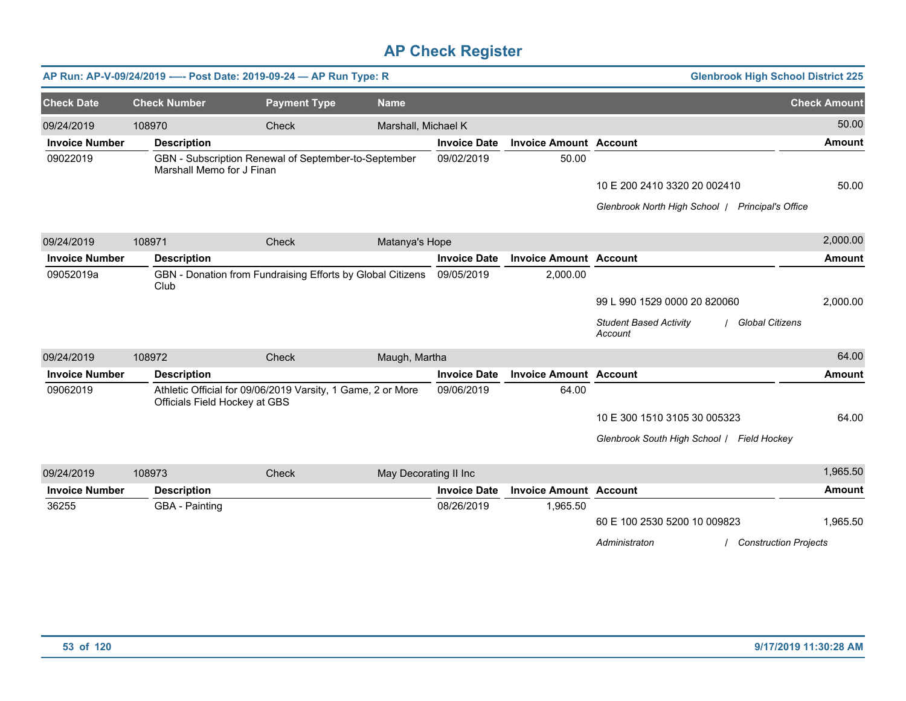|                       |                           | AP Run: AP-V-09/24/2019 ---- Post Date: 2019-09-24 - AP Run Type: R                          |                       |                     |                               | <b>Glenbrook High School District 225</b>                          |                     |
|-----------------------|---------------------------|----------------------------------------------------------------------------------------------|-----------------------|---------------------|-------------------------------|--------------------------------------------------------------------|---------------------|
| <b>Check Date</b>     | <b>Check Number</b>       | <b>Payment Type</b>                                                                          | <b>Name</b>           |                     |                               |                                                                    | <b>Check Amount</b> |
| 09/24/2019            | 108970                    | Check                                                                                        | Marshall, Michael K   |                     |                               |                                                                    | 50.00               |
| <b>Invoice Number</b> | <b>Description</b>        |                                                                                              |                       | <b>Invoice Date</b> | <b>Invoice Amount Account</b> |                                                                    | <b>Amount</b>       |
| 09022019              | Marshall Memo for J Finan | GBN - Subscription Renewal of September-to-September                                         |                       | 09/02/2019          | 50.00                         |                                                                    |                     |
|                       |                           |                                                                                              |                       |                     |                               | 10 E 200 2410 3320 20 002410                                       | 50.00               |
|                       |                           |                                                                                              |                       |                     |                               | Glenbrook North High School   Principal's Office                   |                     |
| 09/24/2019            | 108971                    | Check                                                                                        | Matanya's Hope        |                     |                               |                                                                    | 2,000.00            |
| <b>Invoice Number</b> | <b>Description</b>        |                                                                                              |                       | <b>Invoice Date</b> | <b>Invoice Amount Account</b> |                                                                    | Amount              |
| 09052019a             | Club                      | GBN - Donation from Fundraising Efforts by Global Citizens                                   |                       | 09/05/2019          | 2,000.00                      |                                                                    |                     |
|                       |                           |                                                                                              |                       |                     |                               | 99 L 990 1529 0000 20 820060                                       | 2,000.00            |
|                       |                           |                                                                                              |                       |                     |                               | <b>Global Citizens</b><br><b>Student Based Activity</b><br>Account |                     |
| 09/24/2019            | 108972                    | Check                                                                                        | Maugh, Martha         |                     |                               |                                                                    | 64.00               |
| <b>Invoice Number</b> | <b>Description</b>        |                                                                                              |                       | <b>Invoice Date</b> | <b>Invoice Amount Account</b> |                                                                    | <b>Amount</b>       |
| 09062019              |                           | Athletic Official for 09/06/2019 Varsity, 1 Game, 2 or More<br>Officials Field Hockey at GBS |                       | 09/06/2019          | 64.00                         |                                                                    |                     |
|                       |                           |                                                                                              |                       |                     |                               | 10 E 300 1510 3105 30 005323                                       | 64.00               |
|                       |                           |                                                                                              |                       |                     |                               | Glenbrook South High School / Field Hockey                         |                     |
| 09/24/2019            | 108973                    | Check                                                                                        | May Decorating II Inc |                     |                               |                                                                    | 1,965.50            |
| <b>Invoice Number</b> | <b>Description</b>        |                                                                                              |                       | <b>Invoice Date</b> | <b>Invoice Amount Account</b> |                                                                    | <b>Amount</b>       |
| 36255                 | GBA - Painting            |                                                                                              |                       | 08/26/2019          | 1,965.50                      |                                                                    |                     |
|                       |                           |                                                                                              |                       |                     |                               | 60 E 100 2530 5200 10 009823                                       | 1,965.50            |
|                       |                           |                                                                                              |                       |                     |                               | Administraton<br><b>Construction Projects</b>                      |                     |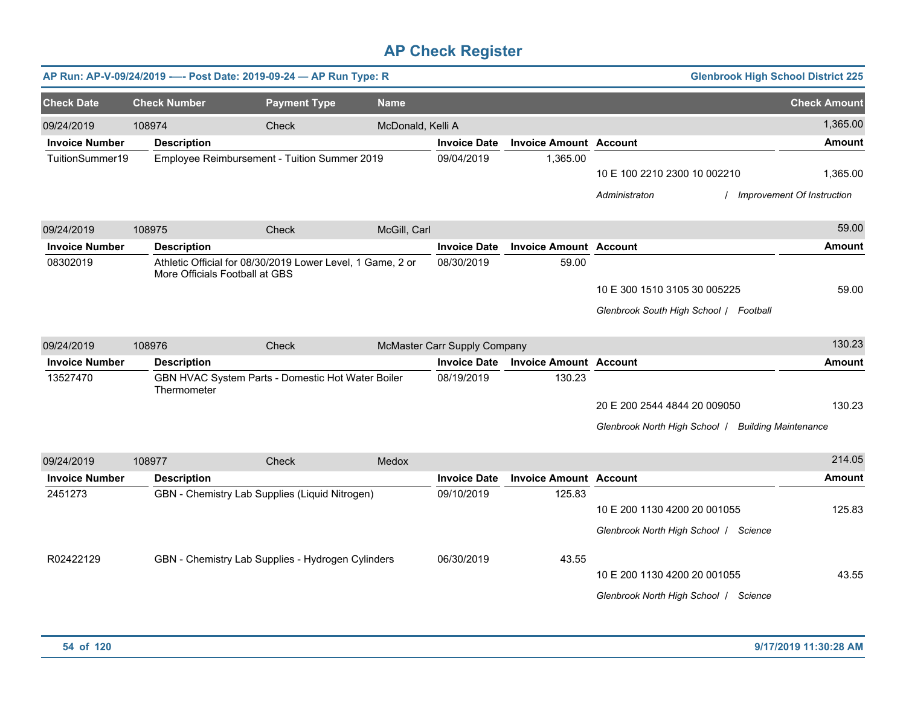|                       |                     | AP Run: AP-V-09/24/2019 ---- Post Date: 2019-09-24 - AP Run Type: R                                 |                   |                              |                               |                                                                                                       | <b>Glenbrook High School District 225</b>     |
|-----------------------|---------------------|-----------------------------------------------------------------------------------------------------|-------------------|------------------------------|-------------------------------|-------------------------------------------------------------------------------------------------------|-----------------------------------------------|
| <b>Check Date</b>     | <b>Check Number</b> | <b>Payment Type</b>                                                                                 | <b>Name</b>       |                              |                               |                                                                                                       | <b>Check Amount</b>                           |
| 09/24/2019            | 108974              | Check                                                                                               | McDonald, Kelli A |                              |                               |                                                                                                       | 1,365.00                                      |
| <b>Invoice Number</b> | <b>Description</b>  |                                                                                                     |                   | <b>Invoice Date</b>          | <b>Invoice Amount</b>         | <b>Account</b>                                                                                        | Amount                                        |
| TuitionSummer19       |                     | Employee Reimbursement - Tuition Summer 2019                                                        |                   | 09/04/2019                   | 1,365.00                      | 10 E 100 2210 2300 10 002210<br>Administraton                                                         | 1,365.00<br><b>Improvement Of Instruction</b> |
| 09/24/2019            | 108975              | Check                                                                                               | McGill, Carl      |                              |                               |                                                                                                       | 59.00                                         |
| <b>Invoice Number</b> | <b>Description</b>  |                                                                                                     |                   | <b>Invoice Date</b>          | <b>Invoice Amount Account</b> |                                                                                                       | <b>Amount</b>                                 |
| 08302019              |                     | Athletic Official for 08/30/2019 Lower Level, 1 Game, 2 or<br>More Officials Football at GBS        |                   | 08/30/2019                   | 59.00                         | 10 E 300 1510 3105 30 005225<br>Glenbrook South High School   Football                                | 59.00                                         |
| 09/24/2019            | 108976              | Check                                                                                               |                   | McMaster Carr Supply Company |                               |                                                                                                       | 130.23                                        |
| <b>Invoice Number</b> | <b>Description</b>  |                                                                                                     |                   | <b>Invoice Date</b>          | <b>Invoice Amount Account</b> |                                                                                                       | Amount                                        |
| 13527470              | Thermometer         | GBN HVAC System Parts - Domestic Hot Water Boiler                                                   |                   | 08/19/2019                   | 130.23                        | 20 E 200 2544 4844 20 009050<br>Glenbrook North High School   Building Maintenance                    | 130.23                                        |
| 09/24/2019            | 108977              | Check                                                                                               | Medox             |                              |                               |                                                                                                       | 214.05                                        |
| <b>Invoice Number</b> | <b>Description</b>  |                                                                                                     |                   | <b>Invoice Date</b>          | <b>Invoice Amount Account</b> |                                                                                                       | Amount                                        |
| 2451273<br>R02422129  |                     | GBN - Chemistry Lab Supplies (Liquid Nitrogen)<br>GBN - Chemistry Lab Supplies - Hydrogen Cylinders |                   | 09/10/2019<br>06/30/2019     | 125.83<br>43.55               | 10 E 200 1130 4200 20 001055<br>Glenbrook North High School   Science<br>10 E 200 1130 4200 20 001055 | 125.83<br>43.55                               |
|                       |                     |                                                                                                     |                   |                              |                               | Glenbrook North High School   Science                                                                 |                                               |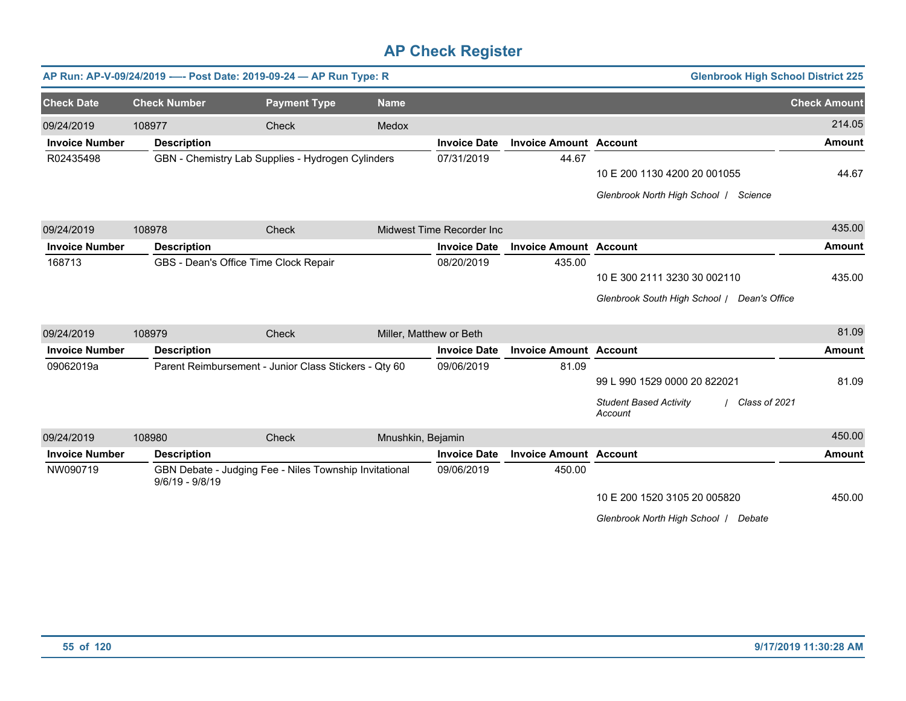|                       |                     | AP Run: AP-V-09/24/2019 ---- Post Date: 2019-09-24 - AP Run Type: R |                         |                           |                               | <b>Glenbrook High School District 225</b>                 |                     |
|-----------------------|---------------------|---------------------------------------------------------------------|-------------------------|---------------------------|-------------------------------|-----------------------------------------------------------|---------------------|
| <b>Check Date</b>     | <b>Check Number</b> | <b>Payment Type</b>                                                 | <b>Name</b>             |                           |                               |                                                           | <b>Check Amount</b> |
| 09/24/2019            | 108977              | Check                                                               | Medox                   |                           |                               |                                                           | 214.05              |
| <b>Invoice Number</b> | <b>Description</b>  |                                                                     |                         | <b>Invoice Date</b>       | <b>Invoice Amount Account</b> |                                                           | <b>Amount</b>       |
| R02435498             |                     | GBN - Chemistry Lab Supplies - Hydrogen Cylinders                   |                         | 07/31/2019                | 44.67                         |                                                           |                     |
|                       |                     |                                                                     |                         |                           |                               | 10 E 200 1130 4200 20 001055                              | 44.67               |
|                       |                     |                                                                     |                         |                           |                               | Glenbrook North High School   Science                     |                     |
| 09/24/2019            | 108978              | Check                                                               |                         | Midwest Time Recorder Inc |                               |                                                           | 435.00              |
| <b>Invoice Number</b> | <b>Description</b>  |                                                                     |                         | <b>Invoice Date</b>       | <b>Invoice Amount Account</b> |                                                           | <b>Amount</b>       |
| 168713                |                     | GBS - Dean's Office Time Clock Repair                               |                         | 08/20/2019                | 435.00                        |                                                           |                     |
|                       |                     |                                                                     |                         |                           |                               | 10 E 300 2111 3230 30 002110                              | 435.00              |
|                       |                     |                                                                     |                         |                           |                               | Glenbrook South High School / Dean's Office               |                     |
| 09/24/2019            | 108979              | Check                                                               | Miller, Matthew or Beth |                           |                               |                                                           | 81.09               |
| <b>Invoice Number</b> | <b>Description</b>  |                                                                     |                         | <b>Invoice Date</b>       | <b>Invoice Amount Account</b> |                                                           | <b>Amount</b>       |
| 09062019a             |                     | Parent Reimbursement - Junior Class Stickers - Qty 60               |                         | 09/06/2019                | 81.09                         |                                                           |                     |
|                       |                     |                                                                     |                         |                           |                               | 99 L 990 1529 0000 20 822021                              | 81.09               |
|                       |                     |                                                                     |                         |                           |                               | <b>Student Based Activity</b><br>Class of 2021<br>Account |                     |
| 09/24/2019            | 108980              | Check                                                               | Mnushkin, Bejamin       |                           |                               |                                                           | 450.00              |
| <b>Invoice Number</b> | <b>Description</b>  |                                                                     |                         | <b>Invoice Date</b>       | <b>Invoice Amount Account</b> |                                                           | <b>Amount</b>       |
| NW090719              | $9/6/19 - 9/8/19$   | GBN Debate - Judging Fee - Niles Township Invitational              |                         | 09/06/2019                | 450.00                        |                                                           |                     |
|                       |                     |                                                                     |                         |                           |                               | 10 E 200 1520 3105 20 005820                              | 450.00              |
|                       |                     |                                                                     |                         |                           |                               | Glenbrook North High School /<br>Debate                   |                     |
|                       |                     |                                                                     |                         |                           |                               |                                                           |                     |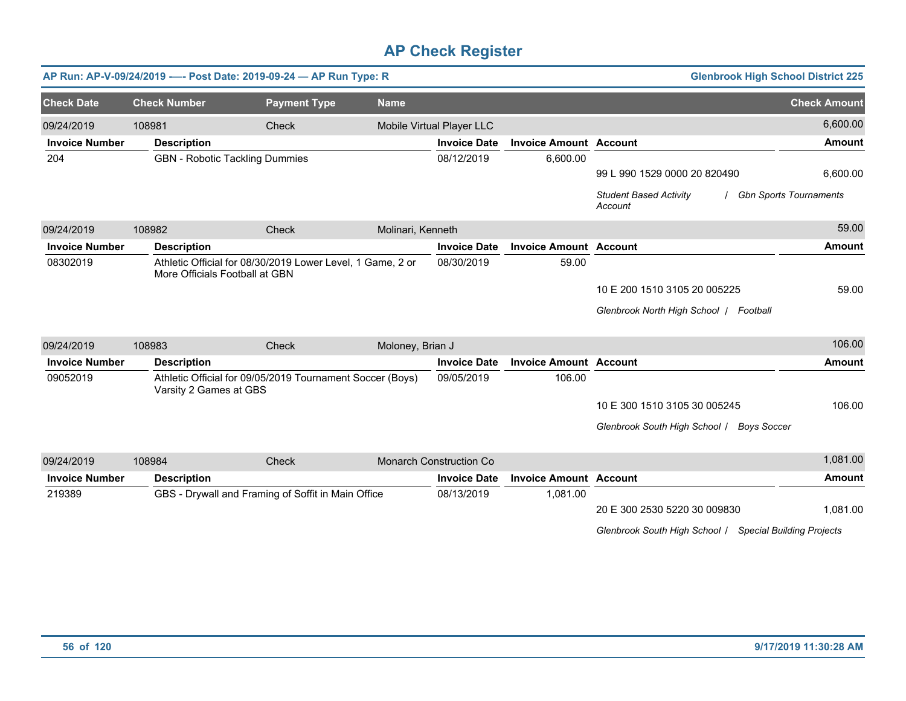|                                 |                                | AP Run: AP-V-09/24/2019 ---- Post Date: 2019-09-24 - AP Run Type: R |                   |                                   |                               | <b>Glenbrook High School District 225</b>               |                          |
|---------------------------------|--------------------------------|---------------------------------------------------------------------|-------------------|-----------------------------------|-------------------------------|---------------------------------------------------------|--------------------------|
| <b>Check Date</b>               | <b>Check Number</b>            | <b>Payment Type</b>                                                 | <b>Name</b>       |                                   |                               |                                                         | <b>Check Amount</b>      |
| 09/24/2019                      | 108981                         | Check                                                               |                   | Mobile Virtual Player LLC         |                               |                                                         | 6,600.00                 |
| <b>Invoice Number</b>           | <b>Description</b>             |                                                                     |                   | <b>Invoice Date</b>               | <b>Invoice Amount Account</b> |                                                         | <b>Amount</b>            |
| 204                             |                                | <b>GBN</b> - Robotic Tackling Dummies                               |                   | 08/12/2019                        | 6,600.00                      |                                                         |                          |
|                                 |                                |                                                                     |                   |                                   |                               | 99 L 990 1529 0000 20 820490                            | 6,600.00                 |
|                                 |                                |                                                                     |                   |                                   |                               | <b>Student Based Activity</b><br>Account                | / Gbn Sports Tournaments |
| 09/24/2019                      | 108982                         | <b>Check</b>                                                        | Molinari, Kenneth |                                   |                               |                                                         | 59.00                    |
| <b>Invoice Number</b>           | <b>Description</b>             |                                                                     |                   | <b>Invoice Date</b>               | <b>Invoice Amount Account</b> |                                                         | <b>Amount</b>            |
| 08302019                        | More Officials Football at GBN | Athletic Official for 08/30/2019 Lower Level, 1 Game, 2 or          |                   | 08/30/2019                        | 59.00                         |                                                         |                          |
|                                 |                                |                                                                     |                   |                                   |                               | 10 E 200 1510 3105 20 005225                            | 59.00                    |
|                                 |                                |                                                                     |                   |                                   |                               | Glenbrook North High School   Football                  |                          |
| 09/24/2019                      | 108983                         | Check                                                               | Moloney, Brian J  |                                   |                               |                                                         | 106.00                   |
| <b>Invoice Number</b>           | <b>Description</b>             |                                                                     |                   | <b>Invoice Date</b>               | <b>Invoice Amount Account</b> |                                                         | <b>Amount</b>            |
| 09052019                        |                                | Athletic Official for 09/05/2019 Tournament Soccer (Boys)           |                   | 09/05/2019                        | 106.00                        |                                                         |                          |
|                                 | Varsity 2 Games at GBS         |                                                                     |                   |                                   |                               |                                                         |                          |
|                                 |                                |                                                                     |                   |                                   |                               | 10 E 300 1510 3105 30 005245                            | 106.00                   |
|                                 |                                |                                                                     |                   |                                   |                               | Glenbrook South High School / Boys Soccer               |                          |
|                                 |                                |                                                                     |                   |                                   |                               |                                                         | 1,081.00                 |
| 09/24/2019                      | 108984                         | Check                                                               |                   | <b>Monarch Construction Co</b>    |                               |                                                         |                          |
| <b>Invoice Number</b><br>219389 | <b>Description</b>             |                                                                     |                   | <b>Invoice Date</b><br>08/13/2019 | <b>Invoice Amount Account</b> |                                                         | <b>Amount</b>            |
|                                 |                                | GBS - Drywall and Framing of Soffit in Main Office                  |                   |                                   | 1,081.00                      | 20 E 300 2530 5220 30 009830                            | 1,081.00                 |
|                                 |                                |                                                                     |                   |                                   |                               |                                                         |                          |
|                                 |                                |                                                                     |                   |                                   |                               | Glenbrook South High School / Special Building Projects |                          |
|                                 |                                |                                                                     |                   |                                   |                               |                                                         |                          |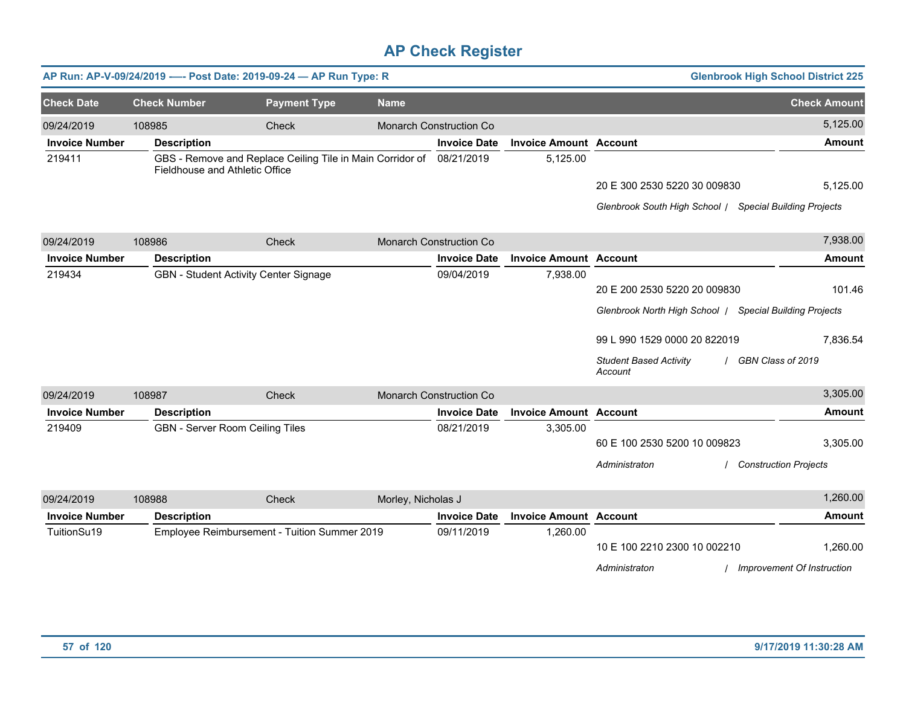|                       |                                 | AP Run: AP-V-09/24/2019 ---- Post Date: 2019-09-24 - AP Run Type: R |                    |                                |                               |                                                         | <b>Glenbrook High School District 225</b> |
|-----------------------|---------------------------------|---------------------------------------------------------------------|--------------------|--------------------------------|-------------------------------|---------------------------------------------------------|-------------------------------------------|
| <b>Check Date</b>     | <b>Check Number</b>             | <b>Payment Type</b>                                                 | <b>Name</b>        |                                |                               |                                                         | <b>Check Amount</b>                       |
| 09/24/2019            | 108985                          | Check                                                               |                    | <b>Monarch Construction Co</b> |                               |                                                         | 5,125.00                                  |
| <b>Invoice Number</b> | <b>Description</b>              |                                                                     |                    | <b>Invoice Date</b>            | <b>Invoice Amount Account</b> |                                                         | <b>Amount</b>                             |
| 219411                | Fieldhouse and Athletic Office  | GBS - Remove and Replace Ceiling Tile in Main Corridor of           |                    | 08/21/2019                     | 5,125.00                      |                                                         |                                           |
|                       |                                 |                                                                     |                    |                                |                               | 20 E 300 2530 5220 30 009830                            | 5,125.00                                  |
|                       |                                 |                                                                     |                    |                                |                               | Glenbrook South High School   Special Building Projects |                                           |
| 09/24/2019            | 108986                          | <b>Check</b>                                                        |                    | <b>Monarch Construction Co</b> |                               |                                                         | 7,938.00                                  |
| <b>Invoice Number</b> | <b>Description</b>              |                                                                     |                    | <b>Invoice Date</b>            | <b>Invoice Amount Account</b> |                                                         | <b>Amount</b>                             |
| 219434                |                                 | GBN - Student Activity Center Signage                               |                    | 09/04/2019                     | 7,938.00                      |                                                         |                                           |
|                       |                                 |                                                                     |                    |                                |                               | 20 E 200 2530 5220 20 009830                            | 101.46                                    |
|                       |                                 |                                                                     |                    |                                |                               | Glenbrook North High School / Special Building Projects |                                           |
|                       |                                 |                                                                     |                    |                                |                               | 99 L 990 1529 0000 20 822019                            | 7.836.54                                  |
|                       |                                 |                                                                     |                    |                                |                               | <b>Student Based Activity</b><br>Account                | GBN Class of 2019                         |
| 09/24/2019            | 108987                          | Check                                                               |                    | <b>Monarch Construction Co</b> |                               |                                                         | 3,305.00                                  |
| <b>Invoice Number</b> | <b>Description</b>              |                                                                     |                    | <b>Invoice Date</b>            | <b>Invoice Amount Account</b> |                                                         | <b>Amount</b>                             |
| 219409                | GBN - Server Room Ceiling Tiles |                                                                     |                    | 08/21/2019                     | 3,305.00                      |                                                         |                                           |
|                       |                                 |                                                                     |                    |                                |                               | 60 E 100 2530 5200 10 009823                            | 3,305.00                                  |
|                       |                                 |                                                                     |                    |                                |                               | Administraton                                           | <b>Construction Projects</b>              |
| 09/24/2019            | 108988                          | Check                                                               | Morley, Nicholas J |                                |                               |                                                         | 1,260.00                                  |
| <b>Invoice Number</b> | <b>Description</b>              |                                                                     |                    | <b>Invoice Date</b>            | <b>Invoice Amount Account</b> |                                                         | <b>Amount</b>                             |
| TuitionSu19           |                                 | Employee Reimbursement - Tuition Summer 2019                        |                    | 09/11/2019                     | 1,260.00                      |                                                         |                                           |
|                       |                                 |                                                                     |                    |                                |                               | 10 E 100 2210 2300 10 002210                            | 1,260.00                                  |
|                       |                                 |                                                                     |                    |                                |                               | Administraton                                           | Improvement Of Instruction                |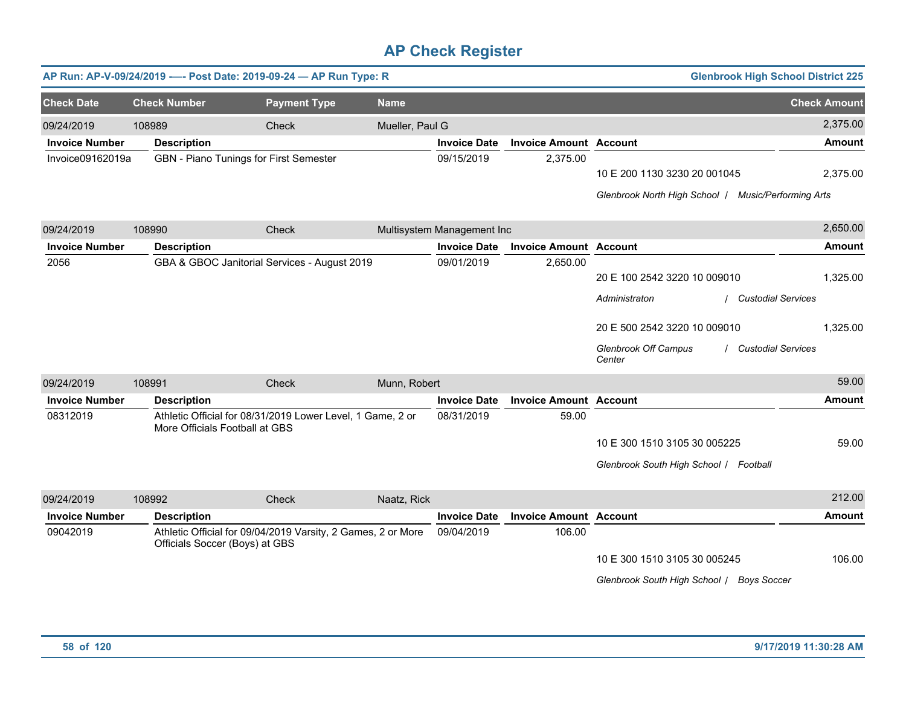|                       |                                | AP Run: AP-V-09/24/2019 ---- Post Date: 2019-09-24 - AP Run Type: R |                 |                            |                               | <b>Glenbrook High School District 225</b>                                                                                                                                        |                      |
|-----------------------|--------------------------------|---------------------------------------------------------------------|-----------------|----------------------------|-------------------------------|----------------------------------------------------------------------------------------------------------------------------------------------------------------------------------|----------------------|
| <b>Check Date</b>     | <b>Check Number</b>            | <b>Payment Type</b>                                                 | <b>Name</b>     |                            |                               |                                                                                                                                                                                  | <b>Check Amount</b>  |
| 09/24/2019            | 108989                         | Check                                                               | Mueller, Paul G |                            |                               |                                                                                                                                                                                  | 2,375.00             |
| <b>Invoice Number</b> | <b>Description</b>             |                                                                     |                 | <b>Invoice Date</b>        | <b>Invoice Amount Account</b> |                                                                                                                                                                                  | <b>Amount</b>        |
| Invoice09162019a      |                                | GBN - Piano Tunings for First Semester                              |                 | 09/15/2019                 | 2,375.00                      | 10 E 200 1130 3230 20 001045<br>Glenbrook North High School   Music/Performing Arts                                                                                              | 2,375.00             |
| 09/24/2019            | 108990                         | Check                                                               |                 | Multisystem Management Inc |                               |                                                                                                                                                                                  | 2,650.00             |
| <b>Invoice Number</b> | <b>Description</b>             |                                                                     |                 | <b>Invoice Date</b>        | <b>Invoice Amount Account</b> |                                                                                                                                                                                  | <b>Amount</b>        |
| 2056                  |                                | GBA & GBOC Janitorial Services - August 2019                        |                 | 09/01/2019                 | 2,650.00                      | 20 E 100 2542 3220 10 009010<br>Administraton<br><b>Custodial Services</b><br>20 E 500 2542 3220 10 009010<br><b>Glenbrook Off Campus</b><br><b>Custodial Services</b><br>Center | 1,325.00<br>1,325.00 |
| 09/24/2019            | 108991                         | Check                                                               | Munn, Robert    |                            |                               |                                                                                                                                                                                  | 59.00                |
| <b>Invoice Number</b> | <b>Description</b>             |                                                                     |                 | <b>Invoice Date</b>        | <b>Invoice Amount Account</b> |                                                                                                                                                                                  | <b>Amount</b>        |
| 08312019              | More Officials Football at GBS | Athletic Official for 08/31/2019 Lower Level, 1 Game, 2 or          |                 | 08/31/2019                 | 59.00                         | 10 E 300 1510 3105 30 005225<br>Glenbrook South High School / Football                                                                                                           | 59.00                |
| 09/24/2019            | 108992                         | <b>Check</b>                                                        | Naatz, Rick     |                            |                               |                                                                                                                                                                                  | 212.00               |
| <b>Invoice Number</b> | <b>Description</b>             |                                                                     |                 | <b>Invoice Date</b>        | <b>Invoice Amount Account</b> |                                                                                                                                                                                  | <b>Amount</b>        |
| 09042019              | Officials Soccer (Boys) at GBS | Athletic Official for 09/04/2019 Varsity, 2 Games, 2 or More        |                 | 09/04/2019                 | 106.00                        | 10 E 300 1510 3105 30 005245<br>Glenbrook South High School / Boys Soccer                                                                                                        | 106.00               |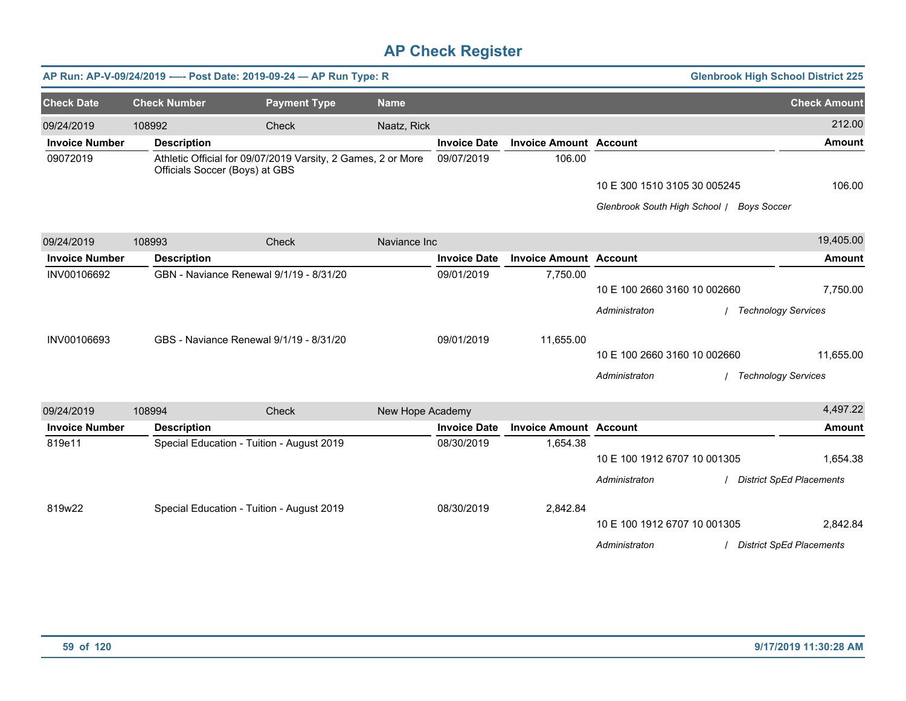|                       |                     | AP Run: AP-V-09/24/2019 ---- Post Date: 2019-09-24 - AP Run Type: R                            |                  |                     |                               |                                           | <b>Glenbrook High School District 225</b> |  |
|-----------------------|---------------------|------------------------------------------------------------------------------------------------|------------------|---------------------|-------------------------------|-------------------------------------------|-------------------------------------------|--|
| <b>Check Date</b>     | <b>Check Number</b> | <b>Payment Type</b>                                                                            | <b>Name</b>      |                     |                               |                                           | <b>Check Amount</b>                       |  |
| 09/24/2019            | 108992              | <b>Check</b>                                                                                   | Naatz, Rick      |                     |                               |                                           | 212.00                                    |  |
| <b>Invoice Number</b> | <b>Description</b>  |                                                                                                |                  | <b>Invoice Date</b> | <b>Invoice Amount Account</b> |                                           | <b>Amount</b>                             |  |
| 09072019              |                     | Athletic Official for 09/07/2019 Varsity, 2 Games, 2 or More<br>Officials Soccer (Boys) at GBS |                  | 09/07/2019          | 106.00                        |                                           |                                           |  |
|                       |                     |                                                                                                |                  |                     |                               | 10 E 300 1510 3105 30 005245              | 106.00                                    |  |
|                       |                     |                                                                                                |                  |                     |                               | Glenbrook South High School / Boys Soccer |                                           |  |
| 09/24/2019            | 108993              | <b>Check</b>                                                                                   | Naviance Inc     |                     |                               |                                           | 19,405.00                                 |  |
| <b>Invoice Number</b> | <b>Description</b>  |                                                                                                |                  | <b>Invoice Date</b> | <b>Invoice Amount Account</b> |                                           | <b>Amount</b>                             |  |
| INV00106692           |                     | GBN - Naviance Renewal 9/1/19 - 8/31/20                                                        |                  | 09/01/2019          | 7,750.00                      |                                           |                                           |  |
|                       |                     |                                                                                                |                  |                     |                               | 10 E 100 2660 3160 10 002660              | 7,750.00                                  |  |
|                       |                     |                                                                                                |                  |                     |                               | Administraton                             | <b>Technology Services</b>                |  |
| INV00106693           |                     | GBS - Naviance Renewal 9/1/19 - 8/31/20                                                        |                  | 09/01/2019          | 11,655.00                     |                                           |                                           |  |
|                       |                     |                                                                                                |                  |                     |                               | 10 E 100 2660 3160 10 002660              | 11,655.00                                 |  |
|                       |                     |                                                                                                |                  |                     |                               | Administraton                             | <b>Technology Services</b>                |  |
| 09/24/2019            | 108994              | Check                                                                                          | New Hope Academy |                     |                               |                                           | 4,497.22                                  |  |
| <b>Invoice Number</b> | <b>Description</b>  |                                                                                                |                  | <b>Invoice Date</b> | <b>Invoice Amount Account</b> |                                           | <b>Amount</b>                             |  |
| 819e11                |                     | Special Education - Tuition - August 2019                                                      |                  | 08/30/2019          | 1,654.38                      |                                           |                                           |  |
|                       |                     |                                                                                                |                  |                     |                               | 10 E 100 1912 6707 10 001305              | 1,654.38                                  |  |
|                       |                     |                                                                                                |                  |                     |                               | Administraton                             | <b>District SpEd Placements</b>           |  |
| 819w22                |                     | Special Education - Tuition - August 2019                                                      |                  | 08/30/2019          | 2,842.84                      |                                           |                                           |  |
|                       |                     |                                                                                                |                  |                     |                               | 10 E 100 1912 6707 10 001305              | 2,842.84                                  |  |
|                       |                     |                                                                                                |                  |                     |                               | Administraton                             | <b>District SpEd Placements</b>           |  |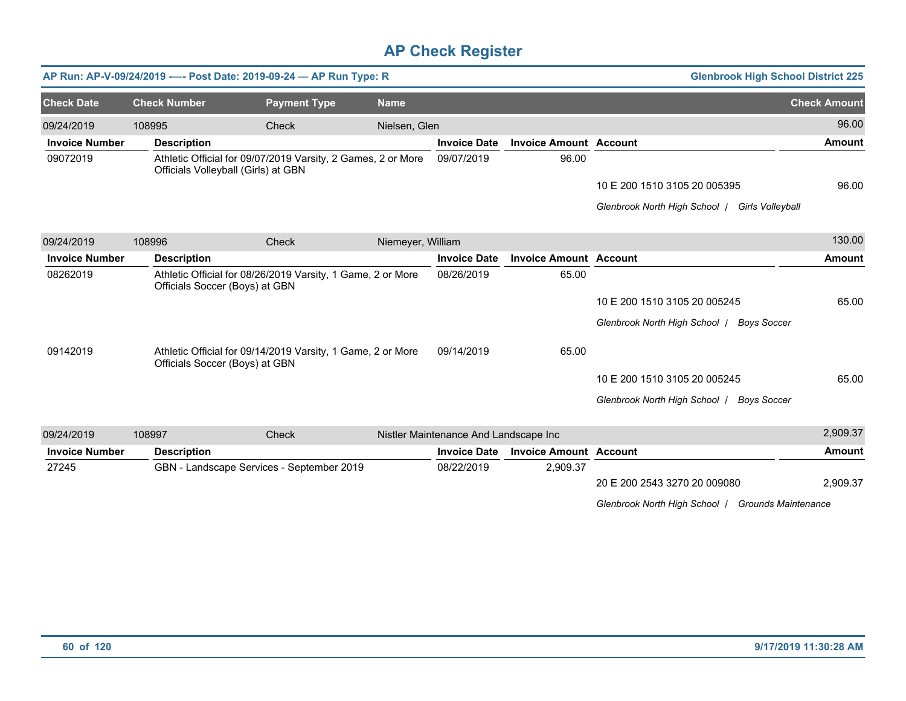|                       |        | AP Run: AP-V-09/24/2019 ---- Post Date: 2019-09-24 - AP Run Type: R                                 |                     |                   |                                       |                               | <b>Glenbrook High School District 225</b>           |                     |
|-----------------------|--------|-----------------------------------------------------------------------------------------------------|---------------------|-------------------|---------------------------------------|-------------------------------|-----------------------------------------------------|---------------------|
| <b>Check Date</b>     |        | <b>Check Number</b>                                                                                 | <b>Payment Type</b> | <b>Name</b>       |                                       |                               |                                                     | <b>Check Amount</b> |
| 09/24/2019            | 108995 |                                                                                                     | <b>Check</b>        | Nielsen, Glen     |                                       |                               |                                                     | 96.00               |
| <b>Invoice Number</b> |        | <b>Description</b>                                                                                  |                     |                   | <b>Invoice Date</b>                   | <b>Invoice Amount Account</b> |                                                     | <b>Amount</b>       |
| 09072019              |        | Athletic Official for 09/07/2019 Varsity, 2 Games, 2 or More<br>Officials Volleyball (Girls) at GBN |                     |                   | 09/07/2019                            | 96.00                         |                                                     |                     |
|                       |        |                                                                                                     |                     |                   |                                       |                               | 10 E 200 1510 3105 20 005395                        | 96.00               |
|                       |        |                                                                                                     |                     |                   |                                       |                               | Glenbrook North High School  <br>Girls Volleyball   |                     |
| 09/24/2019            | 108996 |                                                                                                     | Check               | Niemeyer, William |                                       |                               |                                                     | 130.00              |
| <b>Invoice Number</b> |        | <b>Description</b>                                                                                  |                     |                   | <b>Invoice Date</b>                   | <b>Invoice Amount Account</b> |                                                     | <b>Amount</b>       |
| 08262019              |        | Athletic Official for 08/26/2019 Varsity, 1 Game, 2 or More<br>Officials Soccer (Boys) at GBN       |                     |                   | 08/26/2019                            | 65.00                         |                                                     |                     |
|                       |        |                                                                                                     |                     |                   |                                       |                               | 10 E 200 1510 3105 20 005245                        | 65.00               |
|                       |        |                                                                                                     |                     |                   |                                       |                               | Glenbrook North High School /<br><b>Boys Soccer</b> |                     |
| 09142019              |        | Athletic Official for 09/14/2019 Varsity, 1 Game, 2 or More<br>Officials Soccer (Boys) at GBN       |                     |                   | 09/14/2019                            | 65.00                         |                                                     |                     |
|                       |        |                                                                                                     |                     |                   |                                       |                               | 10 E 200 1510 3105 20 005245                        | 65.00               |
|                       |        |                                                                                                     |                     |                   |                                       |                               | Glenbrook North High School /<br><b>Boys Soccer</b> |                     |
| 09/24/2019            | 108997 |                                                                                                     | Check               |                   | Nistler Maintenance And Landscape Inc |                               |                                                     | 2,909.37            |
| <b>Invoice Number</b> |        | <b>Description</b>                                                                                  |                     |                   | <b>Invoice Date</b>                   | <b>Invoice Amount Account</b> |                                                     | Amount              |
| 27245                 |        | GBN - Landscape Services - September 2019                                                           |                     |                   | 08/22/2019                            | 2,909.37                      |                                                     |                     |
|                       |        |                                                                                                     |                     |                   |                                       |                               | 20 E 200 2543 3270 20 009080                        | 2,909.37            |

*Glenbrook North High School* / *Grounds Maintenance*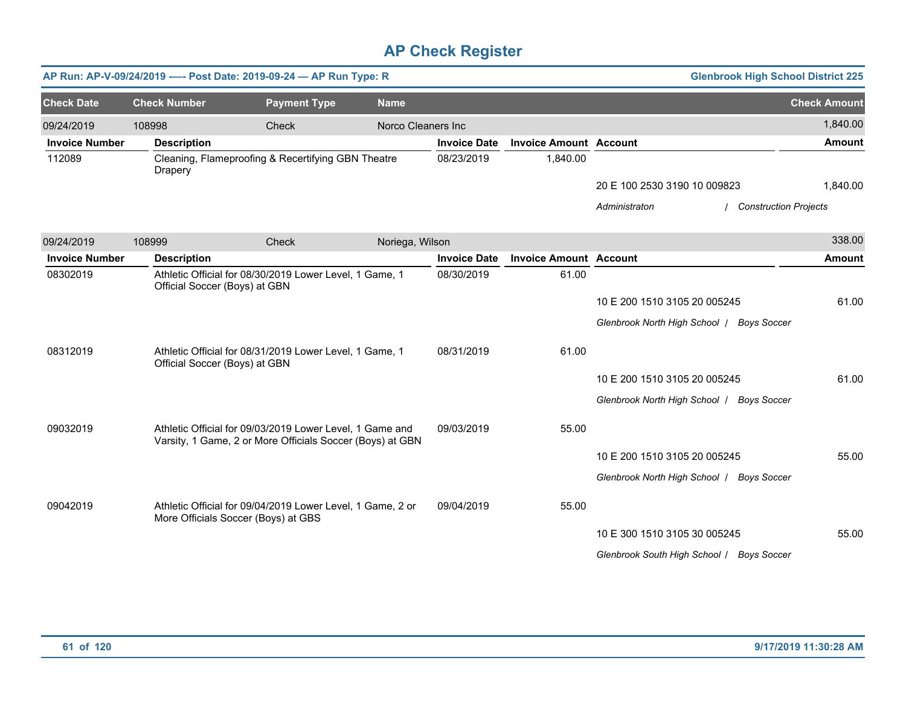|                       |                               | AP Run: AP-V-09/24/2019 ---- Post Date: 2019-09-24 - AP Run Type: R                                                   |                    |                     |                               |                                           | <b>Glenbrook High School District 225</b> |                     |
|-----------------------|-------------------------------|-----------------------------------------------------------------------------------------------------------------------|--------------------|---------------------|-------------------------------|-------------------------------------------|-------------------------------------------|---------------------|
| <b>Check Date</b>     | <b>Check Number</b>           | <b>Payment Type</b>                                                                                                   | <b>Name</b>        |                     |                               |                                           |                                           | <b>Check Amount</b> |
| 09/24/2019            | 108998                        | Check                                                                                                                 | Norco Cleaners Inc |                     |                               |                                           |                                           | 1,840.00            |
| <b>Invoice Number</b> | <b>Description</b>            |                                                                                                                       |                    | <b>Invoice Date</b> | <b>Invoice Amount Account</b> |                                           |                                           | <b>Amount</b>       |
| 112089                | Drapery                       | Cleaning, Flameproofing & Recertifying GBN Theatre                                                                    |                    | 08/23/2019          | 1,840.00                      |                                           |                                           |                     |
|                       |                               |                                                                                                                       |                    |                     |                               | 20 E 100 2530 3190 10 009823              |                                           | 1,840.00            |
|                       |                               |                                                                                                                       |                    |                     |                               | Administraton                             | <b>Construction Projects</b>              |                     |
| 09/24/2019            | 108999                        | Check                                                                                                                 | Noriega, Wilson    |                     |                               |                                           |                                           | 338.00              |
| <b>Invoice Number</b> | <b>Description</b>            |                                                                                                                       |                    | <b>Invoice Date</b> | <b>Invoice Amount Account</b> |                                           |                                           | <b>Amount</b>       |
| 08302019              | Official Soccer (Boys) at GBN | Athletic Official for 08/30/2019 Lower Level, 1 Game, 1                                                               |                    | 08/30/2019          | 61.00                         |                                           |                                           |                     |
|                       |                               |                                                                                                                       |                    |                     |                               | 10 E 200 1510 3105 20 005245              |                                           | 61.00               |
|                       |                               |                                                                                                                       |                    |                     |                               | Glenbrook North High School / Boys Soccer |                                           |                     |
| 08312019              | Official Soccer (Boys) at GBN | Athletic Official for 08/31/2019 Lower Level, 1 Game, 1                                                               |                    | 08/31/2019          | 61.00                         |                                           |                                           |                     |
|                       |                               |                                                                                                                       |                    |                     |                               | 10 E 200 1510 3105 20 005245              |                                           | 61.00               |
|                       |                               |                                                                                                                       |                    |                     |                               | Glenbrook North High School   Boys Soccer |                                           |                     |
| 09032019              |                               | Athletic Official for 09/03/2019 Lower Level, 1 Game and<br>Varsity, 1 Game, 2 or More Officials Soccer (Boys) at GBN |                    | 09/03/2019          | 55.00                         |                                           |                                           |                     |
|                       |                               |                                                                                                                       |                    |                     |                               | 10 E 200 1510 3105 20 005245              |                                           | 55.00               |
|                       |                               |                                                                                                                       |                    |                     |                               | Glenbrook North High School   Boys Soccer |                                           |                     |
| 09042019              |                               | Athletic Official for 09/04/2019 Lower Level, 1 Game, 2 or<br>More Officials Soccer (Boys) at GBS                     |                    | 09/04/2019          | 55.00                         |                                           |                                           |                     |
|                       |                               |                                                                                                                       |                    |                     |                               | 10 E 300 1510 3105 30 005245              |                                           | 55.00               |
|                       |                               |                                                                                                                       |                    |                     |                               | Glenbrook South High School / Boys Soccer |                                           |                     |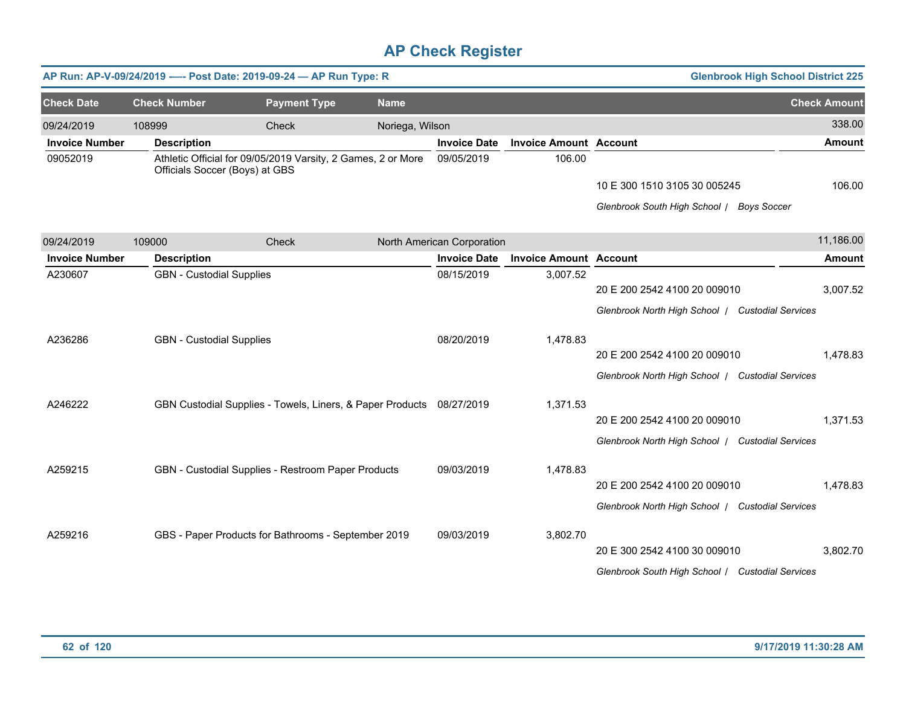|                       |                                 | AP Run: AP-V-09/24/2019 ---- Post Date: 2019-09-24 - AP Run Type: R  |                 |                            |                               |                                                  | <b>Glenbrook High School District 225</b> |                     |
|-----------------------|---------------------------------|----------------------------------------------------------------------|-----------------|----------------------------|-------------------------------|--------------------------------------------------|-------------------------------------------|---------------------|
| <b>Check Date</b>     | <b>Check Number</b>             | <b>Payment Type</b>                                                  | <b>Name</b>     |                            |                               |                                                  |                                           | <b>Check Amount</b> |
| 09/24/2019            | 108999                          | Check                                                                | Noriega, Wilson |                            |                               |                                                  |                                           | 338.00              |
| <b>Invoice Number</b> | <b>Description</b>              |                                                                      |                 | <b>Invoice Date</b>        | <b>Invoice Amount Account</b> |                                                  |                                           | Amount              |
| 09052019              | Officials Soccer (Boys) at GBS  | Athletic Official for 09/05/2019 Varsity, 2 Games, 2 or More         |                 | 09/05/2019                 | 106.00                        |                                                  |                                           |                     |
|                       |                                 |                                                                      |                 |                            |                               | 10 E 300 1510 3105 30 005245                     |                                           | 106.00              |
|                       |                                 |                                                                      |                 |                            |                               | Glenbrook South High School / Boys Soccer        |                                           |                     |
| 09/24/2019            | 109000                          | Check                                                                |                 | North American Corporation |                               |                                                  |                                           | 11,186.00           |
| <b>Invoice Number</b> | <b>Description</b>              |                                                                      |                 | <b>Invoice Date</b>        | <b>Invoice Amount Account</b> |                                                  |                                           | <b>Amount</b>       |
| A230607               | <b>GBN</b> - Custodial Supplies |                                                                      |                 | 08/15/2019                 | 3,007.52                      |                                                  |                                           |                     |
|                       |                                 |                                                                      |                 |                            |                               | 20 E 200 2542 4100 20 009010                     |                                           | 3,007.52            |
|                       |                                 |                                                                      |                 |                            |                               | Glenbrook North High School / Custodial Services |                                           |                     |
| A236286               | <b>GBN</b> - Custodial Supplies |                                                                      |                 | 08/20/2019                 | 1,478.83                      |                                                  |                                           |                     |
|                       |                                 |                                                                      |                 |                            |                               | 20 E 200 2542 4100 20 009010                     |                                           | 1,478.83            |
|                       |                                 |                                                                      |                 |                            |                               | Glenbrook North High School   Custodial Services |                                           |                     |
|                       |                                 |                                                                      |                 |                            |                               |                                                  |                                           |                     |
| A246222               |                                 | GBN Custodial Supplies - Towels, Liners, & Paper Products 08/27/2019 |                 |                            | 1,371.53                      | 20 E 200 2542 4100 20 009010                     |                                           | 1,371.53            |
|                       |                                 |                                                                      |                 |                            |                               | Glenbrook North High School   Custodial Services |                                           |                     |
|                       |                                 |                                                                      |                 |                            |                               |                                                  |                                           |                     |
| A259215               |                                 | GBN - Custodial Supplies - Restroom Paper Products                   |                 | 09/03/2019                 | 1,478.83                      |                                                  |                                           |                     |
|                       |                                 |                                                                      |                 |                            |                               | 20 E 200 2542 4100 20 009010                     |                                           | 1,478.83            |
|                       |                                 |                                                                      |                 |                            |                               | Glenbrook North High School / Custodial Services |                                           |                     |
| A259216               |                                 | GBS - Paper Products for Bathrooms - September 2019                  |                 | 09/03/2019                 | 3,802.70                      |                                                  |                                           |                     |
|                       |                                 |                                                                      |                 |                            |                               | 20 E 300 2542 4100 30 009010                     |                                           | 3,802.70            |
|                       |                                 |                                                                      |                 |                            |                               | Glenbrook South High School / Custodial Services |                                           |                     |
|                       |                                 |                                                                      |                 |                            |                               |                                                  |                                           |                     |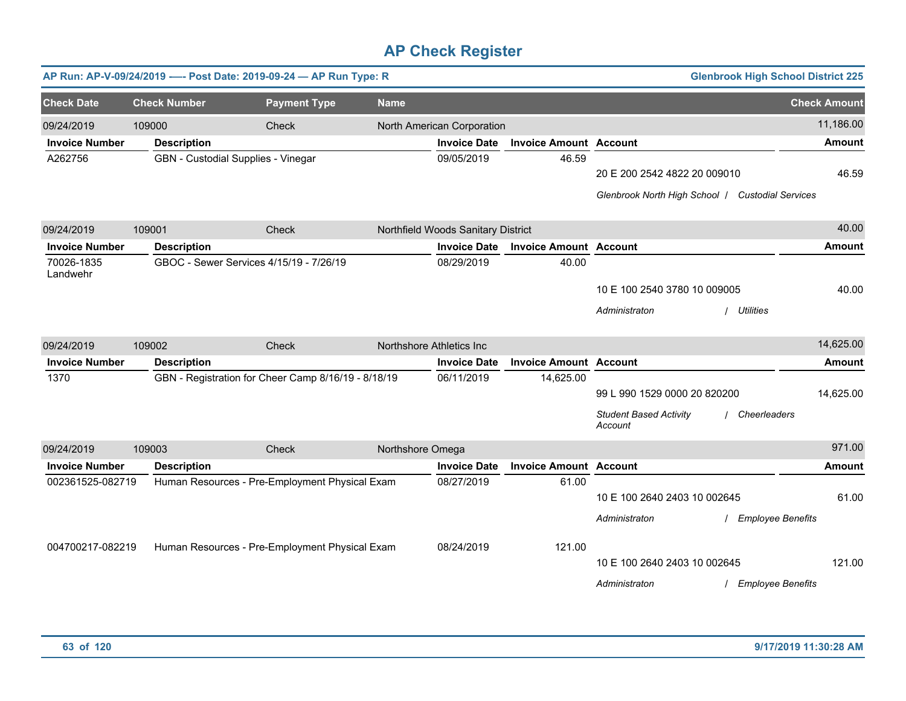|                        |                     | AP Run: AP-V-09/24/2019 ---- Post Date: 2019-09-24 - AP Run Type: R |                  |                                    |                               |                                                                                  | <b>Glenbrook High School District 225</b> |                     |
|------------------------|---------------------|---------------------------------------------------------------------|------------------|------------------------------------|-------------------------------|----------------------------------------------------------------------------------|-------------------------------------------|---------------------|
| <b>Check Date</b>      | <b>Check Number</b> | <b>Payment Type</b>                                                 | <b>Name</b>      |                                    |                               |                                                                                  |                                           | <b>Check Amount</b> |
| 09/24/2019             | 109000              | Check                                                               |                  | North American Corporation         |                               |                                                                                  |                                           | 11,186.00           |
| <b>Invoice Number</b>  | <b>Description</b>  |                                                                     |                  | <b>Invoice Date</b>                | <b>Invoice Amount Account</b> |                                                                                  |                                           | <b>Amount</b>       |
| A262756                |                     | GBN - Custodial Supplies - Vinegar                                  |                  | 09/05/2019                         | 46.59                         | 20 E 200 2542 4822 20 009010<br>Glenbrook North High School   Custodial Services |                                           | 46.59               |
| 09/24/2019             | 109001              | Check                                                               |                  | Northfield Woods Sanitary District |                               |                                                                                  |                                           | 40.00               |
| <b>Invoice Number</b>  | <b>Description</b>  |                                                                     |                  | <b>Invoice Date</b>                | <b>Invoice Amount Account</b> |                                                                                  |                                           | <b>Amount</b>       |
| 70026-1835<br>Landwehr |                     | GBOC - Sewer Services 4/15/19 - 7/26/19                             |                  | 08/29/2019                         | 40.00                         |                                                                                  |                                           |                     |
|                        |                     |                                                                     |                  |                                    |                               | 10 E 100 2540 3780 10 009005                                                     |                                           | 40.00               |
|                        |                     |                                                                     |                  |                                    |                               | Administraton                                                                    | <b>Utilities</b>                          |                     |
| 09/24/2019             | 109002              | Check                                                               |                  | Northshore Athletics Inc           |                               |                                                                                  |                                           | 14,625.00           |
| <b>Invoice Number</b>  | <b>Description</b>  |                                                                     |                  | <b>Invoice Date</b>                | <b>Invoice Amount Account</b> |                                                                                  |                                           | <b>Amount</b>       |
| 1370                   |                     | GBN - Registration for Cheer Camp 8/16/19 - 8/18/19                 |                  | 06/11/2019                         | 14,625.00                     | 99 L 990 1529 0000 20 820200<br><b>Student Based Activity</b><br>Account         | / Cheerleaders                            | 14,625.00           |
| 09/24/2019             | 109003              | Check                                                               | Northshore Omega |                                    |                               |                                                                                  |                                           | 971.00              |
| <b>Invoice Number</b>  | <b>Description</b>  |                                                                     |                  | <b>Invoice Date</b>                | <b>Invoice Amount Account</b> |                                                                                  |                                           | <b>Amount</b>       |
| 002361525-082719       |                     | Human Resources - Pre-Employment Physical Exam                      |                  | 08/27/2019                         | 61.00                         | 10 E 100 2640 2403 10 002645<br>Administraton                                    | <b>Employee Benefits</b>                  | 61.00               |
| 004700217-082219       |                     | Human Resources - Pre-Employment Physical Exam                      |                  | 08/24/2019                         | 121.00                        | 10 E 100 2640 2403 10 002645<br>Administraton                                    | / Employee Benefits                       | 121.00              |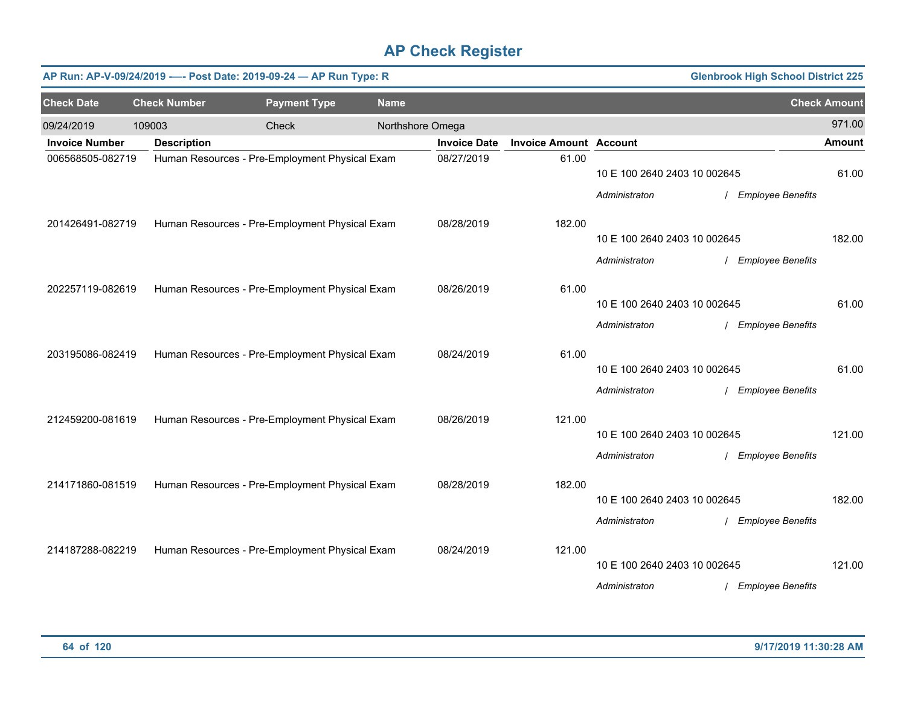|                       |                     | AP Run: AP-V-09/24/2019 ---- Post Date: 2019-09-24 - AP Run Type: R |                  |                     |                               |                              | <b>Glenbrook High School District 225</b> |                     |
|-----------------------|---------------------|---------------------------------------------------------------------|------------------|---------------------|-------------------------------|------------------------------|-------------------------------------------|---------------------|
| <b>Check Date</b>     | <b>Check Number</b> | <b>Payment Type</b>                                                 | <b>Name</b>      |                     |                               |                              |                                           | <b>Check Amount</b> |
| 09/24/2019            | 109003              | Check                                                               | Northshore Omega |                     |                               |                              |                                           | 971.00              |
| <b>Invoice Number</b> | <b>Description</b>  |                                                                     |                  | <b>Invoice Date</b> | <b>Invoice Amount Account</b> |                              |                                           | <b>Amount</b>       |
| 006568505-082719      |                     | Human Resources - Pre-Employment Physical Exam                      |                  | 08/27/2019          | 61.00                         | 10 E 100 2640 2403 10 002645 |                                           | 61.00               |
| 201426491-082719      |                     | Human Resources - Pre-Employment Physical Exam                      |                  | 08/28/2019          | 182.00                        | Administraton                | / Employee Benefits                       |                     |
|                       |                     |                                                                     |                  |                     |                               | 10 E 100 2640 2403 10 002645 |                                           | 182.00              |
|                       |                     |                                                                     |                  |                     |                               | Administraton                | / Employee Benefits                       |                     |
| 202257119-082619      |                     | Human Resources - Pre-Employment Physical Exam                      |                  | 08/26/2019          | 61.00                         | 10 E 100 2640 2403 10 002645 |                                           | 61.00               |
|                       |                     |                                                                     |                  |                     |                               |                              |                                           |                     |
|                       |                     |                                                                     |                  |                     |                               | Administraton                | / Employee Benefits                       |                     |
| 203195086-082419      |                     | Human Resources - Pre-Employment Physical Exam                      |                  | 08/24/2019          | 61.00                         |                              |                                           |                     |
|                       |                     |                                                                     |                  |                     |                               | 10 E 100 2640 2403 10 002645 |                                           | 61.00               |
|                       |                     |                                                                     |                  |                     |                               | Administraton                | / Employee Benefits                       |                     |
| 212459200-081619      |                     | Human Resources - Pre-Employment Physical Exam                      |                  | 08/26/2019          | 121.00                        |                              |                                           |                     |
|                       |                     |                                                                     |                  |                     |                               | 10 E 100 2640 2403 10 002645 |                                           | 121.00              |
|                       |                     |                                                                     |                  |                     |                               | Administraton                | / Employee Benefits                       |                     |
| 214171860-081519      |                     | Human Resources - Pre-Employment Physical Exam                      |                  | 08/28/2019          | 182.00                        |                              |                                           |                     |
|                       |                     |                                                                     |                  |                     |                               | 10 E 100 2640 2403 10 002645 |                                           | 182.00              |
|                       |                     |                                                                     |                  |                     |                               | Administraton                | / Employee Benefits                       |                     |
| 214187288-082219      |                     | Human Resources - Pre-Employment Physical Exam                      |                  | 08/24/2019          | 121.00                        |                              |                                           |                     |
|                       |                     |                                                                     |                  |                     |                               | 10 E 100 2640 2403 10 002645 |                                           | 121.00              |
|                       |                     |                                                                     |                  |                     |                               | Administraton                | / Employee Benefits                       |                     |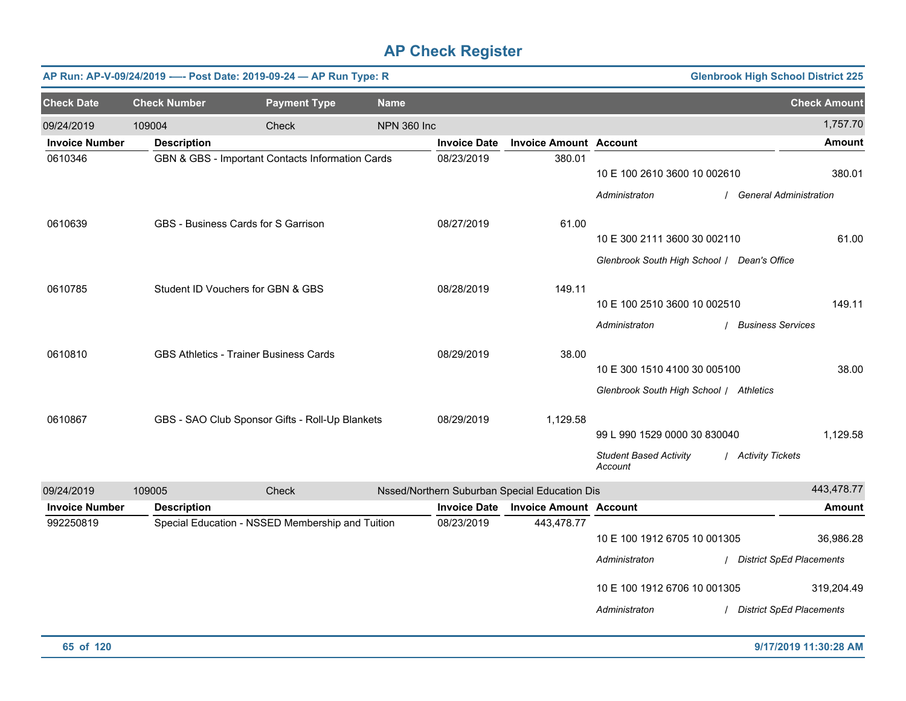|                       |                     | AP Run: AP-V-09/24/2019 ---- Post Date: 2019-09-24 - AP Run Type: R |                    |                     |                                               |                                             | <b>Glenbrook High School District 225</b> |
|-----------------------|---------------------|---------------------------------------------------------------------|--------------------|---------------------|-----------------------------------------------|---------------------------------------------|-------------------------------------------|
| <b>Check Date</b>     | <b>Check Number</b> | <b>Payment Type</b>                                                 | <b>Name</b>        |                     |                                               |                                             | <b>Check Amount</b>                       |
| 09/24/2019            | 109004              | <b>Check</b>                                                        | <b>NPN 360 Inc</b> |                     |                                               |                                             | 1,757.70                                  |
| <b>Invoice Number</b> | <b>Description</b>  |                                                                     |                    | <b>Invoice Date</b> | <b>Invoice Amount Account</b>                 |                                             | <b>Amount</b>                             |
| 0610346               |                     | GBN & GBS - Important Contacts Information Cards                    |                    | 08/23/2019          | 380.01                                        | 10 E 100 2610 3600 10 002610                | 380.01                                    |
|                       |                     |                                                                     |                    |                     |                                               | Administraton                               | / General Administration                  |
| 0610639               |                     | GBS - Business Cards for S Garrison                                 |                    | 08/27/2019          | 61.00                                         |                                             |                                           |
|                       |                     |                                                                     |                    |                     |                                               | 10 E 300 2111 3600 30 002110                | 61.00                                     |
|                       |                     |                                                                     |                    |                     |                                               | Glenbrook South High School / Dean's Office |                                           |
| 0610785               |                     | Student ID Vouchers for GBN & GBS                                   |                    | 08/28/2019          | 149.11                                        |                                             |                                           |
|                       |                     |                                                                     |                    |                     |                                               | 10 E 100 2510 3600 10 002510                | 149.11                                    |
|                       |                     |                                                                     |                    |                     |                                               | Administraton                               | / Business Services                       |
| 0610810               |                     | <b>GBS Athletics - Trainer Business Cards</b>                       |                    | 08/29/2019          | 38.00                                         |                                             |                                           |
|                       |                     |                                                                     |                    |                     |                                               | 10 E 300 1510 4100 30 005100                | 38.00                                     |
|                       |                     |                                                                     |                    |                     |                                               | Glenbrook South High School / Athletics     |                                           |
| 0610867               |                     | GBS - SAO Club Sponsor Gifts - Roll-Up Blankets                     |                    | 08/29/2019          | 1,129.58                                      |                                             |                                           |
|                       |                     |                                                                     |                    |                     |                                               | 99 L 990 1529 0000 30 830040                | 1,129.58                                  |
|                       |                     |                                                                     |                    |                     |                                               | <b>Student Based Activity</b><br>Account    | / Activity Tickets                        |
| 09/24/2019            | 109005              | Check                                                               |                    |                     | Nssed/Northern Suburban Special Education Dis |                                             | 443,478.77                                |
| <b>Invoice Number</b> | <b>Description</b>  |                                                                     |                    | <b>Invoice Date</b> | <b>Invoice Amount Account</b>                 |                                             | <b>Amount</b>                             |
| 992250819             |                     | Special Education - NSSED Membership and Tuition                    |                    | 08/23/2019          | 443,478.77                                    |                                             |                                           |
|                       |                     |                                                                     |                    |                     |                                               | 10 E 100 1912 6705 10 001305                | 36,986.28                                 |
|                       |                     |                                                                     |                    |                     |                                               | Administraton                               | / District SpEd Placements                |
|                       |                     |                                                                     |                    |                     |                                               | 10 E 100 1912 6706 10 001305                | 319,204.49                                |
|                       |                     |                                                                     |                    |                     |                                               | Administraton                               | / District SpEd Placements                |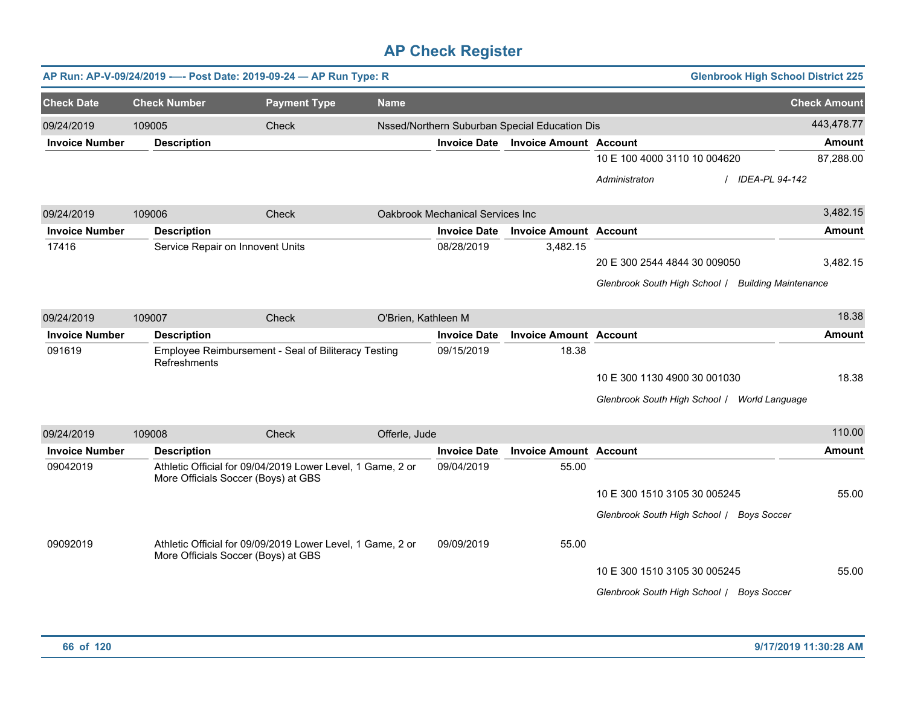|                       |        | AP Run: AP-V-09/24/2019 ---- Post Date: 2019-09-24 - AP Run Type: R                               |                     |                     |                                  |                                               | <b>Glenbrook High School District 225</b>          |                     |
|-----------------------|--------|---------------------------------------------------------------------------------------------------|---------------------|---------------------|----------------------------------|-----------------------------------------------|----------------------------------------------------|---------------------|
| <b>Check Date</b>     |        | <b>Check Number</b>                                                                               | <b>Payment Type</b> | <b>Name</b>         |                                  |                                               |                                                    | <b>Check Amount</b> |
| 09/24/2019            | 109005 |                                                                                                   | Check               |                     |                                  | Nssed/Northern Suburban Special Education Dis |                                                    | 443,478.77          |
| <b>Invoice Number</b> |        | <b>Description</b>                                                                                |                     |                     | <b>Invoice Date</b>              | <b>Invoice Amount Account</b>                 |                                                    | Amount              |
|                       |        |                                                                                                   |                     |                     |                                  |                                               | 10 E 100 4000 3110 10 004620                       | 87,288.00           |
|                       |        |                                                                                                   |                     |                     |                                  |                                               | Administraton<br>IDEA-PL 94-142                    |                     |
| 09/24/2019            | 109006 |                                                                                                   | Check               |                     | Oakbrook Mechanical Services Inc |                                               |                                                    | 3,482.15            |
| <b>Invoice Number</b> |        | <b>Description</b>                                                                                |                     |                     | <b>Invoice Date</b>              | <b>Invoice Amount Account</b>                 |                                                    | <b>Amount</b>       |
| 17416                 |        | Service Repair on Innovent Units                                                                  |                     |                     | 08/28/2019                       | 3,482.15                                      |                                                    |                     |
|                       |        |                                                                                                   |                     |                     |                                  |                                               | 20 E 300 2544 4844 30 009050                       | 3,482.15            |
|                       |        |                                                                                                   |                     |                     |                                  |                                               | Glenbrook South High School / Building Maintenance |                     |
| 09/24/2019            | 109007 |                                                                                                   | Check               | O'Brien, Kathleen M |                                  |                                               |                                                    | 18.38               |
| <b>Invoice Number</b> |        | <b>Description</b>                                                                                |                     |                     | <b>Invoice Date</b>              | <b>Invoice Amount Account</b>                 |                                                    | <b>Amount</b>       |
| 091619                |        | Employee Reimbursement - Seal of Biliteracy Testing<br>Refreshments                               |                     |                     | 09/15/2019                       | 18.38                                         |                                                    |                     |
|                       |        |                                                                                                   |                     |                     |                                  |                                               | 10 E 300 1130 4900 30 001030                       | 18.38               |
|                       |        |                                                                                                   |                     |                     |                                  |                                               | Glenbrook South High School / World Language       |                     |
| 09/24/2019            | 109008 |                                                                                                   | Check               | Offerle, Jude       |                                  |                                               |                                                    | 110.00              |
| <b>Invoice Number</b> |        | <b>Description</b>                                                                                |                     |                     | <b>Invoice Date</b>              | <b>Invoice Amount Account</b>                 |                                                    | <b>Amount</b>       |
| 09042019              |        | Athletic Official for 09/04/2019 Lower Level, 1 Game, 2 or<br>More Officials Soccer (Boys) at GBS |                     |                     | 09/04/2019                       | 55.00                                         |                                                    |                     |
|                       |        |                                                                                                   |                     |                     |                                  |                                               | 10 E 300 1510 3105 30 005245                       | 55.00               |
|                       |        |                                                                                                   |                     |                     |                                  |                                               | Glenbrook South High School / Boys Soccer          |                     |
| 09092019              |        | Athletic Official for 09/09/2019 Lower Level, 1 Game, 2 or<br>More Officials Soccer (Boys) at GBS |                     |                     | 09/09/2019                       | 55.00                                         |                                                    |                     |
|                       |        |                                                                                                   |                     |                     |                                  |                                               | 10 E 300 1510 3105 30 005245                       | 55.00               |
|                       |        |                                                                                                   |                     |                     |                                  |                                               | Glenbrook South High School / Boys Soccer          |                     |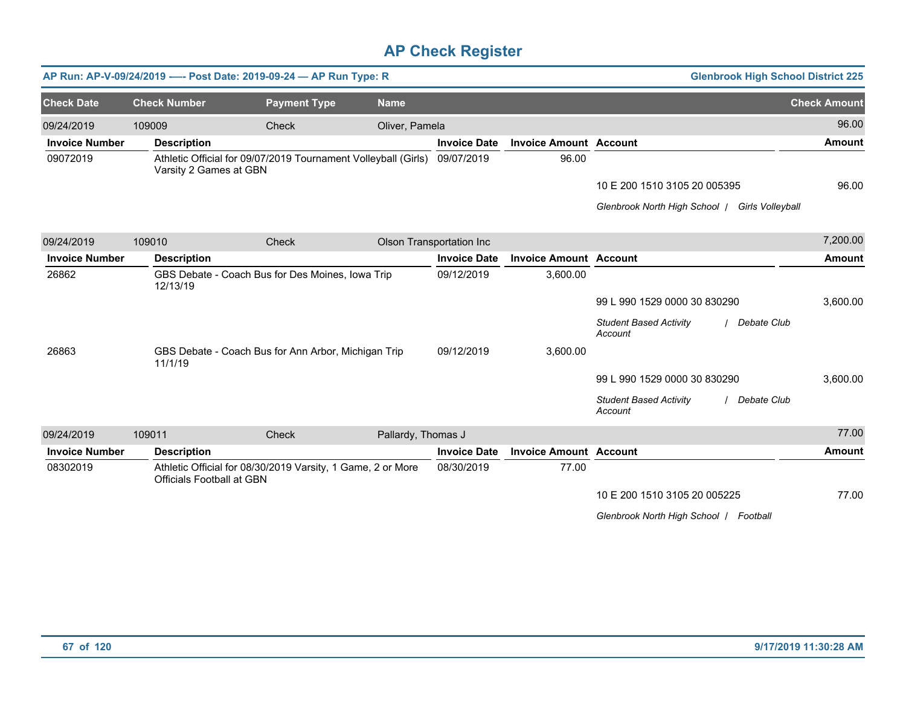|                       |                                  | AP Run: AP-V-09/24/2019 ---- Post Date: 2019-09-24 - AP Run Type: R |                    |                          |                               | <b>Glenbrook High School District 225</b>                 |                     |
|-----------------------|----------------------------------|---------------------------------------------------------------------|--------------------|--------------------------|-------------------------------|-----------------------------------------------------------|---------------------|
| <b>Check Date</b>     | <b>Check Number</b>              | <b>Payment Type</b>                                                 | <b>Name</b>        |                          |                               |                                                           | <b>Check Amount</b> |
| 09/24/2019            | 109009                           | Check                                                               | Oliver, Pamela     |                          |                               |                                                           | 96.00               |
| <b>Invoice Number</b> | <b>Description</b>               |                                                                     |                    | <b>Invoice Date</b>      | <b>Invoice Amount Account</b> |                                                           | <b>Amount</b>       |
| 09072019              | Varsity 2 Games at GBN           | Athletic Official for 09/07/2019 Tournament Volleyball (Girls)      |                    | 09/07/2019               | 96.00                         |                                                           |                     |
|                       |                                  |                                                                     |                    |                          |                               | 10 E 200 1510 3105 20 005395                              | 96.00               |
|                       |                                  |                                                                     |                    |                          |                               | Glenbrook North High School   Girls Volleyball            |                     |
| 09/24/2019            | 109010                           | Check                                                               |                    | Olson Transportation Inc |                               |                                                           | 7,200.00            |
| <b>Invoice Number</b> | <b>Description</b>               |                                                                     |                    | <b>Invoice Date</b>      | <b>Invoice Amount Account</b> |                                                           | <b>Amount</b>       |
| 26862                 | 12/13/19                         | GBS Debate - Coach Bus for Des Moines, Iowa Trip                    |                    | 09/12/2019               | 3,600.00                      |                                                           |                     |
|                       |                                  |                                                                     |                    |                          |                               | 99 L 990 1529 0000 30 830290                              | 3,600.00            |
|                       |                                  |                                                                     |                    |                          |                               | <b>Student Based Activity</b><br>/ Debate Club<br>Account |                     |
| 26863                 | 11/1/19                          | GBS Debate - Coach Bus for Ann Arbor, Michigan Trip                 |                    | 09/12/2019               | 3,600.00                      |                                                           |                     |
|                       |                                  |                                                                     |                    |                          |                               | 99 L 990 1529 0000 30 830290                              | 3,600.00            |
|                       |                                  |                                                                     |                    |                          |                               | <b>Student Based Activity</b><br>/ Debate Club<br>Account |                     |
| 09/24/2019            | 109011                           | Check                                                               | Pallardy, Thomas J |                          |                               |                                                           | 77.00               |
| <b>Invoice Number</b> | <b>Description</b>               |                                                                     |                    | <b>Invoice Date</b>      | <b>Invoice Amount Account</b> |                                                           | <b>Amount</b>       |
| 08302019              | <b>Officials Football at GBN</b> | Athletic Official for 08/30/2019 Varsity, 1 Game, 2 or More         |                    | 08/30/2019               | 77.00                         |                                                           |                     |
|                       |                                  |                                                                     |                    |                          |                               | 10 E 200 1510 3105 20 005225                              | 77.00               |
|                       |                                  |                                                                     |                    |                          |                               | Glenbrook North High School   Football                    |                     |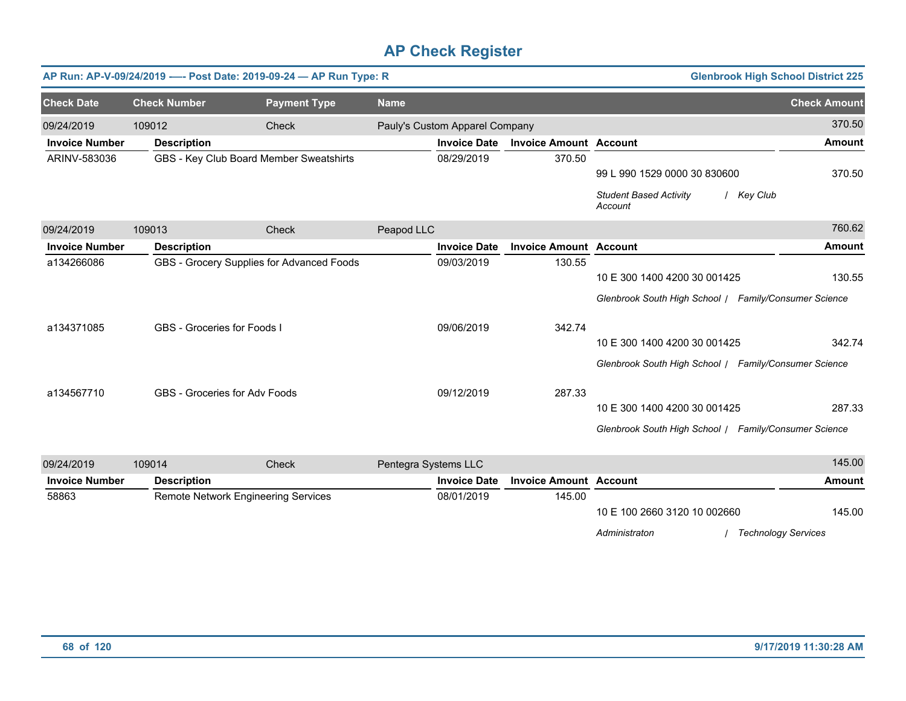|                       |                             | AP Run: AP-V-09/24/2019 ---- Post Date: 2019-09-24 - AP Run Type: R |                      |                                |                               | <b>Glenbrook High School District 225</b>              |                            |
|-----------------------|-----------------------------|---------------------------------------------------------------------|----------------------|--------------------------------|-------------------------------|--------------------------------------------------------|----------------------------|
| <b>Check Date</b>     | <b>Check Number</b>         | <b>Payment Type</b>                                                 | <b>Name</b>          |                                |                               |                                                        | <b>Check Amount</b>        |
| 09/24/2019            | 109012                      | Check                                                               |                      | Pauly's Custom Apparel Company |                               |                                                        | 370.50                     |
| <b>Invoice Number</b> | <b>Description</b>          |                                                                     |                      | <b>Invoice Date</b>            | <b>Invoice Amount Account</b> |                                                        | <b>Amount</b>              |
| ARINV-583036          |                             | GBS - Key Club Board Member Sweatshirts                             |                      | 08/29/2019                     | 370.50                        |                                                        |                            |
|                       |                             |                                                                     |                      |                                |                               | 99 L 990 1529 0000 30 830600                           | 370.50                     |
|                       |                             |                                                                     |                      |                                |                               | <b>Student Based Activity</b><br>/ Key Club<br>Account |                            |
| 09/24/2019            | 109013                      | <b>Check</b>                                                        | Peapod LLC           |                                |                               |                                                        | 760.62                     |
| <b>Invoice Number</b> | <b>Description</b>          |                                                                     |                      | <b>Invoice Date</b>            | <b>Invoice Amount Account</b> |                                                        | <b>Amount</b>              |
| a134266086            |                             | GBS - Grocery Supplies for Advanced Foods                           |                      | 09/03/2019                     | 130.55                        |                                                        |                            |
|                       |                             |                                                                     |                      |                                |                               | 10 E 300 1400 4200 30 001425                           | 130.55                     |
|                       |                             |                                                                     |                      |                                |                               | Glenbrook South High School / Family/Consumer Science  |                            |
| a134371085            | GBS - Groceries for Foods I |                                                                     |                      | 09/06/2019                     | 342.74                        |                                                        |                            |
|                       |                             |                                                                     |                      |                                |                               | 10 E 300 1400 4200 30 001425                           | 342.74                     |
|                       |                             |                                                                     |                      |                                |                               | Glenbrook South High School   Family/Consumer Science  |                            |
| a134567710            |                             | GBS - Groceries for Adv Foods                                       |                      | 09/12/2019                     | 287.33                        |                                                        |                            |
|                       |                             |                                                                     |                      |                                |                               | 10 E 300 1400 4200 30 001425                           | 287.33                     |
|                       |                             |                                                                     |                      |                                |                               | Glenbrook South High School / Family/Consumer Science  |                            |
| 09/24/2019            | 109014                      | <b>Check</b>                                                        | Pentegra Systems LLC |                                |                               |                                                        | 145.00                     |
| <b>Invoice Number</b> | <b>Description</b>          |                                                                     |                      | <b>Invoice Date</b>            | <b>Invoice Amount Account</b> |                                                        | <b>Amount</b>              |
| 58863                 |                             | <b>Remote Network Engineering Services</b>                          |                      | 08/01/2019                     | 145.00                        |                                                        |                            |
|                       |                             |                                                                     |                      |                                |                               | 10 E 100 2660 3120 10 002660                           | 145.00                     |
|                       |                             |                                                                     |                      |                                |                               | Administraton                                          | <b>Technology Services</b> |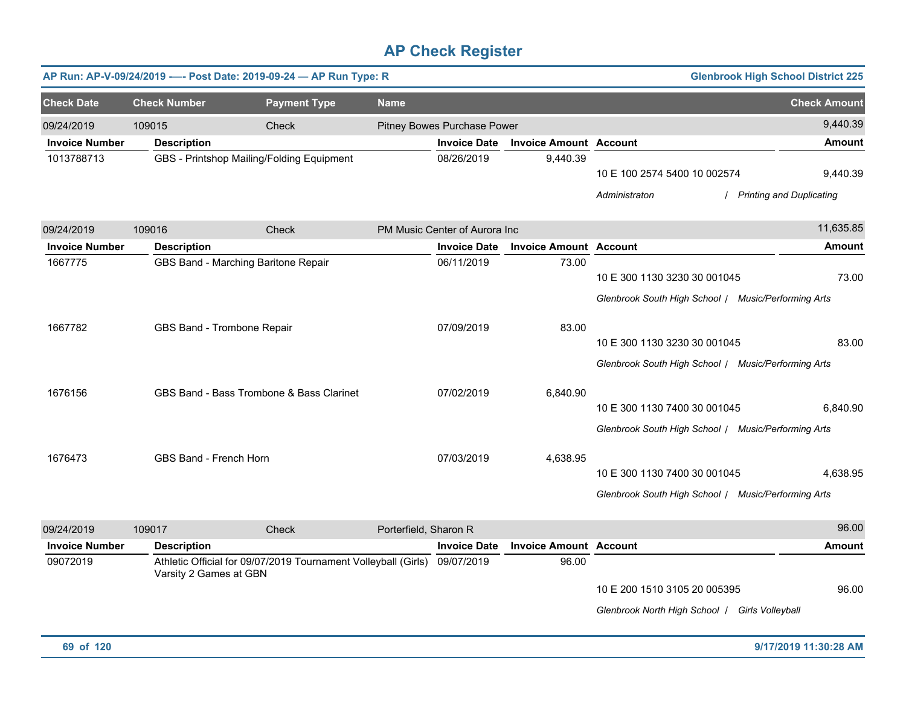|                       |                               | AP Run: AP-V-09/24/2019 ---- Post Date: 2019-09-24 - AP Run Type: R       |                       |                               |                               |                                                                                     | <b>Glenbrook High School District 225</b> |
|-----------------------|-------------------------------|---------------------------------------------------------------------------|-----------------------|-------------------------------|-------------------------------|-------------------------------------------------------------------------------------|-------------------------------------------|
| <b>Check Date</b>     | <b>Check Number</b>           | <b>Payment Type</b>                                                       | <b>Name</b>           |                               |                               |                                                                                     | <b>Check Amount</b>                       |
| 09/24/2019            | 109015                        | Check                                                                     |                       | Pitney Bowes Purchase Power   |                               |                                                                                     | 9,440.39                                  |
| <b>Invoice Number</b> | <b>Description</b>            |                                                                           |                       | <b>Invoice Date</b>           | <b>Invoice Amount Account</b> |                                                                                     | <b>Amount</b>                             |
| 1013788713            |                               | GBS - Printshop Mailing/Folding Equipment                                 |                       | 08/26/2019                    | 9,440.39                      | 10 E 100 2574 5400 10 002574<br>Administraton                                       | 9,440.39<br>/ Printing and Duplicating    |
|                       |                               |                                                                           |                       |                               |                               |                                                                                     |                                           |
| 09/24/2019            | 109016                        | Check                                                                     |                       | PM Music Center of Aurora Inc |                               |                                                                                     | 11,635.85                                 |
| <b>Invoice Number</b> | <b>Description</b>            |                                                                           |                       | <b>Invoice Date</b>           | <b>Invoice Amount Account</b> |                                                                                     | <b>Amount</b>                             |
| 1667775               |                               | GBS Band - Marching Baritone Repair                                       |                       | 06/11/2019                    | 73.00                         | 10 E 300 1130 3230 30 001045<br>Glenbrook South High School / Music/Performing Arts | 73.00                                     |
|                       |                               |                                                                           |                       |                               |                               |                                                                                     |                                           |
| 1667782               | GBS Band - Trombone Repair    |                                                                           |                       | 07/09/2019                    | 83.00                         | 10 E 300 1130 3230 30 001045                                                        | 83.00                                     |
|                       |                               |                                                                           |                       |                               |                               | Glenbrook South High School / Music/Performing Arts                                 |                                           |
| 1676156               |                               | GBS Band - Bass Trombone & Bass Clarinet                                  |                       | 07/02/2019                    | 6,840.90                      |                                                                                     |                                           |
|                       |                               |                                                                           |                       |                               |                               | 10 E 300 1130 7400 30 001045                                                        | 6,840.90                                  |
|                       |                               |                                                                           |                       |                               |                               | Glenbrook South High School / Music/Performing Arts                                 |                                           |
| 1676473               | <b>GBS Band - French Horn</b> |                                                                           |                       | 07/03/2019                    | 4,638.95                      |                                                                                     |                                           |
|                       |                               |                                                                           |                       |                               |                               | 10 E 300 1130 7400 30 001045                                                        | 4,638.95                                  |
|                       |                               |                                                                           |                       |                               |                               | Glenbrook South High School / Music/Performing Arts                                 |                                           |
| 09/24/2019            | 109017                        | Check                                                                     | Porterfield, Sharon R |                               |                               |                                                                                     | 96.00                                     |
| <b>Invoice Number</b> | <b>Description</b>            |                                                                           |                       | <b>Invoice Date</b>           | <b>Invoice Amount Account</b> |                                                                                     | <b>Amount</b>                             |
| 09072019              | Varsity 2 Games at GBN        | Athletic Official for 09/07/2019 Tournament Volleyball (Girls) 09/07/2019 |                       |                               | 96.00                         | 10 E 200 1510 3105 20 005395                                                        | 96.00                                     |
|                       |                               |                                                                           |                       |                               |                               | Glenbrook North High School   Girls Volleyball                                      |                                           |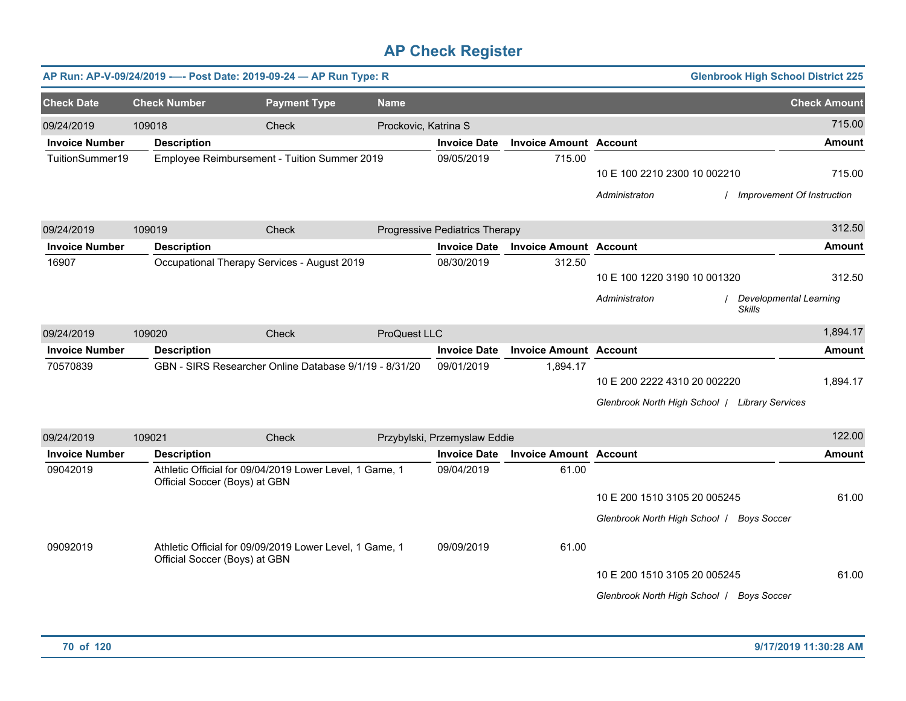|                       |                               | AP Run: AP-V-09/24/2019 ---- Post Date: 2019-09-24 - AP Run Type: R |                      |                                |                               |                                                | <b>Glenbrook High School District 225</b> |
|-----------------------|-------------------------------|---------------------------------------------------------------------|----------------------|--------------------------------|-------------------------------|------------------------------------------------|-------------------------------------------|
| <b>Check Date</b>     | <b>Check Number</b>           | <b>Payment Type</b>                                                 | <b>Name</b>          |                                |                               |                                                | <b>Check Amount</b>                       |
| 09/24/2019            | 109018                        | Check                                                               | Prockovic, Katrina S |                                |                               |                                                | 715.00                                    |
| <b>Invoice Number</b> | <b>Description</b>            |                                                                     |                      | <b>Invoice Date</b>            | <b>Invoice Amount Account</b> |                                                | <b>Amount</b>                             |
| TuitionSummer19       |                               | Employee Reimbursement - Tuition Summer 2019                        |                      | 09/05/2019                     | 715.00                        |                                                |                                           |
|                       |                               |                                                                     |                      |                                |                               | 10 E 100 2210 2300 10 002210                   | 715.00                                    |
|                       |                               |                                                                     |                      |                                |                               | Administraton                                  | / Improvement Of Instruction              |
| 09/24/2019            | 109019                        | Check                                                               |                      | Progressive Pediatrics Therapy |                               |                                                | 312.50                                    |
| <b>Invoice Number</b> | <b>Description</b>            |                                                                     |                      | <b>Invoice Date</b>            | <b>Invoice Amount Account</b> |                                                | Amount                                    |
| 16907                 |                               | Occupational Therapy Services - August 2019                         |                      | 08/30/2019                     | 312.50                        |                                                |                                           |
|                       |                               |                                                                     |                      |                                |                               | 10 E 100 1220 3190 10 001320                   | 312.50                                    |
|                       |                               |                                                                     |                      |                                |                               | Administraton<br><b>Skills</b>                 | <b>Developmental Learning</b>             |
| 09/24/2019            | 109020                        | Check                                                               | ProQuest LLC         |                                |                               |                                                | 1,894.17                                  |
| <b>Invoice Number</b> | <b>Description</b>            |                                                                     |                      | <b>Invoice Date</b>            | <b>Invoice Amount Account</b> |                                                | <b>Amount</b>                             |
| 70570839              |                               | GBN - SIRS Researcher Online Database 9/1/19 - 8/31/20              |                      | 09/01/2019                     | 1,894.17                      |                                                |                                           |
|                       |                               |                                                                     |                      |                                |                               | 10 E 200 2222 4310 20 002220                   | 1,894.17                                  |
|                       |                               |                                                                     |                      |                                |                               | Glenbrook North High School   Library Services |                                           |
| 09/24/2019            | 109021                        | Check                                                               |                      | Przybylski, Przemyslaw Eddie   |                               |                                                | 122.00                                    |
| <b>Invoice Number</b> | <b>Description</b>            |                                                                     |                      | <b>Invoice Date</b>            | <b>Invoice Amount Account</b> |                                                | <b>Amount</b>                             |
| 09042019              | Official Soccer (Boys) at GBN | Athletic Official for 09/04/2019 Lower Level, 1 Game, 1             |                      | 09/04/2019                     | 61.00                         |                                                |                                           |
|                       |                               |                                                                     |                      |                                |                               | 10 E 200 1510 3105 20 005245                   | 61.00                                     |
|                       |                               |                                                                     |                      |                                |                               | Glenbrook North High School   Boys Soccer      |                                           |
| 09092019              | Official Soccer (Boys) at GBN | Athletic Official for 09/09/2019 Lower Level, 1 Game, 1             |                      | 09/09/2019                     | 61.00                         |                                                |                                           |
|                       |                               |                                                                     |                      |                                |                               | 10 E 200 1510 3105 20 005245                   | 61.00                                     |
|                       |                               |                                                                     |                      |                                |                               | Glenbrook North High School   Boys Soccer      |                                           |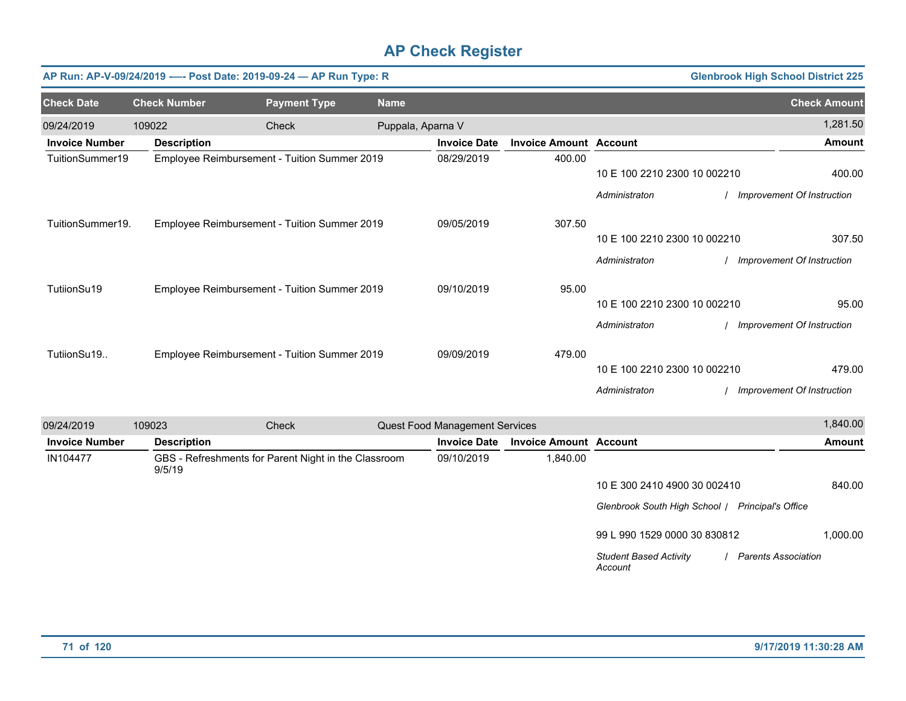|                       |                     | AP Run: AP-V-09/24/2019 ---- Post Date: 2019-09-24 - AP Run Type: R |                   |                                       |                               |                              | <b>Glenbrook High School District 225</b> |
|-----------------------|---------------------|---------------------------------------------------------------------|-------------------|---------------------------------------|-------------------------------|------------------------------|-------------------------------------------|
| <b>Check Date</b>     | <b>Check Number</b> | <b>Payment Type</b>                                                 | <b>Name</b>       |                                       |                               |                              | <b>Check Amount</b>                       |
| 09/24/2019            | 109022              | Check                                                               | Puppala, Aparna V |                                       |                               |                              | 1,281.50                                  |
| <b>Invoice Number</b> | <b>Description</b>  |                                                                     |                   | <b>Invoice Date</b>                   | <b>Invoice Amount Account</b> |                              | <b>Amount</b>                             |
| TuitionSummer19       |                     | Employee Reimbursement - Tuition Summer 2019                        |                   | 08/29/2019                            | 400.00                        |                              |                                           |
|                       |                     |                                                                     |                   |                                       |                               | 10 E 100 2210 2300 10 002210 | 400.00                                    |
|                       |                     |                                                                     |                   |                                       |                               | Administraton                | Improvement Of Instruction                |
| TuitionSummer19.      |                     | Employee Reimbursement - Tuition Summer 2019                        |                   | 09/05/2019                            | 307.50                        |                              |                                           |
|                       |                     |                                                                     |                   |                                       |                               | 10 E 100 2210 2300 10 002210 | 307.50                                    |
|                       |                     |                                                                     |                   |                                       |                               | Administraton                | Improvement Of Instruction                |
| TutiionSu19           |                     | Employee Reimbursement - Tuition Summer 2019                        |                   | 09/10/2019                            | 95.00                         |                              |                                           |
|                       |                     |                                                                     |                   |                                       |                               | 10 E 100 2210 2300 10 002210 | 95.00                                     |
|                       |                     |                                                                     |                   |                                       |                               | Administraton                | Improvement Of Instruction                |
| TutiionSu19           |                     | Employee Reimbursement - Tuition Summer 2019                        |                   | 09/09/2019                            | 479.00                        |                              |                                           |
|                       |                     |                                                                     |                   |                                       |                               | 10 E 100 2210 2300 10 002210 | 479.00                                    |
|                       |                     |                                                                     |                   |                                       |                               | Administraton                | Improvement Of Instruction                |
| 09/24/2019            | 109023              | Check                                                               |                   | <b>Quest Food Management Services</b> |                               |                              | 1,840.00                                  |
| <b>Invoice Number</b> | <b>Description</b>  |                                                                     |                   | <b>Invoice Date</b>                   | <b>Invoice Amount Account</b> |                              | <b>Amount</b>                             |
| IN104477              | 9/5/19              | GBS - Refreshments for Parent Night in the Classroom                |                   | 09/10/2019                            | 1,840.00                      |                              |                                           |

10 E 300 2410 4900 30 002410 840.00

*Glenbrook South High School* / *Principal's Office*

99 L 990 1529 0000 30 830812 1,000.00

*Student Based Activity Account* / *Parents Association*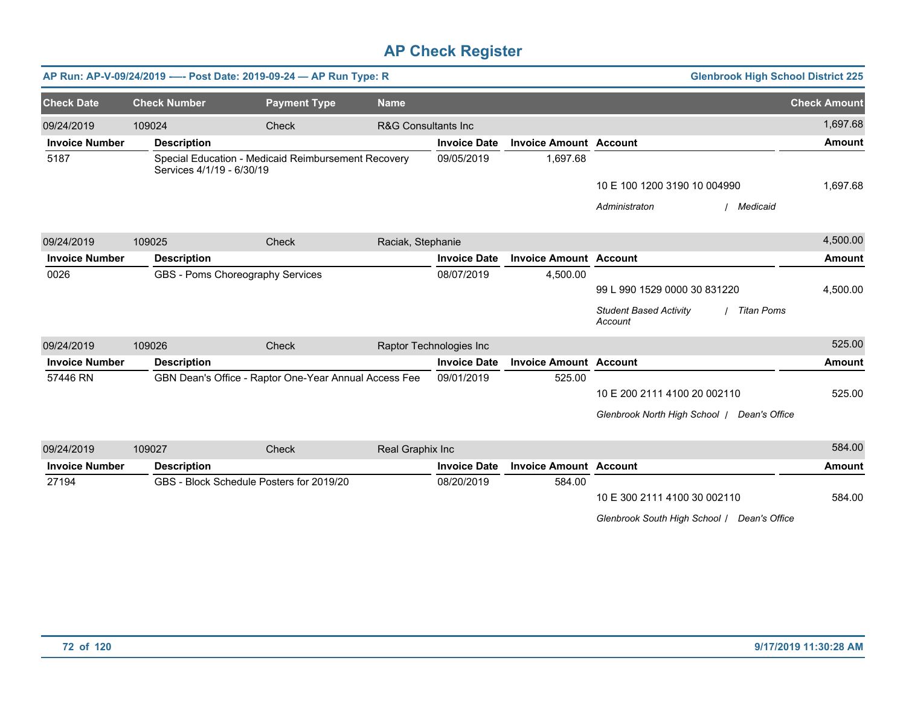|                       |                           | AP Run: AP-V-09/24/2019 ---- Post Date: 2019-09-24 - AP Run Type: R |                                |                         |                               | <b>Glenbrook High School District 225</b>                     |                     |
|-----------------------|---------------------------|---------------------------------------------------------------------|--------------------------------|-------------------------|-------------------------------|---------------------------------------------------------------|---------------------|
| <b>Check Date</b>     | <b>Check Number</b>       | <b>Payment Type</b>                                                 | <b>Name</b>                    |                         |                               |                                                               | <b>Check Amount</b> |
| 09/24/2019            | 109024                    | Check                                                               | <b>R&amp;G Consultants Inc</b> |                         |                               |                                                               | 1,697.68            |
| <b>Invoice Number</b> | <b>Description</b>        |                                                                     |                                | <b>Invoice Date</b>     | <b>Invoice Amount Account</b> |                                                               | <b>Amount</b>       |
| 5187                  | Services 4/1/19 - 6/30/19 | Special Education - Medicaid Reimbursement Recovery                 |                                | 09/05/2019              | 1,697.68                      |                                                               |                     |
|                       |                           |                                                                     |                                |                         |                               | 10 E 100 1200 3190 10 004990                                  | 1,697.68            |
|                       |                           |                                                                     |                                |                         |                               | Administraton<br>/ Medicaid                                   |                     |
| 09/24/2019            | 109025                    | Check                                                               | Raciak, Stephanie              |                         |                               |                                                               | 4,500.00            |
| <b>Invoice Number</b> | <b>Description</b>        |                                                                     |                                | <b>Invoice Date</b>     | <b>Invoice Amount Account</b> |                                                               | <b>Amount</b>       |
| 0026                  |                           | GBS - Poms Choreography Services                                    |                                | 08/07/2019              | 4,500.00                      |                                                               |                     |
|                       |                           |                                                                     |                                |                         |                               | 99 L 990 1529 0000 30 831220                                  | 4,500.00            |
|                       |                           |                                                                     |                                |                         |                               | <b>Student Based Activity</b><br><b>Titan Poms</b><br>Account |                     |
| 09/24/2019            | 109026                    | Check                                                               |                                | Raptor Technologies Inc |                               |                                                               | 525.00              |
| <b>Invoice Number</b> | <b>Description</b>        |                                                                     |                                | <b>Invoice Date</b>     | <b>Invoice Amount Account</b> |                                                               | <b>Amount</b>       |
| 57446 RN              |                           | GBN Dean's Office - Raptor One-Year Annual Access Fee               |                                | 09/01/2019              | 525.00                        |                                                               |                     |
|                       |                           |                                                                     |                                |                         |                               | 10 E 200 2111 4100 20 002110                                  | 525.00              |
|                       |                           |                                                                     |                                |                         |                               | Glenbrook North High School /<br>Dean's Office                |                     |
| 09/24/2019            | 109027                    | Check                                                               | Real Graphix Inc               |                         |                               |                                                               | 584.00              |
| <b>Invoice Number</b> | <b>Description</b>        |                                                                     |                                | <b>Invoice Date</b>     | <b>Invoice Amount Account</b> |                                                               | <b>Amount</b>       |
| 27194                 |                           | GBS - Block Schedule Posters for 2019/20                            |                                | 08/20/2019              | 584.00                        |                                                               |                     |
|                       |                           |                                                                     |                                |                         |                               | 10 E 300 2111 4100 30 002110                                  | 584.00              |
|                       |                           |                                                                     |                                |                         |                               | Glenbrook South High School /<br>Dean's Office                |                     |

**72 of 120 9/17/2019 11:30:28 AM**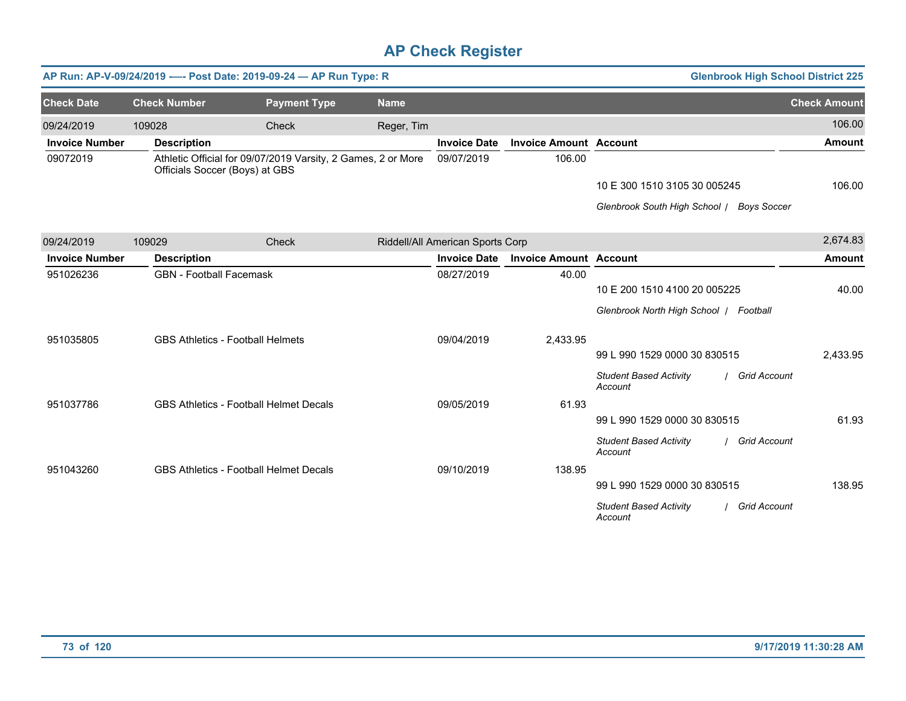|                       |                                | AP Run: AP-V-09/24/2019 ---- Post Date: 2019-09-24 - AP Run Type: R |             |                                  |                               |                                           | <b>Glenbrook High School District 225</b> |
|-----------------------|--------------------------------|---------------------------------------------------------------------|-------------|----------------------------------|-------------------------------|-------------------------------------------|-------------------------------------------|
| <b>Check Date</b>     | <b>Check Number</b>            | <b>Payment Type</b>                                                 | <b>Name</b> |                                  |                               |                                           | <b>Check Amount</b>                       |
| 09/24/2019            | 109028                         | Check                                                               | Reger, Tim  |                                  |                               |                                           | 106.00                                    |
| <b>Invoice Number</b> | <b>Description</b>             |                                                                     |             | <b>Invoice Date</b>              | <b>Invoice Amount Account</b> |                                           | <b>Amount</b>                             |
| 09072019              | Officials Soccer (Boys) at GBS | Athletic Official for 09/07/2019 Varsity, 2 Games, 2 or More        |             | 09/07/2019                       | 106.00                        |                                           |                                           |
|                       |                                |                                                                     |             |                                  |                               | 10 E 300 1510 3105 30 005245              | 106.00                                    |
|                       |                                |                                                                     |             |                                  |                               | Glenbrook South High School / Boys Soccer |                                           |
| 09/24/2019            | 109029                         | Check                                                               |             | Riddell/All American Sports Corp |                               |                                           | 2,674.83                                  |
| <b>Invoice Number</b> | <b>Description</b>             |                                                                     |             | <b>Invoice Date</b>              | <b>Invoice Amount Account</b> |                                           | <b>Amount</b>                             |
| 951026236             | <b>GBN</b> - Football Facemask |                                                                     |             | 08/27/2019                       | 40.00                         |                                           |                                           |
|                       |                                |                                                                     |             |                                  |                               | 10 E 200 1510 4100 20 005225              | 40.00                                     |
|                       |                                |                                                                     |             |                                  |                               | Glenbrook North High School   Football    |                                           |
| 951035805             |                                | <b>GBS Athletics - Football Helmets</b>                             |             | 09/04/2019                       | 2,433.95                      |                                           |                                           |
|                       |                                |                                                                     |             |                                  |                               | 99 L 990 1529 0000 30 830515              | 2,433.95                                  |
|                       |                                |                                                                     |             |                                  |                               | <b>Student Based Activity</b><br>Account  | <b>Grid Account</b>                       |
| 951037786             |                                | <b>GBS Athletics - Football Helmet Decals</b>                       |             | 09/05/2019                       | 61.93                         |                                           |                                           |
|                       |                                |                                                                     |             |                                  |                               | 99 L 990 1529 0000 30 830515              | 61.93                                     |
|                       |                                |                                                                     |             |                                  |                               | <b>Student Based Activity</b><br>Account  | / Grid Account                            |
| 951043260             |                                | <b>GBS Athletics - Football Helmet Decals</b>                       |             | 09/10/2019                       | 138.95                        |                                           |                                           |
|                       |                                |                                                                     |             |                                  |                               | 99 L 990 1529 0000 30 830515              | 138.95                                    |
|                       |                                |                                                                     |             |                                  |                               | <b>Student Based Activity</b><br>Account  | <b>Grid Account</b>                       |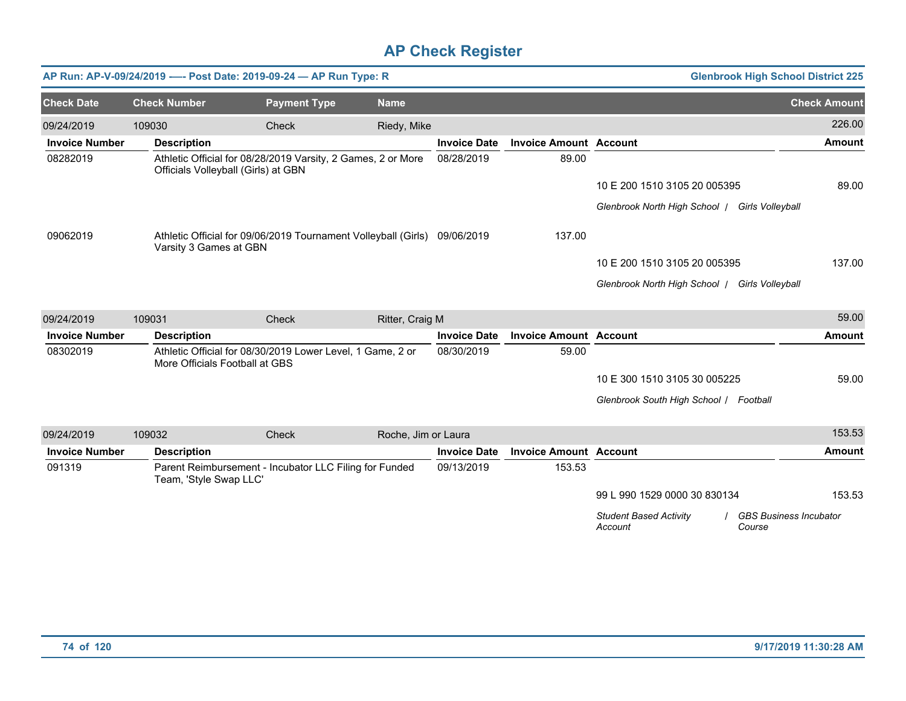|                       |                        | AP Run: AP-V-09/24/2019 ---- Post Date: 2019-09-24 - AP Run Type: R                                 |                     |                     |                               |                                                | <b>Glenbrook High School District 225</b> |
|-----------------------|------------------------|-----------------------------------------------------------------------------------------------------|---------------------|---------------------|-------------------------------|------------------------------------------------|-------------------------------------------|
| <b>Check Date</b>     | <b>Check Number</b>    | <b>Payment Type</b>                                                                                 | <b>Name</b>         |                     |                               |                                                | <b>Check Amount</b>                       |
| 09/24/2019            | 109030                 | Check                                                                                               | Riedy, Mike         |                     |                               |                                                | 226.00                                    |
| <b>Invoice Number</b> | <b>Description</b>     |                                                                                                     |                     | <b>Invoice Date</b> | <b>Invoice Amount Account</b> |                                                | <b>Amount</b>                             |
| 08282019              |                        | Athletic Official for 08/28/2019 Varsity, 2 Games, 2 or More<br>Officials Volleyball (Girls) at GBN |                     | 08/28/2019          | 89.00                         |                                                |                                           |
|                       |                        |                                                                                                     |                     |                     |                               | 10 E 200 1510 3105 20 005395                   | 89.00                                     |
|                       |                        |                                                                                                     |                     |                     |                               | Glenbrook North High School   Girls Volleyball |                                           |
| 09062019              | Varsity 3 Games at GBN | Athletic Official for 09/06/2019 Tournament Volleyball (Girls) 09/06/2019                           |                     |                     | 137.00                        |                                                |                                           |
|                       |                        |                                                                                                     |                     |                     |                               | 10 E 200 1510 3105 20 005395                   | 137.00                                    |
|                       |                        |                                                                                                     |                     |                     |                               | Glenbrook North High School   Girls Volleyball |                                           |
| 09/24/2019            | 109031                 | Check                                                                                               | Ritter, Craig M     |                     |                               |                                                | 59.00                                     |
| <b>Invoice Number</b> | <b>Description</b>     |                                                                                                     |                     | <b>Invoice Date</b> | <b>Invoice Amount Account</b> |                                                | <b>Amount</b>                             |
| 08302019              |                        | Athletic Official for 08/30/2019 Lower Level, 1 Game, 2 or<br>More Officials Football at GBS        |                     | 08/30/2019          | 59.00                         |                                                |                                           |
|                       |                        |                                                                                                     |                     |                     |                               | 10 E 300 1510 3105 30 005225                   | 59.00                                     |
|                       |                        |                                                                                                     |                     |                     |                               | Glenbrook South High School / Football         |                                           |
| 09/24/2019            | 109032                 | Check                                                                                               | Roche, Jim or Laura |                     |                               |                                                | 153.53                                    |
| <b>Invoice Number</b> | <b>Description</b>     |                                                                                                     |                     | <b>Invoice Date</b> | <b>Invoice Amount Account</b> |                                                | <b>Amount</b>                             |
| 091319                | Team, 'Style Swap LLC' | Parent Reimbursement - Incubator LLC Filing for Funded                                              |                     | 09/13/2019          | 153.53                        |                                                |                                           |
|                       |                        |                                                                                                     |                     |                     |                               | 99 L 990 1529 0000 30 830134                   | 153.53                                    |
|                       |                        |                                                                                                     |                     |                     |                               | <b>Student Based Activity</b><br>Account       | <b>GBS Business Incubator</b><br>Course   |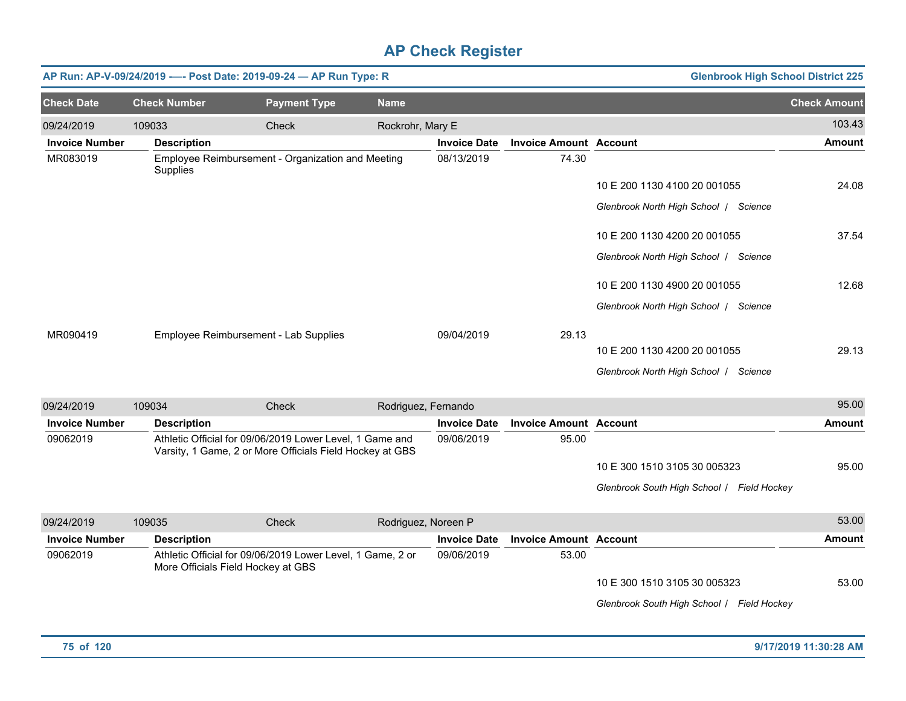|                       |                     | AP Run: AP-V-09/24/2019 ---- Post Date: 2019-09-24 - AP Run Type: R                                                  |                     |                     |                               | <b>Glenbrook High School District 225</b>  |                     |
|-----------------------|---------------------|----------------------------------------------------------------------------------------------------------------------|---------------------|---------------------|-------------------------------|--------------------------------------------|---------------------|
| <b>Check Date</b>     | <b>Check Number</b> | <b>Payment Type</b>                                                                                                  | <b>Name</b>         |                     |                               |                                            | <b>Check Amount</b> |
| 09/24/2019            | 109033              | Check                                                                                                                | Rockrohr, Mary E    |                     |                               |                                            | 103.43              |
| <b>Invoice Number</b> | <b>Description</b>  |                                                                                                                      |                     | <b>Invoice Date</b> | <b>Invoice Amount Account</b> |                                            | <b>Amount</b>       |
| MR083019              | Supplies            | Employee Reimbursement - Organization and Meeting                                                                    |                     | 08/13/2019          | 74.30                         |                                            |                     |
|                       |                     |                                                                                                                      |                     |                     |                               | 10 E 200 1130 4100 20 001055               | 24.08               |
|                       |                     |                                                                                                                      |                     |                     |                               | Glenbrook North High School   Science      |                     |
|                       |                     |                                                                                                                      |                     |                     |                               | 10 E 200 1130 4200 20 001055               | 37.54               |
|                       |                     |                                                                                                                      |                     |                     |                               | Glenbrook North High School   Science      |                     |
|                       |                     |                                                                                                                      |                     |                     |                               | 10 E 200 1130 4900 20 001055               | 12.68               |
|                       |                     |                                                                                                                      |                     |                     |                               | Glenbrook North High School   Science      |                     |
| MR090419              |                     | Employee Reimbursement - Lab Supplies                                                                                |                     | 09/04/2019          | 29.13                         |                                            |                     |
|                       |                     |                                                                                                                      |                     |                     |                               | 10 E 200 1130 4200 20 001055               | 29.13               |
|                       |                     |                                                                                                                      |                     |                     |                               | Glenbrook North High School   Science      |                     |
| 09/24/2019            | 109034              | <b>Check</b>                                                                                                         | Rodriguez, Fernando |                     |                               |                                            | 95.00               |
| <b>Invoice Number</b> | <b>Description</b>  |                                                                                                                      |                     | <b>Invoice Date</b> | <b>Invoice Amount Account</b> |                                            | <b>Amount</b>       |
| 09062019              |                     | Athletic Official for 09/06/2019 Lower Level, 1 Game and<br>Varsity, 1 Game, 2 or More Officials Field Hockey at GBS |                     | 09/06/2019          | 95.00                         |                                            |                     |
|                       |                     |                                                                                                                      |                     |                     |                               | 10 E 300 1510 3105 30 005323               | 95.00               |
|                       |                     |                                                                                                                      |                     |                     |                               | Glenbrook South High School   Field Hockey |                     |
| 09/24/2019            | 109035              | Check                                                                                                                | Rodriguez, Noreen P |                     |                               |                                            | 53.00               |
| <b>Invoice Number</b> | <b>Description</b>  |                                                                                                                      |                     | <b>Invoice Date</b> | <b>Invoice Amount Account</b> |                                            | <b>Amount</b>       |
| 09062019              |                     | Athletic Official for 09/06/2019 Lower Level, 1 Game, 2 or<br>More Officials Field Hockey at GBS                     |                     | 09/06/2019          | 53.00                         |                                            |                     |
|                       |                     |                                                                                                                      |                     |                     |                               | 10 E 300 1510 3105 30 005323               | 53.00               |
|                       |                     |                                                                                                                      |                     |                     |                               | Glenbrook South High School / Field Hockey |                     |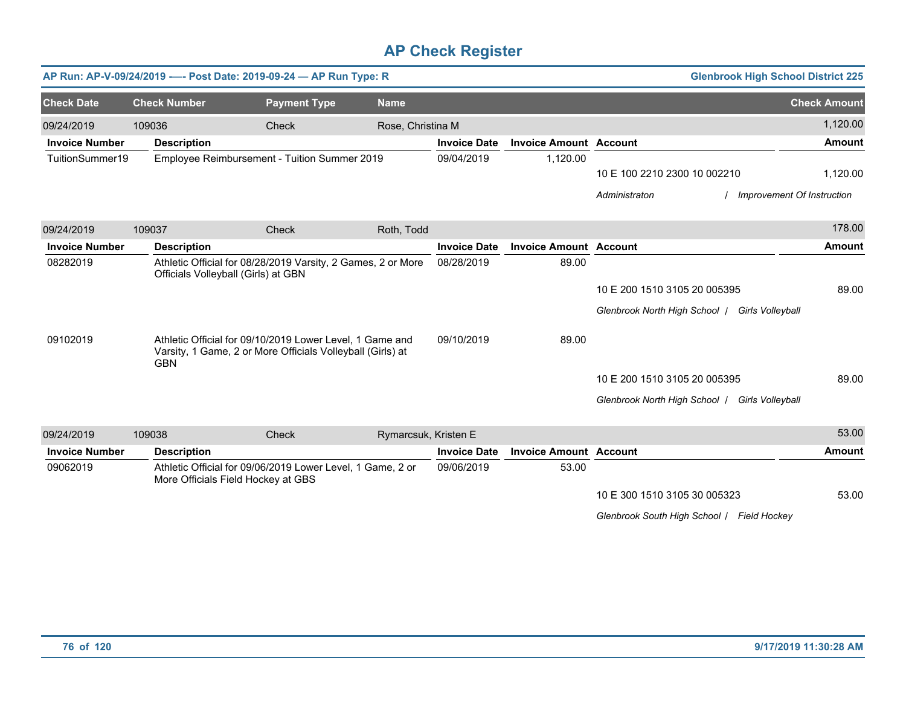|                       |                     | AP Run: AP-V-09/24/2019 ---- Post Date: 2019-09-24 - AP Run Type: R                                                    |                      |                     |                               | <b>Glenbrook High School District 225</b>         |                            |
|-----------------------|---------------------|------------------------------------------------------------------------------------------------------------------------|----------------------|---------------------|-------------------------------|---------------------------------------------------|----------------------------|
| <b>Check Date</b>     | <b>Check Number</b> | <b>Payment Type</b>                                                                                                    | <b>Name</b>          |                     |                               |                                                   | <b>Check Amount</b>        |
| 09/24/2019            | 109036              | Check                                                                                                                  | Rose, Christina M    |                     |                               |                                                   | 1,120.00                   |
| <b>Invoice Number</b> | <b>Description</b>  |                                                                                                                        |                      | <b>Invoice Date</b> | <b>Invoice Amount Account</b> |                                                   | <b>Amount</b>              |
| TuitionSummer19       |                     | Employee Reimbursement - Tuition Summer 2019                                                                           |                      | 09/04/2019          | 1,120.00                      |                                                   |                            |
|                       |                     |                                                                                                                        |                      |                     |                               | 10 E 100 2210 2300 10 002210                      | 1,120.00                   |
|                       |                     |                                                                                                                        |                      |                     |                               | Administraton                                     | Improvement Of Instruction |
| 09/24/2019            | 109037              | Check                                                                                                                  | Roth, Todd           |                     |                               |                                                   | 178.00                     |
| <b>Invoice Number</b> | <b>Description</b>  |                                                                                                                        |                      | <b>Invoice Date</b> | <b>Invoice Amount Account</b> |                                                   | <b>Amount</b>              |
| 08282019              |                     | Athletic Official for 08/28/2019 Varsity, 2 Games, 2 or More<br>Officials Volleyball (Girls) at GBN                    |                      | 08/28/2019          | 89.00                         |                                                   |                            |
|                       |                     |                                                                                                                        |                      |                     |                               | 10 E 200 1510 3105 20 005395                      | 89.00                      |
|                       |                     |                                                                                                                        |                      |                     |                               | Glenbrook North High School /<br>Girls Volleyball |                            |
| 09102019              | <b>GBN</b>          | Athletic Official for 09/10/2019 Lower Level, 1 Game and<br>Varsity, 1 Game, 2 or More Officials Volleyball (Girls) at |                      | 09/10/2019          | 89.00                         |                                                   |                            |
|                       |                     |                                                                                                                        |                      |                     |                               | 10 E 200 1510 3105 20 005395                      | 89.00                      |
|                       |                     |                                                                                                                        |                      |                     |                               | Glenbrook North High School /<br>Girls Volleyball |                            |
| 09/24/2019            | 109038              | Check                                                                                                                  | Rymarcsuk, Kristen E |                     |                               |                                                   | 53.00                      |
| <b>Invoice Number</b> | <b>Description</b>  |                                                                                                                        |                      | <b>Invoice Date</b> | <b>Invoice Amount Account</b> |                                                   | <b>Amount</b>              |
| 09062019              |                     | Athletic Official for 09/06/2019 Lower Level, 1 Game, 2 or<br>More Officials Field Hockey at GBS                       |                      | 09/06/2019          | 53.00                         |                                                   |                            |
|                       |                     |                                                                                                                        |                      |                     |                               | 10 E 300 1510 3105 30 005323                      | 53.00                      |
|                       |                     |                                                                                                                        |                      |                     |                               | Glenbrook South High School   Field Hockey        |                            |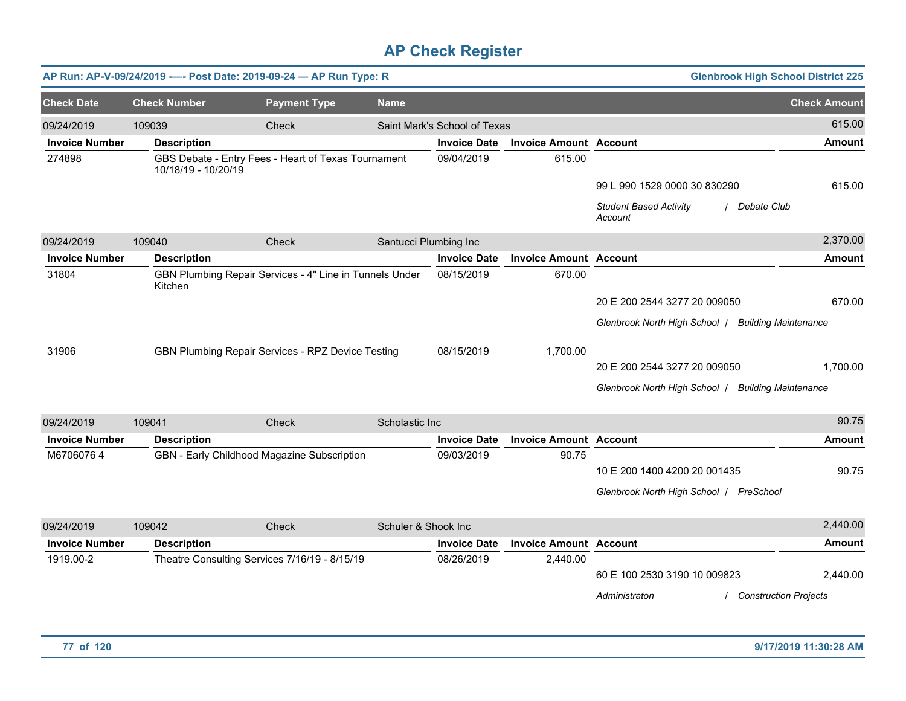|                       |                     | AP Run: AP-V-09/24/2019 ---- Post Date: 2019-09-24 - AP Run Type: R |                       |                              |                               | <b>Glenbrook High School District 225</b>               |                     |
|-----------------------|---------------------|---------------------------------------------------------------------|-----------------------|------------------------------|-------------------------------|---------------------------------------------------------|---------------------|
| <b>Check Date</b>     | <b>Check Number</b> | <b>Payment Type</b>                                                 | <b>Name</b>           |                              |                               |                                                         | <b>Check Amount</b> |
| 09/24/2019            | 109039              | Check                                                               |                       | Saint Mark's School of Texas |                               |                                                         | 615.00              |
| <b>Invoice Number</b> | <b>Description</b>  |                                                                     |                       | <b>Invoice Date</b>          | <b>Invoice Amount Account</b> |                                                         | <b>Amount</b>       |
| 274898                | 10/18/19 - 10/20/19 | GBS Debate - Entry Fees - Heart of Texas Tournament                 |                       | 09/04/2019                   | 615.00                        |                                                         |                     |
|                       |                     |                                                                     |                       |                              |                               | 99 L 990 1529 0000 30 830290                            | 615.00              |
|                       |                     |                                                                     |                       |                              |                               | <b>Student Based Activity</b><br>Debate Club<br>Account |                     |
| 09/24/2019            | 109040              | Check                                                               | Santucci Plumbing Inc |                              |                               |                                                         | 2,370.00            |
| <b>Invoice Number</b> | <b>Description</b>  |                                                                     |                       | <b>Invoice Date</b>          | <b>Invoice Amount Account</b> |                                                         | <b>Amount</b>       |
| 31804                 | Kitchen             | GBN Plumbing Repair Services - 4" Line in Tunnels Under             |                       | 08/15/2019                   | 670.00                        |                                                         |                     |
|                       |                     |                                                                     |                       |                              |                               | 20 E 200 2544 3277 20 009050                            | 670.00              |
|                       |                     |                                                                     |                       |                              |                               | Glenbrook North High School   Building Maintenance      |                     |
| 31906                 |                     | GBN Plumbing Repair Services - RPZ Device Testing                   |                       | 08/15/2019                   | 1,700.00                      |                                                         |                     |
|                       |                     |                                                                     |                       |                              |                               | 20 E 200 2544 3277 20 009050                            | 1,700.00            |
|                       |                     |                                                                     |                       |                              |                               | Glenbrook North High School   Building Maintenance      |                     |
| 09/24/2019            | 109041              | Check                                                               | Scholastic Inc        |                              |                               |                                                         | 90.75               |
| <b>Invoice Number</b> | <b>Description</b>  |                                                                     |                       | <b>Invoice Date</b>          | <b>Invoice Amount Account</b> |                                                         | <b>Amount</b>       |
| M67060764             |                     | GBN - Early Childhood Magazine Subscription                         |                       | 09/03/2019                   | 90.75                         |                                                         |                     |
|                       |                     |                                                                     |                       |                              |                               | 10 E 200 1400 4200 20 001435                            | 90.75               |
|                       |                     |                                                                     |                       |                              |                               | Glenbrook North High School   PreSchool                 |                     |
| 09/24/2019            | 109042              | Check                                                               | Schuler & Shook Inc   |                              |                               |                                                         | 2,440.00            |
| <b>Invoice Number</b> | <b>Description</b>  |                                                                     |                       | <b>Invoice Date</b>          | <b>Invoice Amount Account</b> |                                                         | <b>Amount</b>       |
| 1919.00-2             |                     | Theatre Consulting Services 7/16/19 - 8/15/19                       |                       | 08/26/2019                   | 2,440.00                      |                                                         |                     |
|                       |                     |                                                                     |                       |                              |                               | 60 E 100 2530 3190 10 009823                            | 2,440.00            |
|                       |                     |                                                                     |                       |                              |                               | Administraton<br><b>Construction Projects</b>           |                     |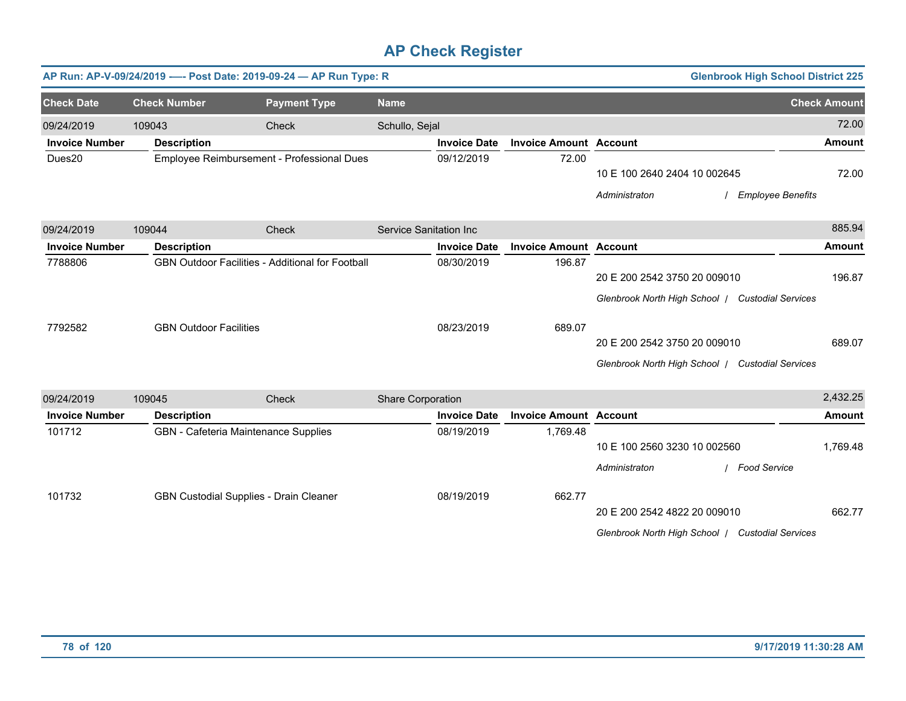|                       | AP Run: AP-V-09/24/2019 ---- Post Date: 2019-09-24 - AP Run Type: R |                                                  |                        |                     |                               |                                                  | <b>Glenbrook High School District 225</b> |
|-----------------------|---------------------------------------------------------------------|--------------------------------------------------|------------------------|---------------------|-------------------------------|--------------------------------------------------|-------------------------------------------|
| <b>Check Date</b>     | <b>Check Number</b>                                                 | <b>Payment Type</b>                              | <b>Name</b>            |                     |                               |                                                  | <b>Check Amount</b>                       |
| 09/24/2019            | 109043                                                              | Check                                            | Schullo, Sejal         |                     |                               |                                                  | 72.00                                     |
| <b>Invoice Number</b> | <b>Description</b>                                                  |                                                  |                        | <b>Invoice Date</b> | <b>Invoice Amount Account</b> |                                                  | <b>Amount</b>                             |
| Dues20                |                                                                     | Employee Reimbursement - Professional Dues       |                        | 09/12/2019          | 72.00                         |                                                  |                                           |
|                       |                                                                     |                                                  |                        |                     |                               | 10 E 100 2640 2404 10 002645                     | 72.00                                     |
|                       |                                                                     |                                                  |                        |                     |                               | Administraton                                    | <b>Employee Benefits</b>                  |
| 09/24/2019            | 109044                                                              | Check                                            | Service Sanitation Inc |                     |                               |                                                  | 885.94                                    |
| <b>Invoice Number</b> | <b>Description</b>                                                  |                                                  |                        | <b>Invoice Date</b> | <b>Invoice Amount Account</b> |                                                  | <b>Amount</b>                             |
| 7788806               |                                                                     | GBN Outdoor Facilities - Additional for Football |                        | 08/30/2019          | 196.87                        |                                                  |                                           |
|                       |                                                                     |                                                  |                        |                     |                               | 20 E 200 2542 3750 20 009010                     | 196.87                                    |
|                       |                                                                     |                                                  |                        |                     |                               | Glenbrook North High School / Custodial Services |                                           |
| 7792582               | <b>GBN Outdoor Facilities</b>                                       |                                                  |                        | 08/23/2019          | 689.07                        |                                                  |                                           |
|                       |                                                                     |                                                  |                        |                     |                               | 20 E 200 2542 3750 20 009010                     | 689.07                                    |
|                       |                                                                     |                                                  |                        |                     |                               | Glenbrook North High School   Custodial Services |                                           |
| 09/24/2019            | 109045                                                              | Check                                            | Share Corporation      |                     |                               |                                                  | 2,432.25                                  |
| <b>Invoice Number</b> | <b>Description</b>                                                  |                                                  |                        | <b>Invoice Date</b> | <b>Invoice Amount Account</b> |                                                  | <b>Amount</b>                             |
| 101712                | GBN - Cafeteria Maintenance Supplies                                |                                                  |                        | 08/19/2019          | 1,769.48                      |                                                  |                                           |
|                       |                                                                     |                                                  |                        |                     |                               | 10 E 100 2560 3230 10 002560                     | 1,769.48                                  |
|                       |                                                                     |                                                  |                        |                     |                               | Administraton                                    | / Food Service                            |
| 101732                | GBN Custodial Supplies - Drain Cleaner                              |                                                  |                        | 08/19/2019          | 662.77                        |                                                  |                                           |
|                       |                                                                     |                                                  |                        |                     |                               | 20 E 200 2542 4822 20 009010                     | 662.77                                    |
|                       |                                                                     |                                                  |                        |                     |                               | Glenbrook North High School / Custodial Services |                                           |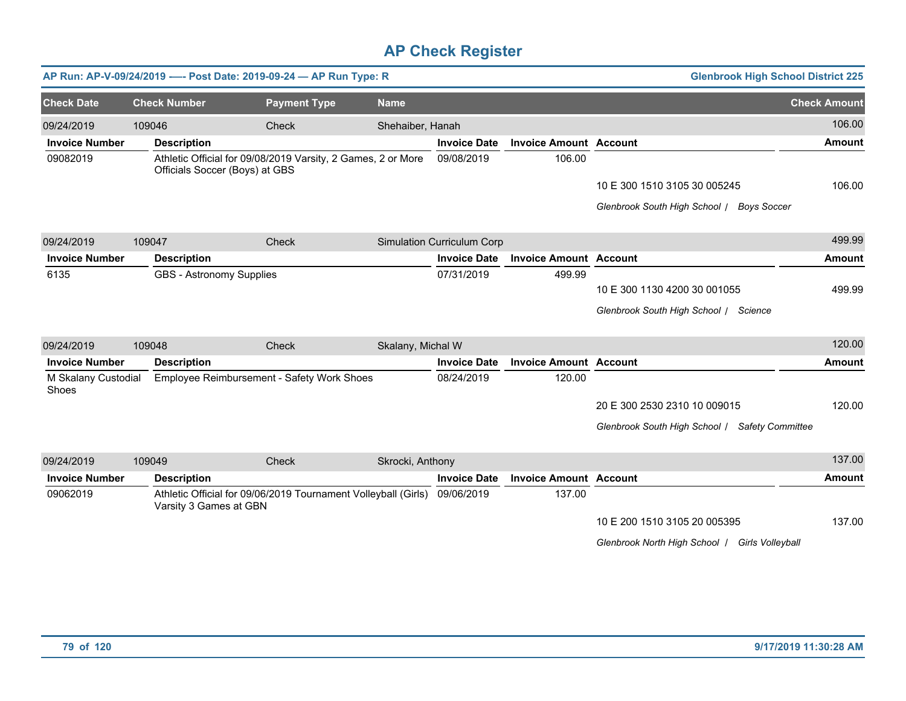|                              |        |                                | AP Run: AP-V-09/24/2019 ---- Post Date: 2019-09-24 - AP Run Type: R |                   |                                   |                               | <b>Glenbrook High School District 225</b>      |                     |
|------------------------------|--------|--------------------------------|---------------------------------------------------------------------|-------------------|-----------------------------------|-------------------------------|------------------------------------------------|---------------------|
| <b>Check Date</b>            |        | <b>Check Number</b>            | <b>Payment Type</b>                                                 | <b>Name</b>       |                                   |                               |                                                | <b>Check Amount</b> |
| 09/24/2019                   | 109046 |                                | Check                                                               | Shehaiber, Hanah  |                                   |                               |                                                | 106.00              |
| <b>Invoice Number</b>        |        | <b>Description</b>             |                                                                     |                   | <b>Invoice Date</b>               | <b>Invoice Amount Account</b> |                                                | <b>Amount</b>       |
| 09082019                     |        | Officials Soccer (Boys) at GBS | Athletic Official for 09/08/2019 Varsity, 2 Games, 2 or More        |                   | 09/08/2019                        | 106.00                        |                                                |                     |
|                              |        |                                |                                                                     |                   |                                   |                               | 10 E 300 1510 3105 30 005245                   | 106.00              |
|                              |        |                                |                                                                     |                   |                                   |                               | Glenbrook South High School / Boys Soccer      |                     |
| 09/24/2019                   | 109047 |                                | Check                                                               |                   | <b>Simulation Curriculum Corp</b> |                               |                                                | 499.99              |
| <b>Invoice Number</b>        |        | <b>Description</b>             |                                                                     |                   | <b>Invoice Date</b>               | <b>Invoice Amount Account</b> |                                                | <b>Amount</b>       |
| 6135                         |        | GBS - Astronomy Supplies       |                                                                     |                   | 07/31/2019                        | 499.99                        |                                                |                     |
|                              |        |                                |                                                                     |                   |                                   |                               | 10 E 300 1130 4200 30 001055                   | 499.99              |
|                              |        |                                |                                                                     |                   |                                   |                               | Glenbrook South High School / Science          |                     |
| 09/24/2019                   | 109048 |                                | Check                                                               | Skalany, Michal W |                                   |                               |                                                | 120.00              |
| <b>Invoice Number</b>        |        | <b>Description</b>             |                                                                     |                   | <b>Invoice Date</b>               | <b>Invoice Amount Account</b> |                                                | <b>Amount</b>       |
| M Skalany Custodial<br>Shoes |        |                                | Employee Reimbursement - Safety Work Shoes                          |                   | 08/24/2019                        | 120.00                        |                                                |                     |
|                              |        |                                |                                                                     |                   |                                   |                               | 20 E 300 2530 2310 10 009015                   | 120.00              |
|                              |        |                                |                                                                     |                   |                                   |                               | Glenbrook South High School / Safety Committee |                     |
| 09/24/2019                   | 109049 |                                | <b>Check</b>                                                        | Skrocki, Anthony  |                                   |                               |                                                | 137.00              |
| <b>Invoice Number</b>        |        | <b>Description</b>             |                                                                     |                   | <b>Invoice Date</b>               | <b>Invoice Amount Account</b> |                                                | <b>Amount</b>       |
| 09062019                     |        | Varsity 3 Games at GBN         | Athletic Official for 09/06/2019 Tournament Volleyball (Girls)      |                   | 09/06/2019                        | 137.00                        |                                                |                     |
|                              |        |                                |                                                                     |                   |                                   |                               | 10 E 200 1510 3105 20 005395                   | 137.00              |
|                              |        |                                |                                                                     |                   |                                   |                               | Glenbrook North High School   Girls Volleyball |                     |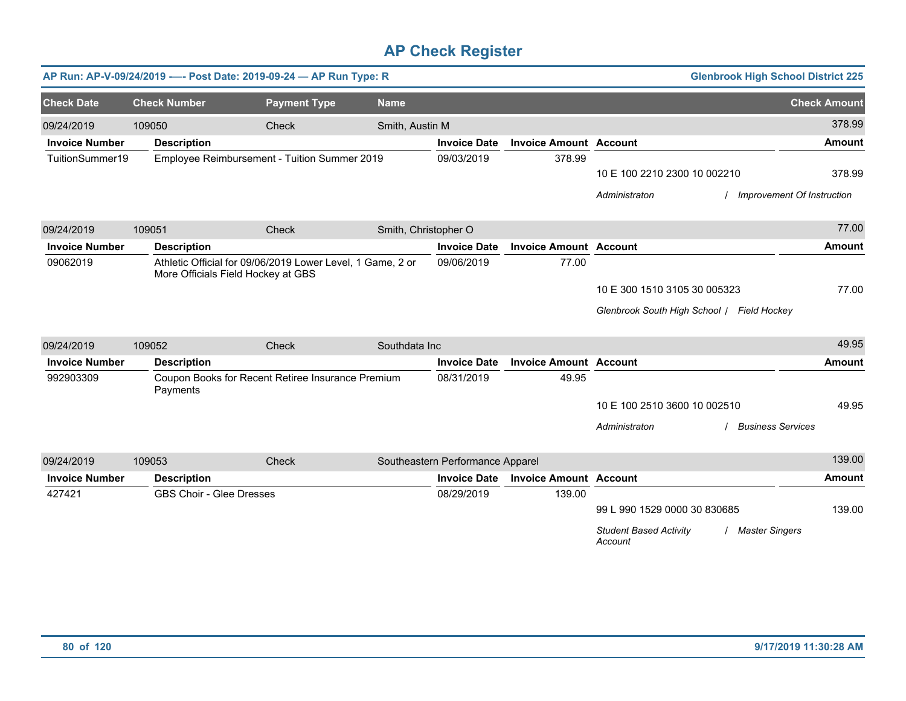|                       |                                 | AP Run: AP-V-09/24/2019 ---- Post Date: 2019-09-24 - AP Run Type: R                              |                      |                                  |                               |                                            | <b>Glenbrook High School District 225</b> |
|-----------------------|---------------------------------|--------------------------------------------------------------------------------------------------|----------------------|----------------------------------|-------------------------------|--------------------------------------------|-------------------------------------------|
| <b>Check Date</b>     | <b>Check Number</b>             | <b>Payment Type</b>                                                                              | <b>Name</b>          |                                  |                               |                                            | <b>Check Amount</b>                       |
| 09/24/2019            | 109050                          | Check                                                                                            | Smith, Austin M      |                                  |                               |                                            | 378.99                                    |
| <b>Invoice Number</b> | <b>Description</b>              |                                                                                                  |                      | <b>Invoice Date</b>              | <b>Invoice Amount Account</b> |                                            | <b>Amount</b>                             |
| TuitionSummer19       |                                 | Employee Reimbursement - Tuition Summer 2019                                                     |                      | 09/03/2019                       | 378.99                        |                                            |                                           |
|                       |                                 |                                                                                                  |                      |                                  |                               | 10 E 100 2210 2300 10 002210               | 378.99                                    |
|                       |                                 |                                                                                                  |                      |                                  |                               | Administraton                              | Improvement Of Instruction                |
| 09/24/2019            | 109051                          | Check                                                                                            | Smith, Christopher O |                                  |                               |                                            | 77.00                                     |
| <b>Invoice Number</b> | <b>Description</b>              |                                                                                                  |                      | <b>Invoice Date</b>              | <b>Invoice Amount Account</b> |                                            | <b>Amount</b>                             |
| 09062019              |                                 | Athletic Official for 09/06/2019 Lower Level, 1 Game, 2 or<br>More Officials Field Hockey at GBS |                      | 09/06/2019                       | 77.00                         |                                            |                                           |
|                       |                                 |                                                                                                  |                      |                                  |                               | 10 E 300 1510 3105 30 005323               | 77.00                                     |
|                       |                                 |                                                                                                  |                      |                                  |                               | Glenbrook South High School / Field Hockey |                                           |
| 09/24/2019            | 109052                          | Check                                                                                            | Southdata Inc        |                                  |                               |                                            | 49.95                                     |
| <b>Invoice Number</b> | <b>Description</b>              |                                                                                                  |                      | <b>Invoice Date</b>              | <b>Invoice Amount Account</b> |                                            | <b>Amount</b>                             |
| 992903309             | Payments                        | Coupon Books for Recent Retiree Insurance Premium                                                |                      | 08/31/2019                       | 49.95                         |                                            |                                           |
|                       |                                 |                                                                                                  |                      |                                  |                               | 10 E 100 2510 3600 10 002510               | 49.95                                     |
|                       |                                 |                                                                                                  |                      |                                  |                               | Administraton                              | <b>Business Services</b>                  |
| 09/24/2019            | 109053                          | Check                                                                                            |                      | Southeastern Performance Apparel |                               |                                            | 139.00                                    |
| <b>Invoice Number</b> | <b>Description</b>              |                                                                                                  |                      | <b>Invoice Date</b>              | <b>Invoice Amount Account</b> |                                            | <b>Amount</b>                             |
| 427421                | <b>GBS Choir - Glee Dresses</b> |                                                                                                  |                      | 08/29/2019                       | 139.00                        |                                            |                                           |
|                       |                                 |                                                                                                  |                      |                                  |                               | 99 L 990 1529 0000 30 830685               | 139.00                                    |
|                       |                                 |                                                                                                  |                      |                                  |                               | <b>Student Based Activity</b><br>Account   | <b>Master Singers</b>                     |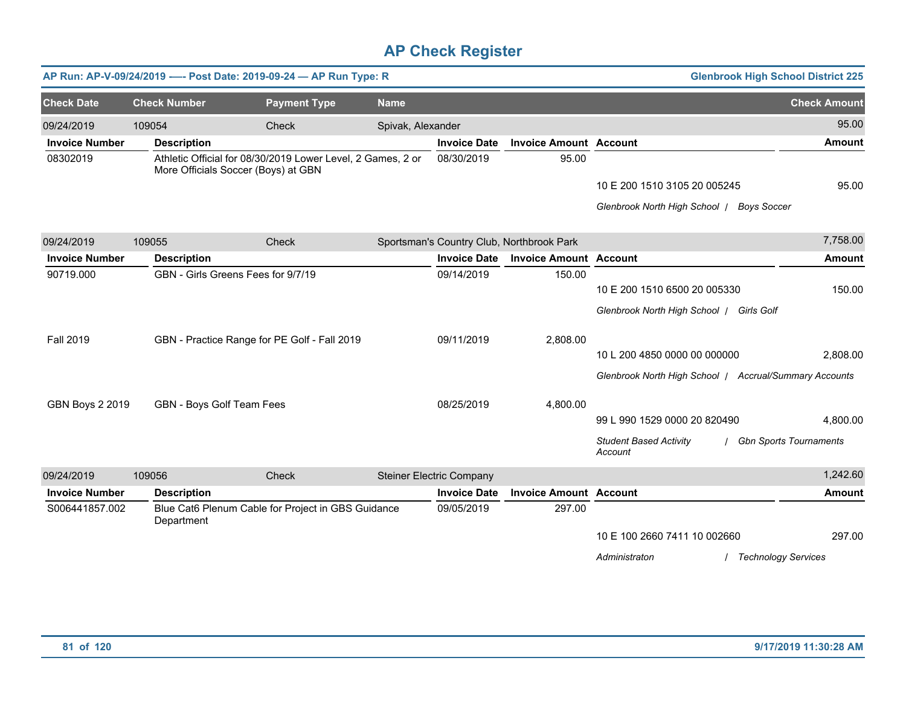|                        |                     | AP Run: AP-V-09/24/2019 ---- Post Date: 2019-09-24 - AP Run Type: R                                |                   |                                 |                                           |                                                        | <b>Glenbrook High School District 225</b> |
|------------------------|---------------------|----------------------------------------------------------------------------------------------------|-------------------|---------------------------------|-------------------------------------------|--------------------------------------------------------|-------------------------------------------|
| <b>Check Date</b>      | <b>Check Number</b> | <b>Payment Type</b>                                                                                | <b>Name</b>       |                                 |                                           |                                                        | <b>Check Amount</b>                       |
| 09/24/2019             | 109054              | Check                                                                                              | Spivak, Alexander |                                 |                                           |                                                        | 95.00                                     |
| <b>Invoice Number</b>  | <b>Description</b>  |                                                                                                    |                   | <b>Invoice Date</b>             | <b>Invoice Amount Account</b>             |                                                        | <b>Amount</b>                             |
| 08302019               |                     | Athletic Official for 08/30/2019 Lower Level, 2 Games, 2 or<br>More Officials Soccer (Boys) at GBN |                   | 08/30/2019                      | 95.00                                     |                                                        |                                           |
|                        |                     |                                                                                                    |                   |                                 |                                           | 10 E 200 1510 3105 20 005245                           | 95.00                                     |
|                        |                     |                                                                                                    |                   |                                 |                                           | Glenbrook North High School /<br><b>Boys Soccer</b>    |                                           |
| 09/24/2019             | 109055              | Check                                                                                              |                   |                                 | Sportsman's Country Club, Northbrook Park |                                                        | 7,758.00                                  |
| <b>Invoice Number</b>  | <b>Description</b>  |                                                                                                    |                   | <b>Invoice Date</b>             | <b>Invoice Amount Account</b>             |                                                        | <b>Amount</b>                             |
| 90719.000              |                     | GBN - Girls Greens Fees for 9/7/19                                                                 |                   | 09/14/2019                      | 150.00                                    |                                                        |                                           |
|                        |                     |                                                                                                    |                   |                                 |                                           | 10 E 200 1510 6500 20 005330                           | 150.00                                    |
|                        |                     |                                                                                                    |                   |                                 |                                           | Glenbrook North High School   Girls Golf               |                                           |
| <b>Fall 2019</b>       |                     | GBN - Practice Range for PE Golf - Fall 2019                                                       |                   | 09/11/2019                      | 2,808.00                                  |                                                        |                                           |
|                        |                     |                                                                                                    |                   |                                 |                                           | 10 L 200 4850 0000 00 000000                           | 2,808.00                                  |
|                        |                     |                                                                                                    |                   |                                 |                                           | Glenbrook North High School / Accrual/Summary Accounts |                                           |
| <b>GBN Boys 2 2019</b> |                     | GBN - Boys Golf Team Fees                                                                          |                   | 08/25/2019                      | 4,800.00                                  |                                                        |                                           |
|                        |                     |                                                                                                    |                   |                                 |                                           | 99 L 990 1529 0000 20 820490                           | 4,800.00                                  |
|                        |                     |                                                                                                    |                   |                                 |                                           | <b>Student Based Activity</b><br>Account               | <b>Gbn Sports Tournaments</b>             |
| 09/24/2019             | 109056              | Check                                                                                              |                   | <b>Steiner Electric Company</b> |                                           |                                                        | 1,242.60                                  |
| <b>Invoice Number</b>  | <b>Description</b>  |                                                                                                    |                   | <b>Invoice Date</b>             | <b>Invoice Amount Account</b>             |                                                        | <b>Amount</b>                             |
| S006441857.002         | Department          | Blue Cat6 Plenum Cable for Project in GBS Guidance                                                 |                   | 09/05/2019                      | 297.00                                    |                                                        |                                           |
|                        |                     |                                                                                                    |                   |                                 |                                           | 10 E 100 2660 7411 10 002660                           | 297.00                                    |
|                        |                     |                                                                                                    |                   |                                 |                                           | Administraton                                          | <b>Technology Services</b>                |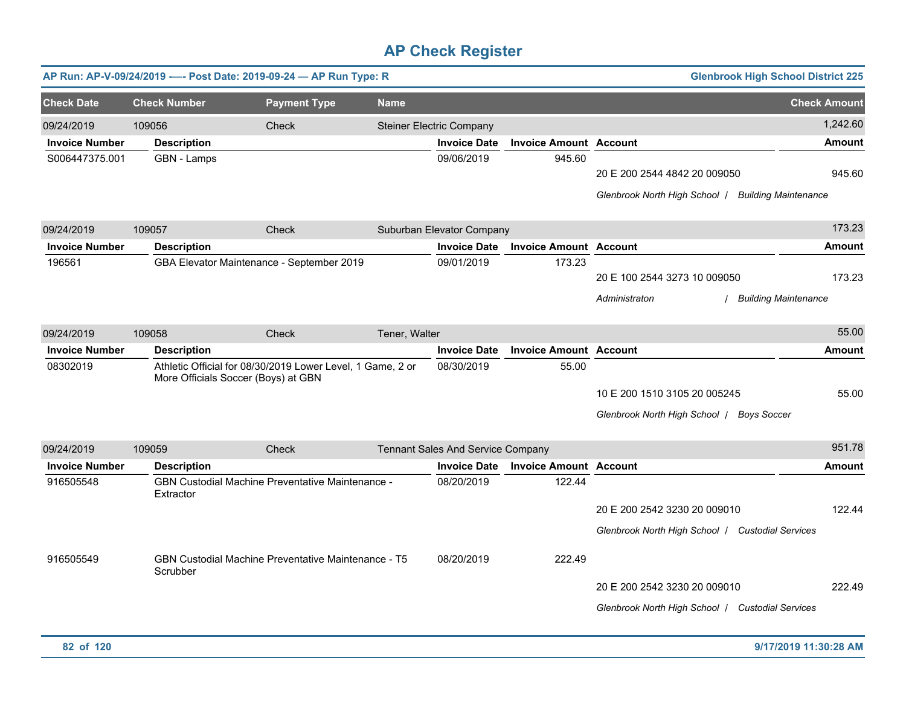|                       |                                     | AP Run: AP-V-09/24/2019 ---- Post Date: 2019-09-24 - AP Run Type: R |               |                                   |                               |                                                                                    | <b>Glenbrook High School District 225</b> |
|-----------------------|-------------------------------------|---------------------------------------------------------------------|---------------|-----------------------------------|-------------------------------|------------------------------------------------------------------------------------|-------------------------------------------|
| <b>Check Date</b>     | <b>Check Number</b>                 | <b>Payment Type</b>                                                 | <b>Name</b>   |                                   |                               |                                                                                    | <b>Check Amount</b>                       |
| 09/24/2019            | 109056                              | Check                                                               |               | <b>Steiner Electric Company</b>   |                               |                                                                                    | 1,242.60                                  |
| <b>Invoice Number</b> | <b>Description</b>                  |                                                                     |               | <b>Invoice Date</b>               | <b>Invoice Amount Account</b> |                                                                                    | <b>Amount</b>                             |
| S006447375.001        | GBN - Lamps                         |                                                                     |               | 09/06/2019                        | 945.60                        | 20 E 200 2544 4842 20 009050<br>Glenbrook North High School   Building Maintenance | 945.60                                    |
| 09/24/2019            | 109057                              | <b>Check</b>                                                        |               | Suburban Elevator Company         |                               |                                                                                    | 173.23                                    |
| <b>Invoice Number</b> | <b>Description</b>                  |                                                                     |               | <b>Invoice Date</b>               | <b>Invoice Amount Account</b> |                                                                                    | <b>Amount</b>                             |
| 196561                |                                     | GBA Elevator Maintenance - September 2019                           |               | 09/01/2019                        | 173.23                        | 20 E 100 2544 3273 10 009050<br>Administraton                                      | 173.23<br>/ Building Maintenance          |
| 09/24/2019            | 109058                              | Check                                                               | Tener, Walter |                                   |                               |                                                                                    | 55.00                                     |
| <b>Invoice Number</b> | <b>Description</b>                  |                                                                     |               | <b>Invoice Date</b>               | <b>Invoice Amount Account</b> |                                                                                    | <b>Amount</b>                             |
| 08302019              | More Officials Soccer (Boys) at GBN | Athletic Official for 08/30/2019 Lower Level, 1 Game, 2 or          |               | 08/30/2019                        | 55.00                         | 10 E 200 1510 3105 20 005245<br>Glenbrook North High School   Boys Soccer          | 55.00                                     |
| 09/24/2019            | 109059                              | Check                                                               |               | Tennant Sales And Service Company |                               |                                                                                    | 951.78                                    |
| <b>Invoice Number</b> | <b>Description</b>                  |                                                                     |               | <b>Invoice Date</b>               | <b>Invoice Amount Account</b> |                                                                                    | Amount                                    |
| 916505548             | Extractor                           | GBN Custodial Machine Preventative Maintenance -                    |               | 08/20/2019                        | 122.44                        | 20 E 200 2542 3230 20 009010<br>Glenbrook North High School   Custodial Services   | 122.44                                    |
| 916505549             | Scrubber                            | <b>GBN Custodial Machine Preventative Maintenance - T5</b>          |               | 08/20/2019                        | 222.49                        | 20 E 200 2542 3230 20 009010<br>Glenbrook North High School   Custodial Services   | 222.49                                    |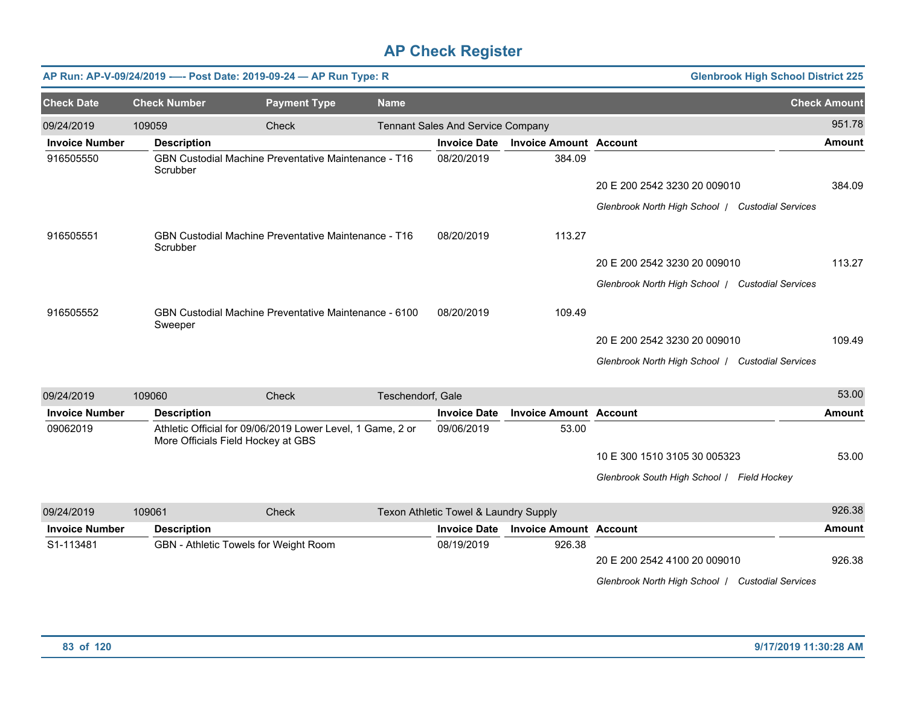|                       |                     | AP Run: AP-V-09/24/2019 ---- Post Date: 2019-09-24 - AP Run Type: R                              |                   |                                       |                               | <b>Glenbrook High School District 225</b>        |                     |
|-----------------------|---------------------|--------------------------------------------------------------------------------------------------|-------------------|---------------------------------------|-------------------------------|--------------------------------------------------|---------------------|
| <b>Check Date</b>     | <b>Check Number</b> | <b>Payment Type</b>                                                                              | <b>Name</b>       |                                       |                               |                                                  | <b>Check Amount</b> |
| 09/24/2019            | 109059              | Check                                                                                            |                   | Tennant Sales And Service Company     |                               |                                                  | 951.78              |
| <b>Invoice Number</b> | <b>Description</b>  |                                                                                                  |                   | <b>Invoice Date</b>                   | <b>Invoice Amount Account</b> |                                                  | <b>Amount</b>       |
| 916505550             | Scrubber            | <b>GBN Custodial Machine Preventative Maintenance - T16</b>                                      |                   | 08/20/2019                            | 384.09                        |                                                  |                     |
|                       |                     |                                                                                                  |                   |                                       |                               | 20 E 200 2542 3230 20 009010                     | 384.09              |
|                       |                     |                                                                                                  |                   |                                       |                               | Glenbrook North High School / Custodial Services |                     |
| 916505551             | Scrubber            | <b>GBN Custodial Machine Preventative Maintenance - T16</b>                                      |                   | 08/20/2019                            | 113.27                        |                                                  |                     |
|                       |                     |                                                                                                  |                   |                                       |                               | 20 E 200 2542 3230 20 009010                     | 113.27              |
|                       |                     |                                                                                                  |                   |                                       |                               | Glenbrook North High School / Custodial Services |                     |
| 916505552             | Sweeper             | <b>GBN Custodial Machine Preventative Maintenance - 6100</b>                                     |                   | 08/20/2019                            | 109.49                        |                                                  |                     |
|                       |                     |                                                                                                  |                   |                                       |                               | 20 E 200 2542 3230 20 009010                     | 109.49              |
|                       |                     |                                                                                                  |                   |                                       |                               | Glenbrook North High School / Custodial Services |                     |
| 09/24/2019            | 109060              | Check                                                                                            | Teschendorf, Gale |                                       |                               |                                                  | 53.00               |
| <b>Invoice Number</b> | <b>Description</b>  |                                                                                                  |                   | <b>Invoice Date</b>                   | <b>Invoice Amount Account</b> |                                                  | Amount              |
| 09062019              |                     | Athletic Official for 09/06/2019 Lower Level, 1 Game, 2 or<br>More Officials Field Hockey at GBS |                   | 09/06/2019                            | 53.00                         |                                                  |                     |
|                       |                     |                                                                                                  |                   |                                       |                               | 10 E 300 1510 3105 30 005323                     | 53.00               |
|                       |                     |                                                                                                  |                   |                                       |                               | Glenbrook South High School / Field Hockey       |                     |
| 09/24/2019            | 109061              | Check                                                                                            |                   | Texon Athletic Towel & Laundry Supply |                               |                                                  | 926.38              |
| <b>Invoice Number</b> | <b>Description</b>  |                                                                                                  |                   | <b>Invoice Date</b>                   | <b>Invoice Amount Account</b> |                                                  | <b>Amount</b>       |
| S1-113481             |                     | GBN - Athletic Towels for Weight Room                                                            |                   | 08/19/2019                            | 926.38                        |                                                  |                     |
|                       |                     |                                                                                                  |                   |                                       |                               | 20 E 200 2542 4100 20 009010                     | 926.38              |
|                       |                     |                                                                                                  |                   |                                       |                               | Clanbrook North High School 1 Custodial Senvices |                     |

| 09/24/2019<br>109061<br>Check |                    |                                              | Texon Athletic Towel & Laundry Supply |                               |                                                     |        |  |
|-------------------------------|--------------------|----------------------------------------------|---------------------------------------|-------------------------------|-----------------------------------------------------|--------|--|
| <b>Invoice Number</b>         | <b>Description</b> |                                              | <b>Invoice Date</b>                   | <b>Invoice Amount Account</b> |                                                     | Amount |  |
| S1-113481                     |                    | <b>GBN</b> - Athletic Towels for Weight Room | 08/19/2019                            | 926.38                        |                                                     |        |  |
|                               |                    |                                              |                                       |                               | 20 E 200 2542 4100 20 009010                        | 926.38 |  |
|                               |                    |                                              |                                       |                               | Glenbrook North High School /<br>Custodial Services |        |  |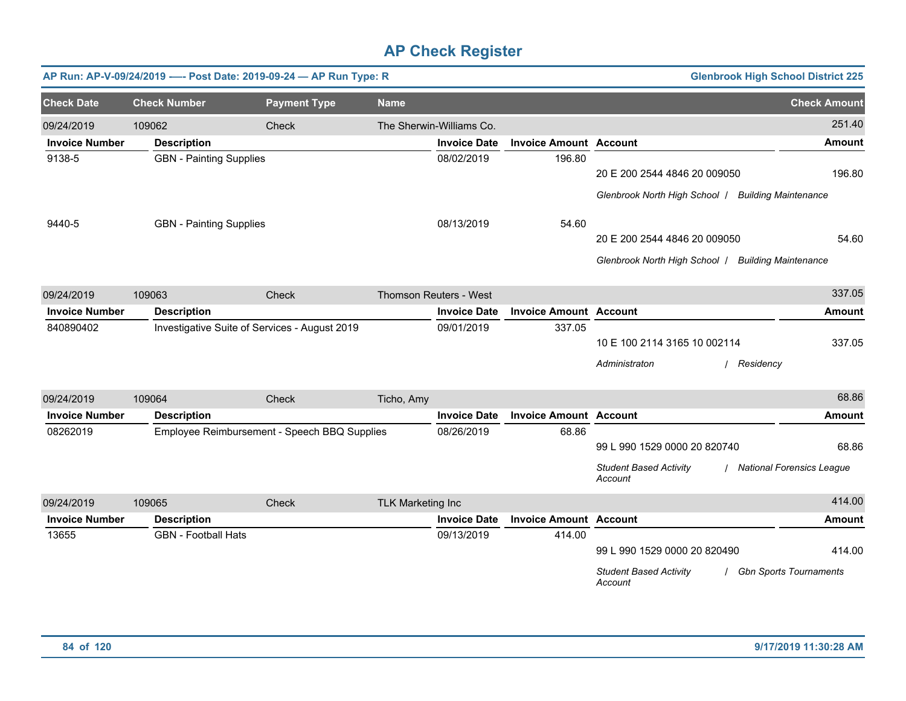|                       | AP Run: AP-V-09/24/2019 ---- Post Date: 2019-09-24 - AP Run Type: R |                                               |                          |                          |                               |                                                                          | <b>Glenbrook High School District 225</b> |
|-----------------------|---------------------------------------------------------------------|-----------------------------------------------|--------------------------|--------------------------|-------------------------------|--------------------------------------------------------------------------|-------------------------------------------|
| <b>Check Date</b>     | <b>Check Number</b>                                                 | <b>Payment Type</b>                           | <b>Name</b>              |                          |                               |                                                                          | <b>Check Amount</b>                       |
| 09/24/2019            | 109062                                                              | Check                                         |                          | The Sherwin-Williams Co. |                               |                                                                          | 251.40                                    |
| <b>Invoice Number</b> | <b>Description</b>                                                  |                                               |                          | <b>Invoice Date</b>      | <b>Invoice Amount Account</b> |                                                                          | <b>Amount</b>                             |
| 9138-5                | <b>GBN</b> - Painting Supplies                                      |                                               |                          | 08/02/2019               | 196.80                        | 20 E 200 2544 4846 20 009050                                             | 196.80                                    |
|                       |                                                                     |                                               |                          |                          |                               | Glenbrook North High School   Building Maintenance                       |                                           |
| 9440-5                | <b>GBN</b> - Painting Supplies                                      |                                               |                          | 08/13/2019               | 54.60                         |                                                                          |                                           |
|                       |                                                                     |                                               |                          |                          |                               | 20 E 200 2544 4846 20 009050                                             | 54.60                                     |
|                       |                                                                     |                                               |                          |                          |                               | Glenbrook North High School / Building Maintenance                       |                                           |
| 09/24/2019            | 109063                                                              | Check                                         |                          | Thomson Reuters - West   |                               |                                                                          | 337.05                                    |
| <b>Invoice Number</b> | <b>Description</b>                                                  |                                               |                          | <b>Invoice Date</b>      | <b>Invoice Amount Account</b> |                                                                          | <b>Amount</b>                             |
| 840890402             |                                                                     | Investigative Suite of Services - August 2019 |                          | 09/01/2019               | 337.05                        | 10 E 100 2114 3165 10 002114<br>Administraton                            | 337.05<br>/ Residency                     |
| 09/24/2019            | 109064                                                              | Check                                         | Ticho, Amy               |                          |                               |                                                                          | 68.86                                     |
| <b>Invoice Number</b> | <b>Description</b>                                                  |                                               |                          | <b>Invoice Date</b>      | <b>Invoice Amount Account</b> |                                                                          | <b>Amount</b>                             |
| 08262019              |                                                                     | Employee Reimbursement - Speech BBQ Supplies  |                          | 08/26/2019               | 68.86                         | 99 L 990 1529 0000 20 820740<br><b>Student Based Activity</b><br>Account | 68.86<br>/ National Forensics League      |
| 09/24/2019            | 109065                                                              | Check                                         | <b>TLK Marketing Inc</b> |                          |                               |                                                                          | 414.00                                    |
| <b>Invoice Number</b> | <b>Description</b>                                                  |                                               |                          | <b>Invoice Date</b>      | <b>Invoice Amount Account</b> |                                                                          | <b>Amount</b>                             |
| 13655                 | <b>GBN</b> - Football Hats                                          |                                               |                          | 09/13/2019               | 414.00                        | 99 L 990 1529 0000 20 820490<br><b>Student Based Activity</b><br>Account | 414.00<br><b>Gbn Sports Tournaments</b>   |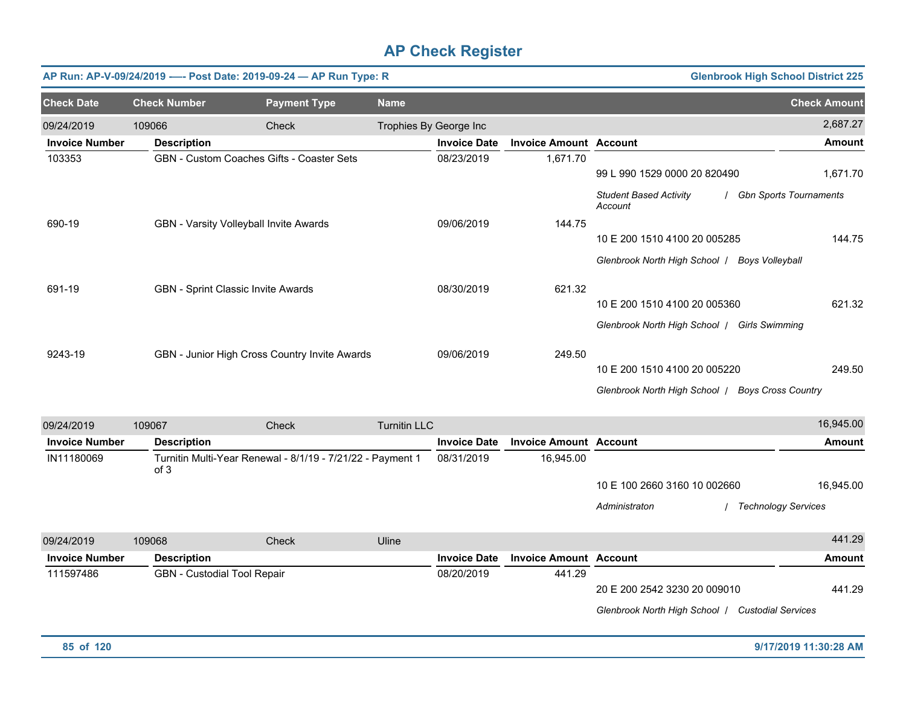| <b>Glenbrook High School District 225</b><br>AP Run: AP-V-09/24/2019 ---- Post Date: 2019-09-24 - AP Run Type: R |                     |                                                                                                                                         |                                               |                        |                                          |                                                                                                                                                                                                                   |  |  |  |  |  |
|------------------------------------------------------------------------------------------------------------------|---------------------|-----------------------------------------------------------------------------------------------------------------------------------------|-----------------------------------------------|------------------------|------------------------------------------|-------------------------------------------------------------------------------------------------------------------------------------------------------------------------------------------------------------------|--|--|--|--|--|
| <b>Check Number</b>                                                                                              | <b>Payment Type</b> | <b>Name</b>                                                                                                                             |                                               |                        |                                          | <b>Check Amount</b>                                                                                                                                                                                               |  |  |  |  |  |
| 109066                                                                                                           | Check               |                                                                                                                                         |                                               |                        |                                          | 2,687.27                                                                                                                                                                                                          |  |  |  |  |  |
| <b>Description</b>                                                                                               |                     |                                                                                                                                         | <b>Invoice Date</b>                           |                        |                                          | <b>Amount</b>                                                                                                                                                                                                     |  |  |  |  |  |
|                                                                                                                  |                     |                                                                                                                                         | 08/23/2019                                    | 1,671.70               |                                          |                                                                                                                                                                                                                   |  |  |  |  |  |
|                                                                                                                  |                     |                                                                                                                                         |                                               |                        |                                          | 1,671.70                                                                                                                                                                                                          |  |  |  |  |  |
|                                                                                                                  |                     |                                                                                                                                         |                                               |                        | <b>Student Based Activity</b><br>Account | <b>Gbn Sports Tournaments</b>                                                                                                                                                                                     |  |  |  |  |  |
|                                                                                                                  |                     |                                                                                                                                         | 09/06/2019                                    | 144.75                 |                                          |                                                                                                                                                                                                                   |  |  |  |  |  |
|                                                                                                                  |                     |                                                                                                                                         |                                               |                        | 144.75                                   |                                                                                                                                                                                                                   |  |  |  |  |  |
|                                                                                                                  |                     |                                                                                                                                         |                                               |                        | Glenbrook North High School /            | <b>Boys Volleyball</b>                                                                                                                                                                                            |  |  |  |  |  |
|                                                                                                                  |                     |                                                                                                                                         | 08/30/2019                                    | 621.32                 |                                          |                                                                                                                                                                                                                   |  |  |  |  |  |
|                                                                                                                  |                     |                                                                                                                                         |                                               |                        |                                          | 621.32                                                                                                                                                                                                            |  |  |  |  |  |
|                                                                                                                  |                     |                                                                                                                                         |                                               |                        | Glenbrook North High School /            | <b>Girls Swimming</b>                                                                                                                                                                                             |  |  |  |  |  |
|                                                                                                                  |                     |                                                                                                                                         | 09/06/2019                                    | 249.50                 |                                          |                                                                                                                                                                                                                   |  |  |  |  |  |
|                                                                                                                  |                     |                                                                                                                                         |                                               |                        |                                          | 249.50                                                                                                                                                                                                            |  |  |  |  |  |
|                                                                                                                  |                     |                                                                                                                                         |                                               |                        |                                          |                                                                                                                                                                                                                   |  |  |  |  |  |
|                                                                                                                  |                     | <b>GBN - Custom Coaches Gifts - Coaster Sets</b><br>GBN - Varsity Volleyball Invite Awards<br><b>GBN</b> - Sprint Classic Invite Awards | GBN - Junior High Cross Country Invite Awards | Trophies By George Inc |                                          | <b>Invoice Amount Account</b><br>99 L 990 1529 0000 20 820490<br>10 E 200 1510 4100 20 005285<br>10 E 200 1510 4100 20 005360<br>10 E 200 1510 4100 20 005220<br>Glenbrook North High School   Boys Cross Country |  |  |  |  |  |

| 09/24/2019            | 109067 |                             | Check                                                      | <b>Turnitin LLC</b> |                     |                               |                               | 16,945.00                  |
|-----------------------|--------|-----------------------------|------------------------------------------------------------|---------------------|---------------------|-------------------------------|-------------------------------|----------------------------|
| <b>Invoice Number</b> |        | <b>Description</b>          |                                                            |                     | <b>Invoice Date</b> | <b>Invoice Amount Account</b> |                               | Amount                     |
| IN11180069            |        | of 3                        | Turnitin Multi-Year Renewal - 8/1/19 - 7/21/22 - Payment 1 |                     | 08/31/2019          | 16,945.00                     |                               |                            |
|                       |        |                             |                                                            |                     |                     |                               | 10 E 100 2660 3160 10 002660  | 16,945.00                  |
|                       |        |                             |                                                            |                     |                     |                               | Administraton                 | <b>Technology Services</b> |
| 09/24/2019            | 109068 |                             | Check                                                      | Uline               |                     |                               |                               | 441.29                     |
| <b>Invoice Number</b> |        | <b>Description</b>          |                                                            |                     | <b>Invoice Date</b> | <b>Invoice Amount Account</b> |                               | Amount                     |
| 111597486             |        | GBN - Custodial Tool Repair |                                                            |                     | 08/20/2019          | 441.29                        |                               |                            |
|                       |        |                             |                                                            |                     |                     |                               | 20 E 200 2542 3230 20 009010  | 441.29                     |
|                       |        |                             |                                                            |                     |                     |                               | Glenbrook North High School / | <b>Custodial Services</b>  |

**85 of 120 9/17/2019 11:30:28 AM**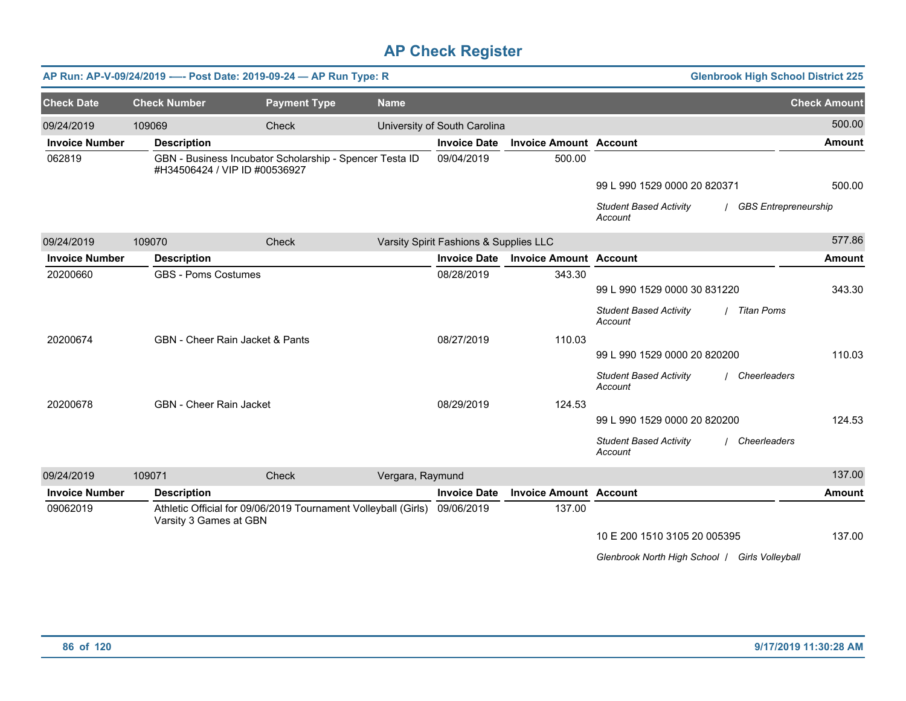|                       |                                | AP Run: AP-V-09/24/2019 ---- Post Date: 2019-09-24 - AP Run Type: R                      |                  |                                        |                               |                                                               | <b>Glenbrook High School District 225</b> |
|-----------------------|--------------------------------|------------------------------------------------------------------------------------------|------------------|----------------------------------------|-------------------------------|---------------------------------------------------------------|-------------------------------------------|
| <b>Check Date</b>     | <b>Check Number</b>            | <b>Payment Type</b>                                                                      | <b>Name</b>      |                                        |                               |                                                               | <b>Check Amount</b>                       |
| 09/24/2019            | 109069                         | Check                                                                                    |                  | University of South Carolina           |                               |                                                               | 500.00                                    |
| <b>Invoice Number</b> | <b>Description</b>             |                                                                                          |                  | <b>Invoice Date</b>                    | <b>Invoice Amount Account</b> |                                                               | <b>Amount</b>                             |
| 062819                |                                | GBN - Business Incubator Scholarship - Spencer Testa ID<br>#H34506424 / VIP ID #00536927 |                  | 09/04/2019                             | 500.00                        |                                                               |                                           |
|                       |                                |                                                                                          |                  |                                        |                               | 99 L 990 1529 0000 20 820371                                  | 500.00                                    |
|                       |                                |                                                                                          |                  |                                        |                               | <b>Student Based Activity</b><br>Account                      | <b>GBS Entrepreneurship</b>               |
| 09/24/2019            | 109070                         | Check                                                                                    |                  | Varsity Spirit Fashions & Supplies LLC |                               |                                                               | 577.86                                    |
| <b>Invoice Number</b> | <b>Description</b>             |                                                                                          |                  | <b>Invoice Date</b>                    | <b>Invoice Amount Account</b> |                                                               | <b>Amount</b>                             |
| 20200660              | <b>GBS - Poms Costumes</b>     |                                                                                          |                  | 08/28/2019                             | 343.30                        |                                                               |                                           |
|                       |                                |                                                                                          |                  |                                        |                               | 99 L 990 1529 0000 30 831220                                  | 343.30                                    |
|                       |                                |                                                                                          |                  |                                        |                               | <b>Student Based Activity</b><br><b>Titan Poms</b><br>Account |                                           |
| 20200674              |                                | <b>GBN</b> - Cheer Rain Jacket & Pants                                                   |                  | 08/27/2019                             | 110.03                        |                                                               |                                           |
|                       |                                |                                                                                          |                  |                                        |                               | 99 L 990 1529 0000 20 820200                                  | 110.03                                    |
|                       |                                |                                                                                          |                  |                                        |                               | <b>Student Based Activity</b><br>Cheerleaders<br>Account      |                                           |
| 20200678              | <b>GBN</b> - Cheer Rain Jacket |                                                                                          |                  | 08/29/2019                             | 124.53                        |                                                               |                                           |
|                       |                                |                                                                                          |                  |                                        |                               | 99 L 990 1529 0000 20 820200                                  | 124.53                                    |
|                       |                                |                                                                                          |                  |                                        |                               | <b>Student Based Activity</b><br>/ Cheerleaders<br>Account    |                                           |
| 09/24/2019            | 109071                         | Check                                                                                    | Vergara, Raymund |                                        |                               |                                                               | 137.00                                    |
| <b>Invoice Number</b> | <b>Description</b>             |                                                                                          |                  | <b>Invoice Date</b>                    | <b>Invoice Amount Account</b> |                                                               | <b>Amount</b>                             |
| 09062019              | Varsity 3 Games at GBN         | Athletic Official for 09/06/2019 Tournament Volleyball (Girls) 09/06/2019                |                  |                                        | 137.00                        |                                                               |                                           |
|                       |                                |                                                                                          |                  |                                        |                               | 10 E 200 1510 3105 20 005395                                  | 137.00                                    |
|                       |                                |                                                                                          |                  |                                        |                               | Glenbrook North High School / Girls Volleyball                |                                           |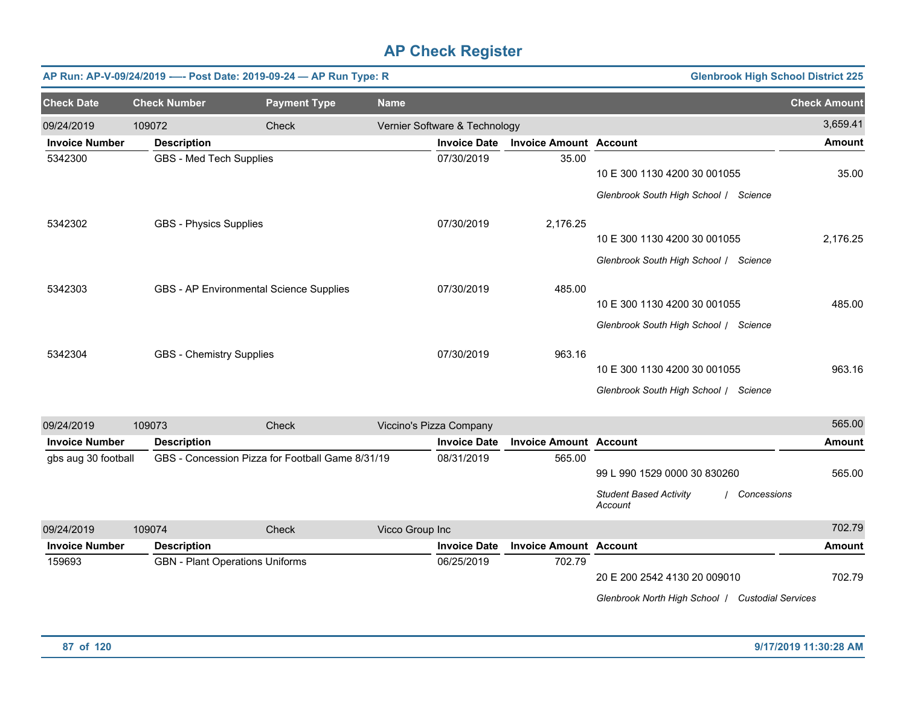|                       |                                 | AP Run: AP-V-09/24/2019 ---- Post Date: 2019-09-24 - AP Run Type: R |             |                               |                               | <b>Glenbrook High School District 225</b>                             |                     |
|-----------------------|---------------------------------|---------------------------------------------------------------------|-------------|-------------------------------|-------------------------------|-----------------------------------------------------------------------|---------------------|
| <b>Check Date</b>     | <b>Check Number</b>             | <b>Payment Type</b>                                                 | <b>Name</b> |                               |                               |                                                                       | <b>Check Amount</b> |
| 09/24/2019            | 109072                          | Check                                                               |             | Vernier Software & Technology |                               |                                                                       | 3,659.41            |
| <b>Invoice Number</b> | <b>Description</b>              |                                                                     |             | <b>Invoice Date</b>           | <b>Invoice Amount Account</b> |                                                                       | <b>Amount</b>       |
| 5342300               | GBS - Med Tech Supplies         |                                                                     |             | 07/30/2019                    | 35.00                         | 10 E 300 1130 4200 30 001055<br>Glenbrook South High School / Science | 35.00               |
| 5342302               | <b>GBS - Physics Supplies</b>   |                                                                     |             | 07/30/2019                    | 2,176.25                      | 10 E 300 1130 4200 30 001055<br>Glenbrook South High School / Science | 2,176.25            |
| 5342303               |                                 | GBS - AP Environmental Science Supplies                             |             | 07/30/2019                    | 485.00                        | 10 E 300 1130 4200 30 001055<br>Glenbrook South High School / Science | 485.00              |
| 5342304               | <b>GBS</b> - Chemistry Supplies |                                                                     |             | 07/30/2019                    | 963.16                        | 10 E 300 1130 4200 30 001055<br>Glenbrook South High School / Science | 963.16              |
| 09/24/2019            | 109073                          | <b>Check</b>                                                        |             | Viccino's Pizza Company       |                               |                                                                       | 565.00              |

| 09/24/2019            | IUYU73             | UNECK                                            |                 | VICCINO'S PIZZA COMPANY |                               |                                          |                           | JUJ.UU        |
|-----------------------|--------------------|--------------------------------------------------|-----------------|-------------------------|-------------------------------|------------------------------------------|---------------------------|---------------|
| <b>Invoice Number</b> | <b>Description</b> |                                                  |                 | <b>Invoice Date</b>     | <b>Invoice Amount Account</b> |                                          |                           | Amount        |
| gbs aug 30 football   |                    | GBS - Concession Pizza for Football Game 8/31/19 |                 | 08/31/2019              | 565.00                        |                                          |                           |               |
|                       |                    |                                                  |                 |                         |                               | 99 L 990 1529 0000 30 830260             |                           | 565.00        |
|                       |                    |                                                  |                 |                         |                               | <b>Student Based Activity</b><br>Account | Concessions               |               |
| 09/24/2019            | 109074             | Check                                            | Vicco Group Inc |                         |                               |                                          |                           | 702.79        |
| <b>Invoice Number</b> | <b>Description</b> |                                                  |                 | <b>Invoice Date</b>     | <b>Invoice Amount Account</b> |                                          |                           | <b>Amount</b> |
| 159693                |                    | <b>GBN</b> - Plant Operations Uniforms           |                 | 06/25/2019              | 702.79                        |                                          |                           |               |
|                       |                    |                                                  |                 |                         |                               | 20 E 200 2542 4130 20 009010             |                           | 702.79        |
|                       |                    |                                                  |                 |                         |                               | Glenbrook North High School              | <b>Custodial Services</b> |               |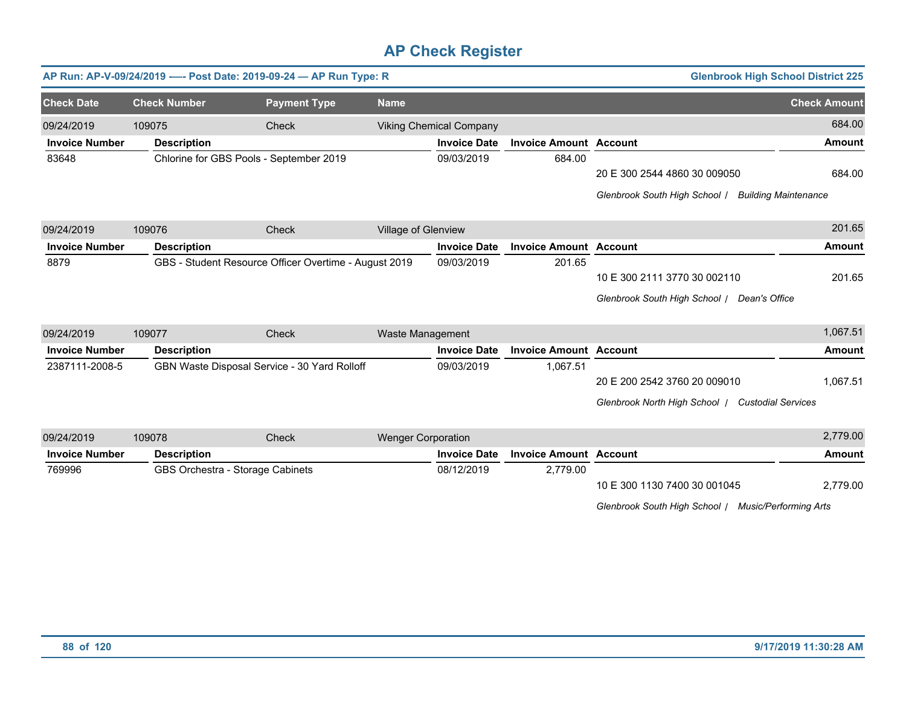|                       | AP Run: AP-V-09/24/2019 ---- Post Date: 2019-09-24 - AP Run Type: R |                                                       |                           |                                |                               |                               | <b>Glenbrook High School District 225</b> |
|-----------------------|---------------------------------------------------------------------|-------------------------------------------------------|---------------------------|--------------------------------|-------------------------------|-------------------------------|-------------------------------------------|
| <b>Check Date</b>     | <b>Check Number</b>                                                 | <b>Payment Type</b>                                   | <b>Name</b>               |                                |                               |                               | <b>Check Amount</b>                       |
| 09/24/2019            | 109075                                                              | Check                                                 |                           | <b>Viking Chemical Company</b> |                               |                               | 684.00                                    |
| <b>Invoice Number</b> | <b>Description</b>                                                  |                                                       |                           | <b>Invoice Date</b>            | <b>Invoice Amount Account</b> |                               | <b>Amount</b>                             |
| 83648                 | Chlorine for GBS Pools - September 2019                             |                                                       |                           | 09/03/2019                     | 684.00                        |                               |                                           |
|                       |                                                                     |                                                       |                           |                                |                               | 20 E 300 2544 4860 30 009050  | 684.00                                    |
|                       |                                                                     |                                                       |                           |                                |                               | Glenbrook South High School / | <b>Building Maintenance</b>               |
| 09/24/2019            | 109076                                                              | Check                                                 | Village of Glenview       |                                |                               |                               | 201.65                                    |
| <b>Invoice Number</b> | <b>Description</b>                                                  |                                                       |                           | <b>Invoice Date</b>            | <b>Invoice Amount Account</b> |                               | <b>Amount</b>                             |
| 8879                  |                                                                     | GBS - Student Resource Officer Overtime - August 2019 |                           | 09/03/2019                     | 201.65                        |                               |                                           |
|                       |                                                                     |                                                       |                           |                                |                               | 10 E 300 2111 3770 30 002110  | 201.65                                    |
|                       |                                                                     |                                                       |                           |                                |                               | Glenbrook South High School / | Dean's Office                             |
| 09/24/2019            | 109077                                                              | Check                                                 | Waste Management          |                                |                               |                               | 1,067.51                                  |
| <b>Invoice Number</b> | <b>Description</b>                                                  |                                                       |                           | <b>Invoice Date</b>            | <b>Invoice Amount Account</b> |                               | <b>Amount</b>                             |
| 2387111-2008-5        |                                                                     | GBN Waste Disposal Service - 30 Yard Rolloff          |                           | 09/03/2019                     | 1,067.51                      |                               |                                           |
|                       |                                                                     |                                                       |                           |                                |                               | 20 E 200 2542 3760 20 009010  | 1,067.51                                  |
|                       |                                                                     |                                                       |                           |                                |                               | Glenbrook North High School / | <b>Custodial Services</b>                 |
| 09/24/2019            | 109078                                                              | Check                                                 | <b>Wenger Corporation</b> |                                |                               |                               | 2,779.00                                  |
| <b>Invoice Number</b> | <b>Description</b>                                                  |                                                       |                           | <b>Invoice Date</b>            | <b>Invoice Amount Account</b> |                               | <b>Amount</b>                             |
| 769996                | GBS Orchestra - Storage Cabinets                                    |                                                       |                           | 08/12/2019                     | 2,779.00                      |                               |                                           |

10 E 300 1130 7400 30 001045 2,779.00

*Glenbrook South High School* / *Music/Performing Arts*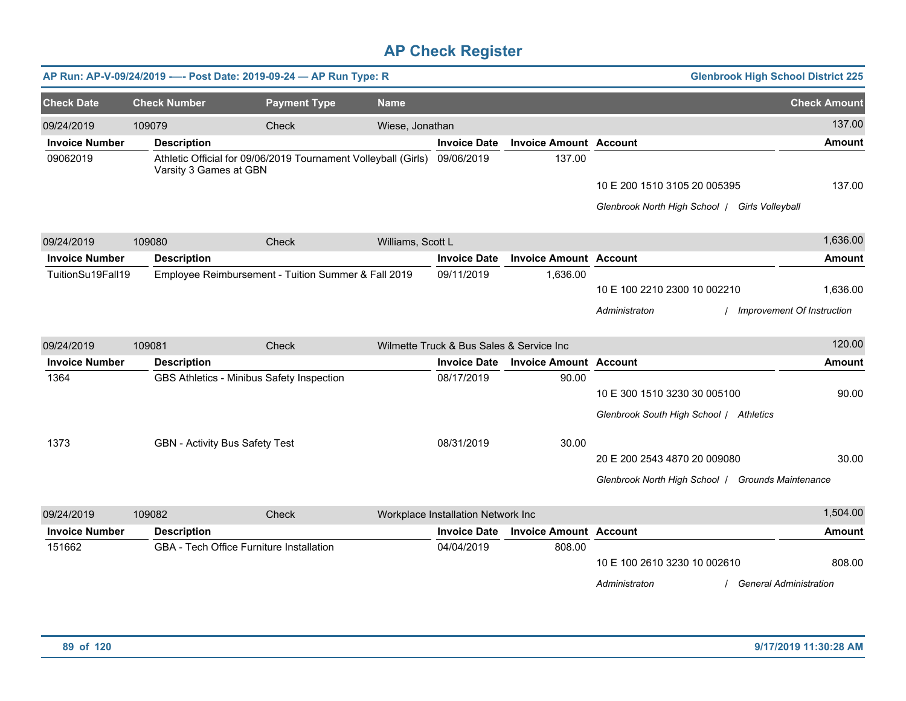|                       |                        | AP Run: AP-V-09/24/2019 ---- Post Date: 2019-09-24 - AP Run Type: R       |                   |                                          |                               | <b>Glenbrook High School District 225</b>         |                            |
|-----------------------|------------------------|---------------------------------------------------------------------------|-------------------|------------------------------------------|-------------------------------|---------------------------------------------------|----------------------------|
| <b>Check Date</b>     | <b>Check Number</b>    | <b>Payment Type</b>                                                       | <b>Name</b>       |                                          |                               |                                                   | <b>Check Amount</b>        |
| 09/24/2019            | 109079                 | Check                                                                     | Wiese, Jonathan   |                                          |                               |                                                   | 137.00                     |
| <b>Invoice Number</b> | <b>Description</b>     |                                                                           |                   | <b>Invoice Date</b>                      | <b>Invoice Amount Account</b> |                                                   | <b>Amount</b>              |
| 09062019              | Varsity 3 Games at GBN | Athletic Official for 09/06/2019 Tournament Volleyball (Girls) 09/06/2019 |                   |                                          | 137.00                        |                                                   |                            |
|                       |                        |                                                                           |                   |                                          |                               | 10 E 200 1510 3105 20 005395                      | 137.00                     |
|                       |                        |                                                                           |                   |                                          |                               | Glenbrook North High School   Girls Volleyball    |                            |
| 09/24/2019            | 109080                 | Check                                                                     | Williams, Scott L |                                          |                               |                                                   | 1,636.00                   |
| <b>Invoice Number</b> | <b>Description</b>     |                                                                           |                   | <b>Invoice Date</b>                      | <b>Invoice Amount Account</b> |                                                   | <b>Amount</b>              |
| TuitionSu19Fall19     |                        | Employee Reimbursement - Tuition Summer & Fall 2019                       |                   | 09/11/2019                               | 1,636.00                      |                                                   |                            |
|                       |                        |                                                                           |                   |                                          |                               | 10 E 100 2210 2300 10 002210                      | 1,636.00                   |
|                       |                        |                                                                           |                   |                                          |                               | Administraton                                     | Improvement Of Instruction |
| 09/24/2019            | 109081                 | Check                                                                     |                   | Wilmette Truck & Bus Sales & Service Inc |                               |                                                   | 120.00                     |
| <b>Invoice Number</b> | <b>Description</b>     |                                                                           |                   | <b>Invoice Date</b>                      | <b>Invoice Amount Account</b> |                                                   | <b>Amount</b>              |
| 1364                  |                        | GBS Athletics - Minibus Safety Inspection                                 |                   | 08/17/2019                               | 90.00                         |                                                   |                            |
|                       |                        |                                                                           |                   |                                          |                               | 10 E 300 1510 3230 30 005100                      | 90.00                      |
|                       |                        |                                                                           |                   |                                          |                               | Glenbrook South High School / Athletics           |                            |
| 1373                  |                        | <b>GBN</b> - Activity Bus Safety Test                                     |                   | 08/31/2019                               | 30.00                         |                                                   |                            |
|                       |                        |                                                                           |                   |                                          |                               | 20 E 200 2543 4870 20 009080                      | 30.00                      |
|                       |                        |                                                                           |                   |                                          |                               | Glenbrook North High School   Grounds Maintenance |                            |
| 09/24/2019            | 109082                 | Check                                                                     |                   | Workplace Installation Network Inc       |                               |                                                   | 1,504.00                   |
| <b>Invoice Number</b> | <b>Description</b>     |                                                                           |                   | <b>Invoice Date</b>                      | <b>Invoice Amount Account</b> |                                                   | <b>Amount</b>              |
| 151662                |                        | GBA - Tech Office Furniture Installation                                  |                   | 04/04/2019                               | 808.00                        |                                                   |                            |
|                       |                        |                                                                           |                   |                                          |                               | 10 E 100 2610 3230 10 002610                      | 808.00                     |
|                       |                        |                                                                           |                   |                                          |                               | <b>General Administration</b><br>Administraton    |                            |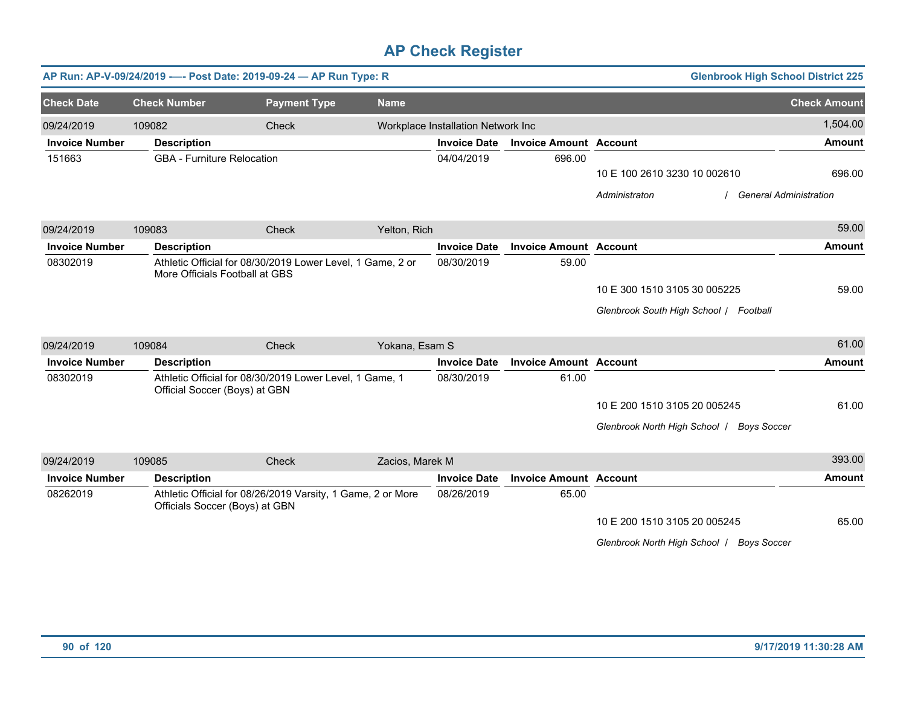|                       |                                   | AP Run: AP-V-09/24/2019 ---- Post Date: 2019-09-24 - AP Run Type: R |                 |                                    |                               |                                                     | <b>Glenbrook High School District 225</b> |
|-----------------------|-----------------------------------|---------------------------------------------------------------------|-----------------|------------------------------------|-------------------------------|-----------------------------------------------------|-------------------------------------------|
| <b>Check Date</b>     | <b>Check Number</b>               | <b>Payment Type</b>                                                 | <b>Name</b>     |                                    |                               |                                                     | <b>Check Amount</b>                       |
| 09/24/2019            | 109082                            | Check                                                               |                 | Workplace Installation Network Inc |                               |                                                     | 1,504.00                                  |
| <b>Invoice Number</b> | <b>Description</b>                |                                                                     |                 | <b>Invoice Date</b>                | <b>Invoice Amount Account</b> |                                                     | <b>Amount</b>                             |
| 151663                | <b>GBA</b> - Furniture Relocation |                                                                     |                 | 04/04/2019                         | 696.00                        |                                                     |                                           |
|                       |                                   |                                                                     |                 |                                    |                               | 10 E 100 2610 3230 10 002610                        | 696.00                                    |
|                       |                                   |                                                                     |                 |                                    |                               | Administraton                                       | <b>General Administration</b>             |
| 09/24/2019            | 109083                            | Check                                                               | Yelton, Rich    |                                    |                               |                                                     | 59.00                                     |
| <b>Invoice Number</b> | <b>Description</b>                |                                                                     |                 | <b>Invoice Date</b>                | <b>Invoice Amount Account</b> |                                                     | <b>Amount</b>                             |
| 08302019              | More Officials Football at GBS    | Athletic Official for 08/30/2019 Lower Level, 1 Game, 2 or          |                 | 08/30/2019                         | 59.00                         |                                                     |                                           |
|                       |                                   |                                                                     |                 |                                    |                               | 10 E 300 1510 3105 30 005225                        | 59.00                                     |
|                       |                                   |                                                                     |                 |                                    |                               | Glenbrook South High School / Football              |                                           |
| 09/24/2019            | 109084                            | Check                                                               | Yokana, Esam S  |                                    |                               |                                                     | 61.00                                     |
| <b>Invoice Number</b> | <b>Description</b>                |                                                                     |                 | <b>Invoice Date</b>                | <b>Invoice Amount Account</b> |                                                     | <b>Amount</b>                             |
| 08302019              | Official Soccer (Boys) at GBN     | Athletic Official for 08/30/2019 Lower Level, 1 Game, 1             |                 | 08/30/2019                         | 61.00                         |                                                     |                                           |
|                       |                                   |                                                                     |                 |                                    |                               | 10 E 200 1510 3105 20 005245                        | 61.00                                     |
|                       |                                   |                                                                     |                 |                                    |                               | Glenbrook North High School /<br><b>Boys Soccer</b> |                                           |
| 09/24/2019            | 109085                            | Check                                                               | Zacios, Marek M |                                    |                               |                                                     | 393.00                                    |
| <b>Invoice Number</b> | <b>Description</b>                |                                                                     |                 | <b>Invoice Date</b>                | <b>Invoice Amount Account</b> |                                                     | <b>Amount</b>                             |
| 08262019              | Officials Soccer (Boys) at GBN    | Athletic Official for 08/26/2019 Varsity, 1 Game, 2 or More         |                 | 08/26/2019                         | 65.00                         |                                                     |                                           |
|                       |                                   |                                                                     |                 |                                    |                               | 10 E 200 1510 3105 20 005245                        | 65.00                                     |
|                       |                                   |                                                                     |                 |                                    |                               | Glenbrook North High School   Boys Soccer           |                                           |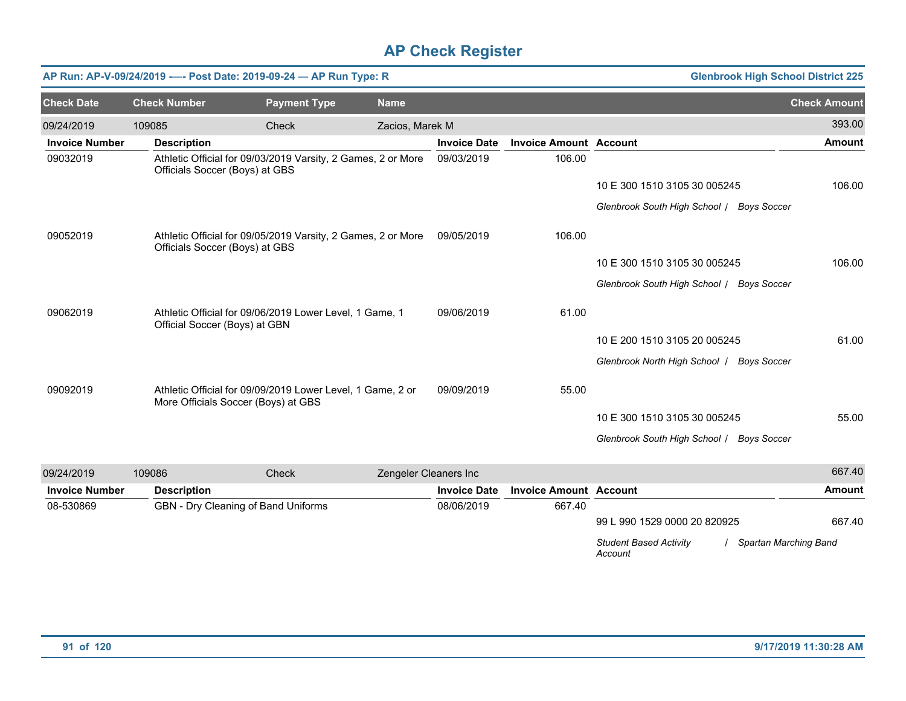|                       |                               | AP Run: AP-V-09/24/2019 ---- Post Date: 2019-09-24 - AP Run Type: R                               |                       |                     |                               | <b>Glenbrook High School District 225</b>                         |                     |
|-----------------------|-------------------------------|---------------------------------------------------------------------------------------------------|-----------------------|---------------------|-------------------------------|-------------------------------------------------------------------|---------------------|
| <b>Check Date</b>     | <b>Check Number</b>           | <b>Payment Type</b>                                                                               | <b>Name</b>           |                     |                               |                                                                   | <b>Check Amount</b> |
| 09/24/2019            | 109085                        | Check                                                                                             | Zacios, Marek M       |                     |                               |                                                                   | 393.00              |
| <b>Invoice Number</b> | <b>Description</b>            |                                                                                                   |                       | <b>Invoice Date</b> | <b>Invoice Amount Account</b> |                                                                   | Amount              |
| 09032019              |                               | Athletic Official for 09/03/2019 Varsity, 2 Games, 2 or More<br>Officials Soccer (Boys) at GBS    |                       | 09/03/2019          | 106.00                        |                                                                   |                     |
|                       |                               |                                                                                                   |                       |                     |                               | 10 E 300 1510 3105 30 005245                                      | 106.00              |
|                       |                               |                                                                                                   |                       |                     |                               | Glenbrook South High School / Boys Soccer                         |                     |
| 09052019              |                               | Athletic Official for 09/05/2019 Varsity, 2 Games, 2 or More<br>Officials Soccer (Boys) at GBS    |                       | 09/05/2019          | 106.00                        |                                                                   |                     |
|                       |                               |                                                                                                   |                       |                     |                               | 10 E 300 1510 3105 30 005245                                      | 106.00              |
|                       |                               |                                                                                                   |                       |                     |                               | Glenbrook South High School / Boys Soccer                         |                     |
| 09062019              | Official Soccer (Boys) at GBN | Athletic Official for 09/06/2019 Lower Level, 1 Game, 1                                           |                       | 09/06/2019          | 61.00                         |                                                                   |                     |
|                       |                               |                                                                                                   |                       |                     |                               | 10 E 200 1510 3105 20 005245                                      | 61.00               |
|                       |                               |                                                                                                   |                       |                     |                               | Glenbrook North High School   Boys Soccer                         |                     |
| 09092019              |                               | Athletic Official for 09/09/2019 Lower Level, 1 Game, 2 or<br>More Officials Soccer (Boys) at GBS |                       | 09/09/2019          | 55.00                         |                                                                   |                     |
|                       |                               |                                                                                                   |                       |                     |                               | 10 E 300 1510 3105 30 005245                                      | 55.00               |
|                       |                               |                                                                                                   |                       |                     |                               | Glenbrook South High School / Boys Soccer                         |                     |
| 09/24/2019            | 109086                        | Check                                                                                             | Zengeler Cleaners Inc |                     |                               |                                                                   | 667.40              |
| <b>Invoice Number</b> | <b>Description</b>            |                                                                                                   |                       | <b>Invoice Date</b> | <b>Invoice Amount</b>         | <b>Account</b>                                                    | <b>Amount</b>       |
| 08-530869             |                               | GBN - Dry Cleaning of Band Uniforms                                                               |                       | 08/06/2019          | 667.40                        |                                                                   |                     |
|                       |                               |                                                                                                   |                       |                     |                               | 99 L 990 1529 0000 20 820925                                      | 667.40              |
|                       |                               |                                                                                                   |                       |                     |                               | <b>Student Based Activity</b><br>Spartan Marching Band<br>Account |                     |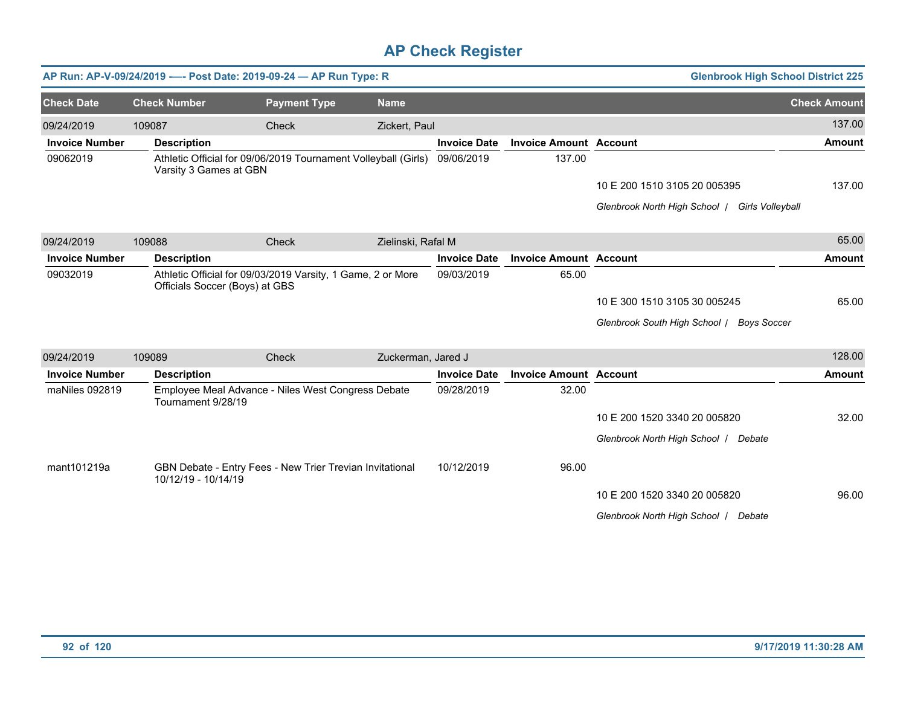|                       |                        | AP Run: AP-V-09/24/2019 ---- Post Date: 2019-09-24 - AP Run Type: R                           |                    |                     |                               | <b>Glenbrook High School District 225</b>         |                     |
|-----------------------|------------------------|-----------------------------------------------------------------------------------------------|--------------------|---------------------|-------------------------------|---------------------------------------------------|---------------------|
| <b>Check Date</b>     | <b>Check Number</b>    | <b>Payment Type</b>                                                                           | <b>Name</b>        |                     |                               |                                                   | <b>Check Amount</b> |
| 09/24/2019            | 109087                 | Check                                                                                         | Zickert, Paul      |                     |                               |                                                   | 137.00              |
| <b>Invoice Number</b> | <b>Description</b>     |                                                                                               |                    | <b>Invoice Date</b> | <b>Invoice Amount Account</b> |                                                   | <b>Amount</b>       |
| 09062019              | Varsity 3 Games at GBN | Athletic Official for 09/06/2019 Tournament Volleyball (Girls)                                |                    | 09/06/2019          | 137.00                        |                                                   |                     |
|                       |                        |                                                                                               |                    |                     |                               | 10 E 200 1510 3105 20 005395                      | 137.00              |
|                       |                        |                                                                                               |                    |                     |                               | Glenbrook North High School /<br>Girls Volleyball |                     |
| 09/24/2019            | 109088                 | Check                                                                                         | Zielinski, Rafal M |                     |                               |                                                   | 65.00               |
| <b>Invoice Number</b> | <b>Description</b>     |                                                                                               |                    | <b>Invoice Date</b> | <b>Invoice Amount Account</b> |                                                   | <b>Amount</b>       |
| 09032019              |                        | Athletic Official for 09/03/2019 Varsity, 1 Game, 2 or More<br>Officials Soccer (Boys) at GBS |                    | 09/03/2019          | 65.00                         |                                                   |                     |
|                       |                        |                                                                                               |                    |                     |                               | 10 E 300 1510 3105 30 005245                      | 65.00               |
|                       |                        |                                                                                               |                    |                     |                               | Glenbrook South High School / Boys Soccer         |                     |
| 09/24/2019            | 109089                 | Check                                                                                         | Zuckerman, Jared J |                     |                               |                                                   | 128.00              |
| <b>Invoice Number</b> | <b>Description</b>     |                                                                                               |                    | <b>Invoice Date</b> | <b>Invoice Amount Account</b> |                                                   | <b>Amount</b>       |
| maNiles 092819        | Tournament 9/28/19     | Employee Meal Advance - Niles West Congress Debate                                            |                    | 09/28/2019          | 32.00                         |                                                   |                     |
|                       |                        |                                                                                               |                    |                     |                               | 10 E 200 1520 3340 20 005820                      | 32.00               |
|                       |                        |                                                                                               |                    |                     |                               | Glenbrook North High School   Debate              |                     |
| mant101219a           | 10/12/19 - 10/14/19    | GBN Debate - Entry Fees - New Trier Trevian Invitational                                      |                    | 10/12/2019          | 96.00                         |                                                   |                     |
|                       |                        |                                                                                               |                    |                     |                               | 10 E 200 1520 3340 20 005820                      | 96.00               |
|                       |                        |                                                                                               |                    |                     |                               | Glenbrook North High School   Debate              |                     |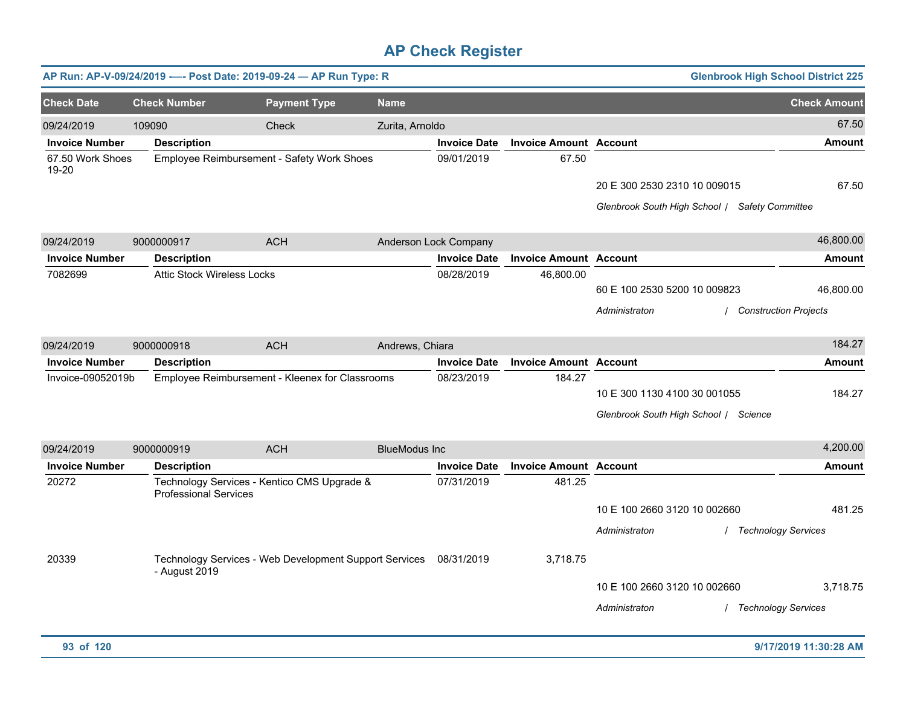|                           |                                   | AP Run: AP-V-09/24/2019 ---- Post Date: 2019-09-24 - AP Run Type: R |                      |                       |                               |                                                | <b>Glenbrook High School District 225</b> |
|---------------------------|-----------------------------------|---------------------------------------------------------------------|----------------------|-----------------------|-------------------------------|------------------------------------------------|-------------------------------------------|
| <b>Check Date</b>         | <b>Check Number</b>               | <b>Payment Type</b>                                                 | <b>Name</b>          |                       |                               |                                                | <b>Check Amount</b>                       |
| 09/24/2019                | 109090                            | <b>Check</b>                                                        | Zurita, Arnoldo      |                       |                               |                                                | 67.50                                     |
| <b>Invoice Number</b>     | <b>Description</b>                |                                                                     |                      | <b>Invoice Date</b>   | <b>Invoice Amount Account</b> |                                                | <b>Amount</b>                             |
| 67.50 Work Shoes<br>19-20 |                                   | Employee Reimbursement - Safety Work Shoes                          |                      | 09/01/2019            | 67.50                         |                                                |                                           |
|                           |                                   |                                                                     |                      |                       |                               | 20 E 300 2530 2310 10 009015                   | 67.50                                     |
|                           |                                   |                                                                     |                      |                       |                               | Glenbrook South High School / Safety Committee |                                           |
| 09/24/2019                | 9000000917                        | <b>ACH</b>                                                          |                      | Anderson Lock Company |                               |                                                | 46,800.00                                 |
| <b>Invoice Number</b>     | <b>Description</b>                |                                                                     |                      | <b>Invoice Date</b>   | <b>Invoice Amount Account</b> |                                                | <b>Amount</b>                             |
| 7082699                   | <b>Attic Stock Wireless Locks</b> |                                                                     |                      | 08/28/2019            | 46,800.00                     |                                                |                                           |
|                           |                                   |                                                                     |                      |                       |                               | 60 E 100 2530 5200 10 009823                   | 46,800.00                                 |
|                           |                                   |                                                                     |                      |                       |                               | Administraton                                  | / Construction Projects                   |
| 09/24/2019                | 9000000918                        | <b>ACH</b>                                                          | Andrews, Chiara      |                       |                               |                                                | 184.27                                    |
| <b>Invoice Number</b>     | <b>Description</b>                |                                                                     |                      | <b>Invoice Date</b>   | <b>Invoice Amount Account</b> |                                                | <b>Amount</b>                             |
| Invoice-09052019b         |                                   | Employee Reimbursement - Kleenex for Classrooms                     |                      | 08/23/2019            | 184.27                        |                                                |                                           |
|                           |                                   |                                                                     |                      |                       |                               | 10 E 300 1130 4100 30 001055                   | 184.27                                    |
|                           |                                   |                                                                     |                      |                       |                               | Glenbrook South High School / Science          |                                           |
| 09/24/2019                | 9000000919                        | <b>ACH</b>                                                          | <b>BlueModus Inc</b> |                       |                               |                                                | 4,200.00                                  |
| <b>Invoice Number</b>     | <b>Description</b>                |                                                                     |                      | <b>Invoice Date</b>   | <b>Invoice Amount Account</b> |                                                | <b>Amount</b>                             |
| 20272                     | <b>Professional Services</b>      | Technology Services - Kentico CMS Upgrade &                         |                      | 07/31/2019            | 481.25                        |                                                |                                           |
|                           |                                   |                                                                     |                      |                       |                               | 10 E 100 2660 3120 10 002660                   | 481.25                                    |
|                           |                                   |                                                                     |                      |                       |                               | Administraton                                  | / Technology Services                     |
|                           |                                   |                                                                     |                      |                       |                               |                                                |                                           |
| 20339                     | - August 2019                     | Technology Services - Web Development Support Services 08/31/2019   |                      |                       | 3,718.75                      |                                                |                                           |
|                           |                                   |                                                                     |                      |                       |                               | 10 E 100 2660 3120 10 002660                   | 3,718.75                                  |
|                           |                                   |                                                                     |                      |                       |                               |                                                |                                           |
|                           |                                   |                                                                     |                      |                       |                               | Administraton                                  | / Technology Services                     |
|                           |                                   |                                                                     |                      |                       |                               |                                                |                                           |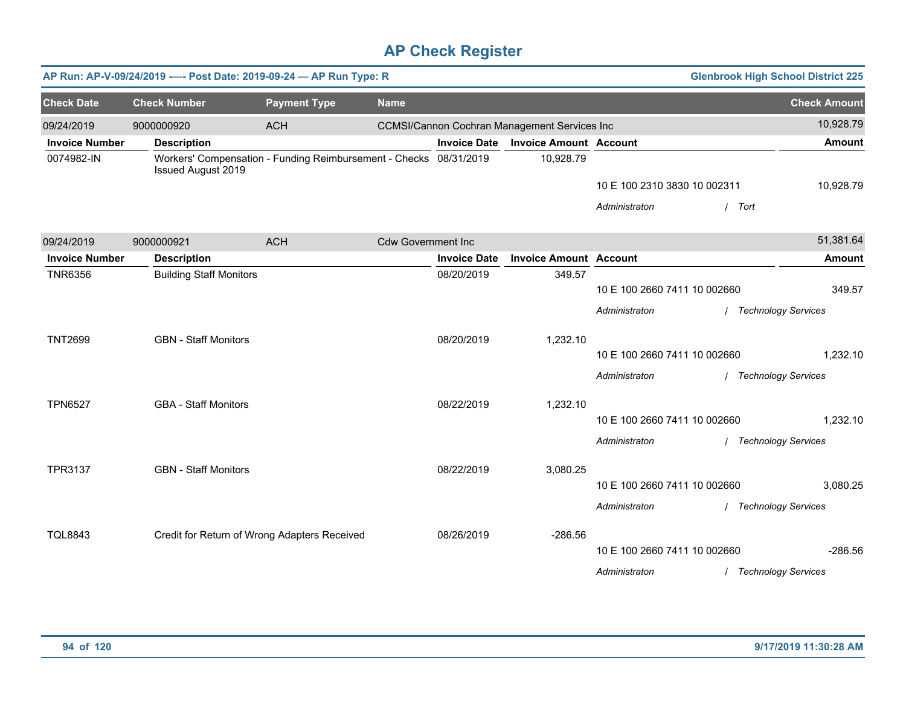|                       | AP Run: AP-V-09/24/2019 ---- Post Date: 2019-09-24 - AP Run Type: R |                                                                   |                           |                     |                                              |                              | <b>Glenbrook High School District 225</b> |                            |
|-----------------------|---------------------------------------------------------------------|-------------------------------------------------------------------|---------------------------|---------------------|----------------------------------------------|------------------------------|-------------------------------------------|----------------------------|
| <b>Check Date</b>     | <b>Check Number</b>                                                 | <b>Payment Type</b>                                               | <b>Name</b>               |                     |                                              |                              |                                           | <b>Check Amount</b>        |
| 09/24/2019            | 9000000920                                                          | <b>ACH</b>                                                        |                           |                     | CCMSI/Cannon Cochran Management Services Inc |                              |                                           | 10,928.79                  |
| <b>Invoice Number</b> | <b>Description</b>                                                  |                                                                   |                           | <b>Invoice Date</b> | <b>Invoice Amount Account</b>                |                              |                                           | <b>Amount</b>              |
| 0074982-IN            | <b>Issued August 2019</b>                                           | Workers' Compensation - Funding Reimbursement - Checks 08/31/2019 |                           |                     | 10,928.79                                    |                              |                                           |                            |
|                       |                                                                     |                                                                   |                           |                     |                                              | 10 E 100 2310 3830 10 002311 |                                           | 10,928.79                  |
|                       |                                                                     |                                                                   |                           |                     |                                              | Administraton                | Tort                                      |                            |
| 09/24/2019            | 9000000921                                                          | <b>ACH</b>                                                        | <b>Cdw Government Inc</b> |                     |                                              |                              |                                           | 51,381.64                  |
| <b>Invoice Number</b> | <b>Description</b>                                                  |                                                                   |                           | <b>Invoice Date</b> | <b>Invoice Amount Account</b>                |                              |                                           | <b>Amount</b>              |
| <b>TNR6356</b>        | <b>Building Staff Monitors</b>                                      |                                                                   |                           | 08/20/2019          | 349.57                                       | 10 E 100 2660 7411 10 002660 |                                           | 349.57                     |
|                       |                                                                     |                                                                   |                           |                     |                                              | Administraton                |                                           | <b>Technology Services</b> |
|                       |                                                                     |                                                                   |                           |                     |                                              |                              |                                           |                            |
| <b>TNT2699</b>        | <b>GBN</b> - Staff Monitors                                         |                                                                   |                           | 08/20/2019          | 1,232.10                                     |                              |                                           |                            |
|                       |                                                                     |                                                                   |                           |                     |                                              | 10 E 100 2660 7411 10 002660 |                                           | 1,232.10                   |
|                       |                                                                     |                                                                   |                           |                     |                                              | Administraton                | / Technology Services                     |                            |
| <b>TPN6527</b>        | <b>GBA - Staff Monitors</b>                                         |                                                                   |                           | 08/22/2019          | 1,232.10                                     |                              |                                           |                            |
|                       |                                                                     |                                                                   |                           |                     |                                              | 10 E 100 2660 7411 10 002660 |                                           | 1,232.10                   |
|                       |                                                                     |                                                                   |                           |                     |                                              | Administraton                | / Technology Services                     |                            |
| <b>TPR3137</b>        | <b>GBN</b> - Staff Monitors                                         |                                                                   |                           | 08/22/2019          | 3,080.25                                     |                              |                                           |                            |
|                       |                                                                     |                                                                   |                           |                     |                                              | 10 E 100 2660 7411 10 002660 |                                           | 3,080.25                   |
|                       |                                                                     |                                                                   |                           |                     |                                              | Administraton                | / Technology Services                     |                            |
| <b>TQL8843</b>        | Credit for Return of Wrong Adapters Received                        |                                                                   |                           | 08/26/2019          | $-286.56$                                    |                              |                                           |                            |
|                       |                                                                     |                                                                   |                           |                     |                                              | 10 E 100 2660 7411 10 002660 |                                           | $-286.56$                  |
|                       |                                                                     |                                                                   |                           |                     |                                              | Administraton                | / Technology Services                     |                            |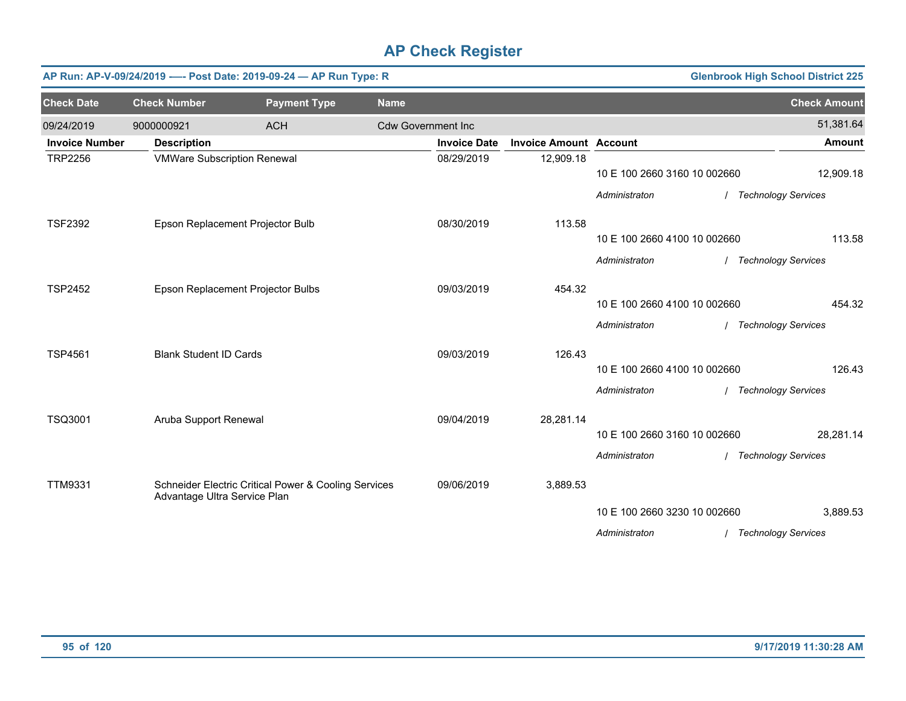|                       |                                    | AP Run: AP-V-09/24/2019 ---- Post Date: 2019-09-24 - AP Run Type: R |                           |                     |                               |                              | <b>Glenbrook High School District 225</b> |                            |
|-----------------------|------------------------------------|---------------------------------------------------------------------|---------------------------|---------------------|-------------------------------|------------------------------|-------------------------------------------|----------------------------|
| <b>Check Date</b>     | <b>Check Number</b>                | <b>Payment Type</b>                                                 | <b>Name</b>               |                     |                               |                              |                                           | <b>Check Amount</b>        |
| 09/24/2019            | 9000000921                         | <b>ACH</b>                                                          | <b>Cdw Government Inc</b> |                     |                               |                              |                                           | 51,381.64                  |
| <b>Invoice Number</b> | <b>Description</b>                 |                                                                     |                           | <b>Invoice Date</b> | <b>Invoice Amount Account</b> |                              |                                           | <b>Amount</b>              |
| <b>TRP2256</b>        | <b>VMWare Subscription Renewal</b> |                                                                     |                           | 08/29/2019          | 12,909.18                     | 10 E 100 2660 3160 10 002660 |                                           | 12,909.18                  |
|                       |                                    |                                                                     |                           |                     |                               |                              |                                           |                            |
|                       |                                    |                                                                     |                           |                     |                               | Administraton                | / Technology Services                     |                            |
| <b>TSF2392</b>        |                                    | Epson Replacement Projector Bulb                                    |                           | 08/30/2019          | 113.58                        |                              |                                           |                            |
|                       |                                    |                                                                     |                           |                     |                               | 10 E 100 2660 4100 10 002660 |                                           | 113.58                     |
|                       |                                    |                                                                     |                           |                     |                               | Administraton                | / Technology Services                     |                            |
| <b>TSP2452</b>        |                                    | Epson Replacement Projector Bulbs                                   |                           | 09/03/2019          | 454.32                        |                              |                                           |                            |
|                       |                                    |                                                                     |                           |                     |                               | 10 E 100 2660 4100 10 002660 |                                           | 454.32                     |
|                       |                                    |                                                                     |                           |                     |                               | Administraton                |                                           | <b>Technology Services</b> |
| <b>TSP4561</b>        | <b>Blank Student ID Cards</b>      |                                                                     |                           | 09/03/2019          | 126.43                        |                              |                                           |                            |
|                       |                                    |                                                                     |                           |                     |                               | 10 E 100 2660 4100 10 002660 |                                           | 126.43                     |
|                       |                                    |                                                                     |                           |                     |                               | Administraton                | / Technology Services                     |                            |
| TSQ3001               | Aruba Support Renewal              |                                                                     |                           | 09/04/2019          | 28,281.14                     |                              |                                           |                            |
|                       |                                    |                                                                     |                           |                     |                               | 10 E 100 2660 3160 10 002660 |                                           | 28,281.14                  |
|                       |                                    |                                                                     |                           |                     |                               | Administraton                | / Technology Services                     |                            |
| <b>TTM9331</b>        |                                    | Schneider Electric Critical Power & Cooling Services                |                           | 09/06/2019          | 3,889.53                      |                              |                                           |                            |
|                       | Advantage Ultra Service Plan       |                                                                     |                           |                     |                               |                              |                                           |                            |
|                       |                                    |                                                                     |                           |                     |                               | 10 E 100 2660 3230 10 002660 |                                           | 3,889.53                   |
|                       |                                    |                                                                     |                           |                     |                               | Administraton                | / Technology Services                     |                            |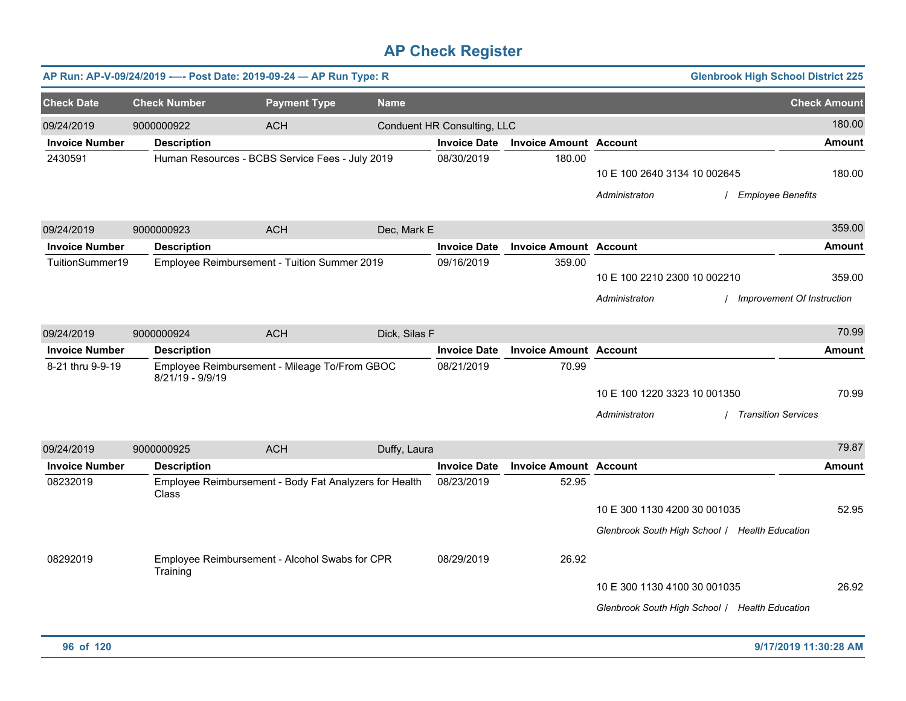|                                          |                     | AP Run: AP-V-09/24/2019 ---- Post Date: 2019-09-24 - AP Run Type: R |               |                             |                               |                                               | <b>Glenbrook High School District 225</b>      |                     |
|------------------------------------------|---------------------|---------------------------------------------------------------------|---------------|-----------------------------|-------------------------------|-----------------------------------------------|------------------------------------------------|---------------------|
| <b>Check Date</b>                        | <b>Check Number</b> | <b>Payment Type</b>                                                 | <b>Name</b>   |                             |                               |                                               |                                                | <b>Check Amount</b> |
| 09/24/2019                               | 9000000922          | <b>ACH</b>                                                          |               | Conduent HR Consulting, LLC |                               |                                               |                                                | 180.00              |
| <b>Invoice Number</b>                    | <b>Description</b>  |                                                                     |               | <b>Invoice Date</b>         | <b>Invoice Amount Account</b> |                                               |                                                | <b>Amount</b>       |
| 2430591                                  |                     | Human Resources - BCBS Service Fees - July 2019                     |               | 08/30/2019                  | 180.00                        | 10 E 100 2640 3134 10 002645<br>Administraton | / Employee Benefits                            | 180.00              |
|                                          |                     |                                                                     |               |                             |                               |                                               |                                                | 359.00              |
| 09/24/2019                               | 9000000923          | <b>ACH</b>                                                          | Dec, Mark E   |                             |                               |                                               |                                                |                     |
| <b>Invoice Number</b><br>TuitionSummer19 | <b>Description</b>  |                                                                     |               | <b>Invoice Date</b>         | <b>Invoice Amount Account</b> |                                               |                                                | <b>Amount</b>       |
|                                          |                     | Employee Reimbursement - Tuition Summer 2019                        |               | 09/16/2019                  | 359.00                        | 10 E 100 2210 2300 10 002210                  |                                                | 359.00              |
|                                          |                     |                                                                     |               |                             |                               | Administraton                                 | / Improvement Of Instruction                   |                     |
| 09/24/2019                               | 9000000924          | <b>ACH</b>                                                          | Dick, Silas F |                             |                               |                                               |                                                | 70.99               |
| <b>Invoice Number</b>                    | <b>Description</b>  |                                                                     |               | <b>Invoice Date</b>         | <b>Invoice Amount Account</b> |                                               |                                                | <b>Amount</b>       |
| 8-21 thru 9-9-19                         | 8/21/19 - 9/9/19    | Employee Reimbursement - Mileage To/From GBOC                       |               | 08/21/2019                  | 70.99                         |                                               |                                                |                     |
|                                          |                     |                                                                     |               |                             |                               | 10 E 100 1220 3323 10 001350                  |                                                | 70.99               |
|                                          |                     |                                                                     |               |                             |                               | Administraton                                 | / Transition Services                          |                     |
| 09/24/2019                               | 9000000925          | <b>ACH</b>                                                          | Duffy, Laura  |                             |                               |                                               |                                                | 79.87               |
| <b>Invoice Number</b>                    | <b>Description</b>  |                                                                     |               | <b>Invoice Date</b>         | <b>Invoice Amount Account</b> |                                               |                                                | <b>Amount</b>       |
| 08232019                                 | Class               | Employee Reimbursement - Body Fat Analyzers for Health              |               | 08/23/2019                  | 52.95                         |                                               |                                                |                     |
|                                          |                     |                                                                     |               |                             |                               | 10 E 300 1130 4200 30 001035                  |                                                | 52.95               |
|                                          |                     |                                                                     |               |                             |                               |                                               | Glenbrook South High School / Health Education |                     |
| 08292019                                 | Training            | Employee Reimbursement - Alcohol Swabs for CPR                      |               | 08/29/2019                  | 26.92                         |                                               |                                                |                     |
|                                          |                     |                                                                     |               |                             |                               | 10 E 300 1130 4100 30 001035                  |                                                | 26.92               |
|                                          |                     |                                                                     |               |                             |                               |                                               | Glenbrook South High School / Health Education |                     |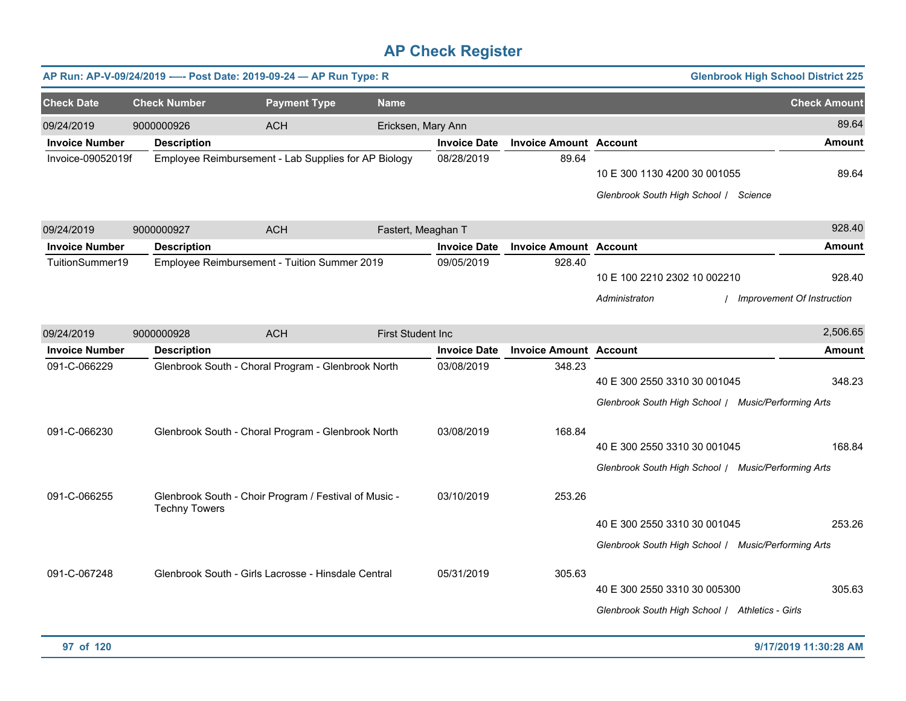|                       |                      | AP Run: AP-V-09/24/2019 ---- Post Date: 2019-09-24 - AP Run Type: R |                          |                     |                               |                                                                                                                                        | <b>Glenbrook High School District 225</b> |
|-----------------------|----------------------|---------------------------------------------------------------------|--------------------------|---------------------|-------------------------------|----------------------------------------------------------------------------------------------------------------------------------------|-------------------------------------------|
| <b>Check Date</b>     | <b>Check Number</b>  | <b>Payment Type</b>                                                 | <b>Name</b>              |                     |                               |                                                                                                                                        | <b>Check Amount</b>                       |
| 09/24/2019            | 9000000926           | <b>ACH</b>                                                          | Ericksen, Mary Ann       |                     |                               |                                                                                                                                        | 89.64                                     |
| <b>Invoice Number</b> | <b>Description</b>   |                                                                     |                          | <b>Invoice Date</b> | <b>Invoice Amount Account</b> |                                                                                                                                        | <b>Amount</b>                             |
| Invoice-09052019f     |                      | Employee Reimbursement - Lab Supplies for AP Biology                |                          | 08/28/2019          | 89.64                         | 10 E 300 1130 4200 30 001055<br>Glenbrook South High School / Science                                                                  | 89.64                                     |
| 09/24/2019            | 9000000927           | <b>ACH</b>                                                          | Fastert, Meaghan T       |                     |                               |                                                                                                                                        | 928.40                                    |
| <b>Invoice Number</b> | <b>Description</b>   |                                                                     |                          | <b>Invoice Date</b> | <b>Invoice Amount Account</b> |                                                                                                                                        | <b>Amount</b>                             |
| TuitionSummer19       |                      | Employee Reimbursement - Tuition Summer 2019                        |                          | 09/05/2019          | 928.40                        | 10 E 100 2210 2302 10 002210<br>Administraton                                                                                          | 928.40<br>Improvement Of Instruction      |
| 09/24/2019            | 9000000928           | <b>ACH</b>                                                          | <b>First Student Inc</b> |                     |                               |                                                                                                                                        | 2,506.65                                  |
| <b>Invoice Number</b> | <b>Description</b>   |                                                                     |                          | <b>Invoice Date</b> | <b>Invoice Amount Account</b> |                                                                                                                                        | <b>Amount</b>                             |
| 091-C-066229          |                      | Glenbrook South - Choral Program - Glenbrook North                  |                          | 03/08/2019          | 348.23                        | 40 E 300 2550 3310 30 001045<br>Glenbrook South High School / Music/Performing Arts                                                    | 348.23                                    |
| 091-C-066230          |                      | Glenbrook South - Choral Program - Glenbrook North                  |                          | 03/08/2019          | 168.84                        | 40 E 300 2550 3310 30 001045<br>Glenbrook South High School / Music/Performing Arts                                                    | 168.84                                    |
| 091-C-066255          | <b>Techny Towers</b> | Glenbrook South - Choir Program / Festival of Music -               |                          | 03/10/2019          | 253.26                        | 40 E 300 2550 3310 30 001045                                                                                                           | 253.26                                    |
| 091-C-067248          |                      | Glenbrook South - Girls Lacrosse - Hinsdale Central                 |                          | 05/31/2019          | 305.63                        | Glenbrook South High School / Music/Performing Arts<br>40 E 300 2550 3310 30 005300<br>Glenbrook South High School   Athletics - Girls | 305.63                                    |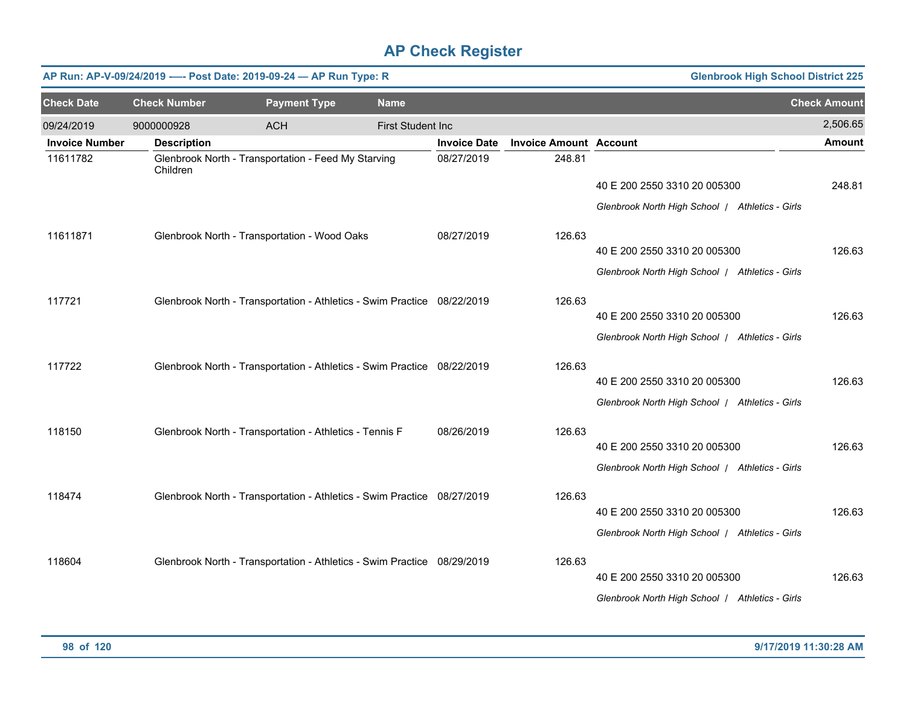|                       |                     | AP Run: AP-V-09/24/2019 ---- Post Date: 2019-09-24 - AP Run Type: R     |                   |                     |                               | <b>Glenbrook High School District 225</b>       |                     |
|-----------------------|---------------------|-------------------------------------------------------------------------|-------------------|---------------------|-------------------------------|-------------------------------------------------|---------------------|
| <b>Check Date</b>     | <b>Check Number</b> | <b>Payment Type</b>                                                     | <b>Name</b>       |                     |                               |                                                 | <b>Check Amount</b> |
| 09/24/2019            | 9000000928          | <b>ACH</b>                                                              | First Student Inc |                     |                               |                                                 | 2,506.65            |
| <b>Invoice Number</b> | <b>Description</b>  |                                                                         |                   | <b>Invoice Date</b> | <b>Invoice Amount Account</b> |                                                 | <b>Amount</b>       |
| 11611782              | Children            | Glenbrook North - Transportation - Feed My Starving                     |                   | 08/27/2019          | 248.81                        |                                                 |                     |
|                       |                     |                                                                         |                   |                     |                               | 40 E 200 2550 3310 20 005300                    | 248.81              |
|                       |                     |                                                                         |                   |                     |                               | Glenbrook North High School / Athletics - Girls |                     |
| 11611871              |                     | Glenbrook North - Transportation - Wood Oaks                            |                   | 08/27/2019          | 126.63                        |                                                 |                     |
|                       |                     |                                                                         |                   |                     |                               | 40 E 200 2550 3310 20 005300                    | 126.63              |
|                       |                     |                                                                         |                   |                     |                               | Glenbrook North High School   Athletics - Girls |                     |
| 117721                |                     | Glenbrook North - Transportation - Athletics - Swim Practice 08/22/2019 |                   |                     | 126.63                        |                                                 |                     |
|                       |                     |                                                                         |                   |                     |                               | 40 E 200 2550 3310 20 005300                    | 126.63              |
|                       |                     |                                                                         |                   |                     |                               | Glenbrook North High School   Athletics - Girls |                     |
| 117722                |                     | Glenbrook North - Transportation - Athletics - Swim Practice 08/22/2019 |                   |                     | 126.63                        |                                                 |                     |
|                       |                     |                                                                         |                   |                     |                               | 40 E 200 2550 3310 20 005300                    | 126.63              |
|                       |                     |                                                                         |                   |                     |                               | Glenbrook North High School   Athletics - Girls |                     |
| 118150                |                     | Glenbrook North - Transportation - Athletics - Tennis F                 |                   | 08/26/2019          | 126.63                        |                                                 |                     |
|                       |                     |                                                                         |                   |                     |                               | 40 E 200 2550 3310 20 005300                    | 126.63              |
|                       |                     |                                                                         |                   |                     |                               | Glenbrook North High School   Athletics - Girls |                     |
| 118474                |                     | Glenbrook North - Transportation - Athletics - Swim Practice 08/27/2019 |                   |                     | 126.63                        | 40 E 200 2550 3310 20 005300                    | 126.63              |
|                       |                     |                                                                         |                   |                     |                               |                                                 |                     |
|                       |                     |                                                                         |                   |                     |                               | Glenbrook North High School   Athletics - Girls |                     |
| 118604                |                     | Glenbrook North - Transportation - Athletics - Swim Practice 08/29/2019 |                   |                     | 126.63                        |                                                 |                     |
|                       |                     |                                                                         |                   |                     |                               | 40 E 200 2550 3310 20 005300                    | 126.63              |
|                       |                     |                                                                         |                   |                     |                               | Glenbrook North High School   Athletics - Girls |                     |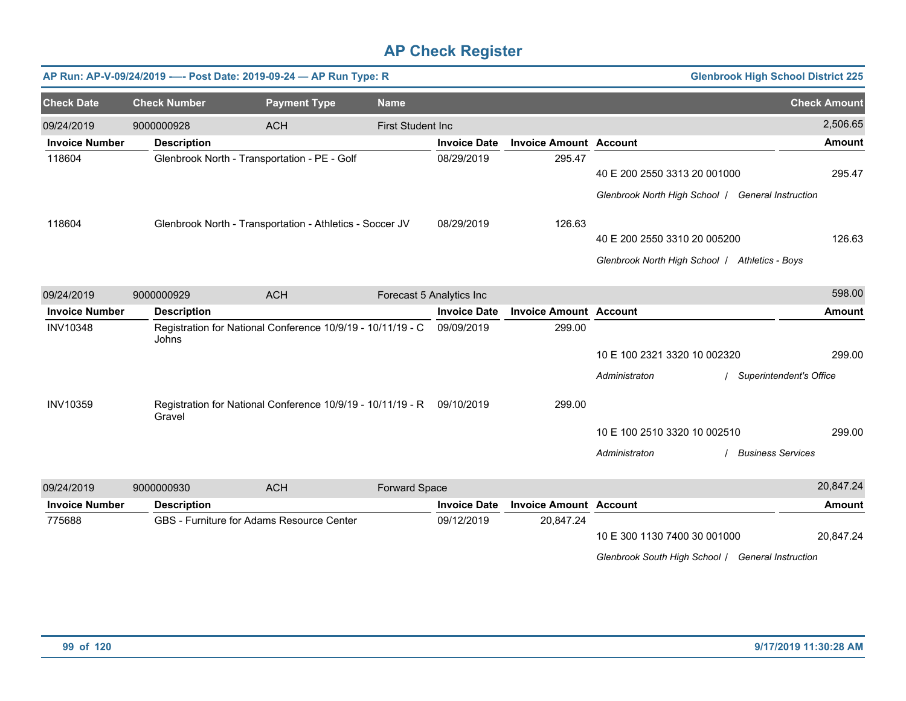|                       |                     | AP Run: AP-V-09/24/2019 ---- Post Date: 2019-09-24 - AP Run Type: R |                          |                          |                               |                                                   | <b>Glenbrook High School District 225</b> |               |
|-----------------------|---------------------|---------------------------------------------------------------------|--------------------------|--------------------------|-------------------------------|---------------------------------------------------|-------------------------------------------|---------------|
| <b>Check Date</b>     | <b>Check Number</b> | <b>Payment Type</b>                                                 | <b>Name</b>              |                          |                               |                                                   | <b>Check Amount</b>                       |               |
| 09/24/2019            | 9000000928          | <b>ACH</b>                                                          | <b>First Student Inc</b> |                          |                               |                                                   |                                           | 2,506.65      |
| <b>Invoice Number</b> | <b>Description</b>  |                                                                     |                          | <b>Invoice Date</b>      | <b>Invoice Amount Account</b> |                                                   |                                           | <b>Amount</b> |
| 118604                |                     | Glenbrook North - Transportation - PE - Golf                        |                          | 08/29/2019               | 295.47                        | 40 E 200 2550 3313 20 001000                      |                                           | 295.47        |
|                       |                     |                                                                     |                          |                          |                               | Glenbrook North High School   General Instruction |                                           |               |
| 118604                |                     | Glenbrook North - Transportation - Athletics - Soccer JV            |                          | 08/29/2019               | 126.63                        |                                                   |                                           |               |
|                       |                     |                                                                     |                          |                          |                               | 40 E 200 2550 3310 20 005200                      |                                           | 126.63        |
|                       |                     |                                                                     |                          |                          |                               | Glenbrook North High School   Athletics - Boys    |                                           |               |
| 09/24/2019            | 9000000929          | <b>ACH</b>                                                          |                          | Forecast 5 Analytics Inc |                               |                                                   |                                           | 598.00        |
| <b>Invoice Number</b> | <b>Description</b>  |                                                                     |                          | <b>Invoice Date</b>      | <b>Invoice Amount Account</b> |                                                   |                                           | <b>Amount</b> |
| <b>INV10348</b>       | Johns               | Registration for National Conference 10/9/19 - 10/11/19 - C         |                          | 09/09/2019               | 299.00                        |                                                   |                                           |               |
|                       |                     |                                                                     |                          |                          |                               | 10 E 100 2321 3320 10 002320                      |                                           | 299.00        |
|                       |                     |                                                                     |                          |                          |                               | Administraton                                     | Superintendent's Office                   |               |
| <b>INV10359</b>       | Gravel              | Registration for National Conference 10/9/19 - 10/11/19 - R         |                          | 09/10/2019               | 299.00                        |                                                   |                                           |               |
|                       |                     |                                                                     |                          |                          |                               | 10 E 100 2510 3320 10 002510                      |                                           | 299.00        |
|                       |                     |                                                                     |                          |                          |                               | Administraton                                     | <b>Business Services</b>                  |               |
| 09/24/2019            | 9000000930          | <b>ACH</b>                                                          | Forward Space            |                          |                               |                                                   |                                           | 20,847.24     |
| <b>Invoice Number</b> | <b>Description</b>  |                                                                     |                          | <b>Invoice Date</b>      | <b>Invoice Amount Account</b> |                                                   |                                           | <b>Amount</b> |
| 775688                |                     | GBS - Furniture for Adams Resource Center                           |                          | 09/12/2019               | 20,847.24                     |                                                   |                                           |               |
|                       |                     |                                                                     |                          |                          |                               | 10 E 300 1130 7400 30 001000                      |                                           | 20,847.24     |
|                       |                     |                                                                     |                          |                          |                               | Glenbrook South High School / General Instruction |                                           |               |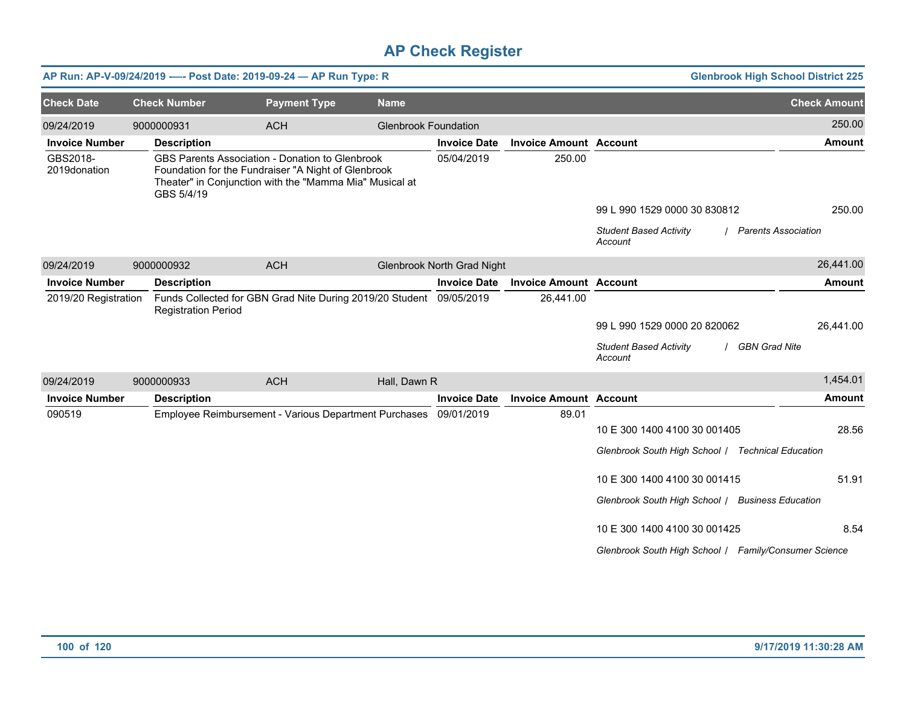|                          |                            | AP Run: AP-V-09/24/2019 ---- Post Date: 2019-09-24 - AP Run Type: R                                                                                               |                             |                                   |                               |                                                       | <b>Glenbrook High School District 225</b> |
|--------------------------|----------------------------|-------------------------------------------------------------------------------------------------------------------------------------------------------------------|-----------------------------|-----------------------------------|-------------------------------|-------------------------------------------------------|-------------------------------------------|
| <b>Check Date</b>        | <b>Check Number</b>        | <b>Payment Type</b>                                                                                                                                               | <b>Name</b>                 |                                   |                               |                                                       | <b>Check Amount</b>                       |
| 09/24/2019               | 9000000931                 | <b>ACH</b>                                                                                                                                                        | <b>Glenbrook Foundation</b> |                                   |                               |                                                       | 250.00                                    |
| <b>Invoice Number</b>    | <b>Description</b>         |                                                                                                                                                                   |                             | <b>Invoice Date</b>               | <b>Invoice Amount Account</b> |                                                       | <b>Amount</b>                             |
| GBS2018-<br>2019donation | GBS 5/4/19                 | GBS Parents Association - Donation to Glenbrook<br>Foundation for the Fundraiser "A Night of Glenbrook<br>Theater" in Conjunction with the "Mamma Mia" Musical at |                             | 05/04/2019                        | 250.00                        |                                                       |                                           |
|                          |                            |                                                                                                                                                                   |                             |                                   |                               | 99 L 990 1529 0000 30 830812                          | 250.00                                    |
|                          |                            |                                                                                                                                                                   |                             |                                   |                               | <b>Student Based Activity</b><br>Account              | / Parents Association                     |
| 09/24/2019               | 9000000932                 | <b>ACH</b>                                                                                                                                                        |                             | <b>Glenbrook North Grad Night</b> |                               |                                                       | 26,441.00                                 |
| <b>Invoice Number</b>    | <b>Description</b>         |                                                                                                                                                                   |                             | <b>Invoice Date</b>               | <b>Invoice Amount Account</b> |                                                       | <b>Amount</b>                             |
| 2019/20 Registration     | <b>Registration Period</b> | Funds Collected for GBN Grad Nite During 2019/20 Student 09/05/2019                                                                                               |                             |                                   | 26,441.00                     |                                                       |                                           |
|                          |                            |                                                                                                                                                                   |                             |                                   |                               | 99 L 990 1529 0000 20 820062                          | 26,441.00                                 |
|                          |                            |                                                                                                                                                                   |                             |                                   |                               | <b>Student Based Activity</b><br>Account              | <b>GBN Grad Nite</b>                      |
| 09/24/2019               | 9000000933                 | <b>ACH</b>                                                                                                                                                        | Hall, Dawn R                |                                   |                               |                                                       | 1,454.01                                  |
| <b>Invoice Number</b>    | <b>Description</b>         |                                                                                                                                                                   |                             | <b>Invoice Date</b>               | <b>Invoice Amount Account</b> |                                                       | <b>Amount</b>                             |
| 090519                   |                            | Employee Reimbursement - Various Department Purchases 09/01/2019                                                                                                  |                             |                                   | 89.01                         |                                                       |                                           |
|                          |                            |                                                                                                                                                                   |                             |                                   |                               | 10 E 300 1400 4100 30 001405                          | 28.56                                     |
|                          |                            |                                                                                                                                                                   |                             |                                   |                               | Glenbrook South High School / Technical Education     |                                           |
|                          |                            |                                                                                                                                                                   |                             |                                   |                               | 10 E 300 1400 4100 30 001415                          | 51.91                                     |
|                          |                            |                                                                                                                                                                   |                             |                                   |                               | Glenbrook South High School / Business Education      |                                           |
|                          |                            |                                                                                                                                                                   |                             |                                   |                               | 10 E 300 1400 4100 30 001425                          | 8.54                                      |
|                          |                            |                                                                                                                                                                   |                             |                                   |                               | Glenbrook South High School   Family/Consumer Science |                                           |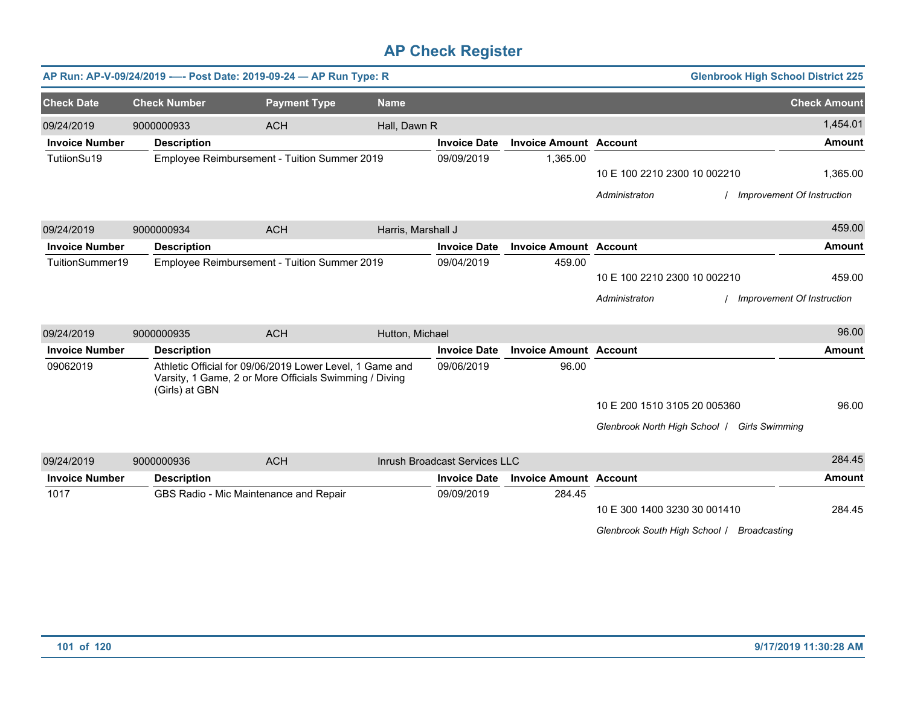|                       |                     | AP Run: AP-V-09/24/2019 ---- Post Date: 2019-09-24 - AP Run Type: R                                                |                    |                               |                               |                                              | <b>Glenbrook High School District 225</b> |
|-----------------------|---------------------|--------------------------------------------------------------------------------------------------------------------|--------------------|-------------------------------|-------------------------------|----------------------------------------------|-------------------------------------------|
| <b>Check Date</b>     | <b>Check Number</b> | <b>Payment Type</b>                                                                                                | <b>Name</b>        |                               |                               |                                              | <b>Check Amount</b>                       |
| 09/24/2019            | 9000000933          | <b>ACH</b>                                                                                                         | Hall, Dawn R       |                               |                               |                                              | 1,454.01                                  |
| <b>Invoice Number</b> | <b>Description</b>  |                                                                                                                    |                    | <b>Invoice Date</b>           | <b>Invoice Amount Account</b> |                                              | <b>Amount</b>                             |
| TutiionSu19           |                     | Employee Reimbursement - Tuition Summer 2019                                                                       |                    | 09/09/2019                    | 1,365.00                      |                                              |                                           |
|                       |                     |                                                                                                                    |                    |                               |                               | 10 E 100 2210 2300 10 002210                 | 1,365.00                                  |
|                       |                     |                                                                                                                    |                    |                               |                               | Administraton                                | / Improvement Of Instruction              |
| 09/24/2019            | 9000000934          | <b>ACH</b>                                                                                                         | Harris, Marshall J |                               |                               |                                              | 459.00                                    |
| <b>Invoice Number</b> | <b>Description</b>  |                                                                                                                    |                    | <b>Invoice Date</b>           | <b>Invoice Amount Account</b> |                                              | <b>Amount</b>                             |
| TuitionSummer19       |                     | Employee Reimbursement - Tuition Summer 2019                                                                       |                    | 09/04/2019                    | 459.00                        |                                              |                                           |
|                       |                     |                                                                                                                    |                    |                               |                               | 10 E 100 2210 2300 10 002210                 | 459.00                                    |
|                       |                     |                                                                                                                    |                    |                               |                               | Administraton                                | Improvement Of Instruction                |
| 09/24/2019            | 9000000935          | <b>ACH</b>                                                                                                         | Hutton, Michael    |                               |                               |                                              | 96.00                                     |
| <b>Invoice Number</b> | <b>Description</b>  |                                                                                                                    |                    | <b>Invoice Date</b>           | <b>Invoice Amount Account</b> |                                              | <b>Amount</b>                             |
| 09062019              | (Girls) at GBN      | Athletic Official for 09/06/2019 Lower Level, 1 Game and<br>Varsity, 1 Game, 2 or More Officials Swimming / Diving |                    | 09/06/2019                    | 96.00                         |                                              |                                           |
|                       |                     |                                                                                                                    |                    |                               |                               | 10 E 200 1510 3105 20 005360                 | 96.00                                     |
|                       |                     |                                                                                                                    |                    |                               |                               | Glenbrook North High School   Girls Swimming |                                           |
| 09/24/2019            | 9000000936          | <b>ACH</b>                                                                                                         |                    | Inrush Broadcast Services LLC |                               |                                              | 284.45                                    |
| <b>Invoice Number</b> | <b>Description</b>  |                                                                                                                    |                    | <b>Invoice Date</b>           | <b>Invoice Amount Account</b> |                                              | <b>Amount</b>                             |
| 1017                  |                     | GBS Radio - Mic Maintenance and Repair                                                                             |                    | 09/09/2019                    | 284.45                        |                                              |                                           |
|                       |                     |                                                                                                                    |                    |                               |                               | 10 E 300 1400 3230 30 001410                 | 284.45                                    |
|                       |                     |                                                                                                                    |                    |                               |                               | Glenbrook South High School /                | <b>Broadcasting</b>                       |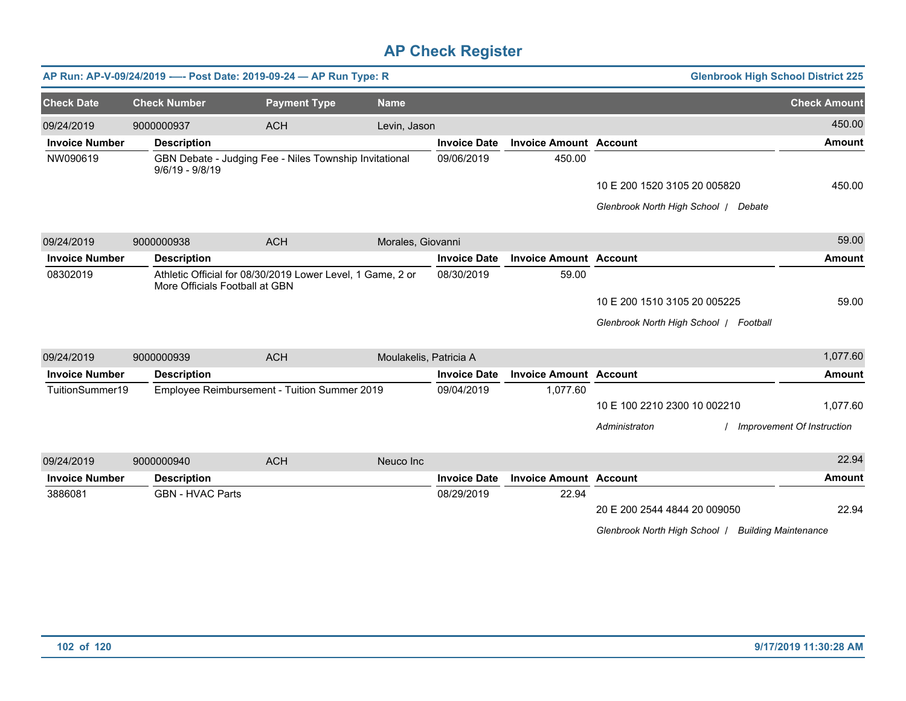|                       |                                | AP Run: AP-V-09/24/2019 ---- Post Date: 2019-09-24 - AP Run Type: R |                        |                     |                               |                                        | <b>Glenbrook High School District 225</b> |
|-----------------------|--------------------------------|---------------------------------------------------------------------|------------------------|---------------------|-------------------------------|----------------------------------------|-------------------------------------------|
| <b>Check Date</b>     | <b>Check Number</b>            | <b>Payment Type</b>                                                 | <b>Name</b>            |                     |                               |                                        | <b>Check Amount</b>                       |
| 09/24/2019            | 9000000937                     | <b>ACH</b>                                                          | Levin, Jason           |                     |                               |                                        | 450.00                                    |
| <b>Invoice Number</b> | <b>Description</b>             |                                                                     |                        | <b>Invoice Date</b> | <b>Invoice Amount Account</b> |                                        | <b>Amount</b>                             |
| NW090619              | $9/6/19 - 9/8/19$              | GBN Debate - Judging Fee - Niles Township Invitational              |                        | 09/06/2019          | 450.00                        |                                        |                                           |
|                       |                                |                                                                     |                        |                     |                               | 10 E 200 1520 3105 20 005820           | 450.00                                    |
|                       |                                |                                                                     |                        |                     |                               | Glenbrook North High School   Debate   |                                           |
| 09/24/2019            | 9000000938                     | <b>ACH</b>                                                          | Morales, Giovanni      |                     |                               |                                        | 59.00                                     |
| <b>Invoice Number</b> | <b>Description</b>             |                                                                     |                        | <b>Invoice Date</b> | <b>Invoice Amount Account</b> |                                        | <b>Amount</b>                             |
| 08302019              | More Officials Football at GBN | Athletic Official for 08/30/2019 Lower Level, 1 Game, 2 or          |                        | 08/30/2019          | 59.00                         |                                        |                                           |
|                       |                                |                                                                     |                        |                     |                               | 10 E 200 1510 3105 20 005225           | 59.00                                     |
|                       |                                |                                                                     |                        |                     |                               | Glenbrook North High School   Football |                                           |
| 09/24/2019            | 9000000939                     | <b>ACH</b>                                                          | Moulakelis, Patricia A |                     |                               |                                        | 1,077.60                                  |
| <b>Invoice Number</b> | <b>Description</b>             |                                                                     |                        | <b>Invoice Date</b> | <b>Invoice Amount Account</b> |                                        | <b>Amount</b>                             |
| TuitionSummer19       |                                | Employee Reimbursement - Tuition Summer 2019                        |                        | 09/04/2019          | 1,077.60                      |                                        |                                           |
|                       |                                |                                                                     |                        |                     |                               | 10 E 100 2210 2300 10 002210           | 1,077.60                                  |
|                       |                                |                                                                     |                        |                     |                               | Administraton                          | Improvement Of Instruction                |
| 09/24/2019            | 9000000940                     | <b>ACH</b>                                                          | Neuco Inc              |                     |                               |                                        | 22.94                                     |
| <b>Invoice Number</b> | <b>Description</b>             |                                                                     |                        | <b>Invoice Date</b> | <b>Invoice Amount Account</b> |                                        | <b>Amount</b>                             |
| 3886081               | <b>GBN - HVAC Parts</b>        |                                                                     |                        | 08/29/2019          | 22.94                         |                                        |                                           |
|                       |                                |                                                                     |                        |                     |                               | 20 E 200 2544 4844 20 009050           | 22.94                                     |
|                       |                                |                                                                     |                        |                     |                               | Glenbrook North High School            | <b>Building Maintenance</b>               |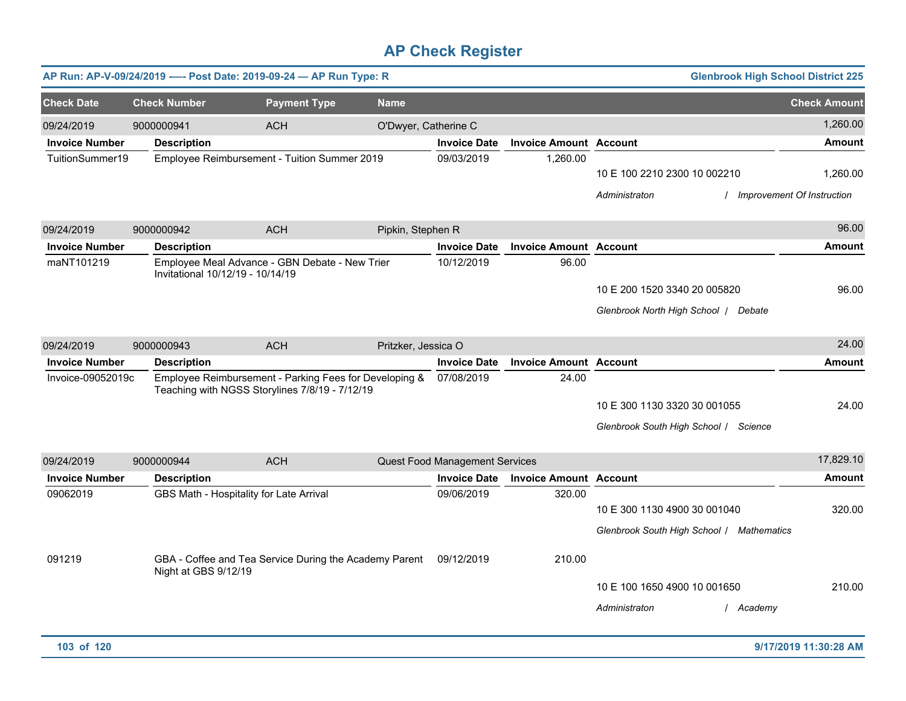|                       |                                  | AP Run: AP-V-09/24/2019 ---- Post Date: 2019-09-24 - AP Run Type: R                                      |                      |                                |                               | <b>Glenbrook High School District 225</b>                                 |                                          |
|-----------------------|----------------------------------|----------------------------------------------------------------------------------------------------------|----------------------|--------------------------------|-------------------------------|---------------------------------------------------------------------------|------------------------------------------|
| <b>Check Date</b>     | <b>Check Number</b>              | <b>Payment Type</b>                                                                                      | <b>Name</b>          |                                |                               |                                                                           | <b>Check Amount</b>                      |
| 09/24/2019            | 9000000941                       | <b>ACH</b>                                                                                               | O'Dwyer, Catherine C |                                |                               |                                                                           | 1,260.00                                 |
| <b>Invoice Number</b> | <b>Description</b>               |                                                                                                          |                      | <b>Invoice Date</b>            | <b>Invoice Amount Account</b> |                                                                           | <b>Amount</b>                            |
| TuitionSummer19       |                                  | Employee Reimbursement - Tuition Summer 2019                                                             |                      | 09/03/2019                     | 1,260.00                      | 10 E 100 2210 2300 10 002210<br>Administraton                             | 1,260.00<br>/ Improvement Of Instruction |
| 09/24/2019            | 9000000942                       | <b>ACH</b>                                                                                               | Pipkin, Stephen R    |                                |                               |                                                                           | 96.00                                    |
| <b>Invoice Number</b> | <b>Description</b>               |                                                                                                          |                      | <b>Invoice Date</b>            | <b>Invoice Amount Account</b> |                                                                           | <b>Amount</b>                            |
| maNT101219            | Invitational 10/12/19 - 10/14/19 | Employee Meal Advance - GBN Debate - New Trier                                                           |                      | 10/12/2019                     | 96.00                         | 10 E 200 1520 3340 20 005820<br>Glenbrook North High School   Debate      | 96.00                                    |
| 09/24/2019            | 9000000943                       | <b>ACH</b>                                                                                               | Pritzker, Jessica O  |                                |                               |                                                                           | 24.00                                    |
| <b>Invoice Number</b> | <b>Description</b>               |                                                                                                          |                      | <b>Invoice Date</b>            | <b>Invoice Amount Account</b> |                                                                           | Amount                                   |
| Invoice-09052019c     |                                  | Employee Reimbursement - Parking Fees for Developing &<br>Teaching with NGSS Storylines 7/8/19 - 7/12/19 |                      | 07/08/2019                     | 24.00                         | 10 E 300 1130 3320 30 001055<br>Glenbrook South High School / Science     | 24.00                                    |
| 09/24/2019            | 9000000944                       | <b>ACH</b>                                                                                               |                      | Quest Food Management Services |                               |                                                                           | 17,829.10                                |
| <b>Invoice Number</b> | <b>Description</b>               |                                                                                                          |                      | <b>Invoice Date</b>            | <b>Invoice Amount</b>         | <b>Account</b>                                                            | <b>Amount</b>                            |
| 09062019              |                                  | GBS Math - Hospitality for Late Arrival                                                                  |                      | 09/06/2019                     | 320.00                        | 10 E 300 1130 4900 30 001040<br>Glenbrook South High School / Mathematics | 320.00                                   |
| 091219                | Night at GBS 9/12/19             | GBA - Coffee and Tea Service During the Academy Parent                                                   |                      | 09/12/2019                     | 210.00                        | 10 E 100 1650 4900 10 001650<br>Administraton<br>/ Academy                | 210.00                                   |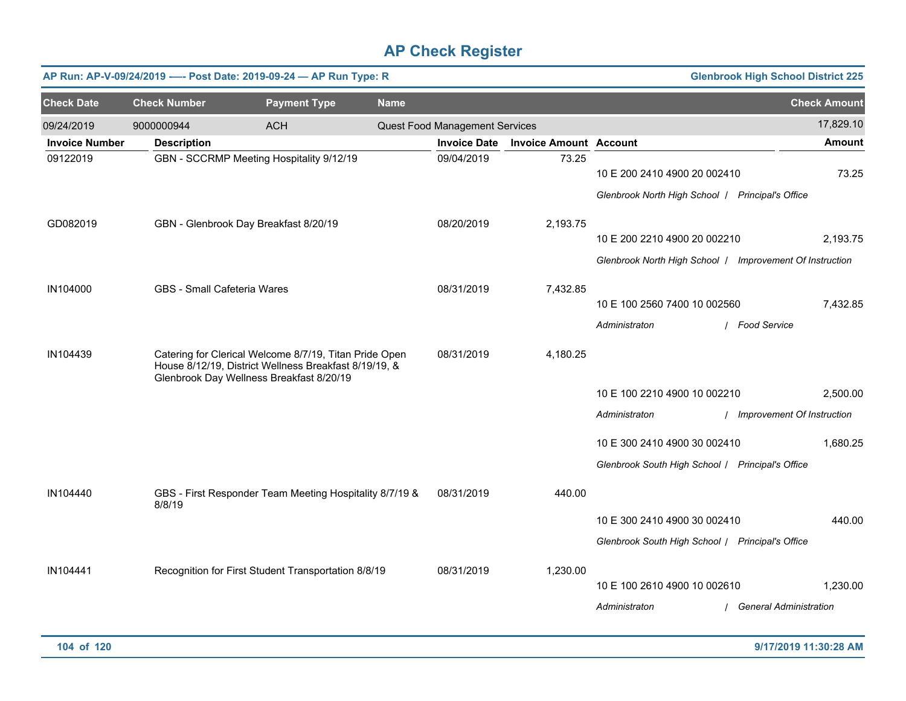| <b>Glenbrook High School District 225</b><br>AP Run: AP-V-09/24/2019 ---- Post Date: 2019-09-24 - AP Run Type: R |                                    |                                                                                                                                                             |             |                                |                               |                                                                                          |                                           |
|------------------------------------------------------------------------------------------------------------------|------------------------------------|-------------------------------------------------------------------------------------------------------------------------------------------------------------|-------------|--------------------------------|-------------------------------|------------------------------------------------------------------------------------------|-------------------------------------------|
| <b>Check Date</b>                                                                                                | <b>Check Number</b>                | <b>Payment Type</b>                                                                                                                                         | <b>Name</b> |                                |                               |                                                                                          | <b>Check Amount</b>                       |
| 09/24/2019                                                                                                       | 9000000944                         | <b>ACH</b>                                                                                                                                                  |             | Quest Food Management Services |                               |                                                                                          | 17,829.10                                 |
| <b>Invoice Number</b>                                                                                            | <b>Description</b>                 |                                                                                                                                                             |             | <b>Invoice Date</b>            | <b>Invoice Amount Account</b> |                                                                                          | <b>Amount</b>                             |
| 09122019                                                                                                         |                                    | GBN - SCCRMP Meeting Hospitality 9/12/19                                                                                                                    |             | 09/04/2019                     | 73.25                         | 10 E 200 2410 4900 20 002410<br>Glenbrook North High School   Principal's Office         | 73.25                                     |
| GD082019                                                                                                         |                                    | GBN - Glenbrook Day Breakfast 8/20/19                                                                                                                       |             | 08/20/2019                     | 2,193.75                      |                                                                                          |                                           |
|                                                                                                                  |                                    |                                                                                                                                                             |             |                                |                               | 10 E 200 2210 4900 20 002210<br>Glenbrook North High School   Improvement Of Instruction | 2,193.75                                  |
| IN104000                                                                                                         | <b>GBS</b> - Small Cafeteria Wares |                                                                                                                                                             |             | 08/31/2019                     | 7,432.85                      | 10 E 100 2560 7400 10 002560<br>Administraton                                            | 7,432.85<br>/ Food Service                |
| IN104439                                                                                                         |                                    | Catering for Clerical Welcome 8/7/19, Titan Pride Open<br>House 8/12/19, District Wellness Breakfast 8/19/19, &<br>Glenbrook Day Wellness Breakfast 8/20/19 |             | 08/31/2019                     | 4,180.25                      | 10 E 100 2210 4900 10 002210<br>Administraton                                            | 2,500.00<br>/ Improvement Of Instruction  |
|                                                                                                                  |                                    |                                                                                                                                                             |             |                                |                               | 10 E 300 2410 4900 30 002410<br>Glenbrook South High School / Principal's Office         | 1,680.25                                  |
| IN104440                                                                                                         | 8/8/19                             | GBS - First Responder Team Meeting Hospitality 8/7/19 &                                                                                                     |             | 08/31/2019                     | 440.00                        | 10 E 300 2410 4900 30 002410                                                             | 440.00                                    |
|                                                                                                                  |                                    |                                                                                                                                                             |             |                                |                               | Glenbrook South High School / Principal's Office                                         |                                           |
| IN104441                                                                                                         |                                    | Recognition for First Student Transportation 8/8/19                                                                                                         |             | 08/31/2019                     | 1,230.00                      | 10 E 100 2610 4900 10 002610<br>Administraton                                            | 1,230.00<br><b>General Administration</b> |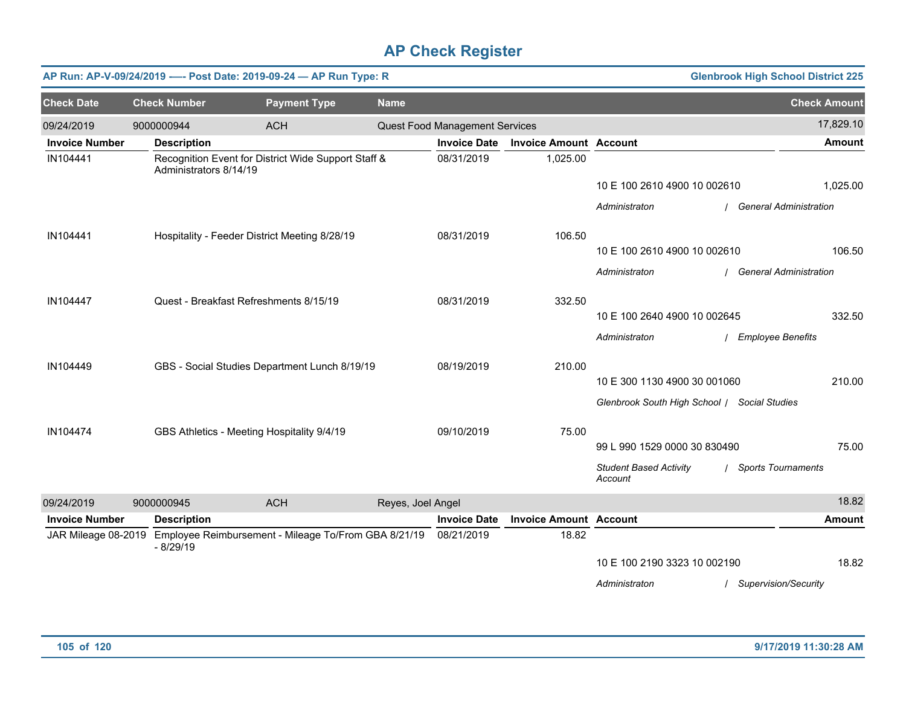| <b>Glenbrook High School District 225</b><br>AP Run: AP-V-09/24/2019 ---- Post Date: 2019-09-24 - AP Run Type: R |                        |                                                                          |                   |                                |                               |                                              |  |                               |
|------------------------------------------------------------------------------------------------------------------|------------------------|--------------------------------------------------------------------------|-------------------|--------------------------------|-------------------------------|----------------------------------------------|--|-------------------------------|
| <b>Check Date</b>                                                                                                | <b>Check Number</b>    | <b>Payment Type</b>                                                      | <b>Name</b>       |                                |                               |                                              |  | <b>Check Amount</b>           |
| 09/24/2019                                                                                                       | 9000000944             | <b>ACH</b>                                                               |                   | Quest Food Management Services |                               |                                              |  | 17,829.10                     |
| <b>Invoice Number</b>                                                                                            | <b>Description</b>     |                                                                          |                   | <b>Invoice Date</b>            | <b>Invoice Amount Account</b> |                                              |  | <b>Amount</b>                 |
| IN104441                                                                                                         | Administrators 8/14/19 | Recognition Event for District Wide Support Staff &                      |                   | 08/31/2019                     | 1,025.00                      |                                              |  |                               |
|                                                                                                                  |                        |                                                                          |                   |                                |                               | 10 E 100 2610 4900 10 002610                 |  | 1,025.00                      |
|                                                                                                                  |                        |                                                                          |                   |                                |                               | Administraton                                |  | <b>General Administration</b> |
| IN104441                                                                                                         |                        | Hospitality - Feeder District Meeting 8/28/19                            |                   |                                | 106.50                        |                                              |  |                               |
|                                                                                                                  |                        |                                                                          |                   |                                |                               | 10 E 100 2610 4900 10 002610                 |  | 106.50                        |
|                                                                                                                  |                        |                                                                          |                   |                                |                               | Administraton                                |  | <b>General Administration</b> |
| IN104447                                                                                                         |                        | Quest - Breakfast Refreshments 8/15/19                                   |                   | 08/31/2019                     | 332.50                        |                                              |  |                               |
|                                                                                                                  |                        |                                                                          |                   |                                |                               | 10 E 100 2640 4900 10 002645                 |  | 332.50                        |
|                                                                                                                  |                        |                                                                          |                   |                                |                               | Administraton                                |  | / Employee Benefits           |
| IN104449                                                                                                         |                        | GBS - Social Studies Department Lunch 8/19/19                            |                   |                                | 210.00                        |                                              |  |                               |
|                                                                                                                  |                        |                                                                          |                   |                                |                               | 10 E 300 1130 4900 30 001060                 |  | 210.00                        |
|                                                                                                                  |                        |                                                                          |                   |                                |                               | Glenbrook South High School   Social Studies |  |                               |
| IN104474                                                                                                         |                        | GBS Athletics - Meeting Hospitality 9/4/19                               |                   | 09/10/2019                     | 75.00                         |                                              |  |                               |
|                                                                                                                  |                        |                                                                          |                   |                                |                               | 99 L 990 1529 0000 30 830490                 |  | 75.00                         |
|                                                                                                                  |                        |                                                                          |                   |                                |                               | <b>Student Based Activity</b><br>Account     |  | / Sports Tournaments          |
| 09/24/2019                                                                                                       | 9000000945             | <b>ACH</b>                                                               | Reyes, Joel Angel |                                |                               |                                              |  | 18.82                         |
| <b>Invoice Number</b>                                                                                            | <b>Description</b>     |                                                                          |                   | <b>Invoice Date</b>            | <b>Invoice Amount Account</b> |                                              |  | <b>Amount</b>                 |
|                                                                                                                  | $-8/29/19$             | JAR Mileage 08-2019 Employee Reimbursement - Mileage To/From GBA 8/21/19 |                   |                                | 18.82                         |                                              |  |                               |
|                                                                                                                  |                        |                                                                          |                   |                                |                               | 10 E 100 2190 3323 10 002190                 |  | 18.82                         |
|                                                                                                                  |                        |                                                                          |                   |                                |                               | Administraton                                |  | / Supervision/Security        |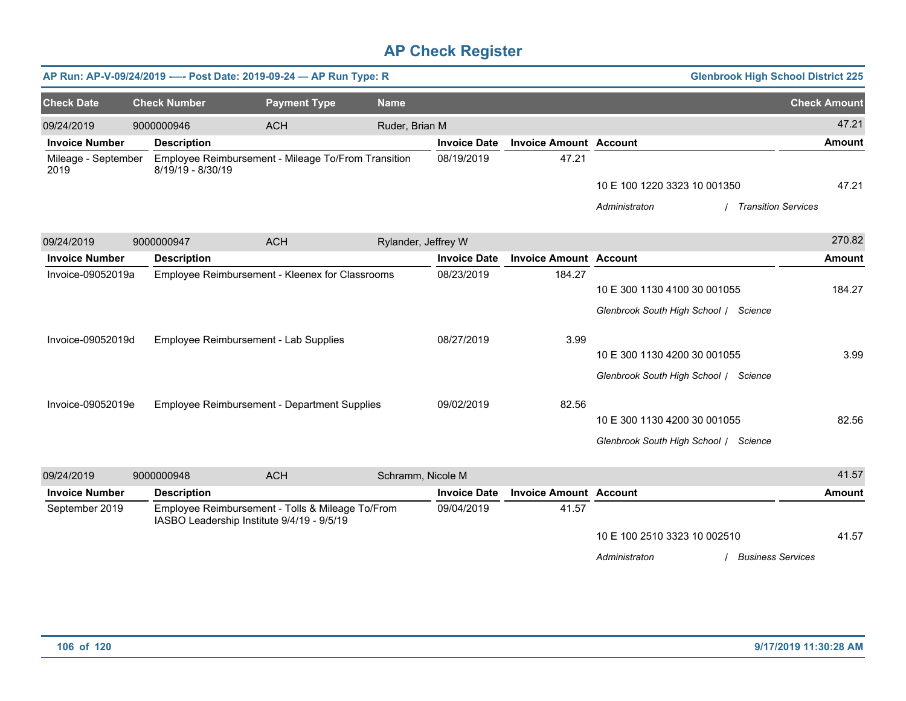|                             |                     | AP Run: AP-V-09/24/2019 ---- Post Date: 2019-09-24 - AP Run Type: R                            |                     |                     |                               |                                       | <b>Glenbrook High School District 225</b> |
|-----------------------------|---------------------|------------------------------------------------------------------------------------------------|---------------------|---------------------|-------------------------------|---------------------------------------|-------------------------------------------|
| <b>Check Date</b>           | <b>Check Number</b> | <b>Payment Type</b>                                                                            | <b>Name</b>         |                     |                               |                                       | <b>Check Amount</b>                       |
| 09/24/2019                  | 9000000946          | <b>ACH</b>                                                                                     | Ruder, Brian M      |                     |                               |                                       | 47.21                                     |
| <b>Invoice Number</b>       | <b>Description</b>  |                                                                                                |                     | <b>Invoice Date</b> | <b>Invoice Amount Account</b> |                                       | <b>Amount</b>                             |
| Mileage - September<br>2019 | 8/19/19 - 8/30/19   | Employee Reimbursement - Mileage To/From Transition                                            |                     | 08/19/2019          | 47.21                         |                                       |                                           |
|                             |                     |                                                                                                |                     |                     |                               | 10 E 100 1220 3323 10 001350          | 47.21                                     |
|                             |                     |                                                                                                |                     |                     |                               | Administraton                         | <b>Transition Services</b>                |
| 09/24/2019                  | 9000000947          | <b>ACH</b>                                                                                     | Rylander, Jeffrey W |                     |                               |                                       | 270.82                                    |
| <b>Invoice Number</b>       | <b>Description</b>  |                                                                                                |                     | <b>Invoice Date</b> | <b>Invoice Amount Account</b> |                                       | <b>Amount</b>                             |
| Invoice-09052019a           |                     | Employee Reimbursement - Kleenex for Classrooms                                                |                     | 08/23/2019          | 184.27                        |                                       |                                           |
|                             |                     |                                                                                                |                     |                     |                               | 10 E 300 1130 4100 30 001055          | 184.27                                    |
|                             |                     |                                                                                                |                     |                     |                               | Glenbrook South High School / Science |                                           |
| Invoice-09052019d           |                     | Employee Reimbursement - Lab Supplies                                                          |                     | 08/27/2019          | 3.99                          |                                       |                                           |
|                             |                     |                                                                                                |                     |                     |                               | 10 E 300 1130 4200 30 001055          | 3.99                                      |
|                             |                     |                                                                                                |                     |                     |                               | Glenbrook South High School / Science |                                           |
| Invoice-09052019e           |                     | Employee Reimbursement - Department Supplies                                                   |                     | 09/02/2019          | 82.56                         |                                       |                                           |
|                             |                     |                                                                                                |                     |                     |                               | 10 E 300 1130 4200 30 001055          | 82.56                                     |
|                             |                     |                                                                                                |                     |                     |                               | Glenbrook South High School / Science |                                           |
| 09/24/2019                  | 9000000948          | <b>ACH</b>                                                                                     | Schramm, Nicole M   |                     |                               |                                       | 41.57                                     |
| <b>Invoice Number</b>       | <b>Description</b>  |                                                                                                |                     | <b>Invoice Date</b> | <b>Invoice Amount Account</b> |                                       | <b>Amount</b>                             |
| September 2019              |                     | Employee Reimbursement - Tolls & Mileage To/From<br>IASBO Leadership Institute 9/4/19 - 9/5/19 |                     | 09/04/2019          | 41.57                         |                                       |                                           |
|                             |                     |                                                                                                |                     |                     |                               | 10 E 100 2510 3323 10 002510          | 41.57                                     |
|                             |                     |                                                                                                |                     |                     |                               | / Business Services<br>Administraton  |                                           |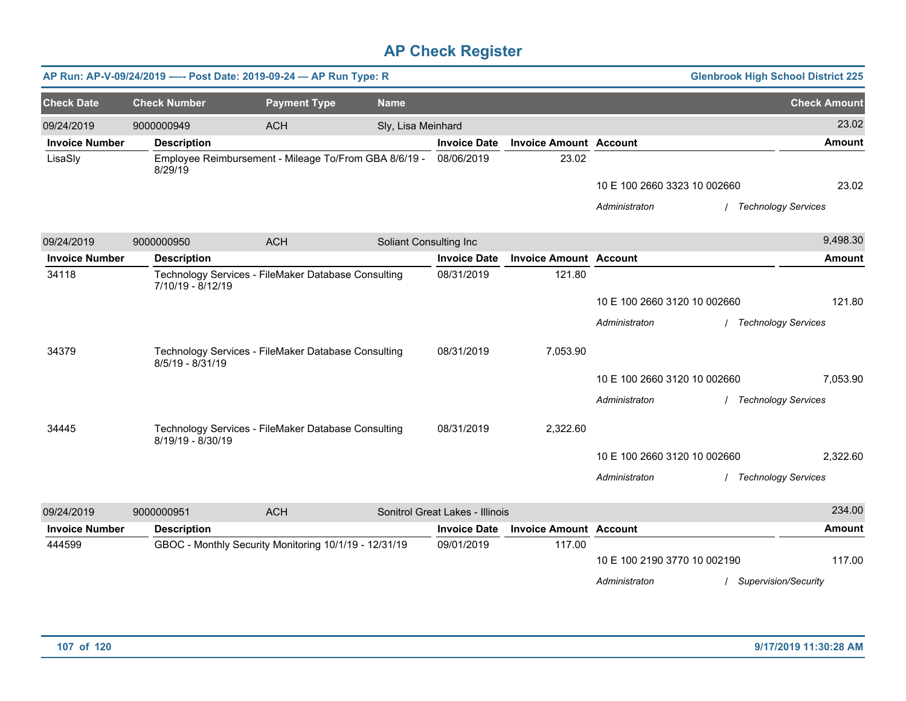|                       |                     | AP Run: AP-V-09/24/2019 ---- Post Date: 2019-09-24 - AP Run Type: R |                        |                                 |                               |                              | <b>Glenbrook High School District 225</b> |
|-----------------------|---------------------|---------------------------------------------------------------------|------------------------|---------------------------------|-------------------------------|------------------------------|-------------------------------------------|
| <b>Check Date</b>     | <b>Check Number</b> | <b>Payment Type</b>                                                 | <b>Name</b>            |                                 |                               |                              | <b>Check Amount</b>                       |
| 09/24/2019            | 9000000949          | <b>ACH</b>                                                          | Sly, Lisa Meinhard     |                                 |                               |                              | 23.02                                     |
| <b>Invoice Number</b> | <b>Description</b>  |                                                                     |                        | <b>Invoice Date</b>             | <b>Invoice Amount Account</b> |                              | <b>Amount</b>                             |
| LisaSly               | 8/29/19             | Employee Reimbursement - Mileage To/From GBA 8/6/19 -               |                        | 08/06/2019                      | 23.02                         |                              |                                           |
|                       |                     |                                                                     |                        |                                 |                               | 10 E 100 2660 3323 10 002660 | 23.02                                     |
|                       |                     |                                                                     |                        |                                 |                               | Administraton                | / Technology Services                     |
| 09/24/2019            | 9000000950          | <b>ACH</b>                                                          | Soliant Consulting Inc |                                 |                               |                              | 9,498.30                                  |
| <b>Invoice Number</b> | <b>Description</b>  |                                                                     |                        | <b>Invoice Date</b>             | <b>Invoice Amount Account</b> |                              | Amount                                    |
| 34118                 | 7/10/19 - 8/12/19   | Technology Services - FileMaker Database Consulting                 |                        | 08/31/2019                      | 121.80                        |                              |                                           |
|                       |                     |                                                                     |                        |                                 |                               | 10 E 100 2660 3120 10 002660 | 121.80                                    |
|                       |                     |                                                                     |                        |                                 |                               | Administraton                | / Technology Services                     |
| 34379                 | 8/5/19 - 8/31/19    | Technology Services - FileMaker Database Consulting                 |                        | 08/31/2019                      | 7,053.90                      |                              |                                           |
|                       |                     |                                                                     |                        |                                 |                               | 10 E 100 2660 3120 10 002660 | 7,053.90                                  |
|                       |                     |                                                                     |                        |                                 |                               | Administraton                | / Technology Services                     |
| 34445                 | 8/19/19 - 8/30/19   | Technology Services - FileMaker Database Consulting                 |                        | 08/31/2019                      | 2,322.60                      |                              |                                           |
|                       |                     |                                                                     |                        |                                 |                               | 10 E 100 2660 3120 10 002660 | 2,322.60                                  |
|                       |                     |                                                                     |                        |                                 |                               | Administraton                | / Technology Services                     |
| 09/24/2019            | 9000000951          | <b>ACH</b>                                                          |                        | Sonitrol Great Lakes - Illinois |                               |                              | 234.00                                    |
| <b>Invoice Number</b> | <b>Description</b>  |                                                                     |                        | <b>Invoice Date</b>             | <b>Invoice Amount Account</b> |                              | <b>Amount</b>                             |
| 444599                |                     | GBOC - Monthly Security Monitoring 10/1/19 - 12/31/19               |                        | 09/01/2019                      | 117.00                        |                              |                                           |
|                       |                     |                                                                     |                        |                                 |                               | 10 E 100 2190 3770 10 002190 | 117.00                                    |
|                       |                     |                                                                     |                        |                                 |                               | Administraton                | <b>Supervision/Security</b>               |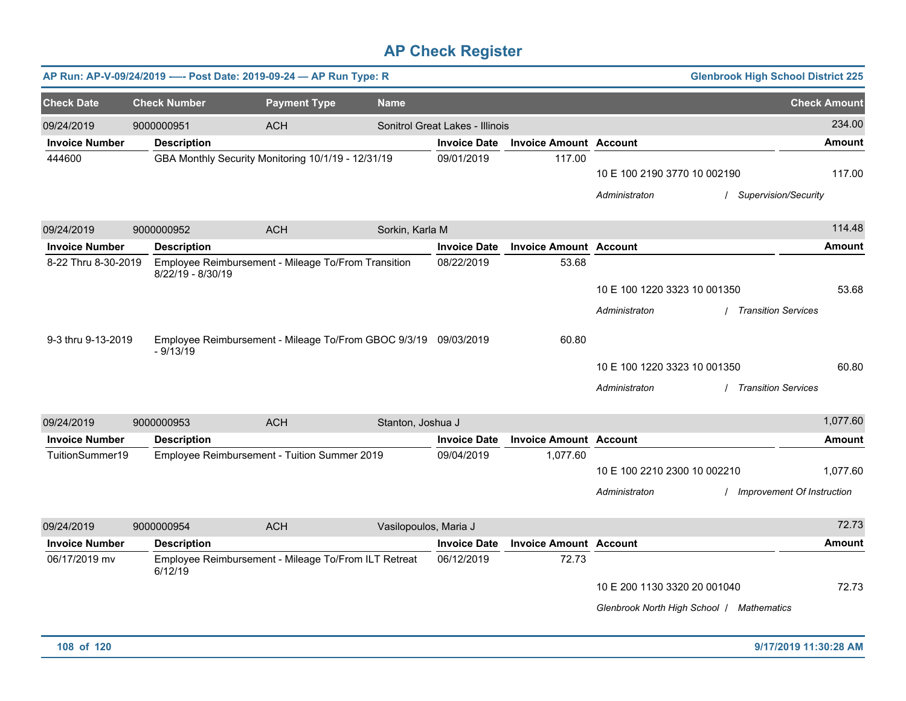|                                     |                     | AP Run: AP-V-09/24/2019 ---- Post Date: 2019-09-24 - AP Run Type: R |                       |                                 |                               |                                           | <b>Glenbrook High School District 225</b> |
|-------------------------------------|---------------------|---------------------------------------------------------------------|-----------------------|---------------------------------|-------------------------------|-------------------------------------------|-------------------------------------------|
| <b>Check Date</b>                   | <b>Check Number</b> | <b>Payment Type</b>                                                 | <b>Name</b>           |                                 |                               |                                           | <b>Check Amount</b>                       |
| 09/24/2019                          | 9000000951          | <b>ACH</b>                                                          |                       | Sonitrol Great Lakes - Illinois |                               |                                           | 234.00                                    |
| <b>Invoice Number</b>               | <b>Description</b>  |                                                                     |                       | <b>Invoice Date</b>             | <b>Invoice Amount Account</b> |                                           | <b>Amount</b>                             |
| 444600                              |                     | GBA Monthly Security Monitoring 10/1/19 - 12/31/19                  |                       | 09/01/2019                      | 117.00                        |                                           |                                           |
|                                     |                     |                                                                     |                       |                                 |                               | 10 E 100 2190 3770 10 002190              | 117.00                                    |
|                                     |                     |                                                                     |                       |                                 |                               | Administraton                             | / Supervision/Security                    |
| 09/24/2019                          | 9000000952          | <b>ACH</b>                                                          | Sorkin, Karla M       |                                 |                               |                                           | 114.48                                    |
| <b>Invoice Number</b>               | <b>Description</b>  |                                                                     |                       | <b>Invoice Date</b>             | <b>Invoice Amount Account</b> |                                           | <b>Amount</b>                             |
| 8-22 Thru 8-30-2019                 | 8/22/19 - 8/30/19   | Employee Reimbursement - Mileage To/From Transition                 |                       | 08/22/2019                      | 53.68                         |                                           |                                           |
|                                     |                     |                                                                     |                       |                                 |                               | 10 E 100 1220 3323 10 001350              | 53.68                                     |
|                                     |                     |                                                                     |                       |                                 |                               | Administraton                             | <b>Transition Services</b>                |
|                                     |                     |                                                                     |                       |                                 |                               |                                           |                                           |
| 9-3 thru 9-13-2019                  | $-9/13/19$          | Employee Reimbursement - Mileage To/From GBOC 9/3/19 09/03/2019     |                       |                                 | 60.80                         |                                           |                                           |
|                                     |                     |                                                                     |                       |                                 |                               | 10 E 100 1220 3323 10 001350              | 60.80                                     |
|                                     |                     |                                                                     |                       |                                 |                               | Administraton                             | / Transition Services                     |
| 09/24/2019                          | 9000000953          | <b>ACH</b>                                                          | Stanton, Joshua J     |                                 |                               |                                           | 1,077.60                                  |
| <b>Invoice Number</b>               | <b>Description</b>  |                                                                     |                       | <b>Invoice Date</b>             | <b>Invoice Amount</b>         | <b>Account</b>                            | <b>Amount</b>                             |
| TuitionSummer19                     |                     | Employee Reimbursement - Tuition Summer 2019                        |                       | 09/04/2019                      | 1,077.60                      |                                           |                                           |
|                                     |                     |                                                                     |                       |                                 |                               | 10 E 100 2210 2300 10 002210              | 1,077.60                                  |
|                                     |                     |                                                                     |                       |                                 |                               | Administraton                             | Improvement Of Instruction                |
|                                     |                     |                                                                     |                       |                                 |                               |                                           | 72.73                                     |
| 09/24/2019<br><b>Invoice Number</b> | 9000000954          | <b>ACH</b>                                                          | Vasilopoulos, Maria J | <b>Invoice Date</b>             | <b>Invoice Amount Account</b> |                                           | <b>Amount</b>                             |
| 06/17/2019 mv                       | <b>Description</b>  | Employee Reimbursement - Mileage To/From ILT Retreat                |                       | 06/12/2019                      | 72.73                         |                                           |                                           |
|                                     | 6/12/19             |                                                                     |                       |                                 |                               |                                           |                                           |
|                                     |                     |                                                                     |                       |                                 |                               | 10 E 200 1130 3320 20 001040              | 72.73                                     |
|                                     |                     |                                                                     |                       |                                 |                               | Glenbrook North High School   Mathematics |                                           |
|                                     |                     |                                                                     |                       |                                 |                               |                                           |                                           |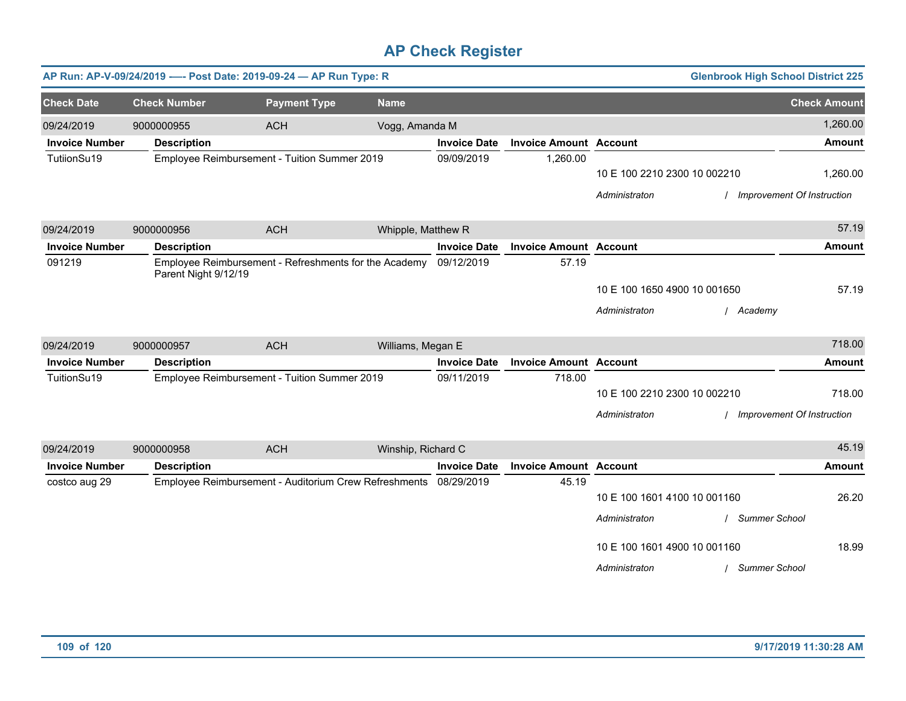|                       |                      | AP Run: AP-V-09/24/2019 ---- Post Date: 2019-09-24 - AP Run Type: R |                    |                     |                               |                              | <b>Glenbrook High School District 225</b> |                                   |
|-----------------------|----------------------|---------------------------------------------------------------------|--------------------|---------------------|-------------------------------|------------------------------|-------------------------------------------|-----------------------------------|
| <b>Check Date</b>     | <b>Check Number</b>  | <b>Payment Type</b>                                                 | <b>Name</b>        |                     |                               |                              |                                           | <b>Check Amount</b>               |
| 09/24/2019            | 9000000955           | <b>ACH</b>                                                          | Vogg, Amanda M     |                     |                               |                              |                                           | 1,260.00                          |
| <b>Invoice Number</b> | <b>Description</b>   |                                                                     |                    | <b>Invoice Date</b> | <b>Invoice Amount Account</b> |                              |                                           | <b>Amount</b>                     |
| TutiionSu19           |                      | Employee Reimbursement - Tuition Summer 2019                        |                    | 09/09/2019          | 1,260.00                      |                              |                                           |                                   |
|                       |                      |                                                                     |                    |                     |                               | 10 E 100 2210 2300 10 002210 |                                           | 1,260.00                          |
|                       |                      |                                                                     |                    |                     |                               | Administraton                |                                           | <b>Improvement Of Instruction</b> |
| 09/24/2019            | 9000000956           | <b>ACH</b>                                                          | Whipple, Matthew R |                     |                               |                              |                                           | 57.19                             |
| <b>Invoice Number</b> | <b>Description</b>   |                                                                     |                    | <b>Invoice Date</b> | <b>Invoice Amount Account</b> |                              |                                           | <b>Amount</b>                     |
| 091219                | Parent Night 9/12/19 | Employee Reimbursement - Refreshments for the Academy               |                    | 09/12/2019          | 57.19                         |                              |                                           |                                   |
|                       |                      |                                                                     |                    |                     |                               | 10 E 100 1650 4900 10 001650 |                                           | 57.19                             |
|                       |                      |                                                                     |                    |                     |                               | Administraton                | / Academy                                 |                                   |
| 09/24/2019            | 9000000957           | <b>ACH</b>                                                          | Williams, Megan E  |                     |                               |                              |                                           | 718.00                            |
| <b>Invoice Number</b> | <b>Description</b>   |                                                                     |                    | <b>Invoice Date</b> | <b>Invoice Amount Account</b> |                              |                                           | <b>Amount</b>                     |
| TuitionSu19           |                      | Employee Reimbursement - Tuition Summer 2019                        |                    | 09/11/2019          | 718.00                        |                              |                                           |                                   |
|                       |                      |                                                                     |                    |                     |                               | 10 E 100 2210 2300 10 002210 |                                           | 718.00                            |
|                       |                      |                                                                     |                    |                     |                               | Administraton                | / Improvement Of Instruction              |                                   |
| 09/24/2019            | 9000000958           | <b>ACH</b>                                                          | Winship, Richard C |                     |                               |                              |                                           | 45.19                             |
| <b>Invoice Number</b> | <b>Description</b>   |                                                                     |                    | <b>Invoice Date</b> | <b>Invoice Amount Account</b> |                              |                                           | <b>Amount</b>                     |
| costco aug 29         |                      | Employee Reimbursement - Auditorium Crew Refreshments               |                    | 08/29/2019          | 45.19                         |                              |                                           |                                   |
|                       |                      |                                                                     |                    |                     |                               | 10 E 100 1601 4100 10 001160 |                                           | 26.20                             |
|                       |                      |                                                                     |                    |                     |                               | Administraton                | <b>Summer School</b>                      |                                   |
|                       |                      |                                                                     |                    |                     |                               | 10 E 100 1601 4900 10 001160 |                                           | 18.99                             |
|                       |                      |                                                                     |                    |                     |                               | Administraton                | / Summer School                           |                                   |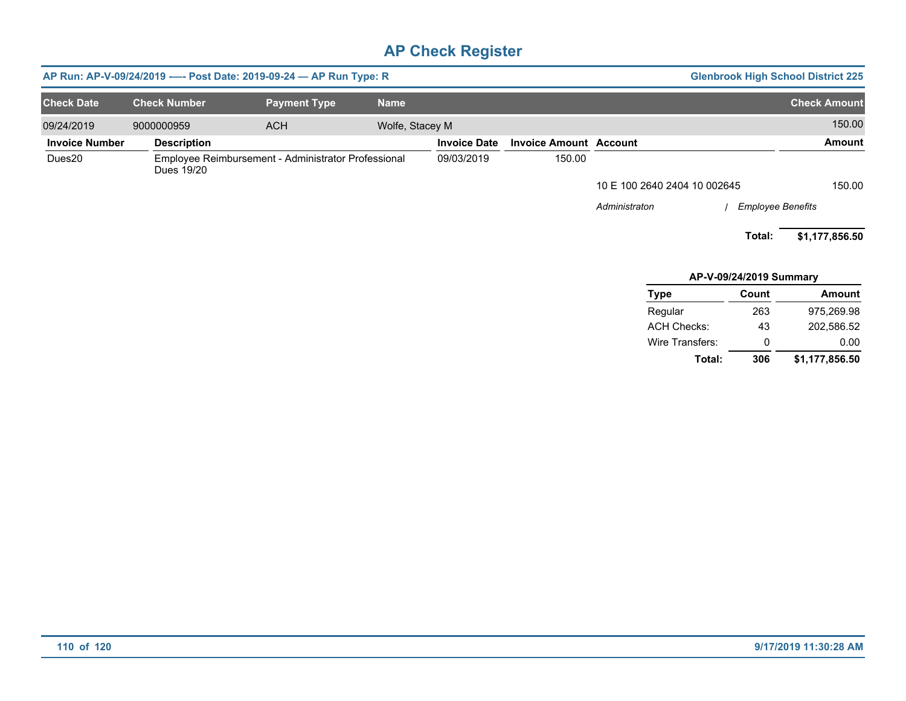|                       |                     | AP Run: AP-V-09/24/2019 ---- Post Date: 2019-09-24 - AP Run Type: R |                 |                     |                               |                              |                          | <b>Glenbrook High School District 225</b> |
|-----------------------|---------------------|---------------------------------------------------------------------|-----------------|---------------------|-------------------------------|------------------------------|--------------------------|-------------------------------------------|
| <b>Check Date</b>     | <b>Check Number</b> | <b>Payment Type</b>                                                 | <b>Name</b>     |                     |                               |                              |                          | <b>Check Amount</b>                       |
| 09/24/2019            | 9000000959          | <b>ACH</b>                                                          | Wolfe, Stacey M |                     |                               |                              |                          | 150.00                                    |
| <b>Invoice Number</b> | <b>Description</b>  |                                                                     |                 | <b>Invoice Date</b> | <b>Invoice Amount Account</b> |                              |                          | Amount                                    |
| Dues20                | Dues 19/20          | Employee Reimbursement - Administrator Professional                 |                 | 09/03/2019          | 150.00                        |                              |                          |                                           |
|                       |                     |                                                                     |                 |                     |                               | 10 E 100 2640 2404 10 002645 |                          | 150.00                                    |
|                       |                     |                                                                     |                 |                     |                               | Administraton                | <b>Employee Benefits</b> |                                           |
|                       |                     |                                                                     |                 |                     |                               |                              | Total:                   | \$1,177,856.50                            |
|                       |                     |                                                                     |                 |                     |                               |                              | AP-V-09/24/2019 Summary  |                                           |
|                       |                     |                                                                     |                 |                     |                               | <b>Type</b>                  | Count                    | Amount                                    |
|                       |                     |                                                                     |                 |                     |                               | Regular                      | 263                      | 975,269.98                                |
|                       |                     |                                                                     |                 |                     |                               | <b>ACH Checks:</b>           | 43                       | 202,586.52                                |
|                       |                     |                                                                     |                 |                     |                               | Wire Transfers:              | 0                        | 0.00                                      |
|                       |                     |                                                                     |                 |                     |                               | Total:                       | 306                      | \$1,177,856.50                            |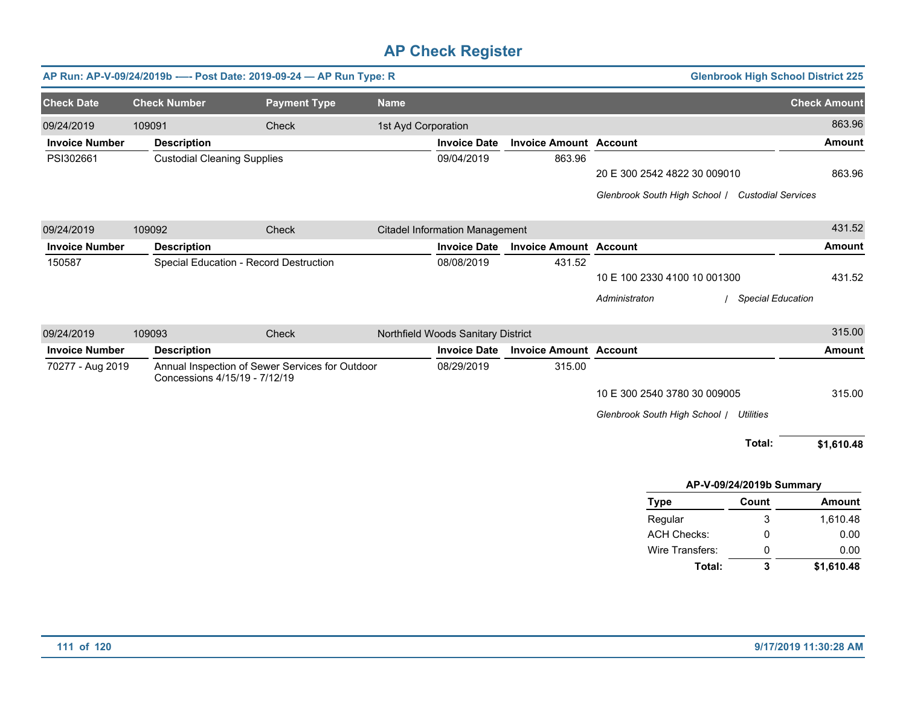|                       |                                    | AP Run: AP-V-09/24/2019b - - - Post Date: 2019-09-24 - AP Run Type: R |                     |                                       |                               |                                                  |                          | <b>Glenbrook High School District 225</b> |
|-----------------------|------------------------------------|-----------------------------------------------------------------------|---------------------|---------------------------------------|-------------------------------|--------------------------------------------------|--------------------------|-------------------------------------------|
| <b>Check Date</b>     | <b>Check Number</b>                | <b>Payment Type</b>                                                   | <b>Name</b>         |                                       |                               |                                                  |                          | <b>Check Amount</b>                       |
| 09/24/2019            | 109091                             | Check                                                                 | 1st Ayd Corporation |                                       |                               |                                                  |                          | 863.96                                    |
| <b>Invoice Number</b> | <b>Description</b>                 |                                                                       |                     | <b>Invoice Date</b>                   | <b>Invoice Amount Account</b> |                                                  |                          | <b>Amount</b>                             |
| PSI302661             | <b>Custodial Cleaning Supplies</b> |                                                                       |                     | 09/04/2019                            | 863.96                        |                                                  |                          |                                           |
|                       |                                    |                                                                       |                     |                                       |                               | 20 E 300 2542 4822 30 009010                     |                          | 863.96                                    |
|                       |                                    |                                                                       |                     |                                       |                               | Glenbrook South High School / Custodial Services |                          |                                           |
| 09/24/2019            | 109092                             | Check                                                                 |                     | <b>Citadel Information Management</b> |                               |                                                  |                          | 431.52                                    |
| <b>Invoice Number</b> | <b>Description</b>                 |                                                                       |                     | <b>Invoice Date</b>                   | <b>Invoice Amount Account</b> |                                                  |                          | <b>Amount</b>                             |
| 150587                |                                    | Special Education - Record Destruction                                |                     | 08/08/2019                            | 431.52                        |                                                  |                          |                                           |
|                       |                                    |                                                                       |                     |                                       |                               | 10 E 100 2330 4100 10 001300                     |                          | 431.52                                    |
|                       |                                    |                                                                       |                     |                                       |                               | Administraton                                    | <b>Special Education</b> |                                           |
| 09/24/2019            | 109093                             | Check                                                                 |                     | Northfield Woods Sanitary District    |                               |                                                  |                          | 315.00                                    |
| <b>Invoice Number</b> | <b>Description</b>                 |                                                                       |                     | <b>Invoice Date</b>                   | <b>Invoice Amount Account</b> |                                                  |                          | <b>Amount</b>                             |
| 70277 - Aug 2019      | Concessions 4/15/19 - 7/12/19      | Annual Inspection of Sewer Services for Outdoor                       |                     | 08/29/2019                            | 315.00                        |                                                  |                          |                                           |
|                       |                                    |                                                                       |                     |                                       |                               | 10 E 300 2540 3780 30 009005                     |                          | 315.00                                    |
|                       |                                    |                                                                       |                     |                                       |                               | Glenbrook South High School / Utilities          |                          |                                           |
|                       |                                    |                                                                       |                     |                                       |                               |                                                  | Total:                   | \$1,610.48                                |
|                       |                                    |                                                                       |                     |                                       |                               |                                                  |                          |                                           |
|                       |                                    |                                                                       |                     |                                       |                               |                                                  | AP-V-09/24/2019b Summary |                                           |
|                       |                                    |                                                                       |                     |                                       |                               | <b>Type</b>                                      | Count                    | <b>Amount</b>                             |
|                       |                                    |                                                                       |                     |                                       |                               | Regular<br><b>ACH Checks:</b>                    | 3<br>0                   | 1,610.48<br>0.00                          |
|                       |                                    |                                                                       |                     |                                       |                               | Wire Transfers:                                  | 0                        | 0.00                                      |

**\$1,610.48**

**Total:**

**3**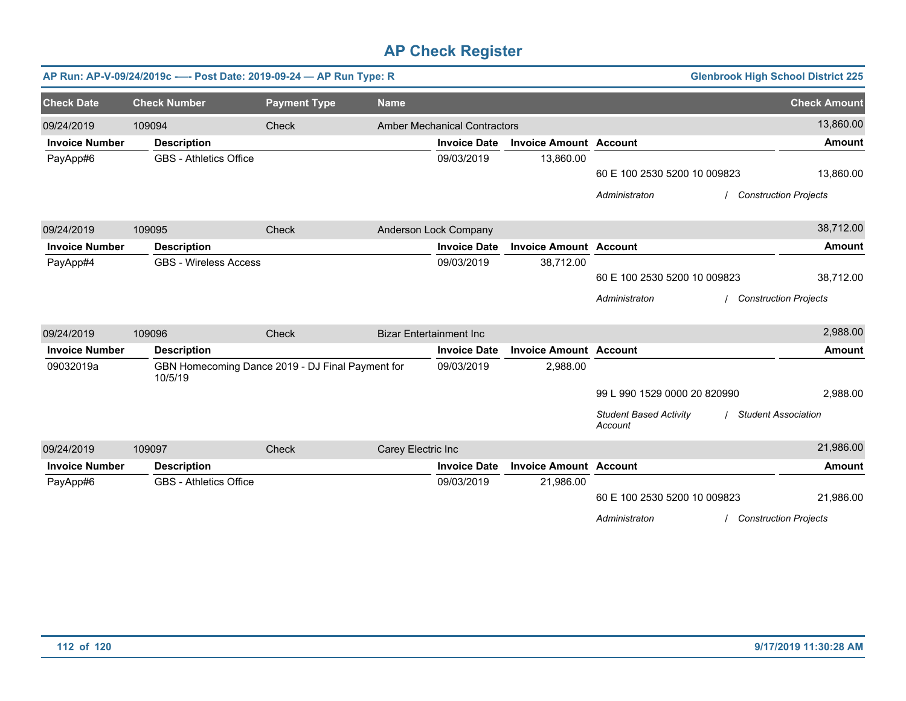|                       | AP Run: AP-V-09/24/2019c ---- Post Date: 2019-09-24 - AP Run Type: R |                                                  |                                |                                     |                               | <b>Glenbrook High School District 225</b>                              |                     |
|-----------------------|----------------------------------------------------------------------|--------------------------------------------------|--------------------------------|-------------------------------------|-------------------------------|------------------------------------------------------------------------|---------------------|
| <b>Check Date</b>     | <b>Check Number</b>                                                  | <b>Payment Type</b>                              | <b>Name</b>                    |                                     |                               |                                                                        | <b>Check Amount</b> |
| 09/24/2019            | 109094                                                               | Check                                            |                                | <b>Amber Mechanical Contractors</b> |                               |                                                                        | 13,860.00           |
| <b>Invoice Number</b> | <b>Description</b>                                                   |                                                  |                                | <b>Invoice Date</b>                 | <b>Invoice Amount Account</b> |                                                                        | <b>Amount</b>       |
| PayApp#6              | <b>GBS - Athletics Office</b>                                        |                                                  |                                | 09/03/2019                          | 13,860.00                     |                                                                        |                     |
|                       |                                                                      |                                                  |                                |                                     |                               | 60 E 100 2530 5200 10 009823                                           | 13,860.00           |
|                       |                                                                      |                                                  |                                |                                     |                               | Administraton<br><b>Construction Projects</b>                          |                     |
| 09/24/2019            | 109095                                                               | Check                                            |                                | Anderson Lock Company               |                               |                                                                        | 38,712.00           |
| <b>Invoice Number</b> | <b>Description</b>                                                   |                                                  |                                | <b>Invoice Date</b>                 | <b>Invoice Amount Account</b> |                                                                        | <b>Amount</b>       |
| PayApp#4              | <b>GBS - Wireless Access</b>                                         |                                                  |                                | 09/03/2019                          | 38,712.00                     |                                                                        |                     |
|                       |                                                                      |                                                  |                                |                                     |                               | 60 E 100 2530 5200 10 009823                                           | 38,712.00           |
|                       |                                                                      |                                                  |                                |                                     |                               | <b>Construction Projects</b><br>Administraton                          |                     |
| 09/24/2019            | 109096                                                               | Check                                            | <b>Bizar Entertainment Inc</b> |                                     |                               |                                                                        | 2,988.00            |
| <b>Invoice Number</b> | <b>Description</b>                                                   |                                                  |                                | <b>Invoice Date</b>                 | <b>Invoice Amount Account</b> |                                                                        | <b>Amount</b>       |
| 09032019a             | 10/5/19                                                              | GBN Homecoming Dance 2019 - DJ Final Payment for |                                | 09/03/2019                          | 2,988.00                      |                                                                        |                     |
|                       |                                                                      |                                                  |                                |                                     |                               | 99 L 990 1529 0000 20 820990                                           | 2,988.00            |
|                       |                                                                      |                                                  |                                |                                     |                               | <b>Student Based Activity</b><br><b>Student Association</b><br>Account |                     |
| 09/24/2019            | 109097                                                               | Check                                            | Carey Electric Inc             |                                     |                               |                                                                        | 21,986.00           |
| <b>Invoice Number</b> | <b>Description</b>                                                   |                                                  |                                | <b>Invoice Date</b>                 | <b>Invoice Amount Account</b> |                                                                        | <b>Amount</b>       |
| PayApp#6              | <b>GBS - Athletics Office</b>                                        |                                                  |                                | 09/03/2019                          | 21,986.00                     |                                                                        |                     |
|                       |                                                                      |                                                  |                                |                                     |                               | 60 E 100 2530 5200 10 009823                                           | 21,986.00           |
|                       |                                                                      |                                                  |                                |                                     |                               | Administraton<br><b>Construction Projects</b>                          |                     |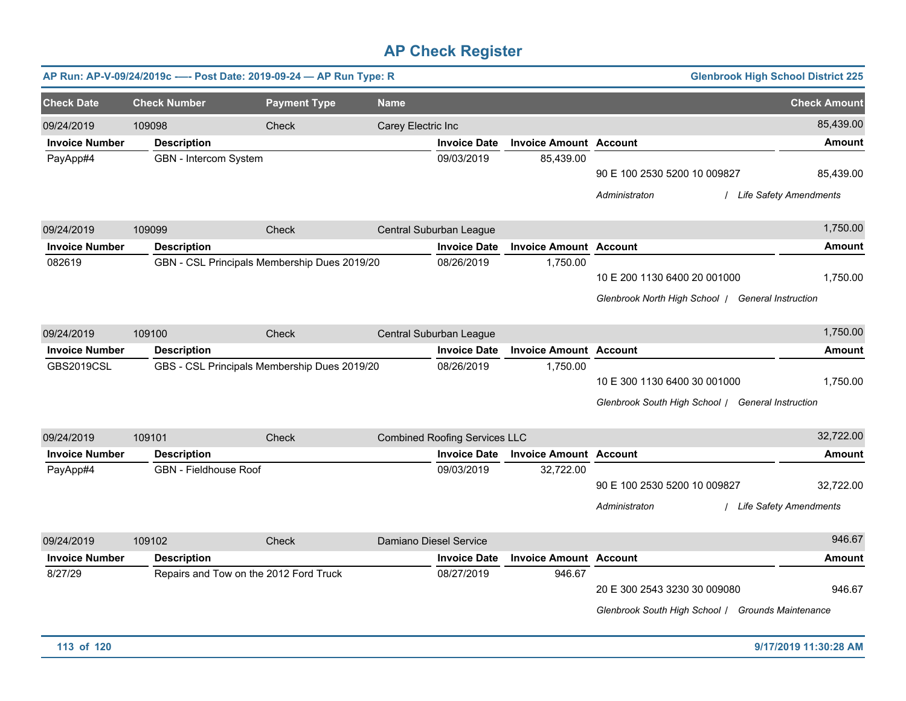|                       |                     |                                        | AP Run: AP-V-09/24/2019c ---- Post Date: 2019-09-24 - AP Run Type: R |                    |                                      |                               |                                                                                   | <b>Glenbrook High School District 225</b> |
|-----------------------|---------------------|----------------------------------------|----------------------------------------------------------------------|--------------------|--------------------------------------|-------------------------------|-----------------------------------------------------------------------------------|-------------------------------------------|
| <b>Check Date</b>     | <b>Check Number</b> |                                        | <b>Payment Type</b>                                                  | <b>Name</b>        |                                      |                               |                                                                                   | <b>Check Amount</b>                       |
| 09/24/2019            | 109098              |                                        | Check                                                                | Carey Electric Inc |                                      |                               |                                                                                   | 85,439.00                                 |
| <b>Invoice Number</b> |                     | <b>Description</b>                     |                                                                      |                    | <b>Invoice Date</b>                  | <b>Invoice Amount Account</b> |                                                                                   | Amount                                    |
| PayApp#4              |                     | GBN - Intercom System                  |                                                                      |                    | 09/03/2019                           | 85,439.00                     | 90 E 100 2530 5200 10 009827<br>Administraton                                     | 85,439.00<br>/ Life Safety Amendments     |
| 09/24/2019            | 109099              |                                        | Check                                                                |                    | Central Suburban League              |                               |                                                                                   | 1,750.00                                  |
| <b>Invoice Number</b> |                     | <b>Description</b>                     |                                                                      |                    | <b>Invoice Date</b>                  | <b>Invoice Amount Account</b> |                                                                                   | Amount                                    |
| 082619                |                     |                                        | GBN - CSL Principals Membership Dues 2019/20                         |                    | 08/26/2019                           | 1,750.00                      | 10 E 200 1130 6400 20 001000<br>Glenbrook North High School   General Instruction | 1,750.00                                  |
| 09/24/2019            | 109100              |                                        | <b>Check</b>                                                         |                    | Central Suburban League              |                               |                                                                                   | 1,750.00                                  |
| <b>Invoice Number</b> |                     | <b>Description</b>                     |                                                                      |                    | <b>Invoice Date</b>                  | <b>Invoice Amount</b>         | <b>Account</b>                                                                    | <b>Amount</b>                             |
| <b>GBS2019CSL</b>     |                     |                                        | GBS - CSL Principals Membership Dues 2019/20                         |                    | 08/26/2019                           | 1,750.00                      | 10 E 300 1130 6400 30 001000<br>Glenbrook South High School / General Instruction | 1,750.00                                  |
| 09/24/2019            | 109101              |                                        | Check                                                                |                    | <b>Combined Roofing Services LLC</b> |                               |                                                                                   | 32,722.00                                 |
| <b>Invoice Number</b> |                     | <b>Description</b>                     |                                                                      |                    | <b>Invoice Date</b>                  | <b>Invoice Amount</b>         | <b>Account</b>                                                                    | Amount                                    |
| PayApp#4              |                     | <b>GBN</b> - Fieldhouse Roof           |                                                                      |                    | 09/03/2019                           | 32,722.00                     | 90 E 100 2530 5200 10 009827<br>Administraton                                     | 32,722.00<br>/ Life Safety Amendments     |
| 09/24/2019            | 109102              |                                        | Check                                                                |                    | Damiano Diesel Service               |                               |                                                                                   | 946.67                                    |
| <b>Invoice Number</b> |                     | <b>Description</b>                     |                                                                      |                    | <b>Invoice Date</b>                  | <b>Invoice Amount</b>         | <b>Account</b>                                                                    | <b>Amount</b>                             |
| 8/27/29               |                     | Repairs and Tow on the 2012 Ford Truck |                                                                      |                    | 08/27/2019                           | 946.67                        | 20 E 300 2543 3230 30 009080<br>Glenbrook South High School / Grounds Maintenance | 946.67                                    |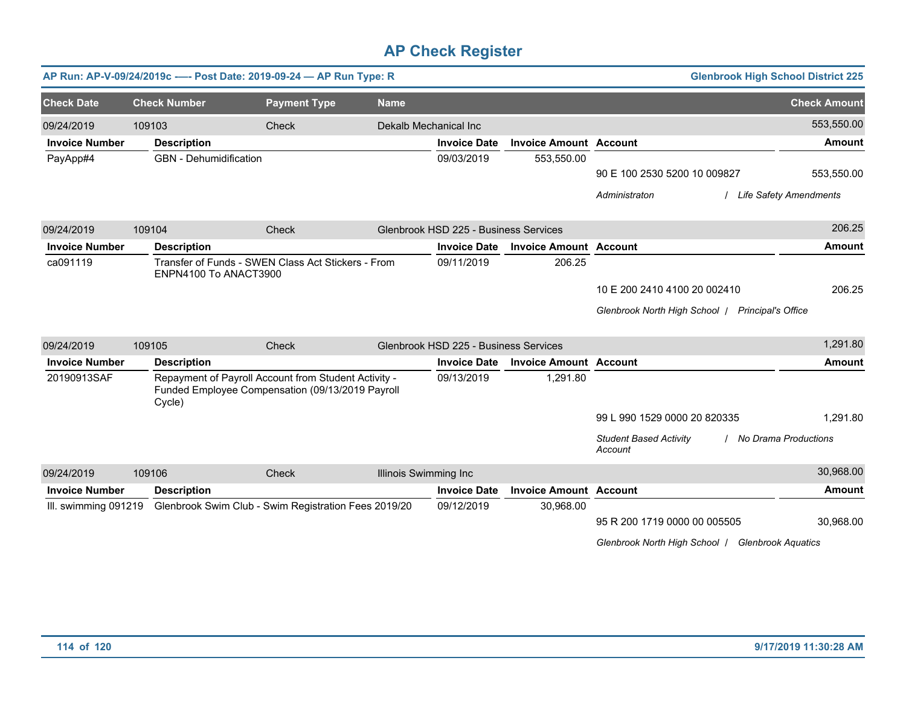|                       | AP Run: AP-V-09/24/2019c ---- Post Date: 2019-09-24 - AP Run Type: R |                                                                                                          |                       |                                       |                               |                                                  | <b>Glenbrook High School District 225</b> |
|-----------------------|----------------------------------------------------------------------|----------------------------------------------------------------------------------------------------------|-----------------------|---------------------------------------|-------------------------------|--------------------------------------------------|-------------------------------------------|
| <b>Check Date</b>     | <b>Check Number</b>                                                  | <b>Payment Type</b>                                                                                      | <b>Name</b>           |                                       |                               |                                                  | <b>Check Amount</b>                       |
| 09/24/2019            | 109103                                                               | Check                                                                                                    | Dekalb Mechanical Inc |                                       |                               |                                                  | 553,550.00                                |
| <b>Invoice Number</b> | <b>Description</b>                                                   |                                                                                                          |                       | <b>Invoice Date</b>                   | <b>Invoice Amount Account</b> |                                                  | <b>Amount</b>                             |
| PayApp#4              | <b>GBN</b> - Dehumidification                                        |                                                                                                          |                       | 09/03/2019                            | 553,550.00                    |                                                  |                                           |
|                       |                                                                      |                                                                                                          |                       |                                       |                               | 90 E 100 2530 5200 10 009827                     | 553,550.00                                |
|                       |                                                                      |                                                                                                          |                       |                                       |                               | Administraton                                    | / Life Safety Amendments                  |
| 09/24/2019            | 109104                                                               | Check                                                                                                    |                       | Glenbrook HSD 225 - Business Services |                               |                                                  | 206.25                                    |
| <b>Invoice Number</b> | <b>Description</b>                                                   |                                                                                                          |                       | <b>Invoice Date</b>                   | <b>Invoice Amount Account</b> |                                                  | <b>Amount</b>                             |
| ca091119              | ENPN4100 To ANACT3900                                                | Transfer of Funds - SWEN Class Act Stickers - From                                                       |                       | 09/11/2019                            | 206.25                        |                                                  |                                           |
|                       |                                                                      |                                                                                                          |                       |                                       |                               | 10 E 200 2410 4100 20 002410                     | 206.25                                    |
|                       |                                                                      |                                                                                                          |                       |                                       |                               | Glenbrook North High School   Principal's Office |                                           |
| 09/24/2019            | 109105                                                               | Check                                                                                                    |                       | Glenbrook HSD 225 - Business Services |                               |                                                  | 1,291.80                                  |
| <b>Invoice Number</b> | <b>Description</b>                                                   |                                                                                                          |                       | <b>Invoice Date</b>                   | <b>Invoice Amount Account</b> |                                                  | <b>Amount</b>                             |
| 20190913SAF           | Cycle)                                                               | Repayment of Payroll Account from Student Activity -<br>Funded Employee Compensation (09/13/2019 Payroll |                       | 09/13/2019                            | 1,291.80                      |                                                  |                                           |
|                       |                                                                      |                                                                                                          |                       |                                       |                               | 99 L 990 1529 0000 20 820335                     | 1,291.80                                  |
|                       |                                                                      |                                                                                                          |                       |                                       |                               | <b>Student Based Activity</b><br>Account         | / No Drama Productions                    |
| 09/24/2019            | 109106                                                               | Check                                                                                                    | Illinois Swimming Inc |                                       |                               |                                                  | 30,968.00                                 |
| <b>Invoice Number</b> | <b>Description</b>                                                   |                                                                                                          |                       | <b>Invoice Date</b>                   | <b>Invoice Amount Account</b> |                                                  | <b>Amount</b>                             |
| III. swimming 091219  |                                                                      | Glenbrook Swim Club - Swim Registration Fees 2019/20                                                     |                       | 09/12/2019                            | 30,968.00                     |                                                  |                                           |
|                       |                                                                      |                                                                                                          |                       |                                       |                               | 95 R 200 1719 0000 00 005505                     | 30,968.00                                 |
|                       |                                                                      |                                                                                                          |                       |                                       |                               | Glenbrook North High School   Glenbrook Aquatics |                                           |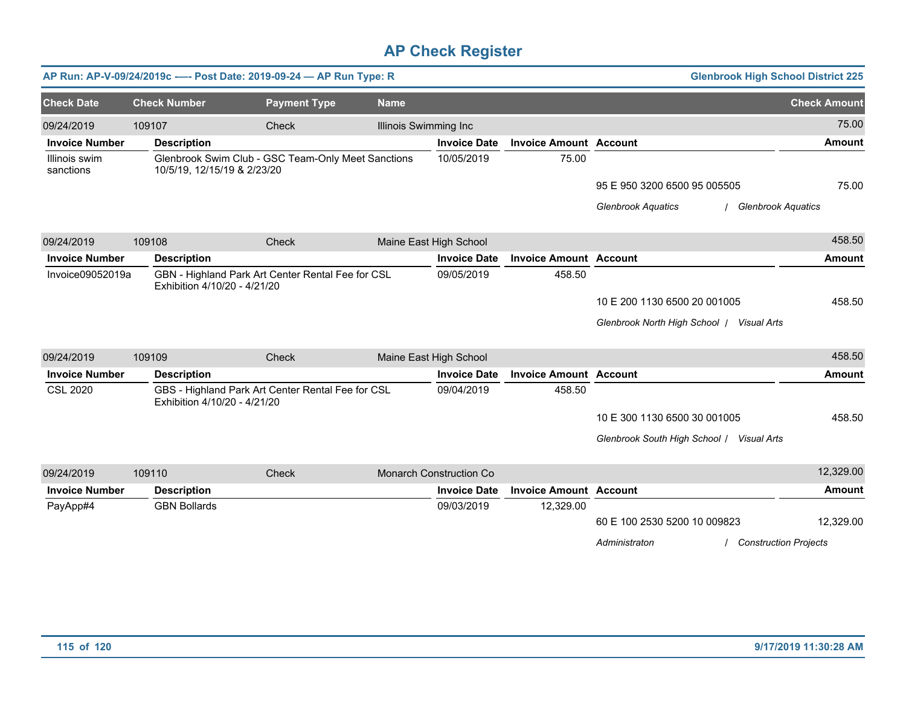|                            |        |                              | AP Run: AP-V-09/24/2019c ---- Post Date: 2019-09-24 - AP Run Type: R |                              |                                |                               | <b>Glenbrook High School District 225</b>                                     |                     |
|----------------------------|--------|------------------------------|----------------------------------------------------------------------|------------------------------|--------------------------------|-------------------------------|-------------------------------------------------------------------------------|---------------------|
| <b>Check Date</b>          |        | <b>Check Number</b>          | <b>Payment Type</b>                                                  | <b>Name</b>                  |                                |                               |                                                                               | <b>Check Amount</b> |
| 09/24/2019                 | 109107 |                              | Check                                                                | <b>Illinois Swimming Inc</b> |                                |                               |                                                                               | 75.00               |
| <b>Invoice Number</b>      |        | <b>Description</b>           |                                                                      |                              | <b>Invoice Date</b>            | <b>Invoice Amount Account</b> |                                                                               | <b>Amount</b>       |
| Illinois swim<br>sanctions |        | 10/5/19, 12/15/19 & 2/23/20  | Glenbrook Swim Club - GSC Team-Only Meet Sanctions                   |                              | 10/05/2019                     | 75.00                         |                                                                               |                     |
|                            |        |                              |                                                                      |                              |                                |                               | 95 E 950 3200 6500 95 005505                                                  | 75.00               |
|                            |        |                              |                                                                      |                              |                                |                               | <b>Glenbrook Aquatics</b><br><b>Glenbrook Aquatics</b>                        |                     |
| 09/24/2019                 | 109108 |                              | Check                                                                |                              | Maine East High School         |                               |                                                                               | 458.50              |
| <b>Invoice Number</b>      |        | <b>Description</b>           |                                                                      |                              | <b>Invoice Date</b>            | <b>Invoice Amount Account</b> |                                                                               | <b>Amount</b>       |
| Invoice09052019a           |        | Exhibition 4/10/20 - 4/21/20 | GBN - Highland Park Art Center Rental Fee for CSL                    |                              | 09/05/2019                     | 458.50                        |                                                                               |                     |
|                            |        |                              |                                                                      |                              |                                |                               | 10 E 200 1130 6500 20 001005                                                  | 458.50              |
|                            |        |                              |                                                                      |                              |                                |                               | Glenbrook North High School / Visual Arts                                     |                     |
| 09/24/2019                 | 109109 |                              | Check                                                                |                              | Maine East High School         |                               |                                                                               | 458.50              |
| <b>Invoice Number</b>      |        | <b>Description</b>           |                                                                      |                              | <b>Invoice Date</b>            | <b>Invoice Amount Account</b> |                                                                               | <b>Amount</b>       |
| <b>CSL 2020</b>            |        | Exhibition 4/10/20 - 4/21/20 | GBS - Highland Park Art Center Rental Fee for CSL                    |                              | 09/04/2019                     | 458.50                        |                                                                               |                     |
|                            |        |                              |                                                                      |                              |                                |                               | 10 E 300 1130 6500 30 001005                                                  | 458.50              |
|                            |        |                              |                                                                      |                              |                                |                               | Glenbrook South High School / Visual Arts                                     |                     |
| 09/24/2019                 | 109110 |                              | Check                                                                |                              | <b>Monarch Construction Co</b> |                               |                                                                               | 12,329.00           |
| <b>Invoice Number</b>      |        | <b>Description</b>           |                                                                      |                              | <b>Invoice Date</b>            | <b>Invoice Amount Account</b> |                                                                               | <b>Amount</b>       |
| PayApp#4                   |        | <b>GBN Bollards</b>          |                                                                      |                              | 09/03/2019                     | 12,329.00                     | 60 E 100 2530 5200 10 009823<br>Administraton<br><b>Construction Projects</b> | 12,329.00           |
|                            |        |                              |                                                                      |                              |                                |                               |                                                                               |                     |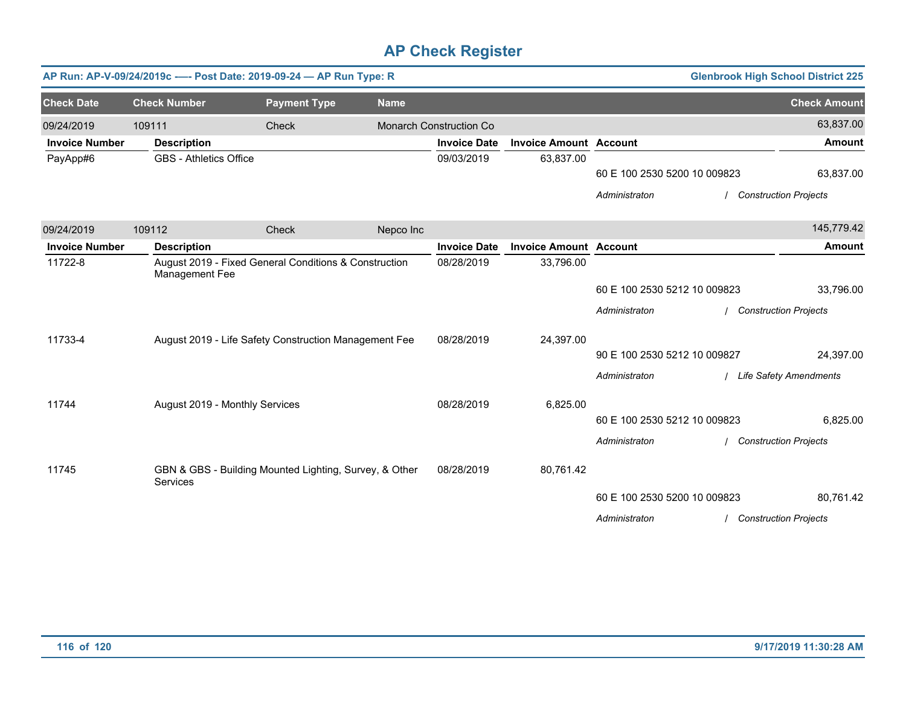|                       |                                | AP Run: AP-V-09/24/2019c ---- Post Date: 2019-09-24 - AP Run Type: R |             |                         |                               |                              |                                                                       | <b>Glenbrook High School District 225</b> |
|-----------------------|--------------------------------|----------------------------------------------------------------------|-------------|-------------------------|-------------------------------|------------------------------|-----------------------------------------------------------------------|-------------------------------------------|
| <b>Check Date</b>     | <b>Check Number</b>            | <b>Payment Type</b>                                                  | <b>Name</b> |                         |                               |                              |                                                                       | <b>Check Amount</b>                       |
| 09/24/2019            | 109111                         | Check                                                                |             | Monarch Construction Co |                               |                              |                                                                       | 63,837.00                                 |
| <b>Invoice Number</b> | <b>Description</b>             |                                                                      |             | <b>Invoice Date</b>     | <b>Invoice Amount Account</b> |                              |                                                                       | Amount                                    |
| PayApp#6              | <b>GBS - Athletics Office</b>  |                                                                      |             | 09/03/2019              | 63,837.00                     |                              |                                                                       |                                           |
|                       |                                |                                                                      |             |                         |                               | 60 E 100 2530 5200 10 009823 |                                                                       | 63,837.00                                 |
|                       |                                |                                                                      |             |                         |                               | Administraton                |                                                                       | <b>Construction Projects</b>              |
| 09/24/2019            | 109112                         | Check                                                                | Nepco Inc   |                         |                               |                              |                                                                       | 145,779.42                                |
| <b>Invoice Number</b> | <b>Description</b>             |                                                                      |             | <b>Invoice Date</b>     | <b>Invoice Amount Account</b> |                              |                                                                       | <b>Amount</b>                             |
| 11722-8               | Management Fee                 | August 2019 - Fixed General Conditions & Construction                |             | 08/28/2019              | 33,796.00                     |                              |                                                                       |                                           |
|                       |                                |                                                                      |             |                         |                               | 60 E 100 2530 5212 10 009823 |                                                                       | 33,796.00                                 |
|                       |                                |                                                                      |             |                         |                               | Administraton                |                                                                       | / Construction Projects                   |
| 11733-4               |                                | August 2019 - Life Safety Construction Management Fee                |             | 08/28/2019              | 24,397.00                     |                              |                                                                       |                                           |
|                       |                                |                                                                      |             |                         |                               | 90 E 100 2530 5212 10 009827 |                                                                       | 24,397.00                                 |
|                       |                                |                                                                      |             |                         |                               | Administraton                |                                                                       |                                           |
| 11744                 | August 2019 - Monthly Services |                                                                      |             | 08/28/2019              | 6,825.00                      |                              |                                                                       |                                           |
|                       |                                |                                                                      |             |                         |                               | 60 E 100 2530 5212 10 009823 |                                                                       | 6,825.00                                  |
|                       |                                |                                                                      |             |                         |                               | Administraton                |                                                                       |                                           |
| 11745                 | Services                       | GBN & GBS - Building Mounted Lighting, Survey, & Other               |             | 08/28/2019              | 80,761.42                     |                              |                                                                       |                                           |
|                       |                                |                                                                      |             |                         |                               | 60 E 100 2530 5200 10 009823 | / Life Safety Amendments<br><b>Construction Projects</b><br>80,761.42 |                                           |
|                       |                                |                                                                      |             |                         |                               | Administraton                |                                                                       | <b>Construction Projects</b>              |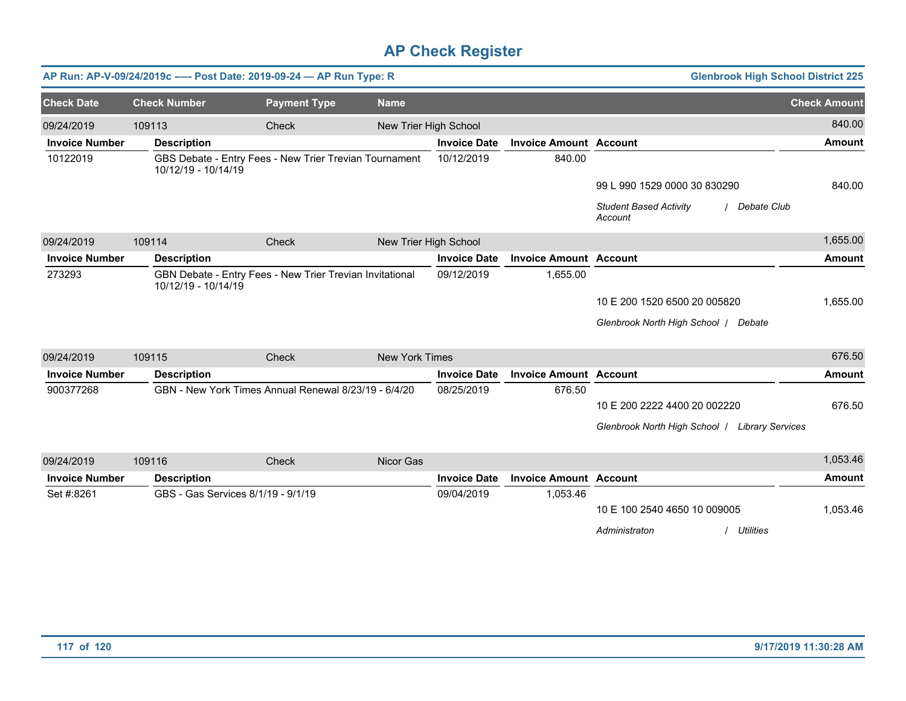|                                                                                           |        |                                    | AP Run: AP-V-09/24/2019c ---- Post Date: 2019-09-24 - AP Run Type: R |                       |                       |                               | <b>Glenbrook High School District 225</b>                 |                     |
|-------------------------------------------------------------------------------------------|--------|------------------------------------|----------------------------------------------------------------------|-----------------------|-----------------------|-------------------------------|-----------------------------------------------------------|---------------------|
| <b>Check Date</b>                                                                         |        | <b>Check Number</b>                | <b>Payment Type</b>                                                  | <b>Name</b>           |                       |                               |                                                           | <b>Check Amount</b> |
| 09/24/2019                                                                                | 109113 |                                    | Check                                                                |                       | New Trier High School |                               |                                                           | 840.00              |
| <b>Invoice Number</b>                                                                     |        | <b>Description</b>                 |                                                                      |                       | <b>Invoice Date</b>   | <b>Invoice Amount Account</b> |                                                           | <b>Amount</b>       |
| 10122019                                                                                  |        | 10/12/19 - 10/14/19                | GBS Debate - Entry Fees - New Trier Trevian Tournament               |                       | 10/12/2019            | 840.00                        |                                                           |                     |
|                                                                                           |        |                                    |                                                                      |                       |                       |                               | 99 L 990 1529 0000 30 830290                              | 840.00              |
|                                                                                           |        |                                    |                                                                      |                       |                       |                               | <b>Student Based Activity</b><br>/ Debate Club<br>Account |                     |
| 09/24/2019                                                                                | 109114 |                                    | Check                                                                |                       | New Trier High School |                               |                                                           | 1,655.00            |
| <b>Invoice Number</b>                                                                     |        | <b>Description</b>                 |                                                                      |                       | <b>Invoice Date</b>   | <b>Invoice Amount Account</b> |                                                           | <b>Amount</b>       |
| 273293<br>GBN Debate - Entry Fees - New Trier Trevian Invitational<br>10/12/19 - 10/14/19 |        |                                    |                                                                      | 09/12/2019            | 1,655.00              |                               |                                                           |                     |
|                                                                                           |        |                                    |                                                                      |                       |                       |                               | 10 E 200 1520 6500 20 005820                              | 1,655.00            |
|                                                                                           |        |                                    |                                                                      |                       |                       |                               | Glenbrook North High School   Debate                      |                     |
| 09/24/2019                                                                                | 109115 |                                    | Check                                                                | <b>New York Times</b> |                       |                               |                                                           | 676.50              |
| <b>Invoice Number</b>                                                                     |        | <b>Description</b>                 |                                                                      |                       | <b>Invoice Date</b>   | <b>Invoice Amount Account</b> |                                                           | <b>Amount</b>       |
| 900377268                                                                                 |        |                                    | GBN - New York Times Annual Renewal 8/23/19 - 6/4/20                 |                       | 08/25/2019            | 676.50                        |                                                           |                     |
|                                                                                           |        |                                    |                                                                      |                       |                       |                               | 10 E 200 2222 4400 20 002220                              | 676.50              |
|                                                                                           |        |                                    |                                                                      |                       |                       |                               | Glenbrook North High School   Library Services            |                     |
| 09/24/2019                                                                                | 109116 |                                    | Check                                                                | Nicor Gas             |                       |                               |                                                           | 1,053.46            |
| <b>Invoice Number</b>                                                                     |        | <b>Description</b>                 |                                                                      |                       | <b>Invoice Date</b>   | <b>Invoice Amount Account</b> |                                                           | <b>Amount</b>       |
| Set #:8261                                                                                |        | GBS - Gas Services 8/1/19 - 9/1/19 |                                                                      |                       | 09/04/2019            | 1,053.46                      |                                                           |                     |
|                                                                                           |        |                                    |                                                                      |                       |                       |                               | 10 E 100 2540 4650 10 009005                              | 1,053.46            |
|                                                                                           |        |                                    |                                                                      |                       |                       |                               | Administraton<br><b>Utilities</b>                         |                     |
|                                                                                           |        |                                    |                                                                      |                       |                       |                               |                                                           |                     |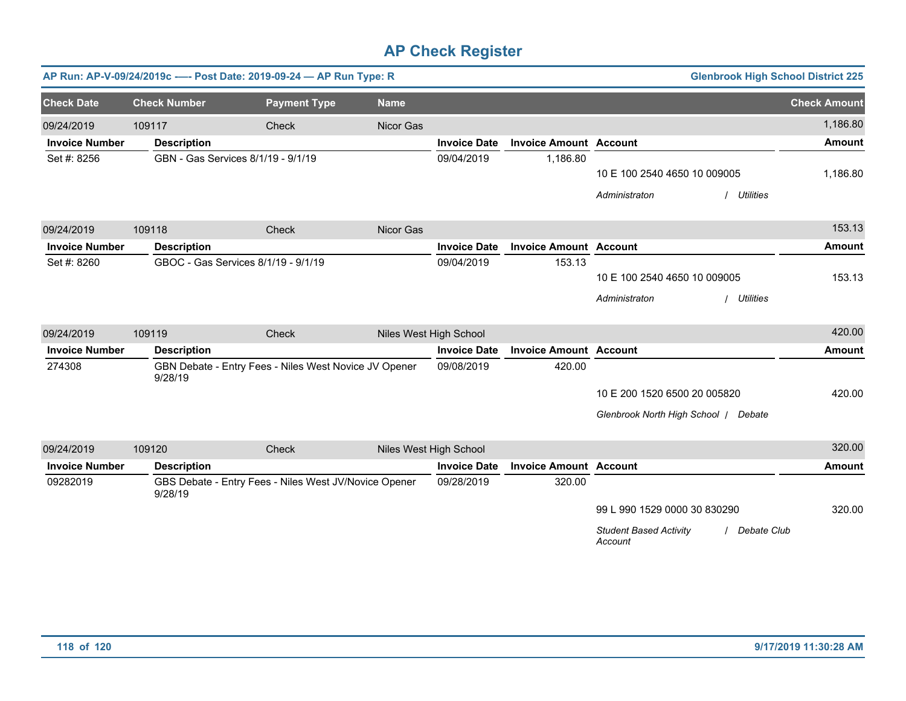|                                                    |                     |                                    | AP Run: AP-V-09/24/2019c ---- Post Date: 2019-09-24 - AP Run Type: R |             |                        |                               |                                          | <b>Glenbrook High School District 225</b> |                     |
|----------------------------------------------------|---------------------|------------------------------------|----------------------------------------------------------------------|-------------|------------------------|-------------------------------|------------------------------------------|-------------------------------------------|---------------------|
| <b>Check Date</b>                                  | <b>Check Number</b> |                                    | <b>Payment Type</b>                                                  | <b>Name</b> |                        |                               |                                          |                                           | <b>Check Amount</b> |
| 09/24/2019                                         | 109117              |                                    | Check                                                                | Nicor Gas   |                        |                               |                                          |                                           | 1,186.80            |
| <b>Invoice Number</b>                              |                     | <b>Description</b>                 |                                                                      |             | <b>Invoice Date</b>    | <b>Invoice Amount Account</b> |                                          |                                           | <b>Amount</b>       |
| Set #: 8256                                        |                     | GBN - Gas Services 8/1/19 - 9/1/19 |                                                                      |             | 09/04/2019             | 1,186.80                      |                                          |                                           |                     |
|                                                    |                     |                                    |                                                                      |             |                        |                               | 10 E 100 2540 4650 10 009005             |                                           | 1,186.80            |
|                                                    |                     |                                    |                                                                      |             |                        |                               | Administraton                            | / Utilities                               |                     |
| 09/24/2019                                         | 109118              |                                    | Check                                                                | Nicor Gas   |                        |                               |                                          |                                           | 153.13              |
| <b>Invoice Number</b>                              |                     | <b>Description</b>                 |                                                                      |             | <b>Invoice Date</b>    | <b>Invoice Amount Account</b> |                                          |                                           | <b>Amount</b>       |
| GBOC - Gas Services 8/1/19 - 9/1/19<br>Set #: 8260 |                     |                                    |                                                                      | 09/04/2019  | 153.13                 |                               |                                          |                                           |                     |
|                                                    |                     |                                    |                                                                      |             |                        |                               | 10 E 100 2540 4650 10 009005             |                                           | 153.13              |
|                                                    |                     |                                    |                                                                      |             |                        |                               | Administraton                            | / Utilities                               |                     |
| 09/24/2019                                         | 109119              |                                    | Check                                                                |             | Niles West High School |                               |                                          |                                           | 420.00              |
| <b>Invoice Number</b>                              |                     | <b>Description</b>                 |                                                                      |             | <b>Invoice Date</b>    | <b>Invoice Amount Account</b> |                                          |                                           | <b>Amount</b>       |
| 274308                                             | 9/28/19             |                                    | GBN Debate - Entry Fees - Niles West Novice JV Opener                |             | 09/08/2019             | 420.00                        |                                          |                                           |                     |
|                                                    |                     |                                    |                                                                      |             |                        |                               | 10 E 200 1520 6500 20 005820             |                                           | 420.00              |
|                                                    |                     |                                    |                                                                      |             |                        |                               | Glenbrook North High School   Debate     |                                           |                     |
| 09/24/2019                                         | 109120              |                                    | Check                                                                |             | Niles West High School |                               |                                          |                                           | 320.00              |
| <b>Invoice Number</b>                              |                     | <b>Description</b>                 |                                                                      |             | <b>Invoice Date</b>    | <b>Invoice Amount Account</b> |                                          |                                           | <b>Amount</b>       |
| 09282019                                           | 9/28/19             |                                    | GBS Debate - Entry Fees - Niles West JV/Novice Opener                |             | 09/28/2019             | 320.00                        |                                          |                                           |                     |
|                                                    |                     |                                    |                                                                      |             |                        |                               | 99 L 990 1529 0000 30 830290             |                                           | 320.00              |
|                                                    |                     |                                    |                                                                      |             |                        |                               | <b>Student Based Activity</b><br>Account | / Debate Club                             |                     |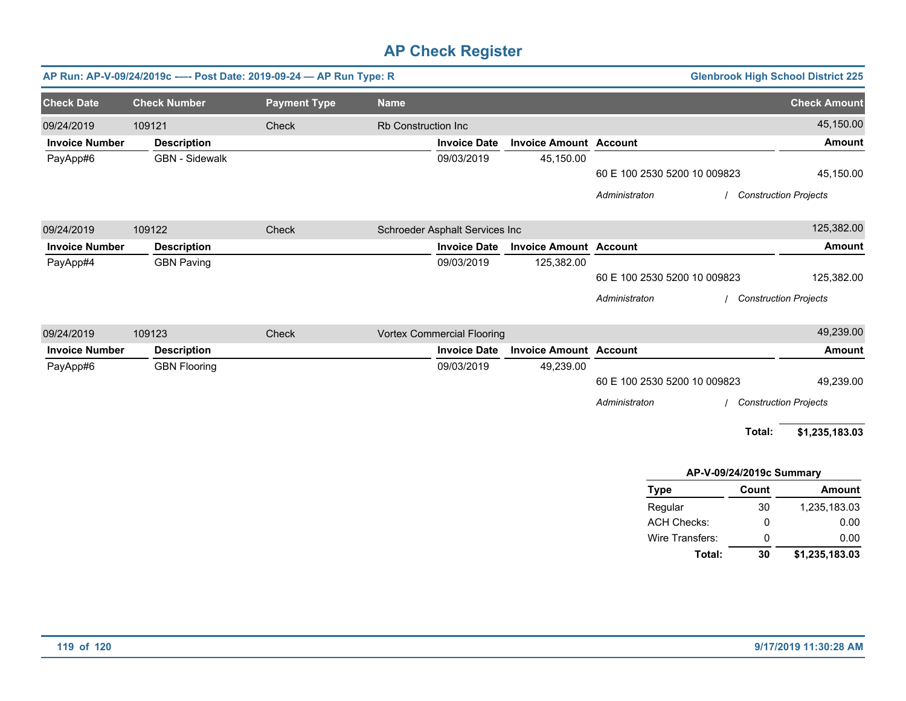|                       | AP Run: AP-V-09/24/2019c ---- Post Date: 2019-09-24 - AP Run Type: R |                     |                     |                                   |                               |                              |                              | <b>Glenbrook High School District 225</b> |
|-----------------------|----------------------------------------------------------------------|---------------------|---------------------|-----------------------------------|-------------------------------|------------------------------|------------------------------|-------------------------------------------|
| <b>Check Date</b>     | <b>Check Number</b>                                                  | <b>Payment Type</b> | <b>Name</b>         |                                   |                               |                              |                              | <b>Check Amount</b>                       |
| 09/24/2019            | 109121                                                               | Check               | Rb Construction Inc |                                   |                               |                              |                              | 45,150.00                                 |
| <b>Invoice Number</b> | <b>Description</b>                                                   |                     |                     | <b>Invoice Date</b>               | <b>Invoice Amount Account</b> |                              |                              | <b>Amount</b>                             |
| PayApp#6              | <b>GBN</b> - Sidewalk                                                |                     |                     | 09/03/2019                        | 45,150.00                     |                              |                              |                                           |
|                       |                                                                      |                     |                     |                                   |                               | 60 E 100 2530 5200 10 009823 |                              | 45,150.00                                 |
|                       |                                                                      |                     |                     |                                   |                               | Administraton                | <b>Construction Projects</b> |                                           |
| 09/24/2019            | 109122                                                               | Check               |                     | Schroeder Asphalt Services Inc    |                               |                              |                              | 125,382.00                                |
| <b>Invoice Number</b> | <b>Description</b>                                                   |                     |                     | <b>Invoice Date</b>               | <b>Invoice Amount Account</b> |                              |                              | <b>Amount</b>                             |
| PayApp#4              | <b>GBN Paving</b>                                                    |                     |                     | 09/03/2019                        | 125,382.00                    |                              |                              |                                           |
|                       |                                                                      |                     |                     |                                   |                               | 60 E 100 2530 5200 10 009823 |                              | 125,382.00                                |
|                       |                                                                      |                     |                     |                                   |                               | Administraton                | / Construction Projects      |                                           |
| 09/24/2019            | 109123                                                               | Check               |                     | <b>Vortex Commercial Flooring</b> |                               |                              |                              | 49,239.00                                 |
| <b>Invoice Number</b> | <b>Description</b>                                                   |                     |                     | <b>Invoice Date</b>               | <b>Invoice Amount Account</b> |                              |                              | <b>Amount</b>                             |
| PayApp#6              | <b>GBN Flooring</b>                                                  |                     |                     | 09/03/2019                        | 49,239.00                     |                              |                              |                                           |
|                       |                                                                      |                     |                     |                                   |                               | 60 E 100 2530 5200 10 009823 |                              | 49,239.00                                 |
|                       |                                                                      |                     |                     |                                   |                               | Administraton                |                              | <b>Construction Projects</b>              |
|                       |                                                                      |                     |                     |                                   |                               |                              | Total:                       | \$1,235,183.03                            |
|                       |                                                                      |                     |                     |                                   |                               | AP-V-09/24/2019c Summary     |                              |                                           |
|                       |                                                                      |                     |                     |                                   |                               | <b>Type</b>                  | Count                        | <b>Amount</b>                             |
|                       |                                                                      |                     |                     |                                   |                               | Regular                      | $30\,$                       | 1,235,183.03                              |
|                       |                                                                      |                     |                     |                                   |                               | <b>ACH Checks:</b>           | 0                            | 0.00                                      |
|                       |                                                                      |                     |                     |                                   |                               | Wire Transfers:              | 0                            | 0.00                                      |
|                       |                                                                      |                     |                     |                                   |                               | Total:                       | 30                           | \$1,235,183.03                            |